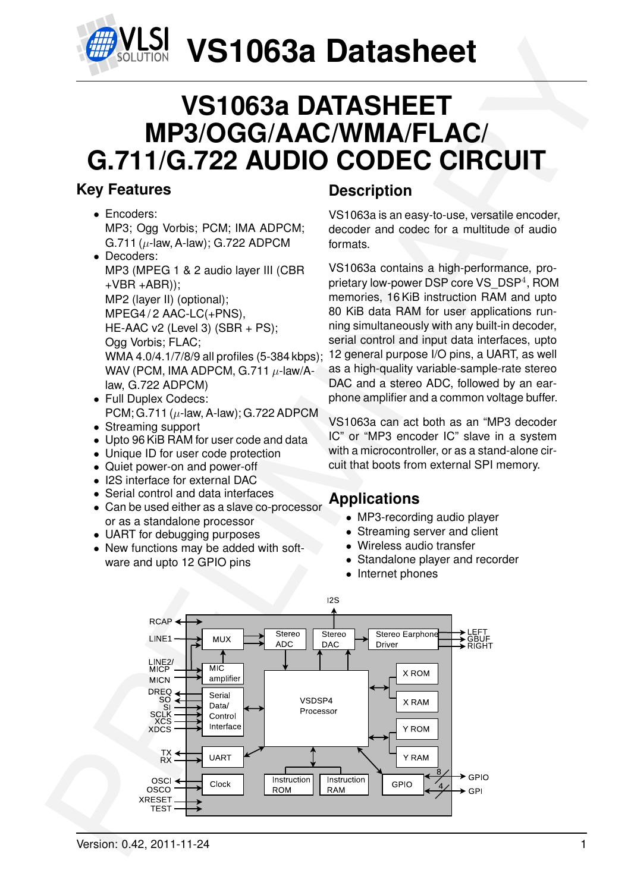

## **VS1063a DATASHEET MP3/OGG/AAC/WMA/FLAC/ G.711/G.722 AUDIO CODEC CIRCUIT**

## <span id="page-0-0"></span>**Key Features**

- Encoders: MP3; Ogg Vorbis; PCM; IMA ADPCM; G.711 ( $\mu$ -law, A-law); G.722 ADPCM
- Decoders: MP3 (MPEG 1 & 2 audio layer III (CBR  $+VBR + ABR$ )); MP2 (layer II) (optional); MPEG4/2 AAC-LC(+PNS), HE-AAC v2 (Level 3) (SBR + PS); Ogg Vorbis; FLAC; WMA 4.0/4.1/7/8/9 all profiles (5-384 kbps); WAV (PCM, IMA ADPCM, G.711  $\mu$ -law/Alaw, G.722 ADPCM)
- Full Duplex Codecs: PCM; G.711 ( $\mu$ -law, A-law); G.722 ADPCM
- Streaming support
- Upto 96 KiB RAM for user code and data
- Unique ID for user code protection
- Quiet power-on and power-off
- I2S interface for external DAC
- Serial control and data interfaces
- Can be used either as a slave co-processor or as a standalone processor
- UART for debugging purposes
- New functions may be added with software and upto 12 GPIO pins

## **Description**

VS1063a is an easy-to-use, versatile encoder, decoder and codec for a multitude of audio formats.

VS1063a contains a high-performance, proprietary low-power DSP core VS\_DSP<sup>4</sup>, ROM memories, 16 KiB instruction RAM and upto 80 KiB data RAM for user applications running simultaneously with any built-in decoder, serial control and input data interfaces, upto 12 general purpose I/O pins, a UART, as well as a high-quality variable-sample-rate stereo DAC and a stereo ADC, followed by an earphone amplifier and a common voltage buffer.

VS1063a can act both as an "MP3 decoder IC" or "MP3 encoder IC" slave in a system with a microcontroller, or as a stand-alone circuit that boots from external SPI memory.

## **Applications**

- MP3-recording audio player
- Streaming server and client
- Wireless audio transfer
- Standalone player and recorder
- Internet phones

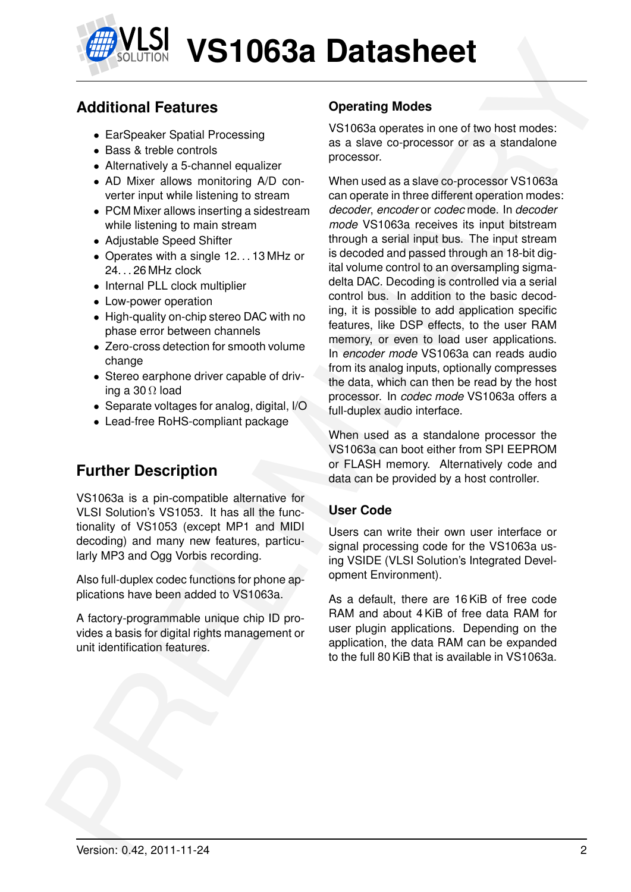

## **Additional Features**

- EarSpeaker Spatial Processing
- Bass & treble controls
- Alternatively a 5-channel equalizer
- AD Mixer allows monitoring A/D converter input while listening to stream
- PCM Mixer allows inserting a sidestream while listening to main stream
- Adjustable Speed Shifter
- Operates with a single 12...13 MHz or 24. . . 26 MHz clock
- Internal PLL clock multiplier
- Low-power operation
- High-quality on-chip stereo DAC with no phase error between channels
- Zero-cross detection for smooth volume change
- Stereo earphone driver capable of driving a 30  $\Omega$  load
- Separate voltages for analog, digital, I/O
- Lead-free RoHS-compliant package

## **Further Description**

VS1063a is a pin-compatible alternative for VLSI Solution's VS1053. It has all the functionality of VS1053 (except MP1 and MIDI decoding) and many new features, particularly MP3 and Ogg Vorbis recording.

Also full-duplex codec functions for phone applications have been added to VS1063a.

A factory-programmable unique chip ID provides a basis for digital rights management or unit identification features.

### **Operating Modes**

VS1063a operates in one of two host modes: as a slave co-processor or as a standalone processor.

**Example 19 Control Control Control Control Control Control Control Control Control Control Control Control Control Control Control Control Control Control Control Control Control Control Control Control Control Control Co** When used as a slave co-processor VS1063a can operate in three different operation modes: *decoder*, *encoder* or *codec* mode. In *decoder mode* VS1063a receives its input bitstream through a serial input bus. The input stream is decoded and passed through an 18-bit digital volume control to an oversampling sigmadelta DAC. Decoding is controlled via a serial control bus. In addition to the basic decoding, it is possible to add application specific features, like DSP effects, to the user RAM memory, or even to load user applications. In *encoder mode* VS1063a can reads audio from its analog inputs, optionally compresses the data, which can then be read by the host processor. In *codec mode* VS1063a offers a full-duplex audio interface.

When used as a standalone processor the VS1063a can boot either from SPI EEPROM or FLASH memory. Alternatively code and data can be provided by a host controller.

#### **User Code**

Users can write their own user interface or signal processing code for the VS1063a using VSIDE (VLSI Solution's Integrated Development Environment).

As a default, there are 16 KiB of free code RAM and about 4 KiB of free data RAM for user plugin applications. Depending on the application, the data RAM can be expanded to the full 80 KiB that is available in VS1063a.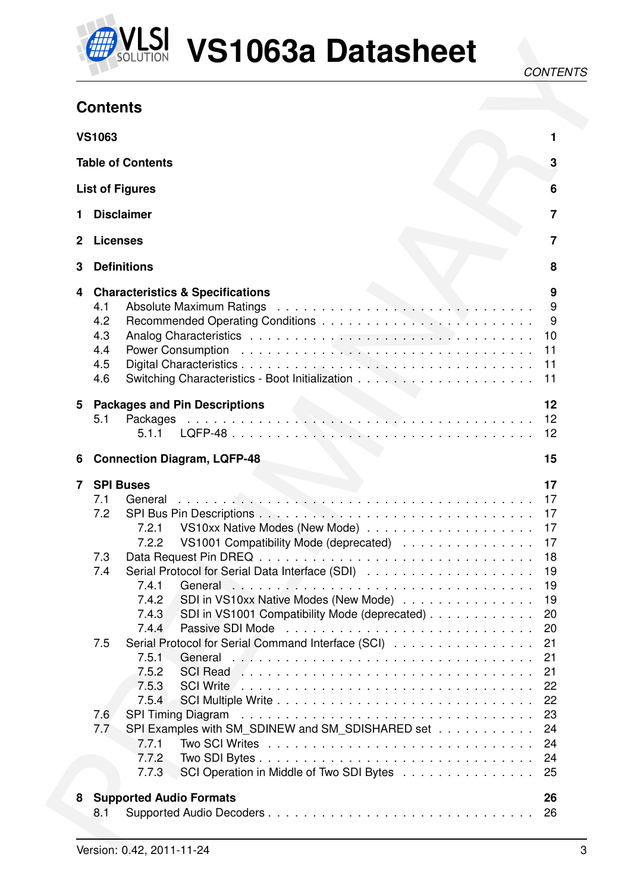

LSI VS1063a Datasheet

## <span id="page-2-0"></span>**Contents**

|        | <b>Contents</b>                                           |                         |
|--------|-----------------------------------------------------------|-------------------------|
|        |                                                           |                         |
|        | <b>VS1063</b>                                             |                         |
|        | <b>Table of Contents</b>                                  | 3                       |
|        | <b>List of Figures</b>                                    | 6                       |
|        | <b>Disclaimer</b>                                         | $\overline{\mathbf{r}}$ |
| 2      | <b>Licenses</b>                                           | 7                       |
| З      | <b>Definitions</b>                                        | 8                       |
| 4      | <b>Characteristics &amp; Specifications</b>               | 9                       |
|        | 4.1                                                       |                         |
|        | 4.2                                                       | 9                       |
|        | 4.3                                                       | 10                      |
|        | 4.4                                                       | 11                      |
|        | 4.5                                                       | 11                      |
|        | 4.6                                                       | 11                      |
| 5      | <b>Packages and Pin Descriptions</b>                      | 12                      |
|        | 5.1                                                       |                         |
|        |                                                           |                         |
|        | 5.1.1                                                     | 12                      |
|        | <b>Connection Diagram, LQFP-48</b>                        | 15                      |
|        | <b>SPI Buses</b>                                          | 17                      |
|        | 7.1<br>General                                            | 17                      |
|        | 7.2                                                       | 17                      |
|        | 7.2.1                                                     | 17                      |
|        | 7.2.2<br>VS1001 Compatibility Mode (deprecated)           | 17                      |
|        | 7.3                                                       | 18                      |
|        | 7.4                                                       | 19                      |
|        | 7.4.1                                                     | 19                      |
| 6<br>7 | SDI in VS10xx Native Modes (New Mode)<br>7.4.2            | 19                      |
|        | 7.4.3<br>SDI in VS1001 Compatibility Mode (deprecated)    | 20                      |
|        | 7.4.4                                                     | 20                      |
|        | Serial Protocol for Serial Command Interface (SCI)<br>7.5 | 21                      |
|        | 7.5.1                                                     | 21                      |
|        | 7.5.2                                                     | 21                      |
|        | 7.5.3                                                     | 22                      |
|        | 7.5.4                                                     | 22                      |
|        | 7.6                                                       | 23                      |
|        | SPI Examples with SM_SDINEW and SM_SDISHARED set<br>7.7   | 24                      |
|        | 7.7.1                                                     | 24                      |
|        | 7.7.2                                                     | 24                      |
|        | SCI Operation in Middle of Two SDI Bytes<br>7.7.3         | 25                      |
| 8      | <b>Supported Audio Formats</b>                            | 26                      |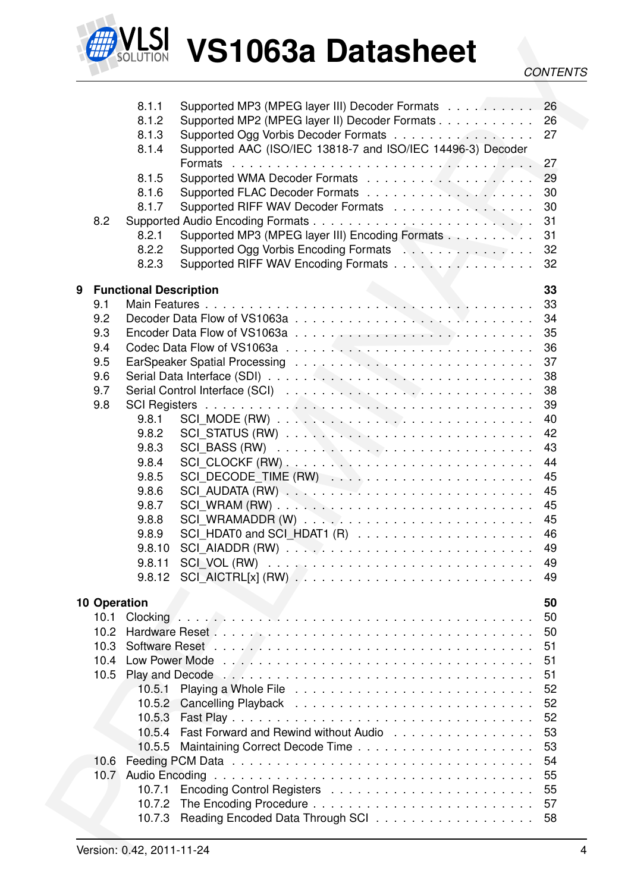

#### *CONTENTS*

|                     |                                                                                                                                                                  | <b>CONTENTS</b> |
|---------------------|------------------------------------------------------------------------------------------------------------------------------------------------------------------|-----------------|
|                     |                                                                                                                                                                  |                 |
|                     | Supported MP3 (MPEG layer III) Decoder Formats 26<br>8.1.1                                                                                                       |                 |
|                     | 8.1.2<br>Supported MP2 (MPEG layer II) Decoder Formats 26                                                                                                        |                 |
|                     | Supported Ogg Vorbis Decoder Formats<br>8.1.3                                                                                                                    | 27              |
|                     | Supported AAC (ISO/IEC 13818-7 and ISO/IEC 14496-3) Decoder<br>8.1.4                                                                                             |                 |
|                     | Formats $\ldots \ldots \ldots \ldots \ldots \ldots \ldots \ldots \ldots \ldots \ldots$                                                                           | 27              |
|                     | 8.1.5                                                                                                                                                            | 29              |
|                     | 8.1.6                                                                                                                                                            | 30              |
| 8.2                 | 8.1.7<br>Supported RIFF WAV Decoder Formats                                                                                                                      | 30<br>31        |
|                     | Supported MP3 (MPEG layer III) Encoding Formats<br>8.2.1                                                                                                         | 31              |
|                     | 8.2.2<br>Supported Ogg Vorbis Encoding Formats National Action Action Action Action Action Action Action Action Action                                           | 32              |
|                     | Supported RIFF WAV Encoding Formats<br>8.2.3                                                                                                                     | 32              |
|                     |                                                                                                                                                                  |                 |
| 9                   | <b>Functional Description</b>                                                                                                                                    | 33              |
| 9.1                 |                                                                                                                                                                  | 33              |
| 9.2                 |                                                                                                                                                                  | 34              |
| 9.3                 |                                                                                                                                                                  | 35              |
| 9.4                 |                                                                                                                                                                  | 36              |
| 9.5                 |                                                                                                                                                                  | 37              |
| 9.6                 |                                                                                                                                                                  | 38              |
| 9.7                 |                                                                                                                                                                  | 38              |
| 9.8                 |                                                                                                                                                                  | 39              |
|                     | 9.8.1                                                                                                                                                            | 40              |
|                     | 9.8.2<br>9.8.3<br>$SCL$ BASS (RW) $\ldots \ldots \ldots \ldots \ldots \ldots \ldots \ldots \ldots$                                                               | 42<br>43        |
|                     | 9.8.4                                                                                                                                                            | 44              |
|                     | SCI DECODE TIME (RW)<br>9.8.5                                                                                                                                    | 45              |
|                     | 9.8.6                                                                                                                                                            | 45              |
|                     | 9.8.7                                                                                                                                                            | 45              |
|                     | 9.8.8                                                                                                                                                            | 45              |
|                     | 9.8.9                                                                                                                                                            | 46              |
|                     | 9.8.10                                                                                                                                                           | 49              |
|                     | 9.8.11                                                                                                                                                           | 49              |
|                     | 9.8.12                                                                                                                                                           | 49              |
| <b>10 Operation</b> |                                                                                                                                                                  | 50              |
| 10.1                | Clocking $\ldots$ , $\ldots$ , $\ldots$ , $\ldots$ , $\ldots$ , $\ldots$ , $\ldots$ , $\ldots$ , $\ldots$ , $\ldots$ , $\ldots$ , $\ldots$ , $\ldots$ , $\ldots$ | 50              |
| 10.2 <sub>1</sub>   |                                                                                                                                                                  | 50              |
| 10.3                |                                                                                                                                                                  | 51              |
| 10.4                |                                                                                                                                                                  | 51              |
| 10.5                |                                                                                                                                                                  | 51              |
|                     | 10.5.1                                                                                                                                                           | 52              |
|                     |                                                                                                                                                                  | 52              |
|                     | 10.5.3                                                                                                                                                           | 52              |
|                     | Fast Forward and Rewind without Audio<br>10.5.4                                                                                                                  | 53              |
|                     | 10.5.5                                                                                                                                                           | 53              |
| 10.6                |                                                                                                                                                                  | 54              |
|                     |                                                                                                                                                                  | 55              |
|                     | 10.7.1                                                                                                                                                           | 55              |
|                     | 10.7.2                                                                                                                                                           | 57              |
|                     | Reading Encoded Data Through SCI<br>10.7.3                                                                                                                       | 58              |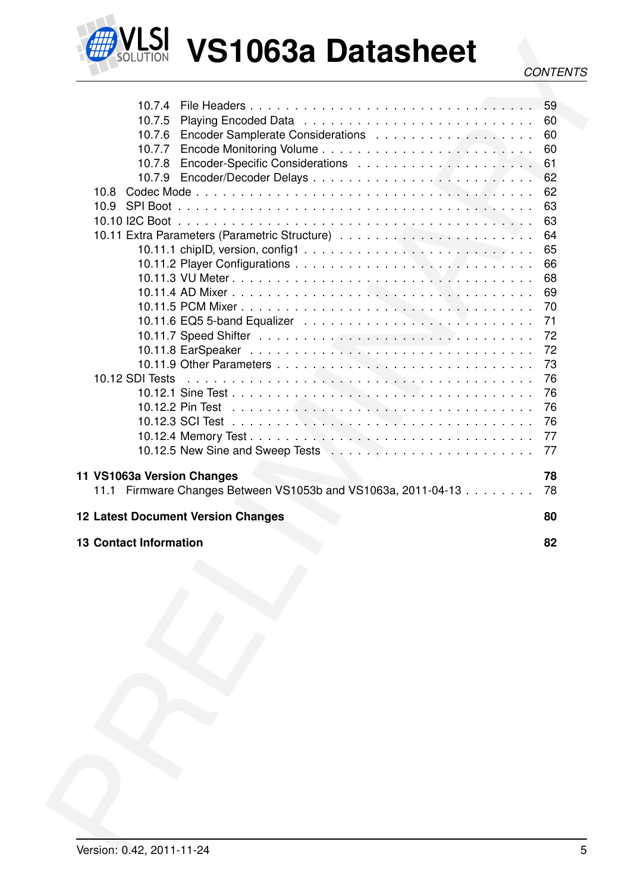

**VLSI VS1063a Datasheet** 

|                                                                       | <b>CONTENTS</b> |
|-----------------------------------------------------------------------|-----------------|
|                                                                       |                 |
|                                                                       | 59              |
| 10.7.5                                                                |                 |
| 10.7.6                                                                | 60              |
| 10.7.7                                                                | 60<br>60        |
| 10.7.8                                                                | 61              |
| 10.7.9                                                                | 62              |
| 10.8                                                                  | 62              |
| 10.9<br>SPI Boot.                                                     | 63              |
|                                                                       | 63              |
|                                                                       | 64              |
| 10.11.1 chipID, version, config1 $\ldots \ldots \ldots \ldots \ldots$ | 65              |
|                                                                       | 66              |
|                                                                       | 68              |
|                                                                       | 69              |
|                                                                       | 70              |
|                                                                       | 71              |
|                                                                       | 72              |
|                                                                       | 72              |
|                                                                       | 73              |
| 10.12 SDI Tests                                                       | 76              |
|                                                                       | 76              |
| 10.12.2 Pin Test                                                      | 76              |
|                                                                       | 76              |
|                                                                       | 77              |
|                                                                       | 77              |
|                                                                       |                 |
| 11 VS1063a Version Changes                                            | 78<br>78        |
| Firmware Changes Between VS1053b and VS1063a, 2011-04-13<br>11.1      |                 |
|                                                                       |                 |
| <b>12 Latest Document Version Changes</b>                             | 80              |
|                                                                       |                 |
| <b>13 Contact Information</b>                                         | 82              |
|                                                                       |                 |
|                                                                       |                 |
|                                                                       |                 |
|                                                                       |                 |
|                                                                       |                 |
|                                                                       |                 |
|                                                                       |                 |
|                                                                       |                 |
|                                                                       |                 |
|                                                                       |                 |
|                                                                       |                 |
|                                                                       |                 |
|                                                                       |                 |
|                                                                       |                 |
|                                                                       |                 |
|                                                                       |                 |
|                                                                       |                 |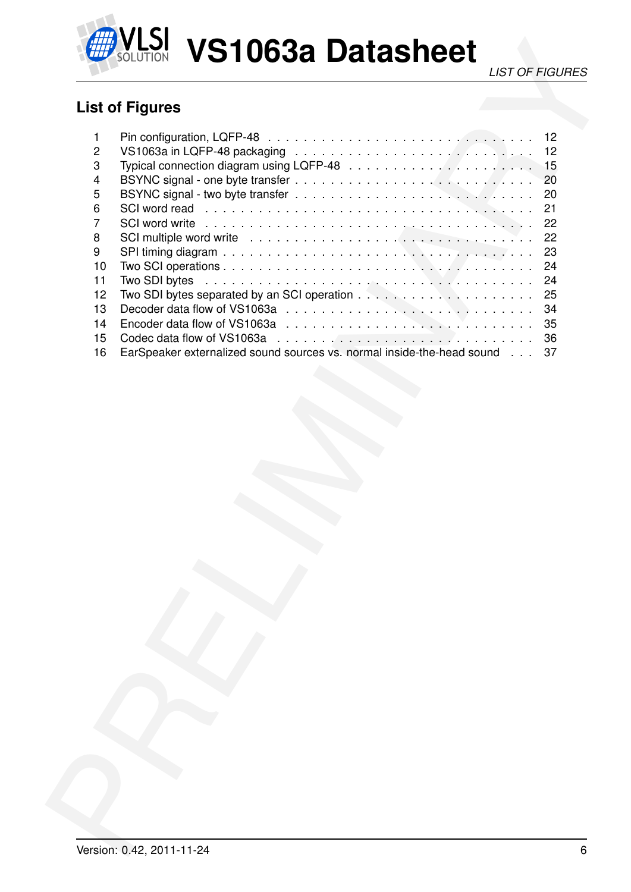

**VLSI VS1063a Datasheet** 

## <span id="page-5-0"></span>**List of Figures**

|                | <b>LIST OF FIGURES</b>                                                                                                                                                                                                               |
|----------------|--------------------------------------------------------------------------------------------------------------------------------------------------------------------------------------------------------------------------------------|
|                |                                                                                                                                                                                                                                      |
|                | <b>List of Figures</b>                                                                                                                                                                                                               |
| 1              | 12                                                                                                                                                                                                                                   |
| $\overline{c}$ | 12                                                                                                                                                                                                                                   |
| 3              | 15                                                                                                                                                                                                                                   |
| 4              | 20                                                                                                                                                                                                                                   |
| 5              | 20                                                                                                                                                                                                                                   |
| 6              | SCI word read enterprise in the series of the series and series and series are series to series and series are series and series are series and series and series and series are series and series are series and series are s<br>21 |
| 7              | 22                                                                                                                                                                                                                                   |
| 8              | 22<br>SCI multiple word write experience is a series of the series of the series of the series of the series of the s                                                                                                                |
| 9<br>10        | 23<br>24                                                                                                                                                                                                                             |
| 11             | Two SDI bytes<br>24                                                                                                                                                                                                                  |
| 12             | 25                                                                                                                                                                                                                                   |
| 13             | 34                                                                                                                                                                                                                                   |
| 14             | 35                                                                                                                                                                                                                                   |
| 15             | 36                                                                                                                                                                                                                                   |
| 16             | EarSpeaker externalized sound sources vs. normal inside-the-head sound<br>37                                                                                                                                                         |
|                |                                                                                                                                                                                                                                      |
|                |                                                                                                                                                                                                                                      |
|                |                                                                                                                                                                                                                                      |
|                |                                                                                                                                                                                                                                      |
|                |                                                                                                                                                                                                                                      |
|                |                                                                                                                                                                                                                                      |
|                |                                                                                                                                                                                                                                      |
|                |                                                                                                                                                                                                                                      |
|                |                                                                                                                                                                                                                                      |
|                |                                                                                                                                                                                                                                      |
|                |                                                                                                                                                                                                                                      |
|                |                                                                                                                                                                                                                                      |
|                |                                                                                                                                                                                                                                      |
|                |                                                                                                                                                                                                                                      |
|                |                                                                                                                                                                                                                                      |
|                |                                                                                                                                                                                                                                      |
|                |                                                                                                                                                                                                                                      |
|                |                                                                                                                                                                                                                                      |
|                |                                                                                                                                                                                                                                      |
|                |                                                                                                                                                                                                                                      |
|                |                                                                                                                                                                                                                                      |
|                |                                                                                                                                                                                                                                      |
|                |                                                                                                                                                                                                                                      |
|                |                                                                                                                                                                                                                                      |
|                |                                                                                                                                                                                                                                      |
|                |                                                                                                                                                                                                                                      |
|                |                                                                                                                                                                                                                                      |
|                |                                                                                                                                                                                                                                      |
|                |                                                                                                                                                                                                                                      |
|                |                                                                                                                                                                                                                                      |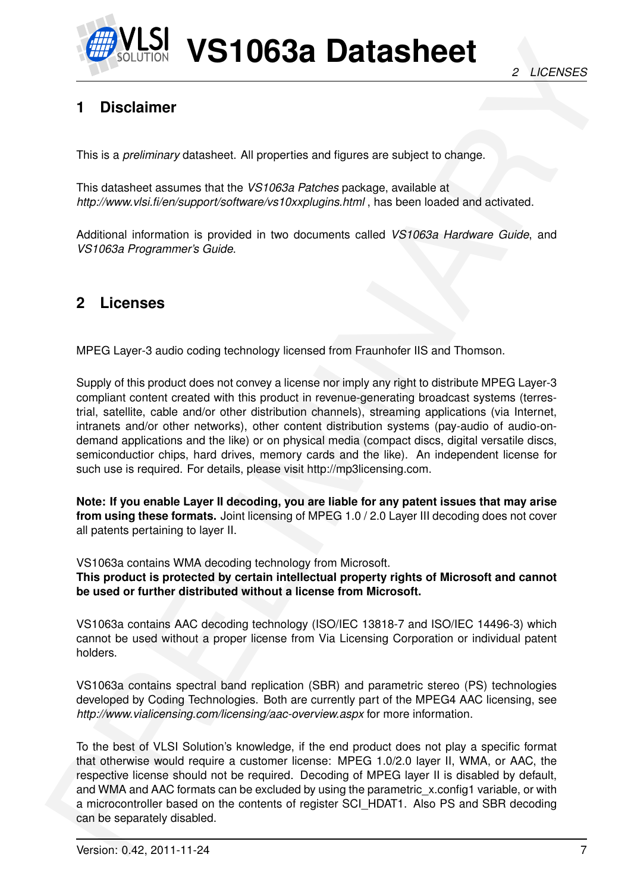

## <span id="page-6-0"></span>**1 Disclaimer**

This is a *preliminary* datasheet. All properties and figures are subject to change.

This datasheet assumes that the *VS1063a Patches* package, available at *http://www.vlsi.fi/en/support/software/vs10xxplugins.html* , has been loaded and activated.

Additional information is provided in two documents called *VS1063a Hardware Guide*, and *VS1063a Programmer's Guide*.

## <span id="page-6-1"></span>**2 Licenses**

MPEG Layer-3 audio coding technology licensed from Fraunhofer IIS and Thomson.

**EXAMPLE 1063a Datasheet**<br>
2 LOENSES<br>
2 LOENSES<br>
2 LOENSES<br>
1 Disolatimer<br>
This is a presentation statistical AN properties and tigues are subject to other<br>
the statistical assume that he include the statistical particle o Supply of this product does not convey a license nor imply any right to distribute MPEG Layer-3 compliant content created with this product in revenue-generating broadcast systems (terrestrial, satellite, cable and/or other distribution channels), streaming applications (via Internet, intranets and/or other networks), other content distribution systems (pay-audio of audio-ondemand applications and the like) or on physical media (compact discs, digital versatile discs, semiconductior chips, hard drives, memory cards and the like). An independent license for such use is required. For details, please visit http://mp3licensing.com.

**Note: If you enable Layer II decoding, you are liable for any patent issues that may arise from using these formats.** Joint licensing of MPEG 1.0 / 2.0 Layer III decoding does not cover all patents pertaining to layer II.

VS1063a contains WMA decoding technology from Microsoft.

**This product is protected by certain intellectual property rights of Microsoft and cannot be used or further distributed without a license from Microsoft.**

VS1063a contains AAC decoding technology (ISO/IEC 13818-7 and ISO/IEC 14496-3) which cannot be used without a proper license from Via Licensing Corporation or individual patent holders.

VS1063a contains spectral band replication (SBR) and parametric stereo (PS) technologies developed by Coding Technologies. Both are currently part of the MPEG4 AAC licensing, see *http://www.vialicensing.com/licensing/aac-overview.aspx* for more information.

To the best of VLSI Solution's knowledge, if the end product does not play a specific format that otherwise would require a customer license: MPEG 1.0/2.0 layer II, WMA, or AAC, the respective license should not be required. Decoding of MPEG layer II is disabled by default, and WMA and AAC formats can be excluded by using the parametric x.config1 variable, or with a microcontroller based on the contents of register SCI\_HDAT1. Also PS and SBR decoding can be separately disabled.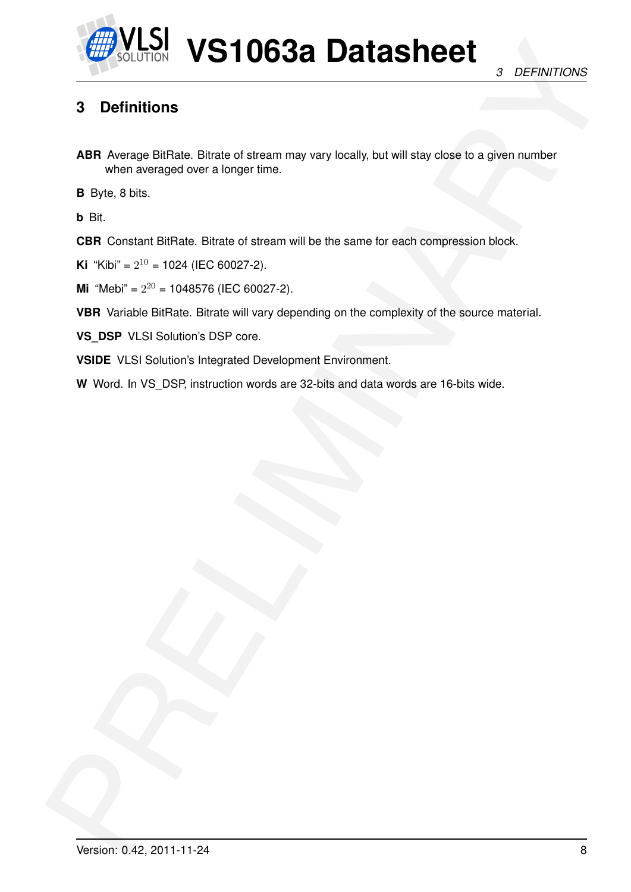

## <span id="page-7-0"></span>**3 Definitions**

**EXAMPLE SERVE AND STOCK CONSUMINARY SERVER AND SUPPORT OF SUPPORT CONSUMINARY CONSUMINARY CONSUMINARY CONSUMINARY CONSUMINARY CONSUMINARY CONSUMINARY CONSUMINARY CONSUMINARY CONSUMINARY CONSUMINARY CONSUMINARY CONSUMINARY ABR** Average BitRate. Bitrate of stream may vary locally, but will stay close to a given number when averaged over a longer time.

**B** Byte, 8 bits.

**b** Bit.

**CBR** Constant BitRate. Bitrate of stream will be the same for each compression block.

**Ki** "Kibi" =  $2^{10}$  = 1024 (IEC 60027-2).

**Mi** "Mebi" =  $2^{20}$  = 1048576 (IEC 60027-2).

**VBR** Variable BitRate. Bitrate will vary depending on the complexity of the source material.

**VS\_DSP** VLSI Solution's DSP core.

**VSIDE** VLSI Solution's Integrated Development Environment.

**W** Word. In VS\_DSP, instruction words are 32-bits and data words are 16-bits wide.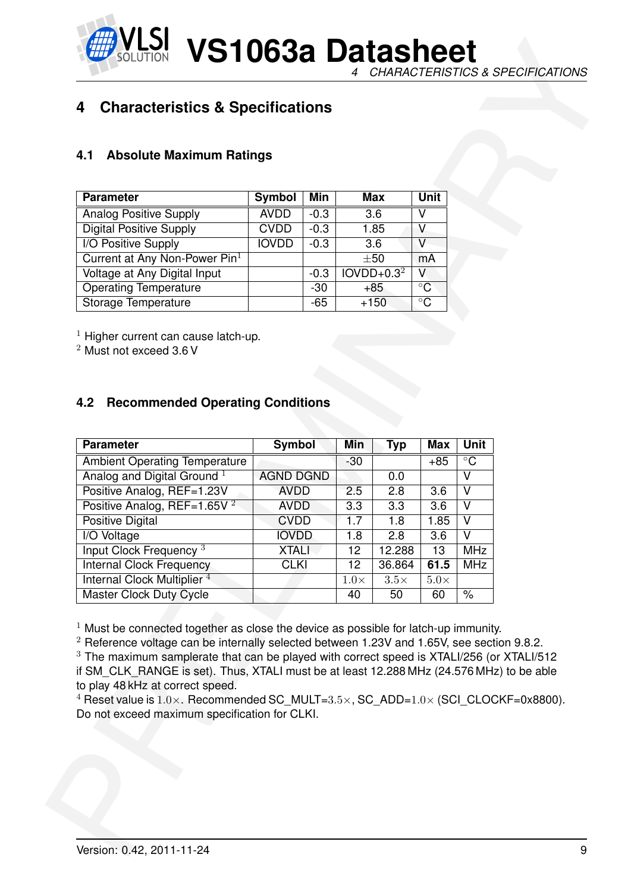**VS1063a Datasheet** *4 CHARACTERISTICS & SPECIFICATIONS*

#### <span id="page-8-1"></span><span id="page-8-0"></span>**4.1 Absolute Maximum Ratings**

| <b>Parameter</b>                | Symbol       | Min    | Max          | <b>Unit</b>  |
|---------------------------------|--------------|--------|--------------|--------------|
| <b>Analog Positive Supply</b>   | <b>AVDD</b>  | $-0.3$ | 3.6          | V            |
| <b>Digital Positive Supply</b>  | <b>CVDD</b>  | $-0.3$ | 1.85         |              |
| I/O Positive Supply             | <b>IOVDD</b> | $-0.3$ | 3.6          | V            |
| Current at Any Non-Power $Pin1$ |              |        | $\pm 50$     | mA           |
| Voltage at Any Digital Input    |              | $-0.3$ | $IOVDD+0.32$ | v            |
| <b>Operating Temperature</b>    |              | -30    | +85          | $^{\circ}$ C |
| Storage Temperature             |              | -65    | $+150$       | $^{\circ}$ C |

#### <span id="page-8-2"></span>**4.2 Recommended Operating Conditions**

| <b>Parameter</b>                                                                                                                                                                                                 | Symbol                     | Min    |             | <b>Max</b>       | <b>Unit</b>             |                                           |  |
|------------------------------------------------------------------------------------------------------------------------------------------------------------------------------------------------------------------|----------------------------|--------|-------------|------------------|-------------------------|-------------------------------------------|--|
| <b>Analog Positive Supply</b>                                                                                                                                                                                    | <b>AVDD</b>                | $-0.3$ |             | $\overline{3.6}$ | $\overline{\mathsf{V}}$ |                                           |  |
| <b>Digital Positive Supply</b>                                                                                                                                                                                   | <b>CVDD</b>                | $-0.3$ |             | 1.85             | $\overline{\mathsf{V}}$ |                                           |  |
| <b>I/O Positive Supply</b>                                                                                                                                                                                       | <b>IOVDD</b>               | $-0.3$ |             | 3.6              | $\overline{\mathsf{V}}$ |                                           |  |
| Current at Any Non-Power Pin <sup>1</sup>                                                                                                                                                                        |                            |        |             | $\pm 50$         | mA                      |                                           |  |
| Voltage at Any Digital Input                                                                                                                                                                                     |                            | $-0.3$ |             | $IOVDD+0.32$     | V                       |                                           |  |
| <b>Operating Temperature</b>                                                                                                                                                                                     |                            | $-30$  |             | $+85$            | $\overline{C}$          |                                           |  |
| Storage Temperature                                                                                                                                                                                              |                            | $-65$  |             | $+150$           | $\overline{\circ}$ C    |                                           |  |
| <b>Parameter</b>                                                                                                                                                                                                 | Symbol                     |        | Min         | <b>Typ</b>       | <b>Max</b>              | <b>Unit</b>                               |  |
| <b>Ambient Operating Temperature</b><br>Analog and Digital Ground <sup>1</sup>                                                                                                                                   | <b>AGND DGND</b>           |        | $-30$       | 0.0              | $+85$                   | $\overline{C}$<br>$\overline{\mathsf{v}}$ |  |
| Positive Analog, REF=1.23V                                                                                                                                                                                       | <b>AVDD</b>                |        | 2.5         | 2.8              | 3.6                     | V                                         |  |
| Positive Analog, REF=1.65V $^2$<br><b>Positive Digital</b>                                                                                                                                                       | <b>AVDD</b><br><b>CVDD</b> |        | 3.3<br>1.7  | 3.3<br>1.8       | 3.6<br>1.85             | $\overline{\mathsf{V}}$<br>V              |  |
| I/O Voltage                                                                                                                                                                                                      | <b>IOVDD</b>               |        | 1.8         | 2.8              | 3.6                     | V                                         |  |
| Input Clock Frequency <sup>3</sup>                                                                                                                                                                               | <b>XTALI</b>               |        | 12          | 12.288           | 13                      | <b>MHz</b>                                |  |
| Internal Clock Frequency                                                                                                                                                                                         | <b>CLKI</b>                |        | 12          | 36.864           | 61.5                    | <b>MHz</b>                                |  |
| Internal Clock Multiplier <sup>4</sup>                                                                                                                                                                           |                            |        | $1.0\times$ | $3.5\times$      | $5.0\times$             |                                           |  |
| Master Clock Duty Cycle<br>$1$ Must be connected together as close the device as possible for latch-up immunity.<br>$2$ Reference voltage can be internally selected between 1.23V and 1.65V, see section 9.8.2. |                            |        | 40          | 50               | 60                      | $\frac{1}{\sqrt{2}}$                      |  |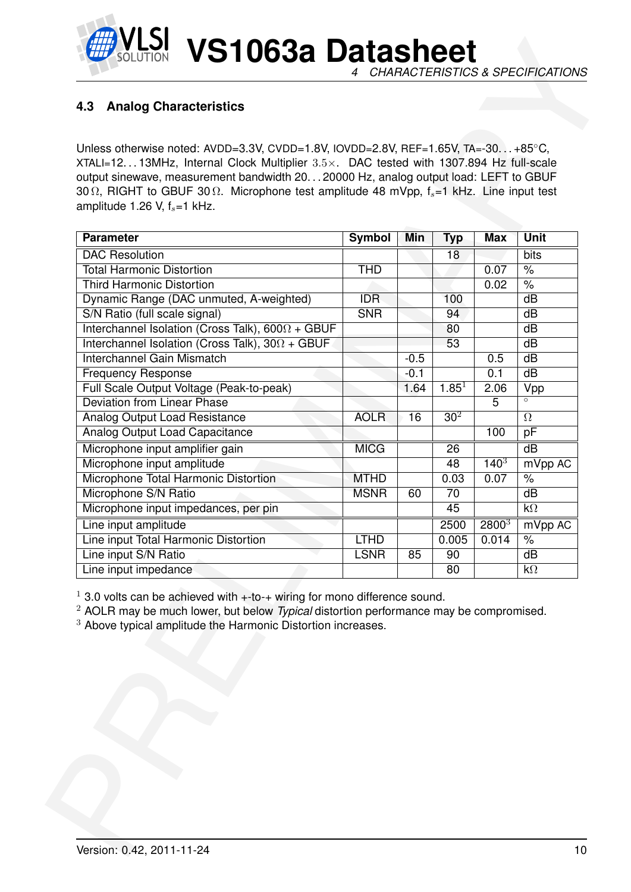

## <span id="page-9-0"></span>**4.3 Analog Characteristics**

| Unless otherwise noted: AVDD=3.3V, CVDD=1.8V, IOVDD=2.8V, REF=1.65V, TA=-30+85°C,<br>XTALI=1213MHz, Internal Clock Multiplier $3.5\times$ . DAC tested with 1307.894 Hz full-scale<br>output sinewave, measurement bandwidth 2020000 Hz, analog output load: LEFT to GBUF<br>30 $\Omega$ , RIGHT to GBUF 30 $\Omega$ . Microphone test amplitude 48 mVpp, $f_s = 1$ kHz. Line input test<br>amplitude 1.26 V, $f_s = 1$ kHz. |               |        |                 |            |                      |
|------------------------------------------------------------------------------------------------------------------------------------------------------------------------------------------------------------------------------------------------------------------------------------------------------------------------------------------------------------------------------------------------------------------------------|---------------|--------|-----------------|------------|----------------------|
| <b>Parameter</b>                                                                                                                                                                                                                                                                                                                                                                                                             | <b>Symbol</b> | Min    | <b>Typ</b>      | <b>Max</b> | <b>Unit</b>          |
| <b>DAC</b> Resolution                                                                                                                                                                                                                                                                                                                                                                                                        |               |        | 18              |            | bits                 |
| <b>Total Harmonic Distortion</b>                                                                                                                                                                                                                                                                                                                                                                                             | <b>THD</b>    |        |                 | 0.07       | $\%$                 |
| <b>Third Harmonic Distortion</b>                                                                                                                                                                                                                                                                                                                                                                                             |               |        |                 | 0.02       | $\frac{1}{\sqrt{2}}$ |
| Dynamic Range (DAC unmuted, A-weighted)                                                                                                                                                                                                                                                                                                                                                                                      | <b>IDR</b>    |        | 100             |            | dB                   |
| S/N Ratio (full scale signal)                                                                                                                                                                                                                                                                                                                                                                                                | <b>SNR</b>    |        | 94              |            | dB                   |
| Interchannel Isolation (Cross Talk), $600\Omega + GBUF$                                                                                                                                                                                                                                                                                                                                                                      |               |        | 80              |            | dB                   |
| Interchannel Isolation (Cross Talk), $30\Omega + GBUF$                                                                                                                                                                                                                                                                                                                                                                       |               |        | 53              |            | dB                   |
| Interchannel Gain Mismatch                                                                                                                                                                                                                                                                                                                                                                                                   |               | $-0.5$ |                 | 0.5        | dB                   |
| <b>Frequency Response</b>                                                                                                                                                                                                                                                                                                                                                                                                    |               | $-0.1$ |                 | 0.1        | dB                   |
| Full Scale Output Voltage (Peak-to-peak)                                                                                                                                                                                                                                                                                                                                                                                     |               | 1.64   | $1.85^{1}$      | 2.06       | Vpp                  |
| <b>Deviation from Linear Phase</b>                                                                                                                                                                                                                                                                                                                                                                                           |               |        |                 | 5          | $\circ$              |
| Analog Output Load Resistance                                                                                                                                                                                                                                                                                                                                                                                                | <b>AOLR</b>   | 16     | 30 <sup>2</sup> |            | $\Omega$             |
| Analog Output Load Capacitance                                                                                                                                                                                                                                                                                                                                                                                               |               |        |                 | 100        | pF                   |
| Microphone input amplifier gain                                                                                                                                                                                                                                                                                                                                                                                              | <b>MICG</b>   |        | 26              |            | $\overline{dB}$      |
| Microphone input amplitude                                                                                                                                                                                                                                                                                                                                                                                                   |               |        | 48              | $140^{3}$  | mVpp AC              |
| Microphone Total Harmonic Distortion                                                                                                                                                                                                                                                                                                                                                                                         | <b>MTHD</b>   |        | 0.03            | 0.07       | $\%$                 |
| Microphone S/N Ratio                                                                                                                                                                                                                                                                                                                                                                                                         | <b>MSNR</b>   | 60     | 70              |            | dB                   |
| Microphone input impedances, per pin                                                                                                                                                                                                                                                                                                                                                                                         |               |        | 45              |            | $k\Omega$            |
| Line input amplitude                                                                                                                                                                                                                                                                                                                                                                                                         |               |        | 2500            | $2800^{3}$ | mVpp AC              |
| Line input Total Harmonic Distortion                                                                                                                                                                                                                                                                                                                                                                                         | <b>LTHD</b>   |        | 0.005           | 0.014      | $\%$                 |
| Line input S/N Ratio<br>Line input impedance                                                                                                                                                                                                                                                                                                                                                                                 | <b>LSNR</b>   | 85     | 90<br>80        |            | dB<br>$k\Omega$      |
| $1$ 3.0 volts can be achieved with $+$ -to- $+$ wiring for mono difference sound.<br>$2$ AOLR may be much lower, but below Typical distortion performance may be compromised.<br><sup>3</sup> Above typical amplitude the Harmonic Distortion increases.                                                                                                                                                                     |               |        |                 |            |                      |
|                                                                                                                                                                                                                                                                                                                                                                                                                              |               |        |                 |            |                      |
|                                                                                                                                                                                                                                                                                                                                                                                                                              |               |        |                 |            |                      |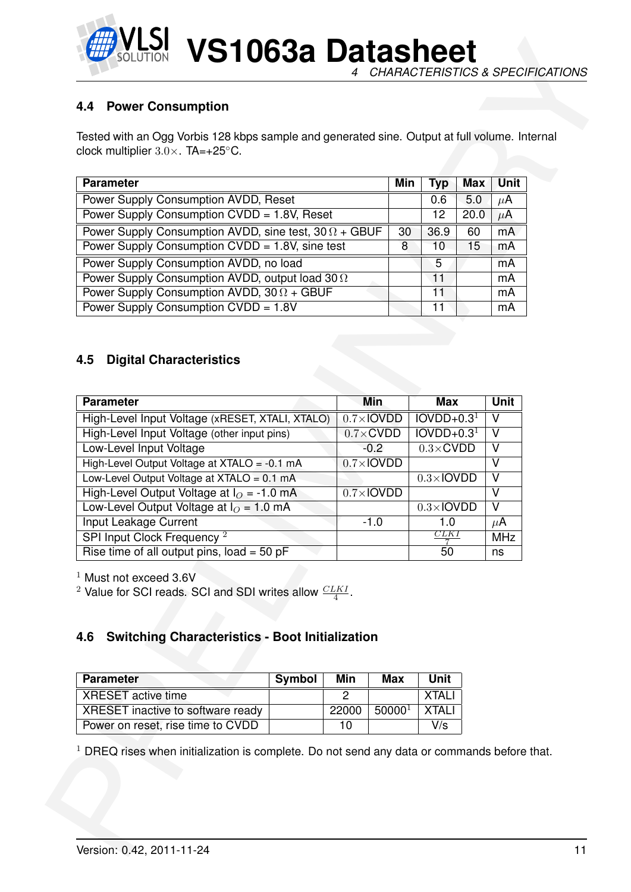

**VS1063a Datasheet** *4 CHARACTERISTICS & SPECIFICATIONS*

#### <span id="page-10-0"></span>**4.4 Power Consumption**

| <b>Parameter</b>                                            | Min | Typ  | <b>Max</b> | Unit    |
|-------------------------------------------------------------|-----|------|------------|---------|
| Power Supply Consumption AVDD, Reset                        |     | 0.6  | 5.0        | $\mu$ A |
| Power Supply Consumption CVDD = 1.8V, Reset                 |     | 12   | 20.0       | $\mu$ A |
| Power Supply Consumption AVDD, sine test, $30\Omega + GBUF$ | 30  | 36.9 | 60         | mA      |
| Power Supply Consumption CVDD = 1.8V, sine test             | 8   | 10   | 15         | mA      |
| Power Supply Consumption AVDD, no load                      |     | 5    |            | mA      |
| Power Supply Consumption AVDD, output load 30 $\Omega$      |     | 11   |            | mA      |
| Power Supply Consumption AVDD, $30 \Omega + GBUF$           |     | 11   |            | mA      |
| Power Supply Consumption CVDD = 1.8V                        |     | 11   |            | mA      |

#### <span id="page-10-1"></span>**4.5 Digital Characteristics**

| Tested with an Ogg Vorbis 128 kbps sample and generated sine. Output at full volume. Internal<br>clock multiplier $3.0 \times$ . TA=+25°C. |        |                             |                                   |                          |            |                                  |  |
|--------------------------------------------------------------------------------------------------------------------------------------------|--------|-----------------------------|-----------------------------------|--------------------------|------------|----------------------------------|--|
|                                                                                                                                            |        |                             |                                   |                          |            |                                  |  |
| <b>Parameter</b>                                                                                                                           |        |                             | Min                               | <b>Typ</b>               | <b>Max</b> | <b>Unit</b>                      |  |
| Power Supply Consumption AVDD, Reset                                                                                                       |        |                             |                                   | 0.6                      | 5.0        | $\mu$ A                          |  |
| Power Supply Consumption CVDD = 1.8V, Reset                                                                                                |        |                             |                                   | 12                       | 20.0       | $\mu$ A                          |  |
| Power Supply Consumption AVDD, sine test, $30 \Omega + GBUF$<br>Power Supply Consumption CVDD = 1.8V, sine test                            |        |                             | 30<br>8                           | 36.9<br>10               | 60<br>15   | mA<br>mA                         |  |
| Power Supply Consumption AVDD, no load                                                                                                     |        |                             |                                   | 5                        |            |                                  |  |
| Power Supply Consumption AVDD, output load 30 $\Omega$                                                                                     |        |                             |                                   | 11                       |            | mA<br>mA                         |  |
| Power Supply Consumption AVDD, $30 \Omega + GBUF$                                                                                          |        |                             |                                   | 11                       |            | mA                               |  |
| Power Supply Consumption CVDD = 1.8V                                                                                                       |        |                             |                                   | 11                       |            | mA                               |  |
| High-Level Input Voltage (xRESET, XTALI, XTALO)                                                                                            |        |                             |                                   |                          |            | <b>Unit</b><br>$\overline{\vee}$ |  |
| <b>Parameter</b>                                                                                                                           |        | <b>Min</b>                  |                                   | <b>Max</b>               |            |                                  |  |
|                                                                                                                                            |        |                             | $IOVDD+0.31$<br>$0.7\times$ IOVDD |                          |            |                                  |  |
| High-Level Input Voltage (other input pins)                                                                                                |        | $0.7 \times$ CVDD<br>$-0.2$ |                                   | $IOVDD+0.31$             |            | $\vee$<br>$\overline{\vee}$      |  |
| Low-Level Input Voltage<br>High-Level Output Voltage at XTALO = -0.1 mA                                                                    |        | $0.7 \times$ IOVDD          |                                   | $0.3 \times$ CVDD        |            | $\overline{\vee}$                |  |
| Low-Level Output Voltage at $XTALO = 0.1$ mA                                                                                               |        |                             |                                   | $0.3\times$ <b>IOVDD</b> |            | $\vee$                           |  |
|                                                                                                                                            |        | $0.7\times$ <b>IOVDD</b>    |                                   |                          |            | $\overline{\mathsf{V}}$          |  |
| High-Level Output Voltage at $IO = -1.0$ mA                                                                                                |        |                             |                                   | $0.3\times$ IOVDD        |            | $\overline{\mathsf{V}}$          |  |
| Low-Level Output Voltage at $IO = 1.0$ mA                                                                                                  |        |                             |                                   |                          |            |                                  |  |
| Input Leakage Current                                                                                                                      |        | $-1.0$                      |                                   | 1.0                      |            | $\mu$ A                          |  |
| SPI Input Clock Frequency <sup>2</sup>                                                                                                     |        |                             |                                   | CLKI                     |            | <b>MHz</b>                       |  |
| Rise time of all output pins, $load = 50$ pF<br>$1$ Must not exceed 3.6V                                                                   |        |                             |                                   | 50                       |            | ns                               |  |
| <b>Switching Characteristics - Boot Initialization</b>                                                                                     |        |                             |                                   |                          |            |                                  |  |
| <b>Parameter</b>                                                                                                                           | Symbol | Min                         | <b>Max</b>                        | <b>Unit</b>              |            |                                  |  |
| <sup>2</sup> Value for SCI reads. SCI and SDI writes allow $\frac{CLKI}{4}$ .<br>4.6<br><b>XRESET</b> active time                          |        | $\overline{2}$              |                                   | <b>XTALI</b>             |            |                                  |  |
| XRESET inactive to software ready                                                                                                          |        | 22000                       | 50000 <sup>1</sup>                | <b>XTALI</b>             |            |                                  |  |
| Power on reset, rise time to CVDD                                                                                                          |        | 10                          |                                   | V/s                      |            |                                  |  |

#### <span id="page-10-2"></span>**4.6 Switching Characteristics - Boot Initialization**

| <b>Parameter</b>                  | Symbol | Min   | Max       | Unit         |
|-----------------------------------|--------|-------|-----------|--------------|
| <b>XRESET</b> active time         |        |       |           | <b>XTALI</b> |
| XRESET inactive to software ready |        | 22000 | $50000^1$ | XTALI        |
| Power on reset, rise time to CVDD |        | 10    |           | V/s          |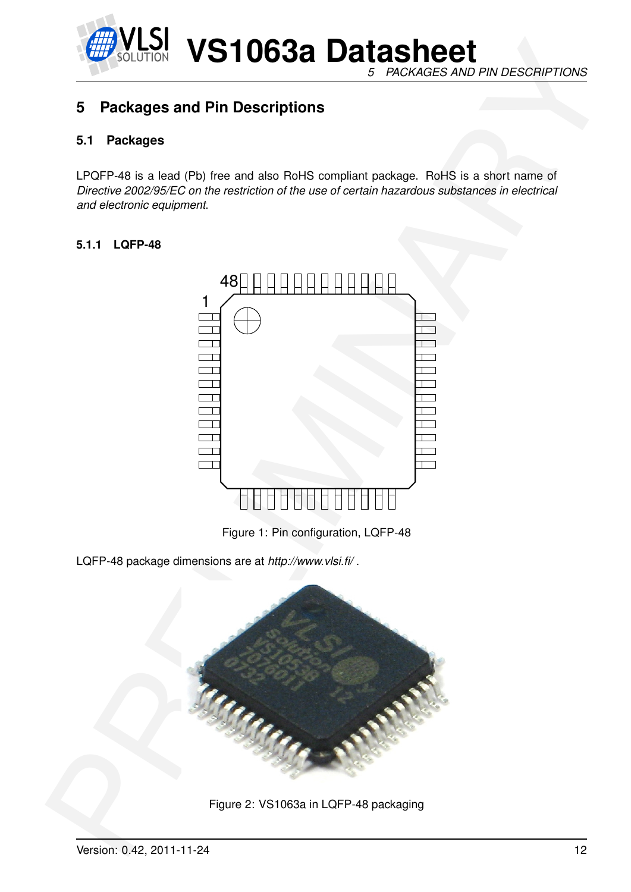

#### *5 PACKAGES AND PIN DESCRIPTIONS*

## <span id="page-11-1"></span><span id="page-11-0"></span>**5 Packages and Pin Descriptions**

#### **5.1 Packages**

LPQFP-48 is a lead (Pb) free and also RoHS compliant package. RoHS is a short name of *Directive 2002/95/EC on the restriction of the use of certain hazardous substances in electrical and electronic equipment*.

#### <span id="page-11-2"></span>**5.1.1 LQFP-48**



<span id="page-11-3"></span>Figure 1: Pin configuration, LQFP-48

LQFP-48 package dimensions are at *http://www.vlsi.fi/* .



<span id="page-11-4"></span>Figure 2: VS1063a in LQFP-48 packaging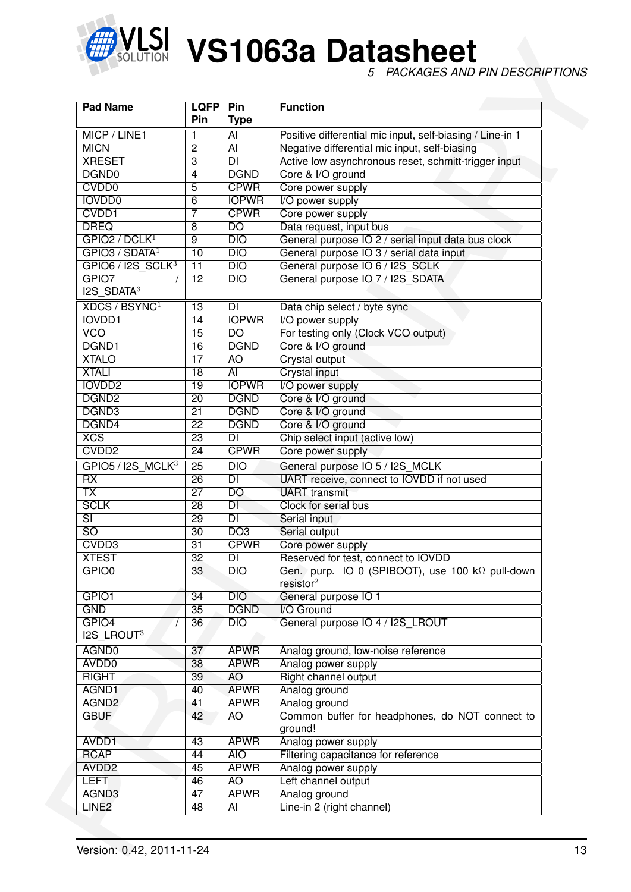

| <b>Pad Name</b>                                           | <b>LQFP</b><br>Pin | Pin<br><b>Type</b> | <b>Function</b>                                                          |  |
|-----------------------------------------------------------|--------------------|--------------------|--------------------------------------------------------------------------|--|
| MICP / LINE1                                              | 1                  | $\overline{AI}$    | Positive differential mic input, self-biasing / Line-in 1                |  |
| <b>MICN</b>                                               | 2                  | $\overline{AI}$    | Negative differential mic input, self-biasing                            |  |
| <b>XRESET</b>                                             | 3                  | $\overline{DI}$    | Active low asynchronous reset, schmitt-trigger input                     |  |
| DGND <sub>0</sub>                                         | 4                  | <b>DGND</b>        | Core & I/O ground                                                        |  |
| CVD <sub>D0</sub>                                         | 5                  | <b>CPWR</b>        | Core power supply                                                        |  |
| <b>IOVDD0</b>                                             | 6                  | <b>IOPWR</b>       | I/O power supply                                                         |  |
| CVDD1                                                     | 7                  | <b>CPWR</b>        | Core power supply                                                        |  |
| <b>DREQ</b>                                               | 8                  | $\overline{DO}$    | Data request, input bus                                                  |  |
| GPIO2 / DCLK <sup>1</sup>                                 | $\overline{9}$     | DIO                | General purpose IO 2 / serial input data bus clock                       |  |
| GPIO3 / SDATA <sup>1</sup>                                | 10                 | $\overline{DIO}$   | General purpose IO 3 / serial data input                                 |  |
| $GPIO6 / I2S_SCLK3$                                       | $\overline{11}$    | $\overline{DIO}$   | General purpose IO 6 / I2S_SCLK                                          |  |
| GPIO7<br>$12S$ SDATA <sup>3</sup>                         | $\overline{12}$    | $\overline{DIO}$   | General purpose IO 7 / I2S SDATA                                         |  |
| XDCS / BSYNC <sup>1</sup>                                 | 13                 | $\overline{D}$     | Data chip select / byte sync                                             |  |
| <b>IOVDD1</b>                                             | 14                 | <b>IOPWR</b>       | I/O power supply                                                         |  |
| <b>VCO</b>                                                | $\overline{15}$    | $\overline{DO}$    | For testing only (Clock VCO output)                                      |  |
| DGND1                                                     | $\overline{16}$    | <b>DGND</b>        | Core & I/O ground                                                        |  |
| <b>XTALO</b>                                              | $\overline{17}$    | $\overline{AO}$    | Crystal output                                                           |  |
| <b>XTALI</b>                                              | $\overline{18}$    | $\overline{AI}$    | <b>Crystal input</b>                                                     |  |
| <b>IOVDD2</b>                                             | $\overline{19}$    | <b>IOPWR</b>       | I/O power supply                                                         |  |
| DGND <sub>2</sub>                                         | $\overline{20}$    | <b>DGND</b>        | Core & I/O ground                                                        |  |
| DGND3                                                     | $\overline{21}$    | <b>DGND</b>        | Core & I/O ground                                                        |  |
| DGND4                                                     | $\overline{22}$    | <b>DGND</b>        | Core & I/O ground                                                        |  |
| $\overline{XCS}$                                          | $\overline{23}$    | $\overline{DI}$    | Chip select input (active low)                                           |  |
| CVD <sub>D2</sub>                                         | $\overline{24}$    | <b>CPWR</b>        | Core power supply                                                        |  |
|                                                           | $\overline{25}$    | $\overline{DIO}$   |                                                                          |  |
| GPIO5 / I2S_MCLK <sup>3</sup><br>$\overline{\mathsf{RX}}$ |                    | $\overline{DI}$    | General purpose IO 5 / I2S_MCLK                                          |  |
| $\overline{\mathsf{TX}}$                                  | $\overline{26}$    |                    | UART receive, connect to IOVDD if not used                               |  |
|                                                           | $\overline{27}$    | $\overline{DO}$    | <b>UART</b> transmit                                                     |  |
| <b>SCLK</b>                                               | $\overline{28}$    | $\overline{DI}$    | Clock for serial bus                                                     |  |
| $\overline{\mathsf{SI}}$                                  | $\overline{29}$    | $\overline{DI}$    | Serial input                                                             |  |
| $\overline{SO}$                                           | $\overline{30}$    | $\overline{DO3}$   | Serial output                                                            |  |
| CVDD3                                                     | $\overline{31}$    | <b>CPWR</b>        | Core power supply                                                        |  |
| <b>XTEST</b>                                              | $\overline{32}$    | $\overline{DI}$    | Reserved for test, connect to IOVDD                                      |  |
| GPIO <sub>0</sub>                                         | $\overline{33}$    | $\overline{DIO}$   | Gen. purp. IO 0 (SPIBOOT), use 100 kΩ pull-down<br>resistor <sup>2</sup> |  |
| GPIO1                                                     | 34                 | $\overline{DIO}$   | General purpose IO 1                                                     |  |
| <b>GND</b>                                                | $\overline{35}$    | <b>DGND</b>        | I/O Ground                                                               |  |
| GPIO <sub>4</sub><br>I2S_LROUT <sup>3</sup>               | $\overline{36}$    | DIO                | General purpose IO 4 / I2S_LROUT                                         |  |
| AGND0                                                     | 37                 | <b>APWR</b>        | Analog ground, low-noise reference                                       |  |
| AVDD <sub>0</sub>                                         | 38                 | <b>APWR</b>        | Analog power supply                                                      |  |
| <b>RIGHT</b>                                              | $\overline{39}$    | <b>AO</b>          | <b>Right channel output</b>                                              |  |
| AGND1                                                     | 40                 | <b>APWR</b>        | Analog ground                                                            |  |
| AGND <sub>2</sub>                                         | 41                 | <b>APWR</b>        | Analog ground                                                            |  |
| <b>GBUF</b>                                               | 42                 | AO                 | Common buffer for headphones, do NOT connect to<br>ground!               |  |
| AVDD1                                                     | 43                 | <b>APWR</b>        | Analog power supply                                                      |  |
| <b>RCAP</b>                                               | 44                 | <b>AIO</b>         | Filtering capacitance for reference                                      |  |
| AVDD <sub>2</sub>                                         | 45                 | <b>APWR</b>        | Analog power supply                                                      |  |
| <b>LEFT</b>                                               | 46                 | A <sub>O</sub>     | Left channel output                                                      |  |
| AGND3                                                     | 47                 | <b>APWR</b>        | Analog ground                                                            |  |
| LINE <sub>2</sub>                                         | 48                 | $\overline{AI}$    | Line-in 2 (right channel)                                                |  |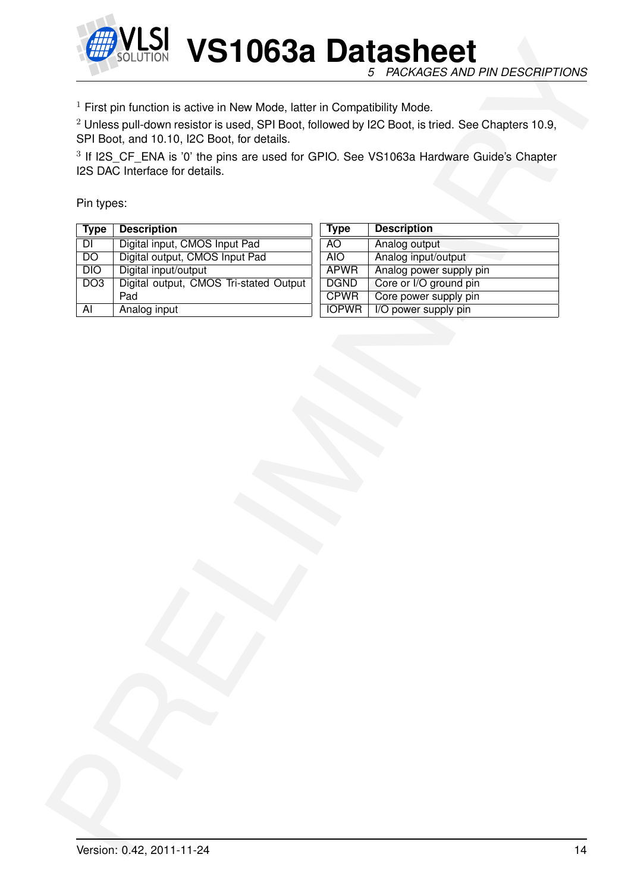

|                  | $1$ First pin function is active in New Mode, latter in Compatibility Mode.<br>$2$ Unless pull-down resistor is used, SPI Boot, followed by I2C Boot, is tried. See Chapters 10.9, |              |                         |
|------------------|------------------------------------------------------------------------------------------------------------------------------------------------------------------------------------|--------------|-------------------------|
|                  | SPI Boot, and 10.10, I2C Boot, for details.                                                                                                                                        |              |                         |
|                  | <sup>3</sup> If I2S_CF_ENA is '0' the pins are used for GPIO. See VS1063a Hardware Guide's Chapter                                                                                 |              |                         |
|                  | I2S DAC Interface for details.                                                                                                                                                     |              |                         |
|                  |                                                                                                                                                                                    |              |                         |
| Pin types:       |                                                                                                                                                                                    |              |                         |
| <b>Type</b>      | <b>Description</b>                                                                                                                                                                 | <b>Type</b>  | <b>Description</b>      |
| $\overline{D}$   | Digital input, CMOS Input Pad                                                                                                                                                      | <b>AO</b>    | Analog output           |
| $\overline{DO}$  | Digital output, CMOS Input Pad                                                                                                                                                     | <b>AIO</b>   | Analog input/output     |
| $\overline{DIO}$ | Digital input/output                                                                                                                                                               | <b>APWR</b>  | Analog power supply pin |
| $\overline{DO3}$ | Digital output, CMOS Tri-stated Output                                                                                                                                             | <b>DGND</b>  | Core or I/O ground pin  |
|                  | Pad                                                                                                                                                                                | <b>CPWR</b>  | Core power supply pin   |
| AI               | Analog input                                                                                                                                                                       | <b>IOPWR</b> | I/O power supply pin    |
|                  |                                                                                                                                                                                    |              |                         |
|                  |                                                                                                                                                                                    |              |                         |
|                  |                                                                                                                                                                                    |              |                         |
|                  |                                                                                                                                                                                    |              |                         |
|                  |                                                                                                                                                                                    |              |                         |
|                  |                                                                                                                                                                                    |              |                         |
|                  |                                                                                                                                                                                    |              |                         |
|                  |                                                                                                                                                                                    |              |                         |
|                  |                                                                                                                                                                                    |              |                         |
|                  |                                                                                                                                                                                    |              |                         |
|                  |                                                                                                                                                                                    |              |                         |
|                  |                                                                                                                                                                                    |              |                         |
|                  |                                                                                                                                                                                    |              |                         |
|                  |                                                                                                                                                                                    |              |                         |
|                  |                                                                                                                                                                                    |              |                         |
|                  |                                                                                                                                                                                    |              |                         |
|                  |                                                                                                                                                                                    |              |                         |
|                  |                                                                                                                                                                                    |              |                         |
|                  |                                                                                                                                                                                    |              |                         |
|                  |                                                                                                                                                                                    |              |                         |
|                  |                                                                                                                                                                                    |              |                         |
|                  |                                                                                                                                                                                    |              |                         |
|                  |                                                                                                                                                                                    |              |                         |
|                  |                                                                                                                                                                                    |              |                         |
|                  |                                                                                                                                                                                    |              |                         |
|                  |                                                                                                                                                                                    |              |                         |
|                  |                                                                                                                                                                                    |              |                         |
|                  |                                                                                                                                                                                    |              |                         |
|                  |                                                                                                                                                                                    |              |                         |
|                  |                                                                                                                                                                                    |              |                         |
|                  |                                                                                                                                                                                    |              |                         |
|                  |                                                                                                                                                                                    |              |                         |
|                  |                                                                                                                                                                                    |              |                         |
|                  |                                                                                                                                                                                    |              |                         |
|                  |                                                                                                                                                                                    |              |                         |
|                  |                                                                                                                                                                                    |              |                         |
|                  |                                                                                                                                                                                    |              |                         |
|                  |                                                                                                                                                                                    |              |                         |
|                  |                                                                                                                                                                                    |              |                         |
|                  |                                                                                                                                                                                    |              |                         |
|                  |                                                                                                                                                                                    |              |                         |
|                  |                                                                                                                                                                                    |              |                         |
|                  |                                                                                                                                                                                    |              |                         |
|                  |                                                                                                                                                                                    |              |                         |
|                  |                                                                                                                                                                                    |              |                         |
|                  |                                                                                                                                                                                    |              |                         |
|                  |                                                                                                                                                                                    |              |                         |
|                  |                                                                                                                                                                                    |              |                         |
|                  |                                                                                                                                                                                    |              |                         |
|                  |                                                                                                                                                                                    |              |                         |
|                  |                                                                                                                                                                                    |              |                         |
|                  |                                                                                                                                                                                    |              |                         |
|                  |                                                                                                                                                                                    |              |                         |
|                  |                                                                                                                                                                                    |              |                         |
|                  |                                                                                                                                                                                    |              |                         |
|                  |                                                                                                                                                                                    |              |                         |
|                  |                                                                                                                                                                                    |              |                         |
|                  |                                                                                                                                                                                    |              |                         |
|                  |                                                                                                                                                                                    |              |                         |
|                  |                                                                                                                                                                                    |              |                         |
|                  |                                                                                                                                                                                    |              |                         |
|                  |                                                                                                                                                                                    |              |                         |
|                  |                                                                                                                                                                                    |              |                         |
|                  |                                                                                                                                                                                    |              |                         |
|                  |                                                                                                                                                                                    |              |                         |
|                  |                                                                                                                                                                                    |              |                         |
|                  |                                                                                                                                                                                    |              |                         |
|                  |                                                                                                                                                                                    |              |                         |
|                  |                                                                                                                                                                                    |              |                         |
|                  |                                                                                                                                                                                    |              |                         |
|                  |                                                                                                                                                                                    |              |                         |
|                  |                                                                                                                                                                                    |              |                         |
|                  |                                                                                                                                                                                    |              |                         |
|                  |                                                                                                                                                                                    |              |                         |
|                  |                                                                                                                                                                                    |              |                         |
|                  |                                                                                                                                                                                    |              |                         |
|                  |                                                                                                                                                                                    |              |                         |
|                  |                                                                                                                                                                                    |              |                         |
|                  |                                                                                                                                                                                    |              |                         |
|                  |                                                                                                                                                                                    |              |                         |
|                  |                                                                                                                                                                                    |              |                         |
|                  |                                                                                                                                                                                    |              |                         |
|                  |                                                                                                                                                                                    |              |                         |
|                  |                                                                                                                                                                                    |              |                         |
|                  |                                                                                                                                                                                    |              |                         |
|                  |                                                                                                                                                                                    |              |                         |
|                  |                                                                                                                                                                                    |              |                         |
|                  |                                                                                                                                                                                    |              |                         |

| Type         | <b>Description</b>      |
|--------------|-------------------------|
| AΟ           | Analog output           |
| <b>AIO</b>   | Analog input/output     |
| <b>APWR</b>  | Analog power supply pin |
| <b>DGND</b>  | Core or I/O ground pin  |
| <b>CPWR</b>  | Core power supply pin   |
| <b>IOPWR</b> | I/O power supply pin    |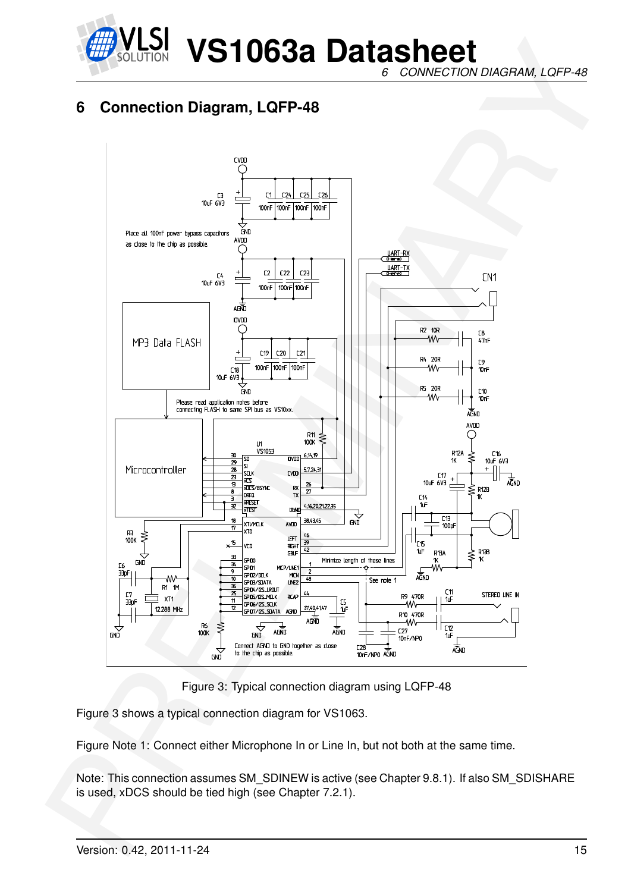

*6 CONNECTION DIAGRAM, LQFP-48*

## <span id="page-14-0"></span>**6 Connection Diagram, LQFP-48**



<span id="page-14-1"></span>Figure 3: Typical connection diagram using LQFP-48

Figure 3 shows a typical connection diagram for VS1063.

Figure Note 1: Connect either Microphone In or Line In, but not both at the same time.

Note: This connection assumes SM\_SDINEW is active (see Chapter 9.8.1). If also SM\_SDISHARE is used, xDCS should be tied high (see Chapter 7.2.1).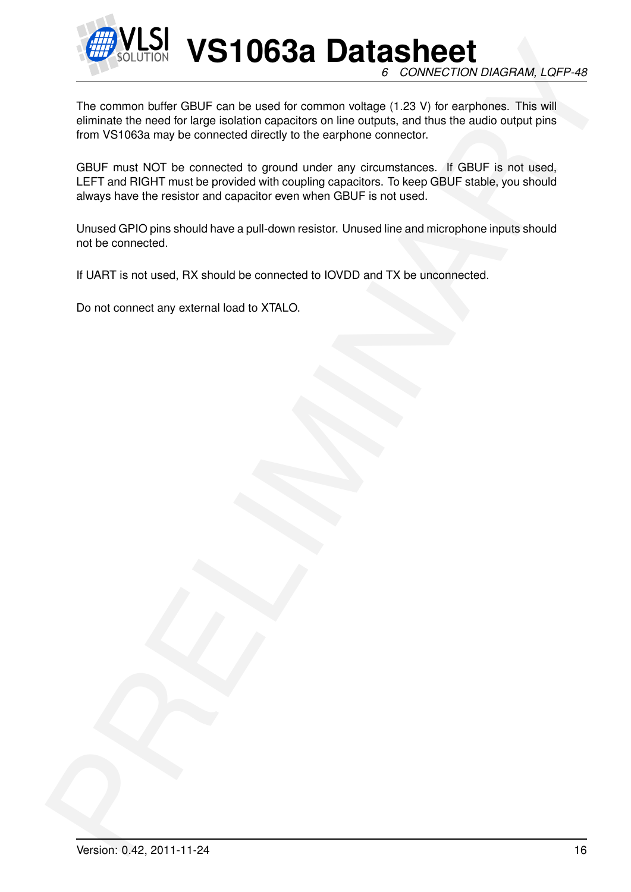![](_page_15_Picture_0.jpeg)

**VS1063a Datasheet** *6 CONNECTION DIAGRAM, LQFP-48*

EXAMPLE TO CONTROL **VS1063a** Data sheet<br>The common bullet GBUF can be used for common victors of 1.2 VI that expressions. CoPF-49<br>The common bullet GBUF can be used for common victors of 1.2 VI that expressions. This will<br> The common buffer GBUF can be used for common voltage (1.23 V) for earphones. This will eliminate the need for large isolation capacitors on line outputs, and thus the audio output pins from VS1063a may be connected directly to the earphone connector.

GBUF must NOT be connected to ground under any circumstances. If GBUF is not used, LEFT and RIGHT must be provided with coupling capacitors. To keep GBUF stable, you should always have the resistor and capacitor even when GBUF is not used.

Unused GPIO pins should have a pull-down resistor. Unused line and microphone inputs should not be connected.

If UART is not used, RX should be connected to IOVDD and TX be unconnected.

Do not connect any external load to XTALO.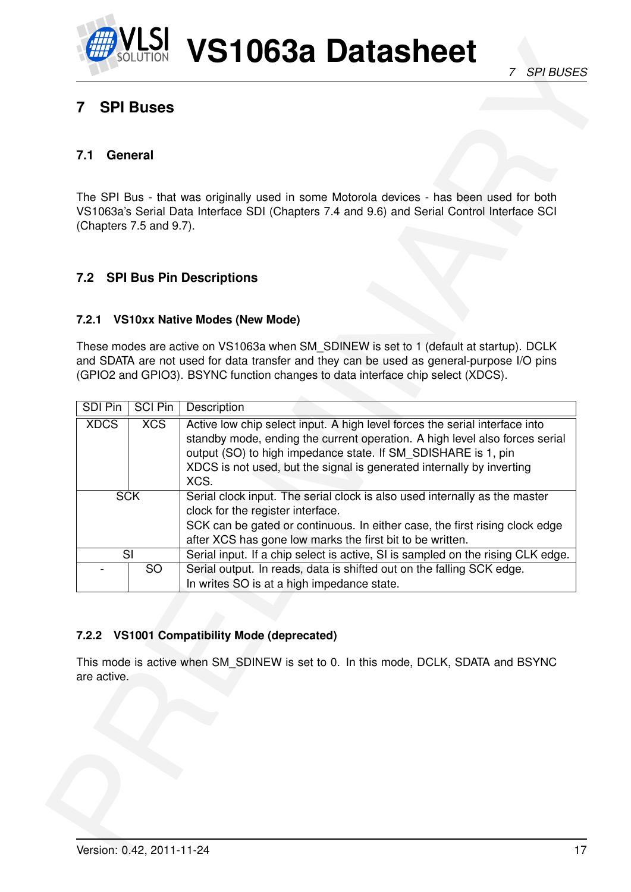![](_page_16_Picture_0.jpeg)

## <span id="page-16-0"></span>**7 SPI Buses**

#### <span id="page-16-1"></span>**7.1 General**

#### <span id="page-16-2"></span>**7.2 SPI Bus Pin Descriptions**

#### <span id="page-16-3"></span>**7.2.1 VS10xx Native Modes (New Mode)**

| 7                    | <b>SPI Buses</b>        |                                                                                                                                                                                                                                                                                                              |
|----------------------|-------------------------|--------------------------------------------------------------------------------------------------------------------------------------------------------------------------------------------------------------------------------------------------------------------------------------------------------------|
| 7.1                  | General                 |                                                                                                                                                                                                                                                                                                              |
|                      | (Chapters 7.5 and 9.7). | The SPI Bus - that was originally used in some Motorola devices - has been used for both<br>VS1063a's Serial Data Interface SDI (Chapters 7.4 and 9.6) and Serial Control Interface SCI                                                                                                                      |
|                      |                         | 7.2 SPI Bus Pin Descriptions                                                                                                                                                                                                                                                                                 |
| 7.2.1                |                         | <b>VS10xx Native Modes (New Mode)</b>                                                                                                                                                                                                                                                                        |
|                      |                         | These modes are active on VS1063a when SM SDINEW is set to 1 (default at startup). DCLK<br>and SDATA are not used for data transfer and they can be used as general-purpose I/O pins<br>(GPIO2 and GPIO3). BSYNC function changes to data interface chip select (XDCS).                                      |
| <b>SDI Pin</b>       | SCI Pin                 | Description                                                                                                                                                                                                                                                                                                  |
| <b>XDCS</b>          | <b>XCS</b>              | Active low chip select input. A high level forces the serial interface into<br>standby mode, ending the current operation. A high level also forces serial<br>output (SO) to high impedance state. If SM SDISHARE is 1, pin<br>XDCS is not used, but the signal is generated internally by inverting<br>XCS. |
|                      | <b>SCK</b>              | Serial clock input. The serial clock is also used internally as the master<br>clock for the register interface.<br>SCK can be gated or continuous. In either case, the first rising clock edge<br>after XCS has gone low marks the first bit to be written.                                                  |
|                      | SI                      | Serial input. If a chip select is active, SI is sampled on the rising CLK edge.                                                                                                                                                                                                                              |
|                      | $\overline{SO}$         | Serial output. In reads, data is shifted out on the falling SCK edge.<br>In writes SO is at a high impedance state.                                                                                                                                                                                          |
|                      |                         | <b>VS1001 Compatibility Mode (deprecated)</b><br>This mode is active when SM_SDINEW is set to 0. In this mode, DCLK, SDATA and BSYNC                                                                                                                                                                         |
| 7.2.2<br>are active. |                         |                                                                                                                                                                                                                                                                                                              |
|                      |                         |                                                                                                                                                                                                                                                                                                              |

#### <span id="page-16-4"></span>**7.2.2 VS1001 Compatibility Mode (deprecated)**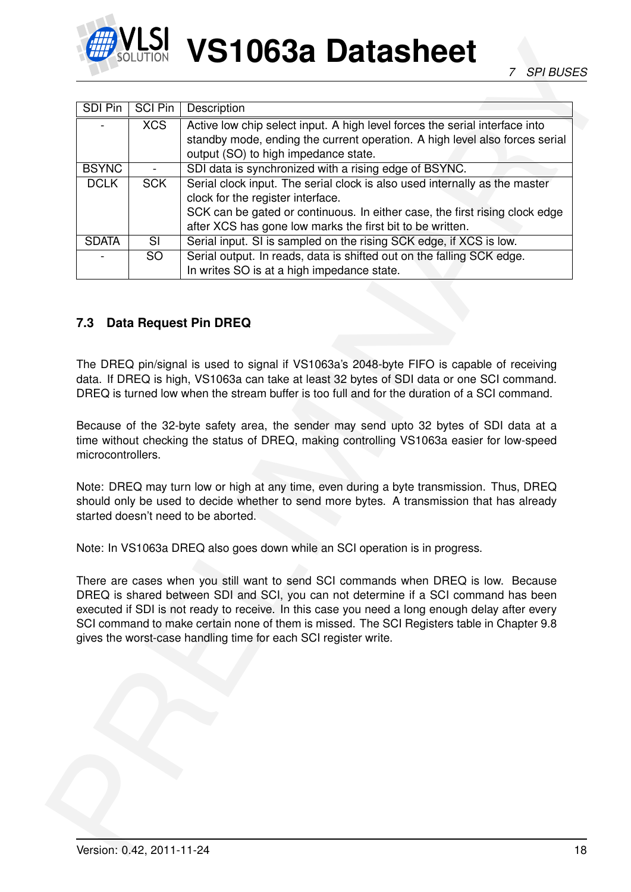![](_page_17_Picture_0.jpeg)

| <b>SDI Pin</b>    | SCI Pin                  | Description                                                                                                                                                                                                                                                                                                                                                                                                                                  |
|-------------------|--------------------------|----------------------------------------------------------------------------------------------------------------------------------------------------------------------------------------------------------------------------------------------------------------------------------------------------------------------------------------------------------------------------------------------------------------------------------------------|
|                   | XCS                      | Active low chip select input. A high level forces the serial interface into<br>standby mode, ending the current operation. A high level also forces serial<br>output (SO) to high impedance state.                                                                                                                                                                                                                                           |
| <b>BSYNC</b>      |                          | SDI data is synchronized with a rising edge of BSYNC.                                                                                                                                                                                                                                                                                                                                                                                        |
| <b>DCLK</b>       | <b>SCK</b>               | Serial clock input. The serial clock is also used internally as the master<br>clock for the register interface.<br>SCK can be gated or continuous. In either case, the first rising clock edge<br>after XCS has gone low marks the first bit to be written.                                                                                                                                                                                  |
| <b>SDATA</b>      | $\overline{\mathsf{SI}}$ | Serial input. SI is sampled on the rising SCK edge, if XCS is low.                                                                                                                                                                                                                                                                                                                                                                           |
|                   | <b>SO</b>                | Serial output. In reads, data is shifted out on the falling SCK edge.<br>In writes SO is at a high impedance state.                                                                                                                                                                                                                                                                                                                          |
|                   |                          | data. If DREQ is high, VS1063a can take at least 32 bytes of SDI data or one SCI command.<br>DREQ is turned low when the stream buffer is too full and for the duration of a SCI command.                                                                                                                                                                                                                                                    |
|                   |                          | Because of the 32-byte safety area, the sender may send upto 32 bytes of SDI data at a<br>time without checking the status of DREQ, making controlling VS1063a easier for low-speed                                                                                                                                                                                                                                                          |
|                   |                          | Note: DREQ may turn low or high at any time, even during a byte transmission. Thus, DREQ<br>should only be used to decide whether to send more bytes. A transmission that has already<br>started doesn't need to be aborted.                                                                                                                                                                                                                 |
|                   |                          | Note: In VS1063a DREQ also goes down while an SCI operation is in progress.                                                                                                                                                                                                                                                                                                                                                                  |
|                   |                          | There are cases when you still want to send SCI commands when DREQ is low. Because<br>DREQ is shared between SDI and SCI, you can not determine if a SCI command has been<br>executed if SDI is not ready to receive. In this case you need a long enough delay after every<br>SCI command to make certain none of them is missed. The SCI Registers table in Chapter 9.8<br>gives the worst-case handling time for each SCI register write. |
|                   |                          |                                                                                                                                                                                                                                                                                                                                                                                                                                              |
| microcontrollers. |                          |                                                                                                                                                                                                                                                                                                                                                                                                                                              |

#### <span id="page-17-0"></span>**7.3 Data Request Pin DREQ**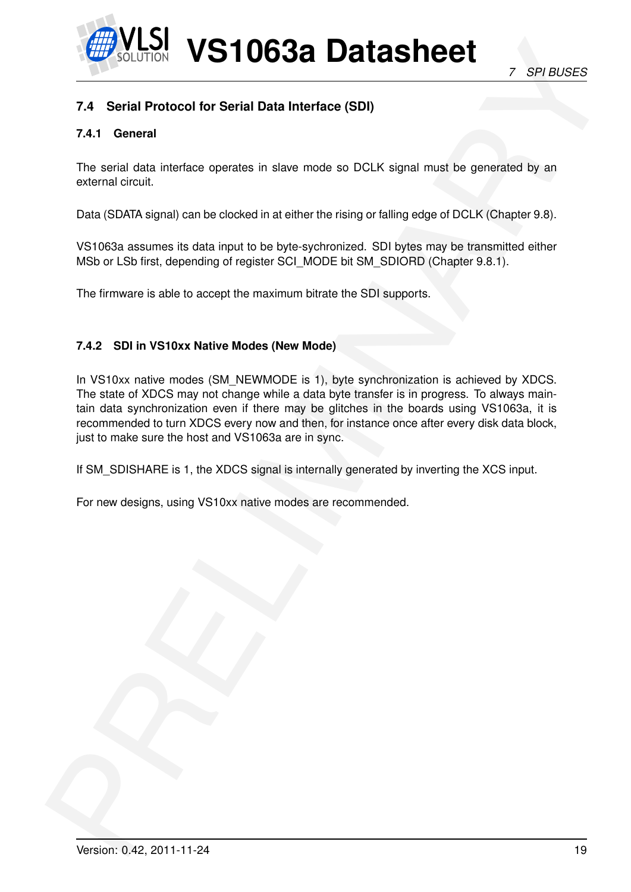![](_page_18_Picture_0.jpeg)

#### <span id="page-18-1"></span><span id="page-18-0"></span>**7.4 Serial Protocol for Serial Data Interface (SDI)**

#### **7.4.1 General**

The serial data interface operates in slave mode so DCLK signal must be generated by an external circuit.

Data (SDATA signal) can be clocked in at either the rising or falling edge of DCLK (Chapter 9.8).

VS1063a assumes its data input to be byte-sychronized. SDI bytes may be transmitted either MSb or LSb first, depending of register SCI\_MODE bit SM\_SDIORD (Chapter 9.8.1).

The firmware is able to accept the maximum bitrate the SDI supports.

#### <span id="page-18-2"></span>**7.4.2 SDI in VS10xx Native Modes (New Mode)**

**Example 10**<br>
28 Max 10 **VS1106338 Datasheet**<br>
28 Max 10 **VS1106338 Datasheet**<br>
24 Serial Protocol for Serial Data Interface (SD)<br>
24.1 **General**<br>
The antial cala interface operates in stare node as DCLK signal multiple pe In VS10xx native modes (SM\_NEWMODE is 1), byte synchronization is achieved by XDCS. The state of XDCS may not change while a data byte transfer is in progress. To always maintain data synchronization even if there may be glitches in the boards using VS1063a, it is recommended to turn XDCS every now and then, for instance once after every disk data block, just to make sure the host and VS1063a are in sync.

If SM SDISHARE is 1, the XDCS signal is internally generated by inverting the XCS input.

For new designs, using VS10xx native modes are recommended.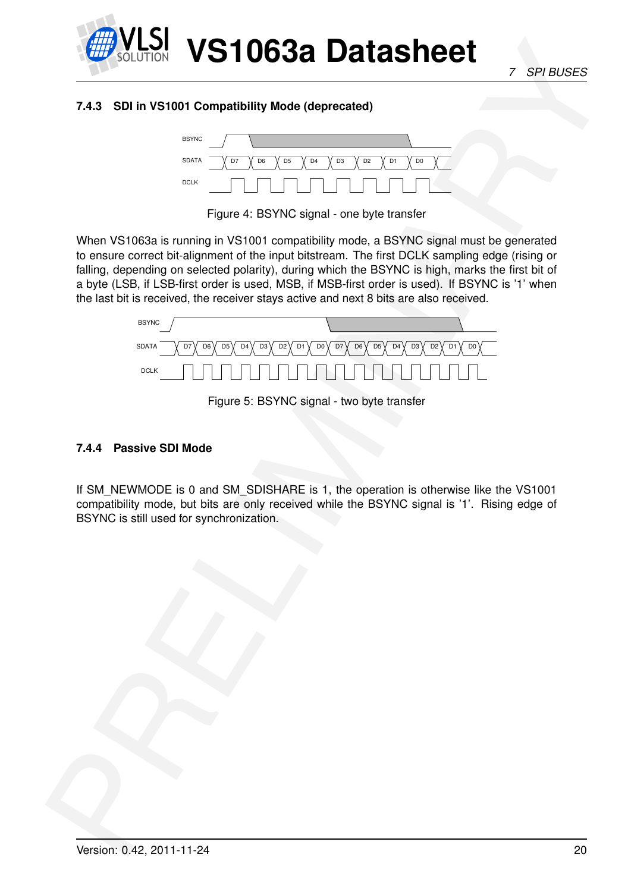![](_page_19_Picture_0.jpeg)

*7 SPI BUSES*

#### <span id="page-19-0"></span>**7.4.3 SDI in VS1001 Compatibility Mode (deprecated)**

![](_page_19_Figure_4.jpeg)

<span id="page-19-2"></span>Figure 4: BSYNC signal - one byte transfer

**PRESSURE SERVE AND CONTRACT CONTRACT CONTRACT CONTRACT CONTRACT CONTRACT CONTRACT CONTRACT CONTRACT CONTRACT CONTRACT CONTRACT CONTRACT CONTRACT CONTRACT CONTRACT CONTRACT CONTRACT CONTRACT CONTRACT CONTRACT CONTRACT CON** When VS1063a is running in VS1001 compatibility mode, a BSYNC signal must be generated to ensure correct bit-alignment of the input bitstream. The first DCLK sampling edge (rising or falling, depending on selected polarity), during which the BSYNC is high, marks the first bit of a byte (LSB, if LSB-first order is used, MSB, if MSB-first order is used). If BSYNC is '1' when the last bit is received, the receiver stays active and next 8 bits are also received.

![](_page_19_Figure_7.jpeg)

<span id="page-19-3"></span>Figure 5: BSYNC signal - two byte transfer

#### <span id="page-19-1"></span>**7.4.4 Passive SDI Mode**

If SM\_NEWMODE is 0 and SM\_SDISHARE is 1, the operation is otherwise like the VS1001 compatibility mode, but bits are only received while the BSYNC signal is '1'. Rising edge of BSYNC is still used for synchronization.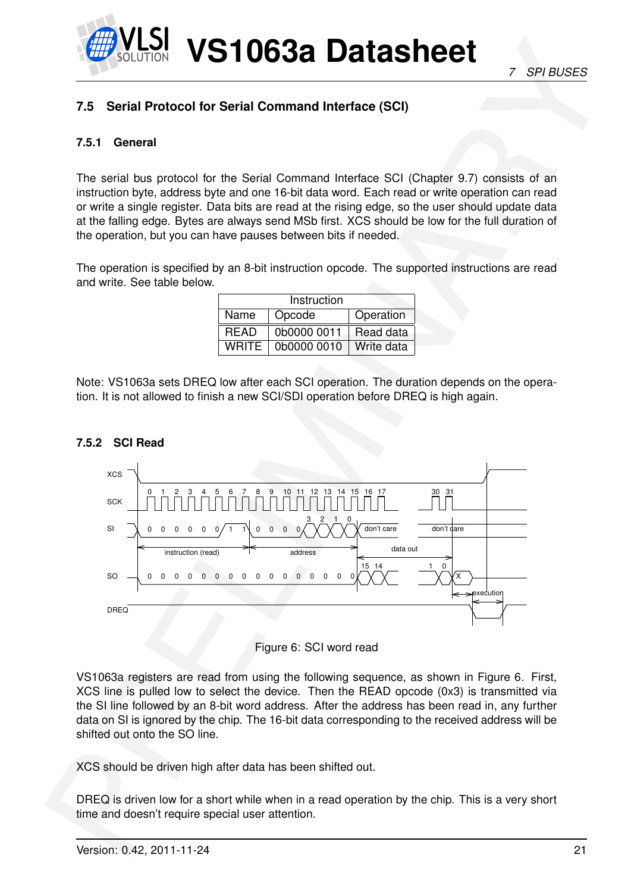## <span id="page-20-1"></span><span id="page-20-0"></span>**7.5 Serial Protocol for Serial Command Interface (SCI)**

#### **7.5.1 General**

The serial bus protocol for the Serial Command Interface SCI (Chapter 9.7) consists of an instruction byte, address byte and one 16-bit data word. Each read or write operation can read or write a single register. Data bits are read at the rising edge, so the user should update data at the falling edge. Bytes are always send MSb first. XCS should be low for the full duration of the operation, but you can have pauses between bits if needed.

The operation is specified by an 8-bit instruction opcode. The supported instructions are read and write. See table below.

|             | Instruction |            |
|-------------|-------------|------------|
| Name        | Opcode      | Operation  |
| <b>READ</b> | 0b0000 0011 | Read data  |
| WRITF       | 0b0000 0010 | Write data |

Note: VS1063a sets DREQ low after each SCI operation. The duration depends on the operation. It is not allowed to finish a new SCI/SDI operation before DREQ is high again.

![](_page_20_Figure_8.jpeg)

#### <span id="page-20-2"></span>**7.5.2 SCI Read**

<span id="page-20-3"></span>![](_page_20_Figure_10.jpeg)

VS1063a registers are read from using the following sequence, as shown in Figure 6. First, XCS line is pulled low to select the device. Then the READ opcode (0x3) is transmitted via the SI line followed by an 8-bit word address. After the address has been read in, any further data on SI is ignored by the chip. The 16-bit data corresponding to the received address will be shifted out onto the SO line.

XCS should be driven high after data has been shifted out.

DREQ is driven low for a short while when in a read operation by the chip. This is a very short time and doesn't require special user attention.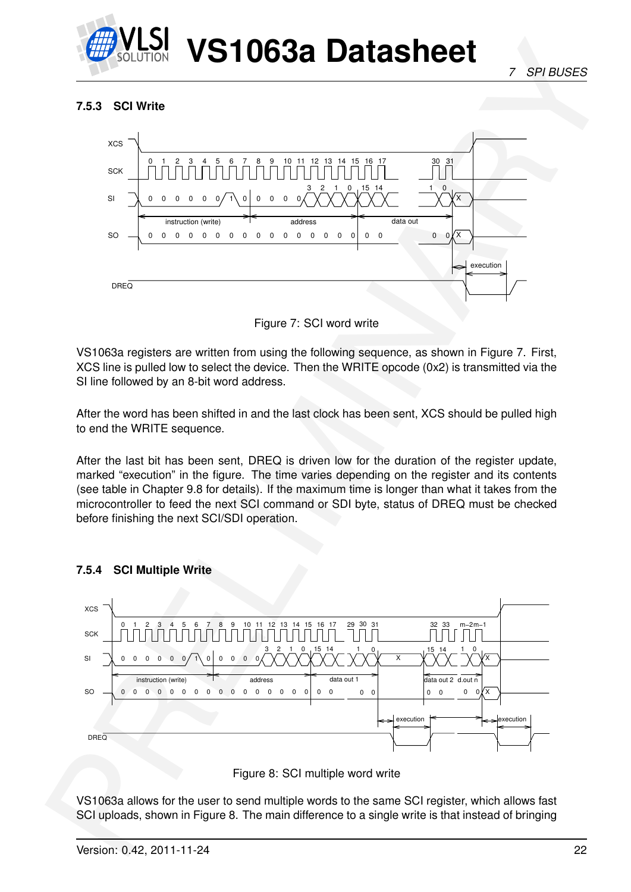![](_page_21_Picture_0.jpeg)

#### <span id="page-21-0"></span>**7.5.3 SCI Write**

![](_page_21_Figure_4.jpeg)

<span id="page-21-2"></span>Figure 7: SCI word write

VS1063a registers are written from using the following sequence, as shown in Figure 7. First, XCS line is pulled low to select the device. Then the WRITE opcode (0x2) is transmitted via the SI line followed by an 8-bit word address.

After the word has been shifted in and the last clock has been sent, XCS should be pulled high to end the WRITE sequence.

After the last bit has been sent, DREQ is driven low for the duration of the register update, marked "execution" in the figure. The time varies depending on the register and its contents (see table in Chapter 9.8 for details). If the maximum time is longer than what it takes from the microcontroller to feed the next SCI command or SDI byte, status of DREQ must be checked before finishing the next SCI/SDI operation.

<span id="page-21-1"></span>**7.5.4 SCI Multiple Write**

![](_page_21_Figure_10.jpeg)

<span id="page-21-3"></span>![](_page_21_Figure_11.jpeg)

VS1063a allows for the user to send multiple words to the same SCI register, which allows fast SCI uploads, shown in Figure 8. The main difference to a single write is that instead of bringing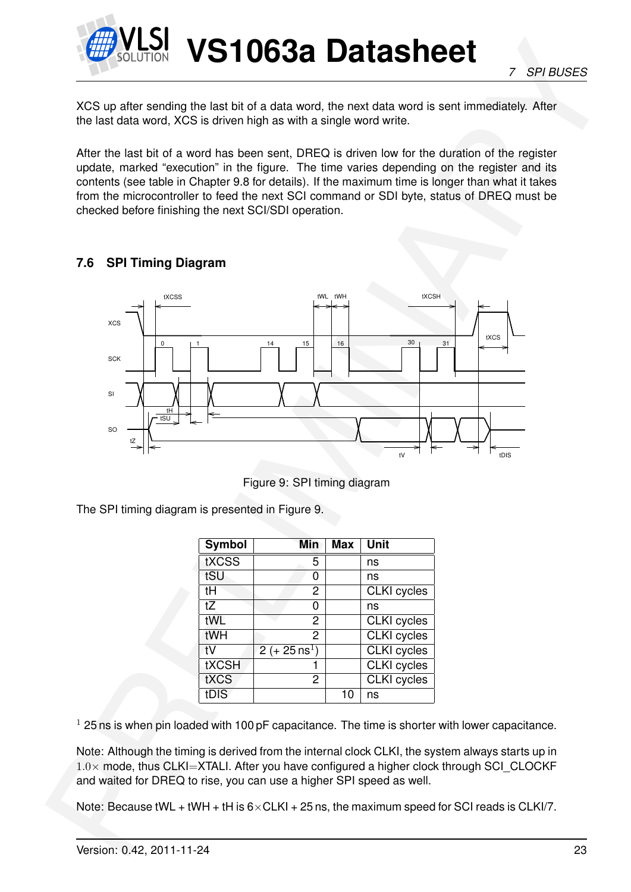![](_page_22_Picture_0.jpeg)

XCS up after sending the last bit of a data word, the next data word is sent immediately. After the last data word, XCS is driven high as with a single word write.

After the last bit of a word has been sent, DREQ is driven low for the duration of the register update, marked "execution" in the figure. The time varies depending on the register and its contents (see table in Chapter 9.8 for details). If the maximum time is longer than what it takes from the microcontroller to feed the next SCI command or SDI byte, status of DREQ must be checked before finishing the next SCI/SDI operation.

#### <span id="page-22-0"></span>**7.6 SPI Timing Diagram**

![](_page_22_Figure_6.jpeg)

<span id="page-22-1"></span>Figure 9: SPI timing diagram

The SPI timing diagram is presented in Figure 9.

| Symbol       | Min                     | <b>Max</b> | <b>Unit</b>        |
|--------------|-------------------------|------------|--------------------|
| tXCSS        | 5                       |            | ns                 |
| tSU          | O                       |            | ns                 |
| tH           | 2                       |            | CLKI cycles        |
| tZ           | 0                       |            | ns                 |
| tWL          | 2                       |            | CLKI cycles        |
| tWH          | 2                       |            | <b>CLKI</b> cycles |
| t۷           | $2 (+ 25 \text{ ns}^1)$ |            | <b>CLKI</b> cycles |
| <b>tXCSH</b> |                         |            | <b>CLKI</b> cycles |
| <b>tXCS</b>  | 2                       |            | <b>CLKI</b> cycles |
| tDIS         |                         | 10         | ns                 |

 $1$  25 ns is when pin loaded with 100 pF capacitance. The time is shorter with lower capacitance.

Note: Although the timing is derived from the internal clock CLKI, the system always starts up in  $1.0\times$  mode, thus CLKI=XTALI. After you have configured a higher clock through SCI\_CLOCKF and waited for DREQ to rise, you can use a higher SPI speed as well.

Note: Because tWL + tWH + tH is  $6 \times$ CLKI + 25 ns, the maximum speed for SCI reads is CLKI/7.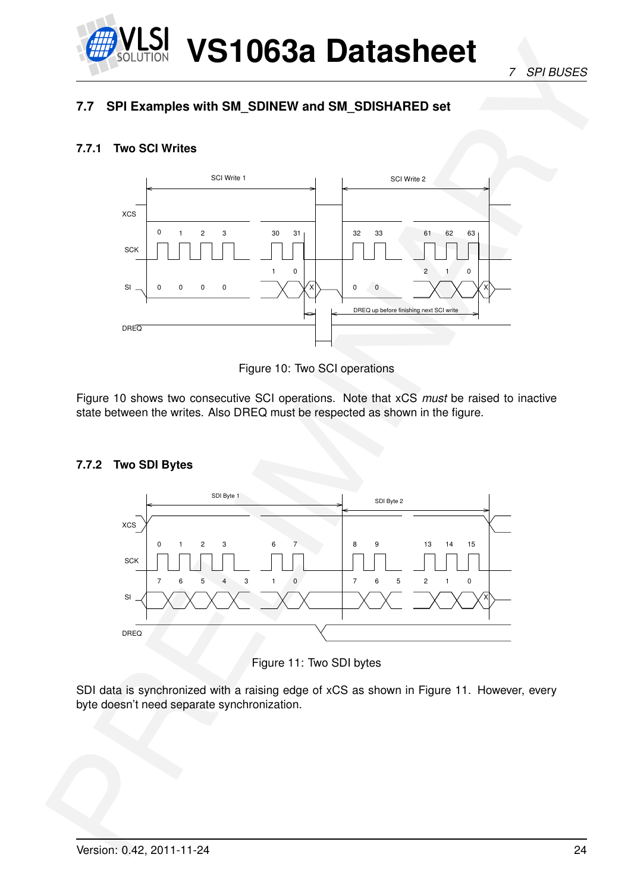![](_page_23_Picture_0.jpeg)

*7 SPI BUSES*

### <span id="page-23-0"></span>**7.7 SPI Examples with SM\_SDINEW and SM\_SDISHARED set**

#### <span id="page-23-1"></span>**7.7.1 Two SCI Writes**

![](_page_23_Figure_4.jpeg)

<span id="page-23-3"></span>Figure 10: Two SCI operations

Figure 10 shows two consecutive SCI operations. Note that xCS *must* be raised to inactive state between the writes. Also DREQ must be respected as shown in the figure.

#### <span id="page-23-2"></span>**7.7.2 Two SDI Bytes**

![](_page_23_Figure_8.jpeg)

<span id="page-23-4"></span>Figure 11: Two SDI bytes

SDI data is synchronized with a raising edge of xCS as shown in Figure 11. However, every byte doesn't need separate synchronization.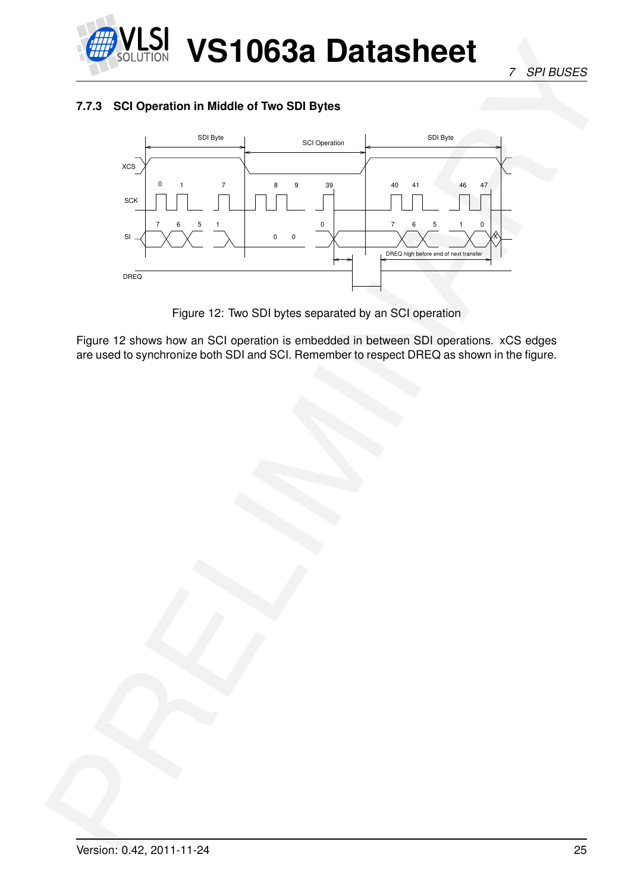![](_page_24_Picture_0.jpeg)

*7 SPI BUSES*

#### <span id="page-24-0"></span>**7.7.3 SCI Operation in Middle of Two SDI Bytes**

![](_page_24_Figure_3.jpeg)

<span id="page-24-1"></span>Figure 12: Two SDI bytes separated by an SCI operation

Figure 12 shows how an SCI operation is embedded in between SDI operations. xCS edges are used to synchronize both SDI and SCI. Remember to respect DREQ as shown in the figure.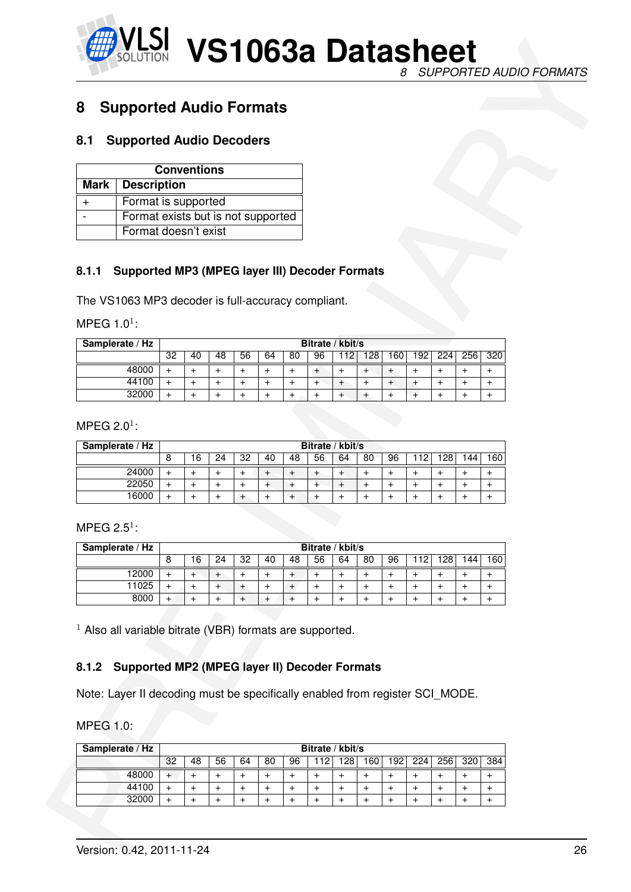![](_page_25_Picture_0.jpeg)

## <span id="page-25-1"></span><span id="page-25-0"></span>**8 Supported Audio Formats**

#### **8.1 Supported Audio Decoders**

| <b>Conventions</b>                 |  |  |  |  |  |  |  |  |  |
|------------------------------------|--|--|--|--|--|--|--|--|--|
| Mark   Description                 |  |  |  |  |  |  |  |  |  |
| Format is supported                |  |  |  |  |  |  |  |  |  |
| Format exists but is not supported |  |  |  |  |  |  |  |  |  |
| Format doesn't exist               |  |  |  |  |  |  |  |  |  |

#### <span id="page-25-2"></span>**8.1.1 Supported MP3 (MPEG layer III) Decoder Formats**

| Samplerate / Hz | Bitrate / kbit/s |    |    |    |    |    |    |    |     |     |                  |     |     |     |
|-----------------|------------------|----|----|----|----|----|----|----|-----|-----|------------------|-----|-----|-----|
|                 | 32               | 40 | 48 | 56 | 64 | 80 | 96 | 12 | 128 | 160 | 192 <sub>1</sub> | 224 | 256 | 320 |
| 48000           |                  |    |    |    |    |    |    |    |     |     |                  |     |     |     |
| 44100           |                  |    |    |    |    |    |    |    |     |     |                  |     |     |     |
| 32000           |                  |    |    |    |    |    |    |    |     |     |                  |     |     |     |

| Samplerate / Hz |   | Bitrate / kbit/s |    |    |    |    |    |    |    |    |    |     |      |     |
|-----------------|---|------------------|----|----|----|----|----|----|----|----|----|-----|------|-----|
|                 | 8 | 16               | 24 | 32 | 40 | 48 | 56 | 64 | 80 | 96 | 12 | 128 | 144. | 160 |
| 24000           |   |                  |    |    |    |    |    |    |    |    |    |     |      |     |
| 22050           | + |                  |    |    |    |    |    |    | +  |    |    |     |      |     |
| 16000           |   |                  |    |    |    |    |    |    |    |    |    |     |      |     |

| 8                                                                            | <b>Supported Audio Formats</b>                 |                        |                        |                        |                             |                                               |                                               |                        |                             |                  |                        |                        |                        |                                  |                        |  |
|------------------------------------------------------------------------------|------------------------------------------------|------------------------|------------------------|------------------------|-----------------------------|-----------------------------------------------|-----------------------------------------------|------------------------|-----------------------------|------------------|------------------------|------------------------|------------------------|----------------------------------|------------------------|--|
|                                                                              |                                                |                        |                        |                        |                             |                                               |                                               |                        |                             |                  |                        |                        |                        |                                  |                        |  |
| 8.1                                                                          | <b>Supported Audio Decoders</b>                |                        |                        |                        |                             |                                               |                                               |                        |                             |                  |                        |                        |                        |                                  |                        |  |
| <b>Mark</b>                                                                  | <b>Description</b>                             |                        | <b>Conventions</b>     |                        |                             |                                               |                                               |                        |                             |                  |                        |                        |                        |                                  |                        |  |
|                                                                              | Format is supported                            |                        |                        |                        |                             |                                               |                                               |                        |                             |                  |                        |                        |                        |                                  |                        |  |
| $\ddot{}$<br>$\overline{\phantom{0}}$                                        | Format exists but is not supported             |                        |                        |                        |                             |                                               |                                               |                        |                             |                  |                        |                        |                        |                                  |                        |  |
|                                                                              | Format doesn't exist                           |                        |                        |                        |                             |                                               |                                               |                        |                             |                  |                        |                        |                        |                                  |                        |  |
|                                                                              |                                                |                        |                        |                        |                             |                                               |                                               |                        |                             |                  |                        |                        |                        |                                  |                        |  |
| 8.1.1                                                                        | Supported MP3 (MPEG layer III) Decoder Formats |                        |                        |                        |                             |                                               |                                               |                        |                             |                  |                        |                        |                        |                                  |                        |  |
|                                                                              |                                                |                        |                        |                        |                             |                                               |                                               |                        |                             |                  |                        |                        |                        |                                  |                        |  |
| The VS1063 MP3 decoder is full-accuracy compliant.                           |                                                |                        |                        |                        |                             |                                               |                                               |                        |                             |                  |                        |                        |                        |                                  |                        |  |
| MPEG $1.01$ :                                                                |                                                |                        |                        |                        |                             |                                               |                                               |                        |                             |                  |                        |                        |                        |                                  |                        |  |
| Samplerate / Hz                                                              |                                                |                        |                        |                        |                             |                                               |                                               | Bitrate / kbit/s       |                             |                  |                        |                        |                        |                                  |                        |  |
|                                                                              |                                                | 32                     | 40                     | 48                     | 56                          | 64                                            | 80                                            | 96                     | 112                         | 128              | 160                    | 192                    | 224                    | 256                              | 320                    |  |
|                                                                              | 48000                                          | $\ddot{}$              | $+$                    | $\ddot{}$              | $\ddot{}$                   | $\ddot{}$                                     | $\ddot{}$                                     | $\ddot{}$              | $+$                         | $+$              | $+$                    | $\ddot{}$              | $\ddot{}$              | $\ddot{}$                        | $\ddot{}$              |  |
|                                                                              | 44100<br>32000                                 | $\ddot{}$<br>$\ddot{}$ | $+$<br>$\ddot{}$       | $\ddot{}$<br>$\ddot{}$ | $\ddot{}$<br>$\ddot{}$      | $\ddot{}$<br>$\ddot{}$                        | $\begin{array}{c} + \end{array}$<br>$\ddot{}$ | $^{+}$<br>$\ddot{}$    | $\ddot{}$<br>$^{+}$         | $+$<br>$+$       | $+$<br>$\ddot{}$       | $\pm$<br>$\ddot{}$     | $\ddot{}$<br>$\ddot{}$ | $\ddot{}$<br>$\ddot{}$           | $\ddot{}$<br>$\ddot{}$ |  |
|                                                                              |                                                |                        |                        |                        |                             |                                               |                                               |                        |                             |                  |                        |                        |                        |                                  |                        |  |
| MPEG 2.0 <sup>1</sup> :<br>Samplerate / Hz                                   |                                                |                        |                        |                        |                             |                                               |                                               |                        | Bitrate / kbit/s            |                  |                        |                        |                        |                                  |                        |  |
|                                                                              |                                                |                        |                        |                        |                             |                                               |                                               |                        |                             |                  |                        |                        |                        |                                  |                        |  |
|                                                                              |                                                | 8                      | 16                     | 24                     | 32                          | 40                                            | 48                                            | 56                     | 64                          | 80               | 96                     | 112                    | 128                    | 144                              | 160                    |  |
|                                                                              | 24000                                          | $\ddot{}$              | $+$                    | $\ddot{}$              | $^{+}$                      | $\ddot{}$                                     | $\ddot{}$                                     | $\ddot{}$              | $+$                         | $+$              | $\ddot{}$              | $\ddot{}$              | $\ddot{}$              | $\ddot{}$                        | $\ddot{}$              |  |
|                                                                              | 22050<br>16000                                 | $\ddot{}$<br>$\ddot{}$ | $\ddot{}$<br>$\ddot{}$ | $\ddot{}$<br>$\ddot{}$ | $\ddot{}$<br>$\overline{+}$ | $^{+}$<br>$\ddot{}$                           | $\pm$<br>$^{+}$                               | $\ddot{}$<br>$^{+}$    | $\ddot{}$<br>$\overline{+}$ | $+$<br>$\ddot{}$ | $\ddot{}$<br>$\ddot{}$ | $\ddot{}$<br>$\ddot{}$ | $\pmb{+}$<br>$\ddot{}$ | $\ddot{}$<br>$\ddot{}$           | $\ddot{}$<br>$\pm$     |  |
|                                                                              |                                                |                        |                        |                        |                             |                                               |                                               |                        |                             |                  |                        |                        |                        |                                  |                        |  |
| MPEG 2.5 <sup>1</sup> :                                                      |                                                |                        |                        |                        |                             |                                               |                                               |                        |                             |                  |                        |                        |                        |                                  |                        |  |
| Samplerate / Hz                                                              |                                                |                        |                        |                        |                             |                                               |                                               | Bitrate / kbit/s       |                             |                  |                        |                        |                        |                                  |                        |  |
|                                                                              |                                                | 8                      | 16                     | 24                     | 32                          | 40                                            | 48                                            | 56                     | 64                          | 80               | 96                     | 112                    | 128                    | 144                              | 160                    |  |
|                                                                              | 12000                                          | $+$                    | $+$                    | $^{+}$                 | $\ddot{}$                   | $\ddot{}$                                     | $^{+}$                                        | $\ddot{}$              | $\ddot{}$                   | $+$              | $^{+}$                 | $\ddot{}$              | $\ddot{}$              | $\begin{array}{c} + \end{array}$ | $\ddot{}$              |  |
|                                                                              | 11025<br>8000                                  | $\ddot{}$<br>$+$       | $+$<br>$+$             | $+$<br>$+$             | $^{+}$<br>$\ddot{}$         | $\ddot{}$<br>$^{+}$                           | $\ddot{}$<br>$\overline{+}$                   | $\ddot{}$<br>$\ddot{}$ | $\ddot{}$<br>$\ddot{}$      | $+$<br>$+$       | $\ddot{}$<br>$+$       | $\ddot{}$<br>$\ddot{}$ | $\ddot{}$<br>$\ddot{}$ | $\ddot{}$<br>$\ddot{}$           | $\ddot{}$<br>$^{+}$    |  |
| $1$ Also all variable bitrate (VBR) formats are supported.<br>8.1.2          | Supported MP2 (MPEG layer II) Decoder Formats  |                        |                        |                        |                             |                                               |                                               |                        |                             |                  |                        |                        |                        |                                  |                        |  |
|                                                                              |                                                |                        |                        |                        |                             |                                               |                                               |                        |                             |                  |                        |                        |                        |                                  |                        |  |
| Note: Layer II decoding must be specifically enabled from register SCI_MODE. |                                                |                        |                        |                        |                             |                                               |                                               |                        |                             |                  |                        |                        |                        |                                  |                        |  |
|                                                                              |                                                |                        |                        |                        |                             |                                               |                                               |                        |                             |                  |                        |                        |                        |                                  |                        |  |
| <b>MPEG 1.0:</b><br>Samplerate / Hz                                          |                                                |                        |                        |                        |                             |                                               |                                               | Bitrate / kbit/s       |                             |                  |                        |                        |                        |                                  |                        |  |
|                                                                              |                                                | 32                     | 48                     | 56                     | 64                          | 80                                            | 96                                            |                        |                             | $112$ 128 160    | 192                    | 224                    | 256                    | 320                              | 384                    |  |
|                                                                              | 48000<br>44100                                 | $+$<br>$+$             | $+$<br>$^{+}$          | $\ddot{}$<br>$^{+}$    | $\ddot{}$<br>$\ddot{}$      | $\begin{array}{c} + \end{array}$<br>$\ddot{}$ | $\ddot{}$<br>$\ddot{}$                        | $\ddot{}$<br>$\ddot{}$ | $\overline{+}$<br>$\ddot{}$ | $+$<br>$+$       | $^{+}$<br>$^{+}$       | $\ddot{}$<br>$\ddot{}$ | $\ddot{}$<br>$\ddot{}$ | $\ddot{}$<br>$\ddot{}$           | $\ddot{}$<br>$\ddot{}$ |  |

#### <span id="page-25-3"></span>**8.1.2 Supported MP2 (MPEG layer II) Decoder Formats**

| Samplerate / Hz |    | Bitrate / kbit/s |    |    |    |    |     |    |                 |     |     |     |     |     |
|-----------------|----|------------------|----|----|----|----|-----|----|-----------------|-----|-----|-----|-----|-----|
|                 | 32 | 48               | 56 | 64 | 80 | 96 | 112 | 28 | 60 <sub>1</sub> | 192 | 224 | 256 | 320 | 384 |
| 48000           |    |                  |    |    |    |    |     |    |                 |     |     |     |     |     |
| 44100           |    |                  |    |    |    |    |     |    |                 |     |     |     |     |     |
| 32000           |    |                  |    |    |    |    |     |    |                 |     |     |     |     |     |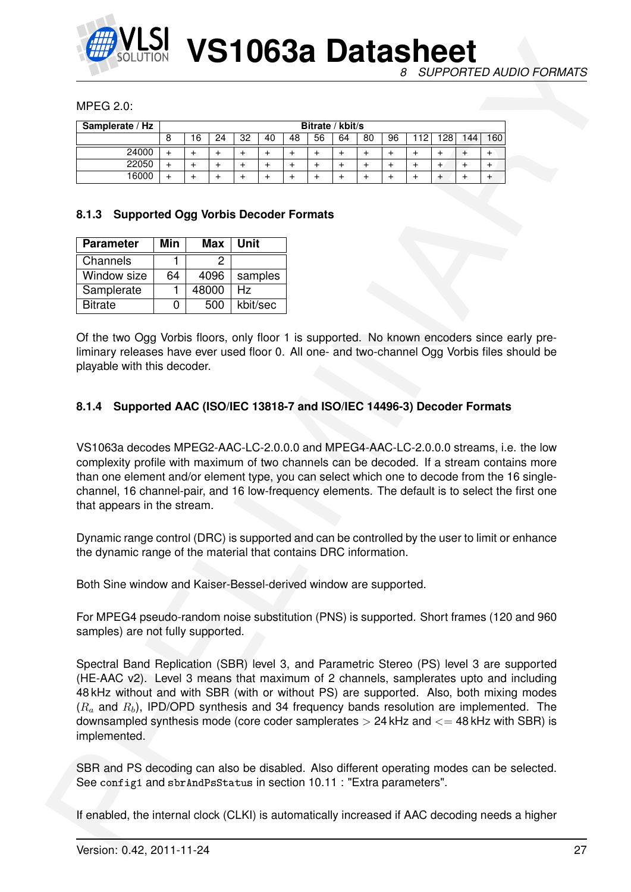![](_page_26_Picture_0.jpeg)

*8 SUPPORTED AUDIO FORMATS*

#### MPEG 2.0:

| Samplerate / Hz |   | Bitrate / kbit/s |    |    |    |    |    |    |    |    |        |    |    |     |
|-----------------|---|------------------|----|----|----|----|----|----|----|----|--------|----|----|-----|
|                 | Ο | 16               | 24 | 32 | 40 | 48 | 56 | 64 | 80 | 96 | 2<br>← | 28 | 44 | 160 |
| 24000           |   |                  |    |    |    |    |    |    |    |    |        |    |    |     |
| 22050           |   |                  |    |    |    |    |    |    |    |    |        |    |    |     |
| 16000           |   |                  |    |    |    |    |    |    |    |    |        |    |    |     |

#### <span id="page-26-0"></span>**8.1.3 Supported Ogg Vorbis Decoder Formats**

| <b>Parameter</b> | Min | <b>Max</b> | Unit     |
|------------------|-----|------------|----------|
| Channels         |     | י          |          |
| Window size      | 64  | 4096       | samples  |
| Samplerate       |     | 48000      | Hz       |
| <b>Bitrate</b>   | 0   | 500        | kbit/sec |

Of the two Ogg Vorbis floors, only floor 1 is supported. No known encoders since early preliminary releases have ever used floor 0. All one- and two-channel Ogg Vorbis files should be playable with this decoder.

#### <span id="page-26-1"></span>**8.1.4 Supported AAC (ISO/IEC 13818-7 and ISO/IEC 14496-3) Decoder Formats**

VS1063a decodes MPEG2-AAC-LC-2.0.0.0 and MPEG4-AAC-LC-2.0.0.0 streams, i.e. the low complexity profile with maximum of two channels can be decoded. If a stream contains more than one element and/or element type, you can select which one to decode from the 16 singlechannel, 16 channel-pair, and 16 low-frequency elements. The default is to select the first one that appears in the stream.

Dynamic range control (DRC) is supported and can be controlled by the user to limit or enhance the dynamic range of the material that contains DRC information.

Both Sine window and Kaiser-Bessel-derived window are supported.

For MPEG4 pseudo-random noise substitution (PNS) is supported. Short frames (120 and 960 samples) are not fully supported.

CONTROL **VS 100638 Decision** Support Control of the matter of the control of the state of the state of the state of the state of the state of the state of the state of the state of the state of the state of the state of t Spectral Band Replication (SBR) level 3, and Parametric Stereo (PS) level 3 are supported (HE-AAC v2). Level 3 means that maximum of 2 channels, samplerates upto and including 48 kHz without and with SBR (with or without PS) are supported. Also, both mixing modes  $(R_a$  and  $R_b$ ), IPD/OPD synthesis and 34 frequency bands resolution are implemented. The downsampled synthesis mode (core coder samplerates  $>$  24 kHz and  $<=$  48 kHz with SBR) is implemented.

SBR and PS decoding can also be disabled. Also different operating modes can be selected. See config1 and sbrAndPsStatus in section 10.11 : "Extra parameters".

If enabled, the internal clock (CLKI) is automatically increased if AAC decoding needs a higher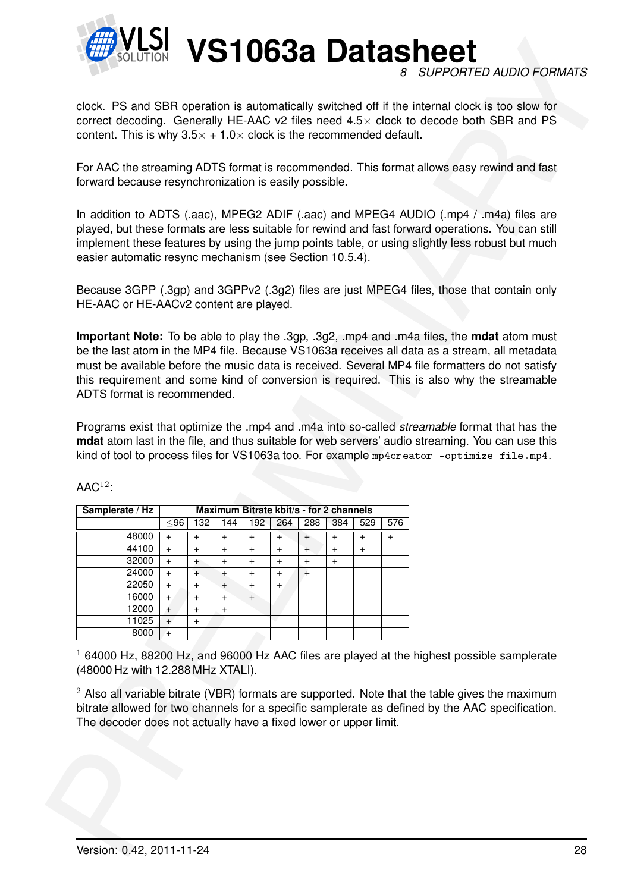![](_page_27_Picture_0.jpeg)

|                                                         | content. This is why $3.5 \times +1.0 \times$ clock is the recommended default. |                        |           |                                                |           |           |                                  |                                  |           | correct decoding. Generally HE-AAC v2 files need $4.5\times$ clock to decode both SBR and PS                                                                                                                                                                                                                |  |
|---------------------------------------------------------|---------------------------------------------------------------------------------|------------------------|-----------|------------------------------------------------|-----------|-----------|----------------------------------|----------------------------------|-----------|-------------------------------------------------------------------------------------------------------------------------------------------------------------------------------------------------------------------------------------------------------------------------------------------------------------|--|
| forward because resynchronization is easily possible.   |                                                                                 |                        |           |                                                |           |           |                                  |                                  |           | For AAC the streaming ADTS format is recommended. This format allows easy rewind and fast                                                                                                                                                                                                                   |  |
| easier automatic resync mechanism (see Section 10.5.4). |                                                                                 |                        |           |                                                |           |           |                                  |                                  |           | In addition to ADTS (.aac), MPEG2 ADIF (.aac) and MPEG4 AUDIO (.mp4 / .m4a) files are<br>played, but these formats are less suitable for rewind and fast forward operations. You can still<br>implement these features by using the jump points table, or using slightly less robust but much               |  |
| HE-AAC or HE-AACv2 content are played.                  |                                                                                 |                        |           |                                                |           |           |                                  |                                  |           | Because 3GPP (.3gp) and 3GPPv2 (.3g2) files are just MPEG4 files, those that contain only                                                                                                                                                                                                                   |  |
| $\mathsf{AAC}^{12}$ :                                   |                                                                                 |                        |           |                                                |           |           |                                  |                                  |           | Programs exist that optimize the .mp4 and .m4a into so-called <i>streamable</i> format that has the<br><b>mdat</b> atom last in the file, and thus suitable for web servers' audio streaming. You can use this<br>kind of tool to process files for VS1063a too. For example mp4creator -optimize file.mp4. |  |
| Samplerate / Hz                                         | $\leq 96$                                                                       | 132                    | 144       | Maximum Bitrate kbit/s - for 2 channels<br>192 | 264       | 288       | 384                              | 529                              | 576       |                                                                                                                                                                                                                                                                                                             |  |
|                                                         |                                                                                 | $+$                    | $\ddot{}$ | $+$                                            | $+$       | $+$       | $\ddot{}$                        | $+$                              | $\ddot{}$ |                                                                                                                                                                                                                                                                                                             |  |
|                                                         |                                                                                 |                        |           |                                                |           |           |                                  |                                  |           |                                                                                                                                                                                                                                                                                                             |  |
| 48000<br>44100                                          | $+$<br>$+$                                                                      | $\ddot{}$              | $\ddot{}$ | $\ddot{}$                                      | $\ddot{}$ | $+$       | $\begin{array}{c} + \end{array}$ | $\begin{array}{c} + \end{array}$ |           |                                                                                                                                                                                                                                                                                                             |  |
| 32000                                                   | $+$                                                                             | $^{+}$                 | $\ddot{}$ | $\ddot{}$                                      | $\ddot{}$ | $\ddot{}$ | $+$                              |                                  |           |                                                                                                                                                                                                                                                                                                             |  |
| 24000                                                   | $+$                                                                             | $+$                    | $\pm$     | $\ddot{}$                                      | $\ddot{}$ | $+$       |                                  |                                  |           |                                                                                                                                                                                                                                                                                                             |  |
| 22050                                                   | $\ddot{}$                                                                       | $\ddot{}$              | $\ddot{}$ | $^{+}$                                         | $+$       |           |                                  |                                  |           |                                                                                                                                                                                                                                                                                                             |  |
| 16000                                                   | $\ddot{}$                                                                       | $\ddot{}$              | $\ddot{}$ | $\begin{array}{c} + \end{array}$               |           |           |                                  |                                  |           |                                                                                                                                                                                                                                                                                                             |  |
| 12000<br>11025                                          | $+$<br>$+$                                                                      | $\ddot{}$<br>$\ddot{}$ | $\ddot{}$ |                                                |           |           |                                  |                                  |           |                                                                                                                                                                                                                                                                                                             |  |
| 8000                                                    | $^{+}$                                                                          |                        |           |                                                |           |           |                                  |                                  |           |                                                                                                                                                                                                                                                                                                             |  |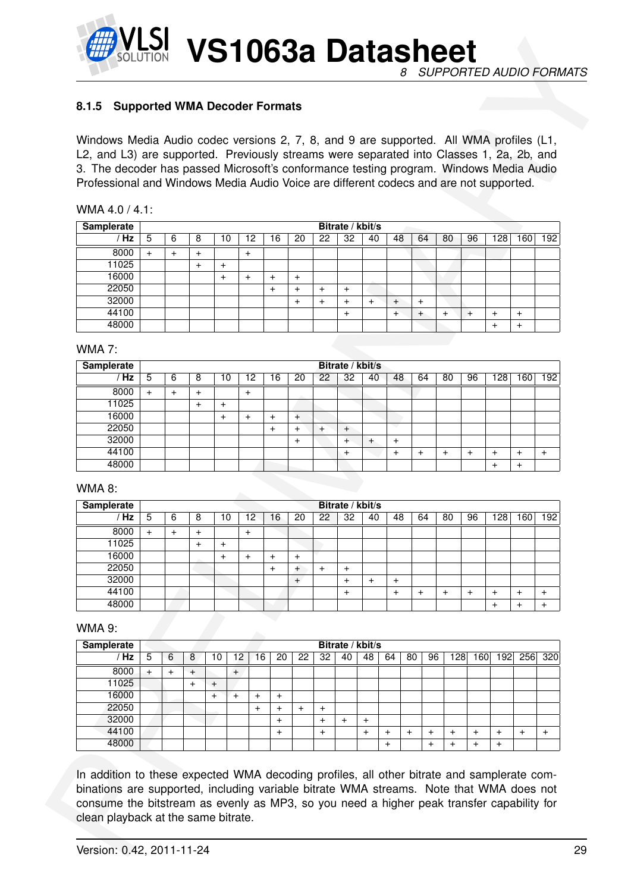![](_page_28_Picture_1.jpeg)

#### <span id="page-28-0"></span>**8.1.5 Supported WMA Decoder Formats**

| WMA 4.0 / 4.1: |  |
|----------------|--|
|----------------|--|

| <b>Samplerate</b> |   |   |   |    |        |    |       |    | Bitrate / kbit/s |    |        |        |    |    |     |    |     |
|-------------------|---|---|---|----|--------|----|-------|----|------------------|----|--------|--------|----|----|-----|----|-----|
| Hz                | 5 | 6 | 8 | 10 | 12     | 16 | 20    | 22 | 32               | 40 | 48     | 64     | 80 | 96 | 128 | 60 | 192 |
| 8000              | + |   |   |    | $\div$ |    |       |    |                  |    |        |        |    |    |     |    |     |
| 11025             |   |   |   | +  |        |    |       |    |                  |    |        |        |    |    |     |    |     |
| 16000             |   |   |   | ÷  | ⊣      | +  | $\pm$ |    |                  |    |        |        |    |    |     |    |     |
| 22050             |   |   |   |    |        |    | +     |    | +                |    |        |        |    |    |     |    |     |
| 32000             |   |   |   |    |        |    | +     |    |                  |    | $\div$ | $\,^+$ |    |    |     |    |     |
| 44100             |   |   |   |    |        |    |       |    | $\pm$            |    | $\div$ | +      |    |    |     | +  |     |
| 48000             |   |   |   |    |        |    |       |    |                  |    |        |        |    |    |     | ÷  |     |

#### WMA 7:

| L2, and L3) are supported. Previously streams were separated into Classes 1, 2a, 2b, and<br>3. The decoder has passed Microsoft's conformance testing program. Windows Media Audio<br>Professional and Windows Media Audio Voice are different codecs and are not supported. |                |           |                  |                                  |           |           |                  |               |                        |                                               | Windows Media Audio codec versions 2, 7, 8, and 9 are supported. All WMA profiles (L1, |                |                |                |           |                |                  |                                  |           |
|------------------------------------------------------------------------------------------------------------------------------------------------------------------------------------------------------------------------------------------------------------------------------|----------------|-----------|------------------|----------------------------------|-----------|-----------|------------------|---------------|------------------------|-----------------------------------------------|----------------------------------------------------------------------------------------|----------------|----------------|----------------|-----------|----------------|------------------|----------------------------------|-----------|
|                                                                                                                                                                                                                                                                              |                |           |                  |                                  |           |           |                  |               |                        |                                               |                                                                                        |                |                |                |           |                |                  |                                  |           |
|                                                                                                                                                                                                                                                                              |                |           |                  |                                  |           |           |                  |               |                        |                                               |                                                                                        |                |                |                |           |                |                  |                                  |           |
|                                                                                                                                                                                                                                                                              |                |           |                  |                                  |           |           |                  |               |                        |                                               |                                                                                        |                |                |                |           |                |                  |                                  |           |
|                                                                                                                                                                                                                                                                              |                |           |                  |                                  |           |           |                  |               |                        |                                               |                                                                                        |                |                |                |           |                |                  |                                  |           |
| WMA 4.0 / 4.1:                                                                                                                                                                                                                                                               |                |           |                  |                                  |           |           |                  |               |                        |                                               |                                                                                        |                |                |                |           |                |                  |                                  |           |
| <b>Samplerate</b><br>/ Hz                                                                                                                                                                                                                                                    | 5              | 6         | 8                | 10                               |           | 12        | 16               | 20            | 22                     | Bitrate / kbit/s<br>32                        | 40                                                                                     | 48             |                | 64             | 80        | 96             | 128              | 160                              | 192       |
| 8000                                                                                                                                                                                                                                                                         | $+$            | $+$       |                  |                                  |           | $+$       |                  |               |                        |                                               |                                                                                        |                |                |                |           |                |                  |                                  |           |
| 11025                                                                                                                                                                                                                                                                        |                |           | $\ddot{}$<br>$+$ | $\ddot{}$                        |           |           |                  |               |                        |                                               |                                                                                        |                |                |                |           |                |                  |                                  |           |
| 16000                                                                                                                                                                                                                                                                        |                |           |                  | $\ddot{}$                        |           | $+$       | $^{+}$           | $\ddot{}$     |                        |                                               |                                                                                        |                |                |                |           |                |                  |                                  |           |
| 22050                                                                                                                                                                                                                                                                        |                |           |                  |                                  |           |           | $+$              | $\ddot{}$     | $+$                    | $\ddot{}$                                     |                                                                                        |                |                |                |           |                |                  |                                  |           |
| 32000                                                                                                                                                                                                                                                                        |                |           |                  |                                  |           |           |                  | $\ddot{}$     | $+$                    | $\ddot{}$                                     | $+$                                                                                    | $\ddot{}$      | $\ddot{}$      |                |           |                |                  |                                  |           |
| 44100                                                                                                                                                                                                                                                                        |                |           |                  |                                  |           |           |                  |               |                        | $\ddot{}$                                     |                                                                                        | $+$            | $\overline{+}$ |                | $\ddot{}$ | $+$            | $\ddot{}$        | $\ddot{}$                        |           |
| 48000                                                                                                                                                                                                                                                                        |                |           |                  |                                  |           |           |                  |               |                        |                                               |                                                                                        |                |                |                |           |                | $+$              | $\ddot{}$                        |           |
| <b>WMA 7:</b>                                                                                                                                                                                                                                                                |                |           |                  |                                  |           |           |                  |               |                        |                                               |                                                                                        |                |                |                |           |                |                  |                                  |           |
| <b>Samplerate</b>                                                                                                                                                                                                                                                            |                |           |                  |                                  |           |           |                  |               |                        | Bitrate / kbit/s                              |                                                                                        |                |                |                |           |                |                  |                                  |           |
| / Hz                                                                                                                                                                                                                                                                         | 5              | 6         | 8                | 10                               |           | 12        | 16               | 20            | 22                     | 32                                            | 40                                                                                     | 48             |                | 64             | 80        | 96             |                  | $128$ 160                        | 192       |
| 8000                                                                                                                                                                                                                                                                         | $+$            | $+$       | $\ddot{}$        |                                  |           | $\ddot{}$ |                  |               |                        |                                               |                                                                                        |                |                |                |           |                |                  |                                  |           |
| 11025                                                                                                                                                                                                                                                                        |                |           | $+$              | $\ddot{}$                        |           |           |                  |               |                        |                                               |                                                                                        |                |                |                |           |                |                  |                                  |           |
| 16000                                                                                                                                                                                                                                                                        |                |           |                  | $+$                              |           | $+$       | $\ddot{}$        | $+$           |                        |                                               |                                                                                        |                |                |                |           |                |                  |                                  |           |
| 22050                                                                                                                                                                                                                                                                        |                |           |                  |                                  |           |           | $+$              | $+$           | $+$                    | $+$                                           |                                                                                        |                |                |                |           |                |                  |                                  |           |
| 32000                                                                                                                                                                                                                                                                        |                |           |                  |                                  |           |           |                  | $\ddot{}$     |                        | $^{+}$                                        | $\ddot{}$                                                                              | $\ddot{}$      |                |                |           |                |                  |                                  |           |
| 44100<br>48000                                                                                                                                                                                                                                                               |                |           |                  |                                  |           |           |                  |               |                        | $\ddot{}$                                     |                                                                                        | $\ddot{}$      | $^{+}$         |                | $^{+}$    | $\ddot{}$      | $\ddot{}$<br>$+$ | $\ddot{}$                        | $\ddot{}$ |
|                                                                                                                                                                                                                                                                              |                |           |                  |                                  |           |           |                  |               |                        |                                               |                                                                                        |                |                |                |           |                |                  | $\ddot{}$                        |           |
| <b>WMA 8:</b>                                                                                                                                                                                                                                                                |                |           |                  |                                  |           |           |                  |               |                        |                                               |                                                                                        |                |                |                |           |                |                  |                                  |           |
| <b>Samplerate</b>                                                                                                                                                                                                                                                            |                |           |                  |                                  |           |           |                  |               |                        | Bitrate / kbit/s                              |                                                                                        |                |                |                |           |                |                  |                                  |           |
| /Hz                                                                                                                                                                                                                                                                          | $\overline{5}$ | 6         | 8                | 10                               |           | 12        | 16               | 20            | 22                     | 32                                            | 40                                                                                     | 48             |                | 64             | 80        | 96             |                  | $128$ 160                        | 192       |
| 8000                                                                                                                                                                                                                                                                         | $\ddot{}$      | $\ddot{}$ | $\ddot{}$        |                                  |           | $\ddot{}$ |                  |               |                        |                                               |                                                                                        |                |                |                |           |                |                  |                                  |           |
| 11025                                                                                                                                                                                                                                                                        |                |           | $\ddot{}$        | $\ddot{}$                        |           |           |                  |               |                        |                                               |                                                                                        |                |                |                |           |                |                  |                                  |           |
| 16000                                                                                                                                                                                                                                                                        |                |           |                  | $+$                              |           | $+$       | $+$              | $+$           |                        |                                               |                                                                                        |                |                |                |           |                |                  |                                  |           |
| 22050<br>32000                                                                                                                                                                                                                                                               |                |           |                  |                                  |           |           | $+$              | $^{+}$<br>$+$ | $+$                    | $\ddot{}$<br>$\begin{array}{c} + \end{array}$ | $\ddot{}$                                                                              | $\ddot{}$      |                |                |           |                |                  |                                  |           |
| 44100                                                                                                                                                                                                                                                                        |                |           |                  |                                  |           |           |                  |               |                        | $\ddot{}$                                     |                                                                                        | $\ddot{}$      | $\ddot{}$      |                | $\ddot{}$ | $\ddot{}$      | $\ddot{}$        | $\begin{array}{c} + \end{array}$ | $\ddot{}$ |
| 48000                                                                                                                                                                                                                                                                        |                |           |                  |                                  |           |           |                  |               |                        |                                               |                                                                                        |                |                |                |           |                | $\ddot{}$        | $\begin{array}{c} + \end{array}$ | $\ddot{}$ |
|                                                                                                                                                                                                                                                                              |                |           |                  |                                  |           |           |                  |               |                        |                                               |                                                                                        |                |                |                |           |                |                  |                                  |           |
| <b>WMA 9:</b>                                                                                                                                                                                                                                                                |                |           |                  |                                  |           |           |                  |               |                        |                                               |                                                                                        |                |                |                |           |                |                  |                                  |           |
| <b>Samplerate</b>                                                                                                                                                                                                                                                            |                |           |                  |                                  |           |           |                  |               |                        | Bitrate / kbit/s                              |                                                                                        |                |                |                |           |                |                  |                                  |           |
| /Hz                                                                                                                                                                                                                                                                          | 5              | 6         | 8                | 10                               | 12        | 16        | 20               | 22            | 32                     | 40                                            | 48                                                                                     | 64             | 80             | 96             | 128       | 160            | 192              | 256                              | 320       |
| 8000                                                                                                                                                                                                                                                                         | $\ddot{}$      | $\ddot{}$ | $+$              |                                  | $\ddot{}$ |           |                  |               |                        |                                               |                                                                                        |                |                |                |           |                |                  |                                  |           |
| 11025                                                                                                                                                                                                                                                                        |                |           | $\ddot{}$        | $\begin{array}{c} + \end{array}$ |           |           |                  |               |                        |                                               |                                                                                        |                |                |                |           |                |                  |                                  |           |
| 16000<br>22050                                                                                                                                                                                                                                                               |                |           |                  | $+$                              | $+$       | $\ddot{}$ | $+$              |               |                        |                                               |                                                                                        |                |                |                |           |                |                  |                                  |           |
| 32000                                                                                                                                                                                                                                                                        |                |           |                  |                                  |           | $\ddot{}$ | $\ddot{}$<br>$+$ | $\ddot{}$     | $\ddot{}$<br>$\ddot{}$ | $+$                                           | $\ddot{}$                                                                              |                |                |                |           |                |                  |                                  |           |
| 44100                                                                                                                                                                                                                                                                        |                |           |                  |                                  |           |           | $+$              |               | $\ddot{}$              |                                               | $\ddot{}$                                                                              | $\overline{+}$ | $\ddot{}$      | $\overline{+}$ | $\ddot{}$ | $\overline{+}$ | $\ddot{}$        | $\ddot{}$                        | $\ddot{}$ |
| 48000                                                                                                                                                                                                                                                                        |                |           |                  |                                  |           |           |                  |               |                        |                                               |                                                                                        | $\ddot{}$      |                | $\ddot{}$      | $\ddot{}$ | $\ddot{}$      | $\ddot{}$        |                                  |           |
|                                                                                                                                                                                                                                                                              |                |           |                  |                                  |           |           |                  |               |                        |                                               |                                                                                        |                |                |                |           |                |                  |                                  |           |
|                                                                                                                                                                                                                                                                              |                |           |                  |                                  |           |           |                  |               |                        |                                               |                                                                                        |                |                |                |           |                |                  |                                  |           |

#### WMA 8:

| <b>Samplerate</b> |           |   |   |   |                |    |           |    | Bitrate / kbit/s |    |    |    |    |    |     |    |           |
|-------------------|-----------|---|---|---|----------------|----|-----------|----|------------------|----|----|----|----|----|-----|----|-----------|
| Hz                | 5         | 6 | о | 0 | $\overline{c}$ | 16 | 20        | 22 | 32               | 40 | 48 | 64 | 80 | 96 | 128 | 60 | 192       |
| 8000              | $\ddot{}$ |   |   |   | $\ddot{}$      |    |           |    |                  |    |    |    |    |    |     |    |           |
| 11025             |           |   |   |   |                |    |           |    |                  |    |    |    |    |    |     |    |           |
| 16000             |           |   |   |   |                | +  | $\ddot{}$ |    |                  |    |    |    |    |    |     |    |           |
| 22050             |           |   |   |   |                | +  | ÷         |    | $\pm$            |    |    |    |    |    |     |    |           |
| 32000             |           |   |   |   |                |    | $\ddot{}$ |    | +                |    | +  |    |    |    |     |    |           |
| 44100             |           |   |   |   |                |    |           |    | $\pm$            |    |    |    |    |    | ٠   |    | $\ddot{}$ |
| 48000             |           |   |   |   |                |    |           |    |                  |    |    |    |    |    | +   | +  |           |

#### WMA 9:

| <b>Samplerate</b> |     |       |   |        |           |   |    |    |        |    | Bitrate / kbit/s |       |    |    |              |     |     |     |     |
|-------------------|-----|-------|---|--------|-----------|---|----|----|--------|----|------------------|-------|----|----|--------------|-----|-----|-----|-----|
| Hz                | 5   | 6     | 8 | 10     | 12        | 6 | 20 | 22 | 32     | 40 | 48               | 64    | 80 | 96 | 1281         | 160 | 192 | 256 | 320 |
| 8000              | $+$ | $\pm$ |   |        | $\ddot{}$ |   |    |    |        |    |                  |       |    |    |              |     |     |     |     |
| 11025             |     |       |   | $\,^+$ |           |   |    |    |        |    |                  |       |    |    |              |     |     |     |     |
| 16000             |     |       |   |        | +         |   |    |    |        |    |                  |       |    |    |              |     |     |     |     |
| 22050             |     |       |   |        |           | + |    | ٠  | +      |    |                  |       |    |    |              |     |     |     |     |
| 32000             |     |       |   |        |           |   | +  |    |        |    |                  |       |    |    |              |     |     |     |     |
| 44100             |     |       |   |        |           |   | +  |    | $\div$ |    |                  | +     |    |    | $\mathrm{+}$ |     |     |     |     |
| 48000             |     |       |   |        |           |   |    |    |        |    |                  | $\pm$ |    |    | ٠            |     |     |     |     |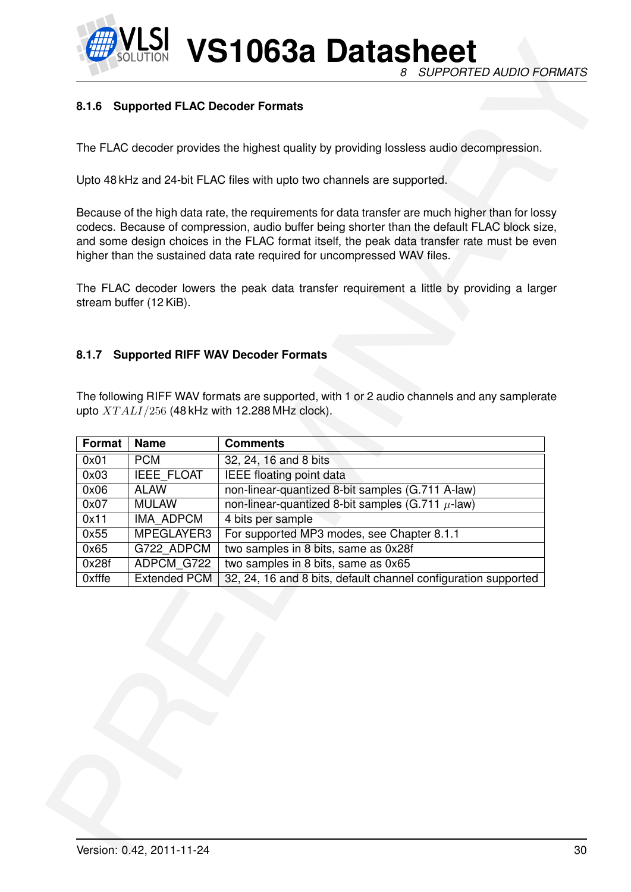![](_page_29_Picture_0.jpeg)

**VS1063a Datasheet** *8 SUPPORTED AUDIO FORMATS*

#### <span id="page-29-0"></span>**8.1.6 Supported FLAC Decoder Formats**

#### <span id="page-29-1"></span>**8.1.7 Supported RIFF WAV Decoder Formats**

|               |                             | The FLAC decoder provides the highest quality by providing lossless audio decompression.                                                                                                                                                                                                                                                                                    |  |
|---------------|-----------------------------|-----------------------------------------------------------------------------------------------------------------------------------------------------------------------------------------------------------------------------------------------------------------------------------------------------------------------------------------------------------------------------|--|
|               |                             | Upto 48 kHz and 24-bit FLAC files with upto two channels are supported.                                                                                                                                                                                                                                                                                                     |  |
|               |                             | Because of the high data rate, the requirements for data transfer are much higher than for lossy<br>codecs. Because of compression, audio buffer being shorter than the default FLAC block size,<br>and some design choices in the FLAC format itself, the peak data transfer rate must be even<br>higher than the sustained data rate required for uncompressed WAV files. |  |
|               | stream buffer (12 KiB).     | The FLAC decoder lowers the peak data transfer requirement a little by providing a larger                                                                                                                                                                                                                                                                                   |  |
|               |                             |                                                                                                                                                                                                                                                                                                                                                                             |  |
|               |                             |                                                                                                                                                                                                                                                                                                                                                                             |  |
| 8.1.7         |                             | <b>Supported RIFF WAV Decoder Formats</b>                                                                                                                                                                                                                                                                                                                                   |  |
|               |                             |                                                                                                                                                                                                                                                                                                                                                                             |  |
|               |                             |                                                                                                                                                                                                                                                                                                                                                                             |  |
|               |                             |                                                                                                                                                                                                                                                                                                                                                                             |  |
|               |                             | The following RIFF WAV formats are supported, with 1 or 2 audio channels and any samplerate                                                                                                                                                                                                                                                                                 |  |
|               |                             | upto $XTALI/256$ (48 kHz with 12.288 MHz clock).                                                                                                                                                                                                                                                                                                                            |  |
|               |                             |                                                                                                                                                                                                                                                                                                                                                                             |  |
| Format        | <b>Name</b>                 | <b>Comments</b>                                                                                                                                                                                                                                                                                                                                                             |  |
| 0x01          | <b>PCM</b>                  | 32, 24, 16 and 8 bits                                                                                                                                                                                                                                                                                                                                                       |  |
| 0x03          | <b>IEEE FLOAT</b>           | <b>IEEE</b> floating point data                                                                                                                                                                                                                                                                                                                                             |  |
| 0x06<br>0x07  | <b>ALAW</b><br><b>MULAW</b> | non-linear-quantized 8-bit samples (G.711 A-law)<br>non-linear-quantized 8-bit samples (G.711 $\mu$ -law)                                                                                                                                                                                                                                                                   |  |
| 0x11          | IMA_ADPCM                   | 4 bits per sample                                                                                                                                                                                                                                                                                                                                                           |  |
| 0x55          | MPEGLAYER3                  | For supported MP3 modes, see Chapter 8.1.1                                                                                                                                                                                                                                                                                                                                  |  |
| 0x65          | G722 ADPCM                  | two samples in 8 bits, same as 0x28f                                                                                                                                                                                                                                                                                                                                        |  |
| 0x28f         | ADPCM G722                  | two samples in 8 bits, same as 0x65                                                                                                                                                                                                                                                                                                                                         |  |
| <b>Oxfffe</b> | <b>Extended PCM</b>         | 32, 24, 16 and 8 bits, default channel configuration supported                                                                                                                                                                                                                                                                                                              |  |
|               |                             |                                                                                                                                                                                                                                                                                                                                                                             |  |
|               |                             |                                                                                                                                                                                                                                                                                                                                                                             |  |
|               |                             |                                                                                                                                                                                                                                                                                                                                                                             |  |
|               |                             |                                                                                                                                                                                                                                                                                                                                                                             |  |
|               |                             |                                                                                                                                                                                                                                                                                                                                                                             |  |
|               |                             |                                                                                                                                                                                                                                                                                                                                                                             |  |
|               |                             |                                                                                                                                                                                                                                                                                                                                                                             |  |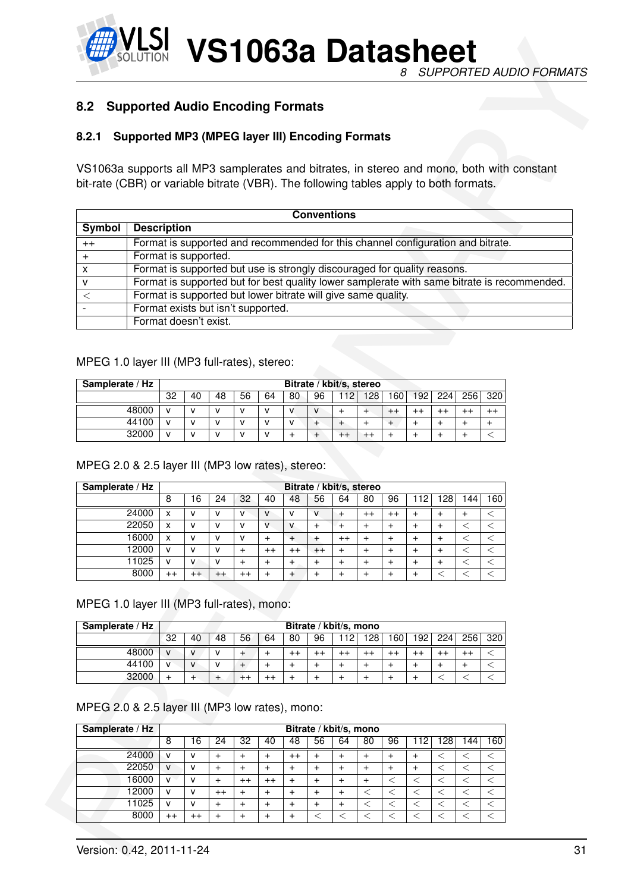![](_page_30_Picture_0.jpeg)

#### <span id="page-30-1"></span><span id="page-30-0"></span>**8.2 Supported Audio Encoding Formats**

#### **8.2.1 Supported MP3 (MPEG layer III) Encoding Formats**

| 8.2                                                                                       | <b>Supported Audio Encoding Formats</b>                                         |                   |                   |                |                        |                                  |                                               |                        |                                            |                        |                        |                        |                        |                    |                  |                                                                                             |  |
|-------------------------------------------------------------------------------------------|---------------------------------------------------------------------------------|-------------------|-------------------|----------------|------------------------|----------------------------------|-----------------------------------------------|------------------------|--------------------------------------------|------------------------|------------------------|------------------------|------------------------|--------------------|------------------|---------------------------------------------------------------------------------------------|--|
|                                                                                           |                                                                                 |                   |                   |                |                        |                                  |                                               |                        |                                            |                        |                        |                        |                        |                    |                  |                                                                                             |  |
| 8.2.1                                                                                     | <b>Supported MP3 (MPEG layer III) Encoding Formats</b>                          |                   |                   |                |                        |                                  |                                               |                        |                                            |                        |                        |                        |                        |                    |                  |                                                                                             |  |
| VS1063a supports all MP3 samplerates and bitrates, in stereo and mono, both with constant |                                                                                 |                   |                   |                |                        |                                  |                                               |                        |                                            |                        |                        |                        |                        |                    |                  |                                                                                             |  |
| bit-rate (CBR) or variable bitrate (VBR). The following tables apply to both formats.     |                                                                                 |                   |                   |                |                        |                                  |                                               |                        |                                            |                        |                        |                        |                        |                    |                  |                                                                                             |  |
|                                                                                           |                                                                                 |                   |                   |                |                        |                                  |                                               |                        |                                            |                        |                        |                        |                        |                    |                  |                                                                                             |  |
| Symbol                                                                                    | <b>Description</b>                                                              |                   |                   |                |                        |                                  |                                               | <b>Conventions</b>     |                                            |                        |                        |                        |                        |                    |                  |                                                                                             |  |
| $^{++}$                                                                                   | Format is supported and recommended for this channel configuration and bitrate. |                   |                   |                |                        |                                  |                                               |                        |                                            |                        |                        |                        |                        |                    |                  |                                                                                             |  |
| $+$                                                                                       | Format is supported.                                                            |                   |                   |                |                        |                                  |                                               |                        |                                            |                        |                        |                        |                        |                    |                  |                                                                                             |  |
| x                                                                                         | Format is supported but use is strongly discouraged for quality reasons.        |                   |                   |                |                        |                                  |                                               |                        |                                            |                        |                        |                        |                        |                    |                  |                                                                                             |  |
| v                                                                                         |                                                                                 |                   |                   |                |                        |                                  |                                               |                        |                                            |                        |                        |                        |                        |                    |                  | Format is supported but for best quality lower samplerate with same bitrate is recommended. |  |
| $\,<$                                                                                     | Format is supported but lower bitrate will give same quality.                   |                   |                   |                |                        |                                  |                                               |                        |                                            |                        |                        |                        |                        |                    |                  |                                                                                             |  |
|                                                                                           | Format exists but isn't supported.<br>Format doesn't exist.                     |                   |                   |                |                        |                                  |                                               |                        |                                            |                        |                        |                        |                        |                    |                  |                                                                                             |  |
|                                                                                           |                                                                                 |                   |                   |                |                        |                                  |                                               |                        |                                            |                        |                        |                        |                        |                    |                  |                                                                                             |  |
| MPEG 1.0 layer III (MP3 full-rates), stereo:<br>Samplerate / Hz                           |                                                                                 |                   |                   |                |                        |                                  |                                               |                        | Bitrate / kbit/s, stereo                   |                        |                        |                        |                        |                    |                  |                                                                                             |  |
|                                                                                           |                                                                                 | 32                | 40                | 48             | 56                     | 64                               | 80                                            | 96                     |                                            | $112$ 128              | 160                    | 192                    | 224                    | 256                | 320              |                                                                                             |  |
|                                                                                           |                                                                                 |                   |                   |                |                        |                                  |                                               |                        |                                            |                        |                        |                        |                        |                    |                  |                                                                                             |  |
|                                                                                           | 48000                                                                           | $\mathsf{v}$      | v                 | v              | $\mathsf{v}$           | v                                | V                                             | $\mathsf{V}$           | $\ddot{}$                                  | $+$                    | $^{++}$                | $^{++}$                | $^{++}$                | $^{++}$            | $^{++}$          |                                                                                             |  |
|                                                                                           | 44100                                                                           | $\mathsf{v}$      | v                 | v              | $\mathsf{v}$           | v                                | $\mathsf{v}$                                  | $^{+}$                 | $+$                                        | $+$                    | $+$                    | $\ddot{}$              | $\ddot{}$              | $\ddot{}$          | $+$              |                                                                                             |  |
| MPEG 2.0 & 2.5 layer III (MP3 low rates), stereo:                                         | 32000                                                                           | $\mathsf{v}$      | v                 | v              | v                      | $\mathsf{v}$                     | $\ddot{}$                                     | $\qquad \qquad +$      | $^{++}$                                    | $++$                   | $+$                    | $\ddot{}$              | $\ddot{}$              | $\ddot{}$          | $\,<$            |                                                                                             |  |
| Samplerate / Hz                                                                           |                                                                                 |                   |                   |                |                        |                                  |                                               |                        | Bitrate / kbit/s, stereo                   |                        |                        |                        |                        |                    |                  |                                                                                             |  |
|                                                                                           |                                                                                 | 8                 | 16                | 24             | 32                     | 40                               | 48                                            | 56                     | 64                                         | 80                     | 96                     | 112                    | 128                    | 144                | 160              |                                                                                             |  |
|                                                                                           | 24000                                                                           | X                 | $\mathsf{V}$      | v              | $\mathsf{V}$           | V                                | $\mathsf{V}$                                  | $\mathbf{v}$           | +                                          | $^{++}$                | $^{\mathrm{++}}$       | +                      | +                      | +                  | ≦                |                                                                                             |  |
|                                                                                           | 22050<br>16000                                                                  | X<br>X            | $\mathsf{v}$<br>v | v<br>v         | v<br>v                 | v<br>$\pmb{+}$                   | $\mathsf{V}$<br>$\ddot{}$                     | $\ddot{}$<br>$\pm$     | $+$<br>$^{++}$                             | $\ddot{}$<br>$\ddot{}$ | $\ddot{}$<br>$\ddot{}$ | $\ddot{}$<br>$\ddot{}$ | $\ddot{}$<br>$\ddot{}$ | $\,<\,$<br>$\,<\,$ | $<\,$<br>$\,<$   |                                                                                             |  |
|                                                                                           | 12000                                                                           | $\mathsf{V}$      | v                 | v              | $\ddot{}$              | $^{++}$                          | $^{++}$                                       | $^{++}$                | $\ddot{}$                                  | $+$                    | $+$                    | $\ddot{}$              | $\ddot{}$              | $\,<$              | $\,<$            |                                                                                             |  |
|                                                                                           | 11025                                                                           | V                 | V                 | v              | $\ddot{}$              | $\ddot{}$                        | $\begin{array}{c} + \end{array}$              | $\ddot{}$              | $\ddot{}$                                  | $\ddot{}$              | $^{+}$                 | $\ddot{}$              | $\! + \!$              | $<\,$              | $\,<\,$          |                                                                                             |  |
|                                                                                           | 8000                                                                            | $^{++}$           | $^{++}$           | $^{++}$        | $^{++}$                | $\ddot{}$                        | $\ddot{}$                                     | $\ddot{}$              | $+$                                        | $+$                    | $+$                    | $\ddot{}$              | $\,<$                  | $\,<$              | $\,<\,$          |                                                                                             |  |
|                                                                                           |                                                                                 |                   |                   |                |                        |                                  |                                               |                        |                                            |                        |                        |                        |                        |                    |                  |                                                                                             |  |
|                                                                                           |                                                                                 |                   |                   |                |                        |                                  |                                               |                        |                                            |                        |                        |                        |                        |                    |                  |                                                                                             |  |
|                                                                                           |                                                                                 |                   |                   |                |                        |                                  |                                               |                        |                                            |                        |                        |                        |                        |                    |                  |                                                                                             |  |
| Samplerate / Hz                                                                           |                                                                                 | 32                | 40                | 48             | 56                     | 64                               | 80                                            | 96                     | Bitrate / kbit/s, mono<br>$\overline{112}$ | 128                    | 160                    | 192                    | 224                    | 256                | $\overline{320}$ |                                                                                             |  |
|                                                                                           | 48000                                                                           | $\mathsf{V}$      | V                 | v              | $^{+}$                 | $\begin{array}{c} + \end{array}$ | $^{++}$                                       | $^{++}$                | $^{++}$                                    | $^{++}$                | $^{++}$                | $^{++}$                | $^{++}$                | $^{++}$            | $\,<\,$          |                                                                                             |  |
| MPEG 1.0 layer III (MP3 full-rates), mono:                                                | 44100                                                                           | $\mathsf{V}$      | V                 | v              | $+$                    | $\ddot{}$                        | $\ddot{}$                                     | $\ddot{}$              | $\ddot{}$                                  | $^{+}$                 | $^{+}$                 | $\ddot{}$              | $^{+}$                 | $\ddot{}$          | $\,<$            |                                                                                             |  |
|                                                                                           | 32000                                                                           | $+$               | $+$               | $+$            | $^{++}$                | $^{++}$                          | $\ddot{}$                                     | $\ddot{}$              | $+$                                        | $+$                    | $+$                    | $+$                    | $\,<$                  | $\,<\,$            | $\,<\,$          |                                                                                             |  |
|                                                                                           |                                                                                 |                   |                   |                |                        |                                  |                                               |                        |                                            |                        |                        |                        |                        |                    |                  |                                                                                             |  |
|                                                                                           |                                                                                 |                   |                   |                |                        |                                  |                                               |                        |                                            |                        |                        |                        |                        |                    |                  |                                                                                             |  |
|                                                                                           |                                                                                 |                   |                   |                |                        |                                  |                                               |                        |                                            |                        |                        |                        |                        |                    |                  |                                                                                             |  |
| Samplerate / Hz                                                                           |                                                                                 | 8                 | 16                | 24             | 32                     | 40                               | 48                                            | 56                     | Bitrate / kbit/s, mono<br>64               | 80                     | 96                     | 112                    | 128                    | 144                | 160              |                                                                                             |  |
|                                                                                           | 24000                                                                           | $\mathsf{V}$      | v                 | $\ddot{}$      | $\ddot{}$              | $\ddot{}$                        | $^{++}$                                       | $\ddot{}$              | $\ddot{}$                                  | $+$                    | $\ddot{}$              | $\ddot{}$              | $<\,$                  | $\,<\,$            | $<\,$            |                                                                                             |  |
|                                                                                           | 22050                                                                           | $\mathsf{V}$      | v                 | $\ddot{}$      | $\ddot{}$              | $\ddot{}$                        | $\ddot{}$                                     | $\ddot{}$              | $\ddot{}$                                  | $+$                    | $\ddot{}$              | $\ddot{}$              | $\,<\,$                | $\,<\,$            | $\,<$            |                                                                                             |  |
| MPEG 2.0 & 2.5 layer III (MP3 low rates), mono:                                           | 16000                                                                           | $\mathsf{V}$      | $\mathsf{v}$      | $+$            | $^{++}$                | $^{++}$                          | $\ddot{}$                                     | $\ddot{}$              | $\ddot{}$                                  | $+$                    | $\,<$                  | $\,<$                  | $\,<$                  | $\,<$              | $\,<$            |                                                                                             |  |
|                                                                                           | 12000<br>11025                                                                  | V<br>$\mathsf{v}$ | v<br>V            | $^{++}$<br>$+$ | $\ddot{}$<br>$\ddot{}$ | $\pmb{+}$<br>$\ddot{}$           | $\ddot{}$<br>$\begin{array}{c} + \end{array}$ | $\ddot{}$<br>$\ddot{}$ | $\ddot{}$<br>$+$                           | $<\,$<br>$\,<$         | $<\,$<br>$\,<$         | $\,<\,$<br>$\,<$       | $\,<$<br>$\,<$         | $<\,$<br>$\,<$     | $\,<$<br>$\,<\,$ |                                                                                             |  |

#### MPEG 1.0 layer III (MP3 full-rates), stereo:

| Samplerate / Hz |              |    |    |    |    |              |              | Bitrate / kbit/s, stereo |     |                  |             |     |                 |     |
|-----------------|--------------|----|----|----|----|--------------|--------------|--------------------------|-----|------------------|-------------|-----|-----------------|-----|
|                 | 32           | 40 | 48 | 56 | 64 | 80           | 96           | '121                     | 128 | 160 <sub>1</sub> | 192         | 224 | 256             | 320 |
| 48000           | v            | v  | v  |    |    | v            | $\mathsf{v}$ |                          |     |                  | $L_{\perp}$ |     | $^{\mathrm{+}}$ |     |
| 44100           | $\mathsf{V}$ | v  | v  |    |    | $\mathbf{v}$ |              |                          |     |                  |             |     |                 |     |
| 32000           | v            | v  | v  |    |    |              |              | $^{++}$                  |     |                  |             |     |                 |     |

#### MPEG 2.0 & 2.5 layer III (MP3 low rates), stereo:

| Samplerate / Hz |         |         |                 |                 |              |         | Bitrate / kbit/s, stereo |           |         |         |          |     |    |     |
|-----------------|---------|---------|-----------------|-----------------|--------------|---------|--------------------------|-----------|---------|---------|----------|-----|----|-----|
|                 | 8       | 16      | 24              | 32              | 40           | 48      | 56                       | 64        | 80      | 96      | 2١<br>11 | 128 | 44 | 160 |
| 24000           | X       | v       | $\mathsf{v}$    | v               | $\mathsf{v}$ | v       | $\mathbf{v}$             | $\ddot{}$ | $^{++}$ | $^{++}$ |          | +   |    |     |
| 22050           | x       | v       | v               | v               | v            | v       | +                        |           | $\div$  |         |          |     |    |     |
| 16000           | x       | v       | v               | v               |              | $+$     |                          | $^{++}$   | $\div$  |         |          |     |    |     |
| 12000           | v       | v       | v               |                 | $^{++}$      | $^{++}$ | $++$                     | $\,^+$    | $^{+}$  |         |          |     |    |     |
| 11025           | v       | v       | v               |                 |              |         |                          | +         | $\,^+$  |         |          |     |    |     |
| 8000            | $^{++}$ | $^{++}$ | $^{\mathrm{+}}$ | $^{\mathrm{+}}$ |              |         |                          | $\,^+$    | $\,^+$  |         |          |     |    |     |

| Samplerate / Hz |              |              |    |    |    |                 |                 | Bitrate / kbit/s, mono |     |     |                  |     |     |     |
|-----------------|--------------|--------------|----|----|----|-----------------|-----------------|------------------------|-----|-----|------------------|-----|-----|-----|
|                 | 32           | 40           | 48 | 56 | 64 | 80              | 96              | 12                     | 128 | 160 | 192 <sub>1</sub> | 224 | 256 | 320 |
| 48000           | $\mathbf{v}$ | v            | v  |    |    | $^{\mathrm{+}}$ | $^{\mathrm{+}}$ | $^{++}$                |     |     |                  |     |     |     |
| 44100           | $\mathbf{v}$ | $\mathsf{V}$ | v  |    |    |                 |                 |                        |     |     |                  |     |     |     |
| 32000           |              |              |    |    |    |                 |                 |                        |     |     |                  |     |     |     |

#### MPEG 2.0 & 2.5 layer III (MP3 low rates), mono:

| Samplerate / Hz |                 |   |         |                 |    |                 |    |    | Bitrate / kbit/s, mono |    |    |    |    |     |
|-----------------|-----------------|---|---------|-----------------|----|-----------------|----|----|------------------------|----|----|----|----|-----|
|                 | 8               | 6 | 24      | 32              | 40 | 48              | 56 | 64 | 80                     | 96 | 12 | 28 | 44 | '60 |
| 24000           | v               | v |         |                 |    | $^{\mathrm{+}}$ |    |    | +                      | ٠  |    |    |    |     |
| 22050           | $\mathsf{V}$    | v |         |                 |    |                 |    |    |                        |    |    |    |    |     |
| 6000            | $\mathsf{V}$    | v |         | $^{\mathrm{+}}$ | ++ |                 |    |    |                        |    |    |    |    |     |
| 2000            | v               | v | $^{++}$ |                 |    |                 |    |    |                        |    |    |    |    |     |
| 11025           | v               | v |         |                 |    |                 |    |    |                        |    |    |    |    |     |
| 8000            | $^{\mathrm{+}}$ |   |         |                 |    |                 |    |    |                        |    |    |    |    |     |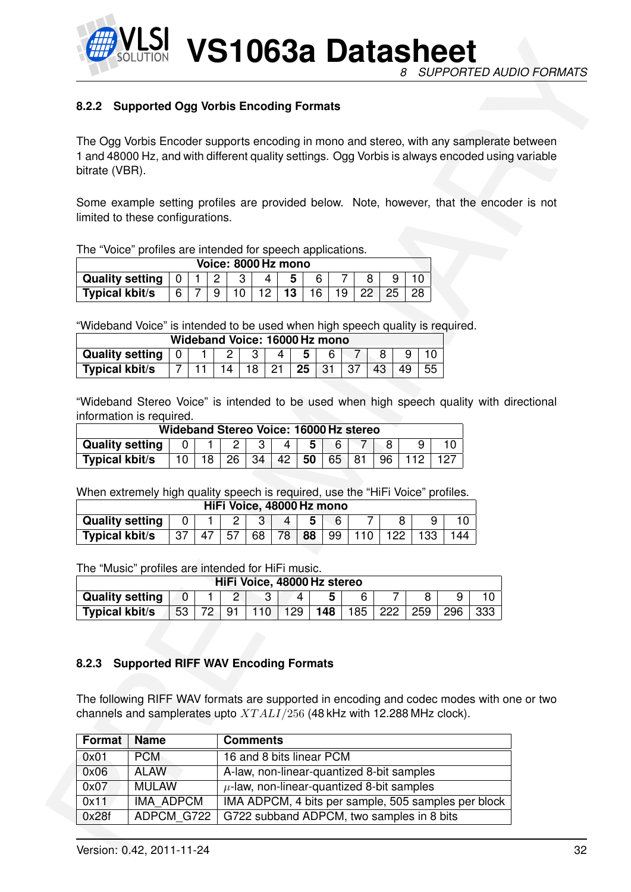![](_page_31_Picture_0.jpeg)

#### <span id="page-31-0"></span>**8.2.2 Supported Ogg Vorbis Encoding Formats**

|                                                 |                |   | Voice: 8000 Hz mono |     |           |    |    |                 |  |
|-------------------------------------------------|----------------|---|---------------------|-----|-----------|----|----|-----------------|--|
| Quality setting $\vert 0 \vert 1 \vert 2 \vert$ |                |   |                     | 4 I | 5.        |    |    |                 |  |
| <b>Typical kbit/s</b>                           | 6 <sup>1</sup> | 9 | $101$ .             |     | $12$   13 | 16 | 19 | 22 <sub>1</sub> |  |

|                                                                            | Wideband Voice: 16000 Hz mono |  |  |  |                 |                 |
|----------------------------------------------------------------------------|-------------------------------|--|--|--|-----------------|-----------------|
| Quality setting   0   1   2   3   4   5   6   7                            |                               |  |  |  | $8 \mid 9 \mid$ |                 |
| Typical kbit/s       7   11   14   18   21   <b>25  </b> 31   37   43   49 |                               |  |  |  |                 | 55 <sub>1</sub> |

|                        |    |    | Wideband Stereo Voice: 16000 Hz stereo |    |    |    |     |  |
|------------------------|----|----|----------------------------------------|----|----|----|-----|--|
| <b>Quality setting</b> |    |    |                                        |    | 5  |    |     |  |
| <b>Typical kbit/s</b>  | 18 | 26 | -34                                    | 42 | 50 | 65 | 96. |  |

|                        |     |    |    | HiFi Voice, 48000 Hz mono |              |    |    |                            |     |     |     |
|------------------------|-----|----|----|---------------------------|--------------|----|----|----------------------------|-----|-----|-----|
| <b>Quality setting</b> |     |    |    |                           | $\mathbf{A}$ | 5  |    |                            |     |     |     |
| <b>Typical kbit/s</b>  | -37 | 47 | 57 | 68                        | 78           | 88 | 99 | $^{\prime}$ 110 $_{\odot}$ | 122 | 133 | 144 |

|                        |    |    |     | HiFi Voice, 48000 Hz stereo |     |      |     |     |     |
|------------------------|----|----|-----|-----------------------------|-----|------|-----|-----|-----|
| <b>Quality setting</b> |    |    |     |                             |     |      |     |     |     |
| <b>Typical kbit/s</b>  | 53 | 91 | 129 | 148                         | 185 | -222 | 259 | 296 | 333 |

#### <span id="page-31-1"></span>**8.2.3 Supported RIFF WAV Encoding Formats**

|                                                                                                                                                                               | 8.2.2 Supported Ogg Vorbis Encoding Formats |                 |                     |                |                                                |     |    |                                                                                               |                 |    |     |                                           |                                                     |     |  |  |
|-------------------------------------------------------------------------------------------------------------------------------------------------------------------------------|---------------------------------------------|-----------------|---------------------|----------------|------------------------------------------------|-----|----|-----------------------------------------------------------------------------------------------|-----------------|----|-----|-------------------------------------------|-----------------------------------------------------|-----|--|--|
|                                                                                                                                                                               |                                             |                 |                     |                |                                                |     |    |                                                                                               |                 |    |     |                                           |                                                     |     |  |  |
| The Ogg Vorbis Encoder supports encoding in mono and stereo, with any samplerate between                                                                                      |                                             |                 |                     |                |                                                |     |    |                                                                                               |                 |    |     |                                           |                                                     |     |  |  |
| 1 and 48000 Hz, and with different quality settings. Ogg Vorbis is always encoded using variable                                                                              |                                             |                 |                     |                |                                                |     |    |                                                                                               |                 |    |     |                                           |                                                     |     |  |  |
| bitrate (VBR).                                                                                                                                                                |                                             |                 |                     |                |                                                |     |    |                                                                                               |                 |    |     |                                           |                                                     |     |  |  |
|                                                                                                                                                                               |                                             |                 |                     |                |                                                |     |    |                                                                                               |                 |    |     |                                           |                                                     |     |  |  |
| Some example setting profiles are provided below. Note, however, that the encoder is not                                                                                      |                                             |                 |                     |                |                                                |     |    |                                                                                               |                 |    |     |                                           |                                                     |     |  |  |
| limited to these configurations.                                                                                                                                              |                                             |                 |                     |                |                                                |     |    |                                                                                               |                 |    |     |                                           |                                                     |     |  |  |
|                                                                                                                                                                               |                                             |                 |                     |                |                                                |     |    |                                                                                               |                 |    |     |                                           |                                                     |     |  |  |
| The "Voice" profiles are intended for speech applications.                                                                                                                    |                                             |                 |                     |                | Voice: 8000 Hz mono                            |     |    |                                                                                               |                 |    |     |                                           |                                                     |     |  |  |
| <b>Quality setting</b>                                                                                                                                                        |                                             | 0               | $\overline{c}$<br>1 | 3              | $\overline{4}$                                 | 5   |    | 6                                                                                             | 7               | 8  | 9   | 10                                        |                                                     |     |  |  |
| <b>Typical kbit/s</b>                                                                                                                                                         |                                             | 6               | $\overline{7}$<br>9 | 10             | 12 <sub>2</sub>                                | 13  | 16 | 19                                                                                            | $\overline{22}$ |    | 25  | 28                                        |                                                     |     |  |  |
|                                                                                                                                                                               |                                             |                 |                     |                |                                                |     |    |                                                                                               |                 |    |     |                                           |                                                     |     |  |  |
| "Wideband Voice" is intended to be used when high speech quality is required.                                                                                                 |                                             |                 |                     |                |                                                |     |    |                                                                                               |                 |    |     |                                           |                                                     |     |  |  |
|                                                                                                                                                                               |                                             |                 |                     |                | Wideband Voice: 16000 Hz mono                  |     |    |                                                                                               |                 |    |     |                                           |                                                     |     |  |  |
| <b>Quality setting</b>                                                                                                                                                        |                                             | $\mathbf 0$     | 1                   | $\overline{c}$ | 3                                              | 4   | 5  | 6                                                                                             | $\overline{7}$  | 8  |     | 9<br>10                                   |                                                     |     |  |  |
| <b>Typical kbit/s</b>                                                                                                                                                         |                                             | $\overline{7}$  | 11                  | 14             | 18                                             | 21  | 25 | 31                                                                                            | 37              | 43 | 49  | 55                                        |                                                     |     |  |  |
| <b>Quality setting</b>                                                                                                                                                        |                                             | 0               |                     | 2              | Wideband Stereo Voice: 16000 Hz stereo<br>3    | 4   | 5  | "Wideband Stereo Voice" is intended to be used when high speech quality with directional<br>6 | 7               |    | 8   | 9                                         | 10                                                  |     |  |  |
| information is required.<br><b>Typical kbit/s</b>                                                                                                                             |                                             | 10 <sup>°</sup> | 18                  | 26             | 34                                             | 42  | 50 | 65                                                                                            | 81              | 96 |     | 112                                       | 127                                                 |     |  |  |
| When extremely high quality speech is required, use the "HiFi Voice" profiles.                                                                                                |                                             |                 |                     |                | HiFi Voice, 48000 Hz mono                      |     |    |                                                                                               |                 |    |     |                                           |                                                     |     |  |  |
| <b>Quality setting</b>                                                                                                                                                        |                                             | 0               |                     | $\overline{c}$ | 3                                              | 4   | 5  | 6                                                                                             |                 | 7  | 8   | 9                                         | 10                                                  |     |  |  |
| <b>Typical kbit/s</b>                                                                                                                                                         |                                             | 37              | 47                  | 57             | 68                                             | 78  | 88 | 99                                                                                            | 110             |    | 122 | 133                                       | 144                                                 |     |  |  |
|                                                                                                                                                                               |                                             |                 |                     |                |                                                |     |    |                                                                                               |                 |    |     |                                           |                                                     |     |  |  |
|                                                                                                                                                                               |                                             |                 |                     |                |                                                |     |    |                                                                                               |                 |    |     |                                           |                                                     |     |  |  |
| The "Music" profiles are intended for HiFi music.                                                                                                                             |                                             |                 |                     |                | HiFi Voice, 48000 Hz stereo                    |     |    |                                                                                               |                 |    |     |                                           |                                                     |     |  |  |
| <b>Quality setting</b>                                                                                                                                                        |                                             | $\overline{0}$  |                     | 2              | 3                                              |     | 4  | 5                                                                                             | 6               |    | 7   | 8                                         | 9                                                   | 10  |  |  |
| <b>Typical kbit/s</b>                                                                                                                                                         |                                             | $\overline{53}$ | 72                  | 91             | 110                                            | 129 |    | 148                                                                                           | 185             |    | 222 | 259                                       | 296                                                 | 333 |  |  |
|                                                                                                                                                                               |                                             |                 |                     |                |                                                |     |    |                                                                                               |                 |    |     |                                           |                                                     |     |  |  |
|                                                                                                                                                                               |                                             |                 |                     |                |                                                |     |    |                                                                                               |                 |    |     |                                           |                                                     |     |  |  |
| 8.2.3                                                                                                                                                                         | <b>Supported RIFF WAV Encoding Formats</b>  |                 |                     |                |                                                |     |    |                                                                                               |                 |    |     |                                           |                                                     |     |  |  |
|                                                                                                                                                                               |                                             |                 |                     |                |                                                |     |    |                                                                                               |                 |    |     |                                           |                                                     |     |  |  |
|                                                                                                                                                                               |                                             |                 |                     |                |                                                |     |    |                                                                                               |                 |    |     |                                           |                                                     |     |  |  |
|                                                                                                                                                                               |                                             |                 |                     |                |                                                |     |    |                                                                                               |                 |    |     |                                           |                                                     |     |  |  |
| Format                                                                                                                                                                        | <b>Name</b>                                 |                 |                     |                | <b>Comments</b>                                |     |    |                                                                                               |                 |    |     |                                           |                                                     |     |  |  |
| The following RIFF WAV formats are supported in encoding and codec modes with one or two<br>channels and samplerates upto $XTALI/256$ (48 kHz with 12.288 MHz clock).<br>0x01 | <b>PCM</b>                                  |                 |                     |                | 16 and 8 bits linear PCM                       |     |    |                                                                                               |                 |    |     |                                           |                                                     |     |  |  |
| 0x06                                                                                                                                                                          | <b>ALAW</b>                                 |                 |                     |                |                                                |     |    |                                                                                               |                 |    |     | A-law, non-linear-quantized 8-bit samples |                                                     |     |  |  |
| 0x07<br>0x11                                                                                                                                                                  | <b>MULAW</b><br>IMA ADPCM                   |                 |                     |                | $\mu$ -law, non-linear-quantized 8-bit samples |     |    |                                                                                               |                 |    |     |                                           | IMA ADPCM, 4 bits per sample, 505 samples per block |     |  |  |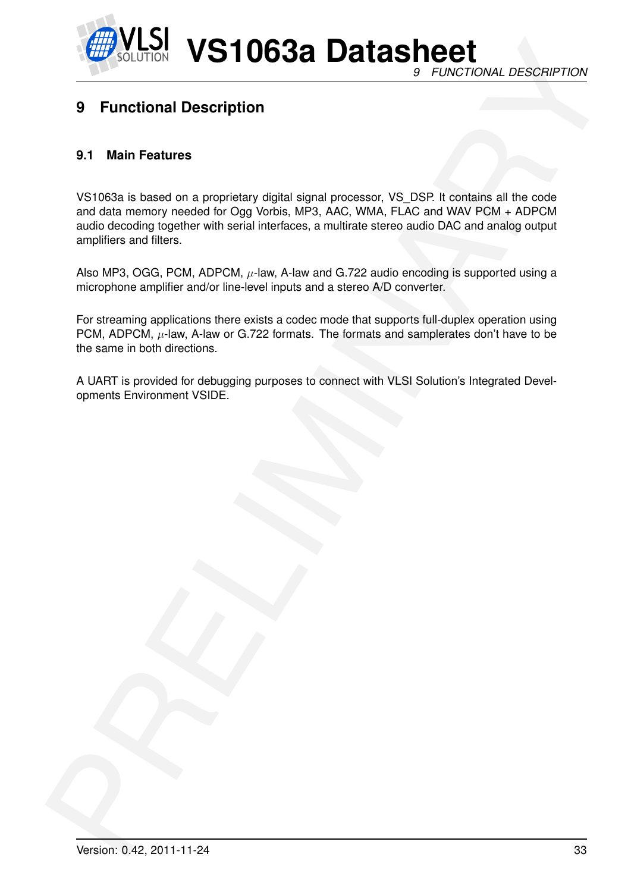![](_page_32_Picture_0.jpeg)

## <span id="page-32-0"></span>**9 Functional Description**

#### <span id="page-32-1"></span>**9.1 Main Features**

**Example 10 VS10638 Datasheet**<br>
9 Functional Description<br>
9 Functional Description<br>
9 Functional Description<br>
9 Functional Description<br>
2013 a Gas and columnary condition Ogy signal signal processor. YS DS in to call the c VS1063a is based on a proprietary digital signal processor, VS\_DSP. It contains all the code and data memory needed for Ogg Vorbis, MP3, AAC, WMA, FLAC and WAV PCM + ADPCM audio decoding together with serial interfaces, a multirate stereo audio DAC and analog output amplifiers and filters.

Also MP3, OGG, PCM, ADPCM,  $\mu$ -law, A-law and G.722 audio encoding is supported using a microphone amplifier and/or line-level inputs and a stereo A/D converter.

For streaming applications there exists a codec mode that supports full-duplex operation using PCM, ADPCM,  $\mu$ -law, A-law or G.722 formats. The formats and samplerates don't have to be the same in both directions.

A UART is provided for debugging purposes to connect with VLSI Solution's Integrated Developments Environment VSIDE.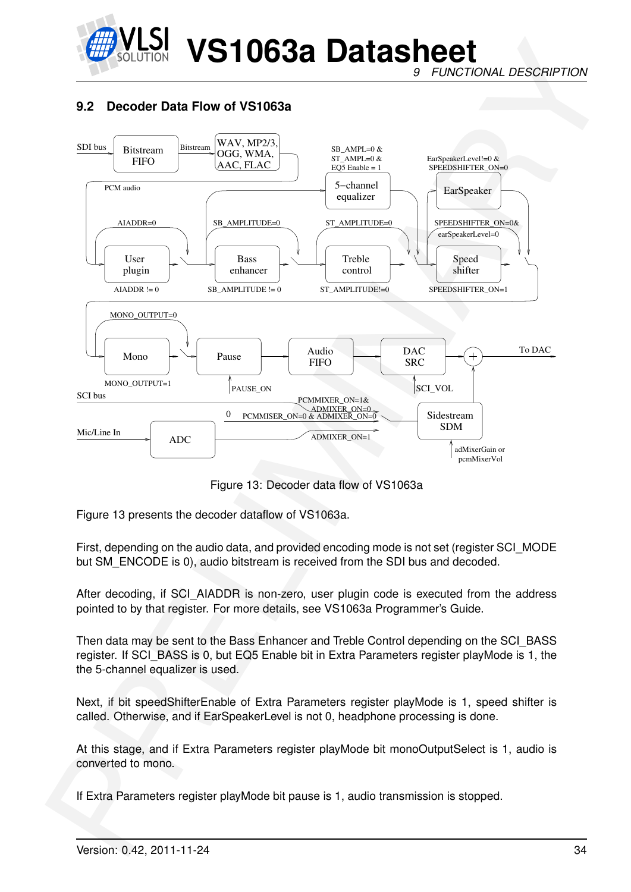![](_page_33_Picture_0.jpeg)

*9 FUNCTIONAL DESCRIPTION*

#### <span id="page-33-0"></span>**9.2 Decoder Data Flow of VS1063a**

![](_page_33_Figure_4.jpeg)

<span id="page-33-1"></span>Figure 13: Decoder data flow of VS1063a

Figure 13 presents the decoder dataflow of VS1063a.

First, depending on the audio data, and provided encoding mode is not set (register SCI\_MODE but SM\_ENCODE is 0), audio bitstream is received from the SDI bus and decoded.

After decoding, if SCI\_AIADDR is non-zero, user plugin code is executed from the address pointed to by that register. For more details, see VS1063a Programmer's Guide.

Then data may be sent to the Bass Enhancer and Treble Control depending on the SCI\_BASS register. If SCI\_BASS is 0, but EQ5 Enable bit in Extra Parameters register playMode is 1, the the 5-channel equalizer is used.

Next, if bit speedShifterEnable of Extra Parameters register playMode is 1, speed shifter is called. Otherwise, and if EarSpeakerLevel is not 0, headphone processing is done.

At this stage, and if Extra Parameters register playMode bit monoOutputSelect is 1, audio is converted to mono.

If Extra Parameters register playMode bit pause is 1, audio transmission is stopped.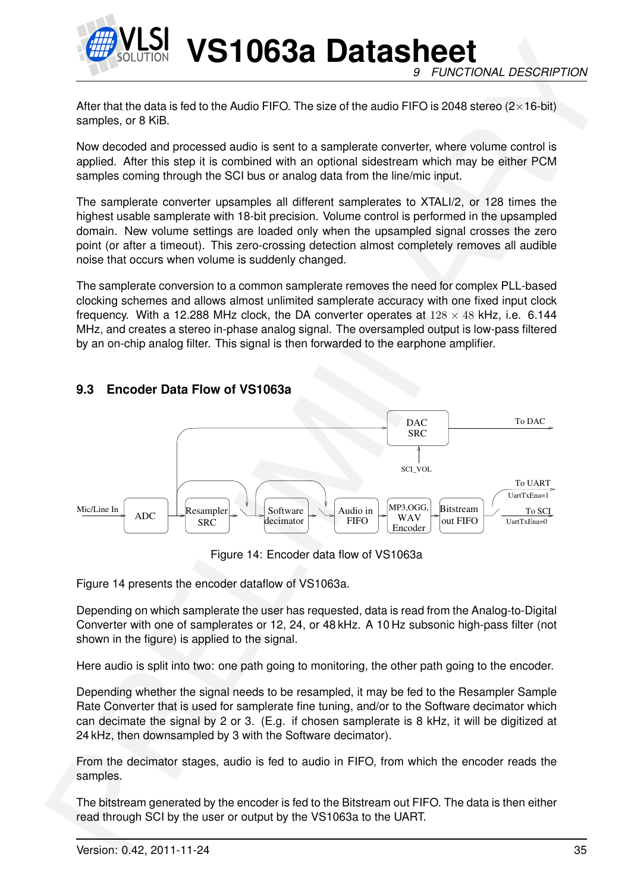![](_page_34_Picture_0.jpeg)

**VS1063a Datasheet** *9 FUNCTIONAL DESCRIPTION*

After that the data is fed to the Audio FIFO. The size of the audio FIFO is 2048 stereo ( $2\times16$ -bit) samples, or 8 KiB.

Now decoded and processed audio is sent to a samplerate converter, where volume control is applied. After this step it is combined with an optional sidestream which may be either PCM samples coming through the SCI bus or analog data from the line/mic input.

The samplerate converter upsamples all different samplerates to XTALI/2, or 128 times the highest usable samplerate with 18-bit precision. Volume control is performed in the upsampled domain. New volume settings are loaded only when the upsampled signal crosses the zero point (or after a timeout). This zero-crossing detection almost completely removes all audible noise that occurs when volume is suddenly changed.

The samplerate conversion to a common samplerate removes the need for complex PLL-based clocking schemes and allows almost unlimited samplerate accuracy with one fixed input clock frequency. With a 12.288 MHz clock, the DA converter operates at  $128 \times 48$  kHz, i.e. 6.144 MHz, and creates a stereo in-phase analog signal. The oversampled output is low-pass filtered by an on-chip analog filter. This signal is then forwarded to the earphone amplifier.

![](_page_34_Figure_6.jpeg)

#### <span id="page-34-0"></span>**9.3 Encoder Data Flow of VS1063a**

<span id="page-34-1"></span>Figure 14: Encoder data flow of VS1063a

Figure 14 presents the encoder dataflow of VS1063a.

Depending on which samplerate the user has requested, data is read from the Analog-to-Digital Converter with one of samplerates or 12, 24, or 48 kHz. A 10 Hz subsonic high-pass filter (not shown in the figure) is applied to the signal.

Here audio is split into two: one path going to monitoring, the other path going to the encoder.

Depending whether the signal needs to be resampled, it may be fed to the Resampler Sample Rate Converter that is used for samplerate fine tuning, and/or to the Software decimator which can decimate the signal by 2 or 3. (E.g. if chosen samplerate is 8 kHz, it will be digitized at 24 kHz, then downsampled by 3 with the Software decimator).

From the decimator stages, audio is fed to audio in FIFO, from which the encoder reads the samples.

The bitstream generated by the encoder is fed to the Bitstream out FIFO. The data is then either read through SCI by the user or output by the VS1063a to the UART.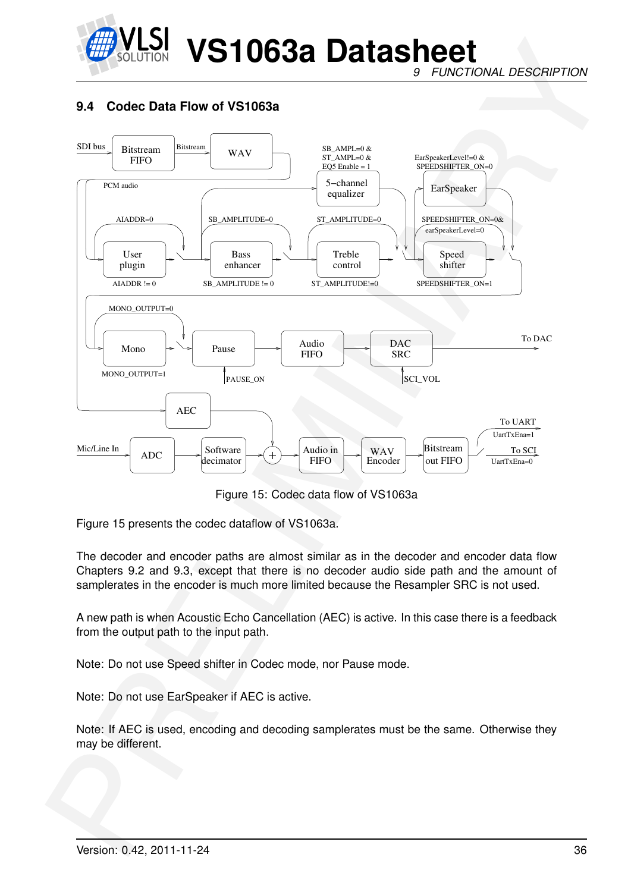![](_page_35_Picture_0.jpeg)

*9 FUNCTIONAL DESCRIPTION*

#### <span id="page-35-0"></span>**9.4 Codec Data Flow of VS1063a**

![](_page_35_Figure_4.jpeg)

<span id="page-35-1"></span>Figure 15: Codec data flow of VS1063a

Figure 15 presents the codec dataflow of VS1063a.

The decoder and encoder paths are almost similar as in the decoder and encoder data flow Chapters 9.2 and 9.3, except that there is no decoder audio side path and the amount of samplerates in the encoder is much more limited because the Resampler SRC is not used.

A new path is when Acoustic Echo Cancellation (AEC) is active. In this case there is a feedback from the output path to the input path.

Note: Do not use Speed shifter in Codec mode, nor Pause mode.

Note: Do not use EarSpeaker if AEC is active.

Note: If AEC is used, encoding and decoding samplerates must be the same. Otherwise they may be different.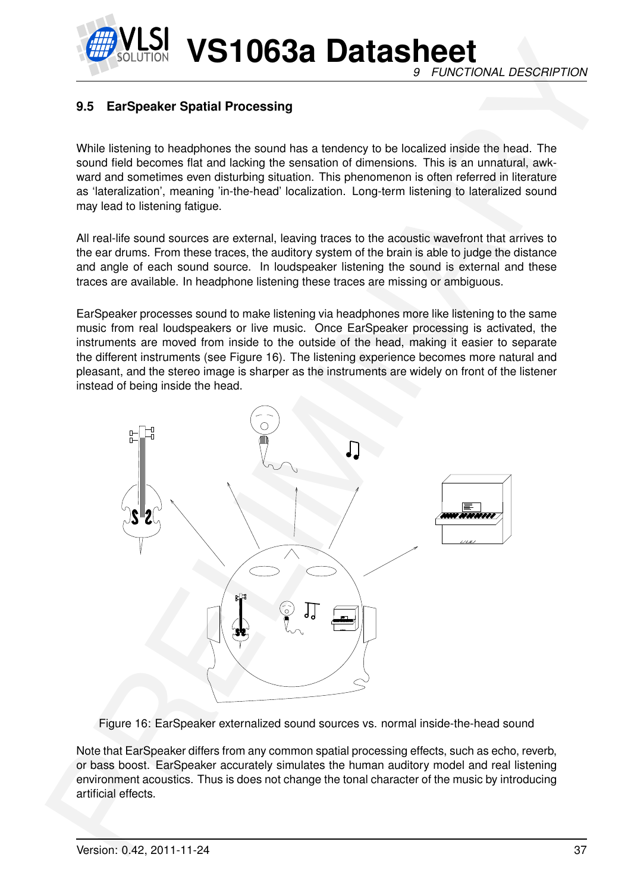**VS1063a Datasheet** *9 FUNCTIONAL DESCRIPTION*

# **9.5 EarSpeaker Spatial Processing**

While listening to headphones the sound has a tendency to be localized inside the head. The sound field becomes flat and lacking the sensation of dimensions. This is an unnatural, awkward and sometimes even disturbing situation. This phenomenon is often referred in literature as 'lateralization', meaning 'in-the-head' localization. Long-term listening to lateralized sound may lead to listening fatigue.

All real-life sound sources are external, leaving traces to the acoustic wavefront that arrives to the ear drums. From these traces, the auditory system of the brain is able to judge the distance and angle of each sound source. In loudspeaker listening the sound is external and these traces are available. In headphone listening these traces are missing or ambiguous.

EarSpeaker processes sound to make listening via headphones more like listening to the same music from real loudspeakers or live music. Once EarSpeaker processing is activated, the instruments are moved from inside to the outside of the head, making it easier to separate the different instruments (see Figure 16). The listening experience becomes more natural and pleasant, and the stereo image is sharper as the instruments are widely on front of the listener instead of being inside the head.



<span id="page-36-0"></span>Figure 16: EarSpeaker externalized sound sources vs. normal inside-the-head sound

Note that EarSpeaker differs from any common spatial processing effects, such as echo, reverb, or bass boost. EarSpeaker accurately simulates the human auditory model and real listening environment acoustics. Thus is does not change the tonal character of the music by introducing artificial effects.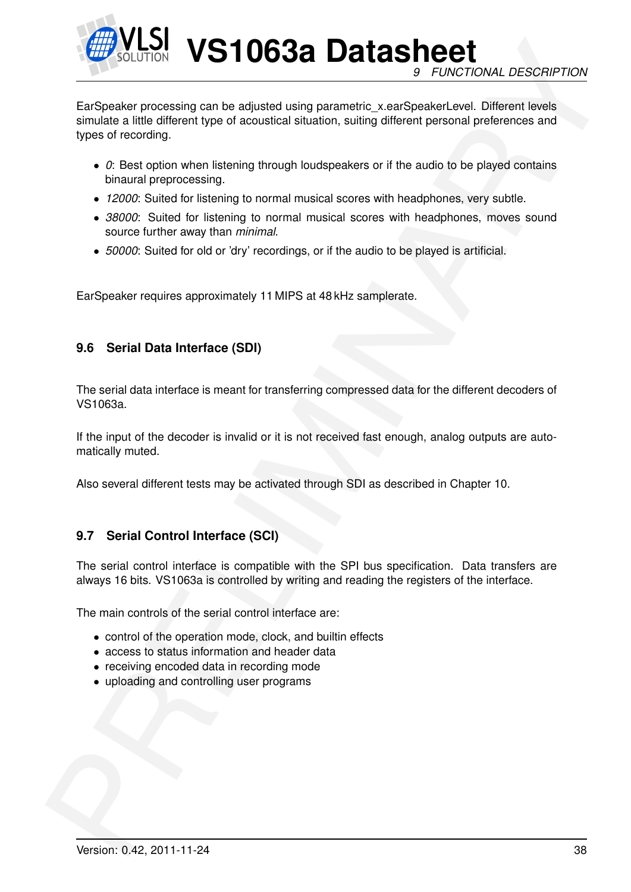

**VS1063a Datasheet** *9 FUNCTIONAL DESCRIPTION*

Example the model of the model of the control of the Character process of Figure 2007<br>
Earl Society processing can be adjusted using parametric, x and Specifical Cities on a Figure of social Cities and the district proper EarSpeaker processing can be adjusted using parametric\_x.earSpeakerLevel. Different levels simulate a little different type of acoustical situation, suiting different personal preferences and types of recording.

- *0*: Best option when listening through loudspeakers or if the audio to be played contains binaural preprocessing.
- *12000*: Suited for listening to normal musical scores with headphones, very subtle.
- *38000*: Suited for listening to normal musical scores with headphones, moves sound source further away than *minimal*.
- *50000*: Suited for old or 'dry' recordings, or if the audio to be played is artificial.

EarSpeaker requires approximately 11 MIPS at 48 kHz samplerate.

# **9.6 Serial Data Interface (SDI)**

The serial data interface is meant for transferring compressed data for the different decoders of VS1063a.

If the input of the decoder is invalid or it is not received fast enough, analog outputs are automatically muted.

Also several different tests may be activated through SDI as described in Chapter 10.

# **9.7 Serial Control Interface (SCI)**

The serial control interface is compatible with the SPI bus specification. Data transfers are always 16 bits. VS1063a is controlled by writing and reading the registers of the interface.

The main controls of the serial control interface are:

- control of the operation mode, clock, and builtin effects
- access to status information and header data
- receiving encoded data in recording mode
- uploading and controlling user programs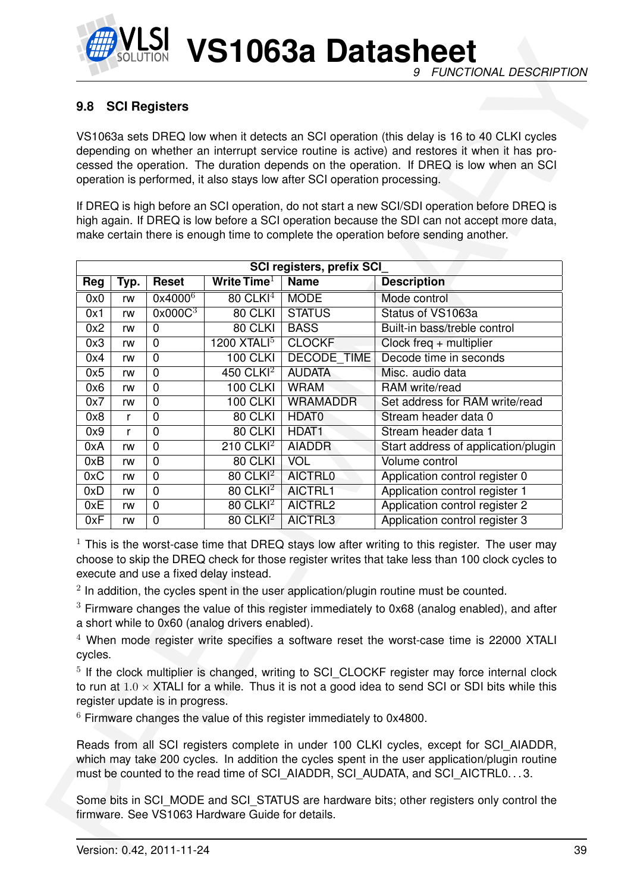

# <span id="page-38-0"></span>**9.8 SCI Registers**

| 9.8        |          | <b>SCI Registers</b>            |                                                                                           |                                                                           |                                                                                                                                                                                                                                                                                                                                                                                                                                                                                                                                                                                                               |    |
|------------|----------|---------------------------------|-------------------------------------------------------------------------------------------|---------------------------------------------------------------------------|---------------------------------------------------------------------------------------------------------------------------------------------------------------------------------------------------------------------------------------------------------------------------------------------------------------------------------------------------------------------------------------------------------------------------------------------------------------------------------------------------------------------------------------------------------------------------------------------------------------|----|
|            |          |                                 |                                                                                           |                                                                           | VS1063a sets DREQ low when it detects an SCI operation (this delay is 16 to 40 CLKI cycles<br>depending on whether an interrupt service routine is active) and restores it when it has pro-                                                                                                                                                                                                                                                                                                                                                                                                                   |    |
|            |          |                                 |                                                                                           |                                                                           | cessed the operation. The duration depends on the operation. If DREQ is low when an SCI                                                                                                                                                                                                                                                                                                                                                                                                                                                                                                                       |    |
|            |          |                                 |                                                                                           | operation is performed, it also stays low after SCI operation processing. |                                                                                                                                                                                                                                                                                                                                                                                                                                                                                                                                                                                                               |    |
|            |          |                                 |                                                                                           |                                                                           | If DREQ is high before an SCI operation, do not start a new SCI/SDI operation before DREQ is                                                                                                                                                                                                                                                                                                                                                                                                                                                                                                                  |    |
|            |          |                                 |                                                                                           |                                                                           | high again. If DREQ is low before a SCI operation because the SDI can not accept more data,                                                                                                                                                                                                                                                                                                                                                                                                                                                                                                                   |    |
|            |          |                                 |                                                                                           |                                                                           | make certain there is enough time to complete the operation before sending another.                                                                                                                                                                                                                                                                                                                                                                                                                                                                                                                           |    |
|            |          |                                 |                                                                                           |                                                                           |                                                                                                                                                                                                                                                                                                                                                                                                                                                                                                                                                                                                               |    |
|            |          |                                 |                                                                                           | SCI registers, prefix SCI                                                 |                                                                                                                                                                                                                                                                                                                                                                                                                                                                                                                                                                                                               |    |
| Reg        | Typ.     | <b>Reset</b>                    | Write Time $1$                                                                            | <b>Name</b>                                                               | <b>Description</b>                                                                                                                                                                                                                                                                                                                                                                                                                                                                                                                                                                                            |    |
| 0x0        | rw       | $0x4000^6$                      | $80$ CLKI $4$                                                                             | <b>MODE</b>                                                               | Mode control                                                                                                                                                                                                                                                                                                                                                                                                                                                                                                                                                                                                  |    |
| 0x1        | rw       | $0x000C^3$                      | 80 CLKI                                                                                   | <b>STATUS</b>                                                             | Status of VS1063a                                                                                                                                                                                                                                                                                                                                                                                                                                                                                                                                                                                             |    |
| 0x2        | rw       | $\overline{0}$                  | 80 CLKI                                                                                   | <b>BASS</b>                                                               | Built-in bass/treble control                                                                                                                                                                                                                                                                                                                                                                                                                                                                                                                                                                                  |    |
| 0x3        | rw       | 0                               | 1200 $XTALI5$                                                                             | <b>CLOCKF</b>                                                             | Clock freq $+$ multiplier                                                                                                                                                                                                                                                                                                                                                                                                                                                                                                                                                                                     |    |
| 0x4<br>0x5 | rw       | $\mathbf 0$<br>$\mathbf 0$      | <b>100 CLKI</b><br>$450$ CLKI <sup>2</sup>                                                | <b>DECODE TIME</b><br><b>AUDATA</b>                                       | Decode time in seconds<br>Misc. audio data                                                                                                                                                                                                                                                                                                                                                                                                                                                                                                                                                                    |    |
| 0x6        | rw<br>rw | 0                               | <b>100 CLKI</b>                                                                           | <b>WRAM</b>                                                               | RAM write/read                                                                                                                                                                                                                                                                                                                                                                                                                                                                                                                                                                                                |    |
| 0x7        | rw       | $\mathbf 0$                     | <b>100 CLKI</b>                                                                           | <b>WRAMADDR</b>                                                           | Set address for RAM write/read                                                                                                                                                                                                                                                                                                                                                                                                                                                                                                                                                                                |    |
| 0x8        | r        | $\mathbf 0$                     | 80 CLKI                                                                                   | HDAT0                                                                     | Stream header data 0                                                                                                                                                                                                                                                                                                                                                                                                                                                                                                                                                                                          |    |
| 0x9        | r        | $\pmb{0}$                       | 80 CLKI                                                                                   | HDAT <sub>1</sub>                                                         | Stream header data 1                                                                                                                                                                                                                                                                                                                                                                                                                                                                                                                                                                                          |    |
| 0xA        | rw       | $\mathbf 0$                     | $210$ CLKI <sup>2</sup>                                                                   | <b>AIADDR</b>                                                             | Start address of application/plugin                                                                                                                                                                                                                                                                                                                                                                                                                                                                                                                                                                           |    |
| 0xB        | rw       | $\overline{0}$                  | 80 CLKI                                                                                   | VOL                                                                       | Volume control                                                                                                                                                                                                                                                                                                                                                                                                                                                                                                                                                                                                |    |
| 0xC        | rw       | $\pmb{0}$                       | $80$ CLKI <sup>2</sup>                                                                    | <b>AICTRL0</b>                                                            | Application control register 0                                                                                                                                                                                                                                                                                                                                                                                                                                                                                                                                                                                |    |
| 0xD        | rw       | $\pmb{0}$                       | $80$ CLKI $^2$                                                                            | AICTRL1                                                                   | Application control register 1                                                                                                                                                                                                                                                                                                                                                                                                                                                                                                                                                                                |    |
| 0xE        | rw       | $\mathbf 0$                     | 80 CLKI $^2$                                                                              | AICTRL2                                                                   | Application control register 2                                                                                                                                                                                                                                                                                                                                                                                                                                                                                                                                                                                |    |
| 0xF        | rw       | 0                               | $80$ CLKI <sup>2</sup>                                                                    | AICTRL3                                                                   | Application control register 3                                                                                                                                                                                                                                                                                                                                                                                                                                                                                                                                                                                |    |
| cycles.    |          |                                 | execute and use a fixed delay instead.<br>a short while to 0x60 (analog drivers enabled). |                                                                           | $1$ This is the worst-case time that DREQ stays low after writing to this register. The user may<br>choose to skip the DREQ check for those register writes that take less than 100 clock cycles to<br>$2$ In addition, the cycles spent in the user application/plugin routine must be counted.<br>$3$ Firmware changes the value of this register immediately to 0x68 (analog enabled), and after<br>$4$ When mode register write specifies a software reset the worst-case time is 22000 XTALI<br><sup>5</sup> If the clock multiplier is changed, writing to SCI_CLOCKF register may force internal clock |    |
|            |          | register update is in progress. |                                                                                           | $6$ Firmware changes the value of this register immediately to 0x4800.    | to run at $1.0 \times$ XTALI for a while. Thus it is not a good idea to send SCI or SDI bits while this                                                                                                                                                                                                                                                                                                                                                                                                                                                                                                       |    |
|            |          |                                 |                                                                                           |                                                                           | Reads from all SCI registers complete in under 100 CLKI cycles, except for SCI AIADDR,<br>which may take 200 cycles. In addition the cycles spent in the user application/plugin routine<br>must be counted to the read time of SCI_AIADDR, SCI_AUDATA, and SCI_AICTRL03.                                                                                                                                                                                                                                                                                                                                     |    |
|            |          |                                 | firmware. See VS1063 Hardware Guide for details.                                          |                                                                           | Some bits in SCI_MODE and SCI_STATUS are hardware bits; other registers only control the                                                                                                                                                                                                                                                                                                                                                                                                                                                                                                                      |    |
|            |          | Version: 0.42, 2011-11-24       |                                                                                           |                                                                           |                                                                                                                                                                                                                                                                                                                                                                                                                                                                                                                                                                                                               | 39 |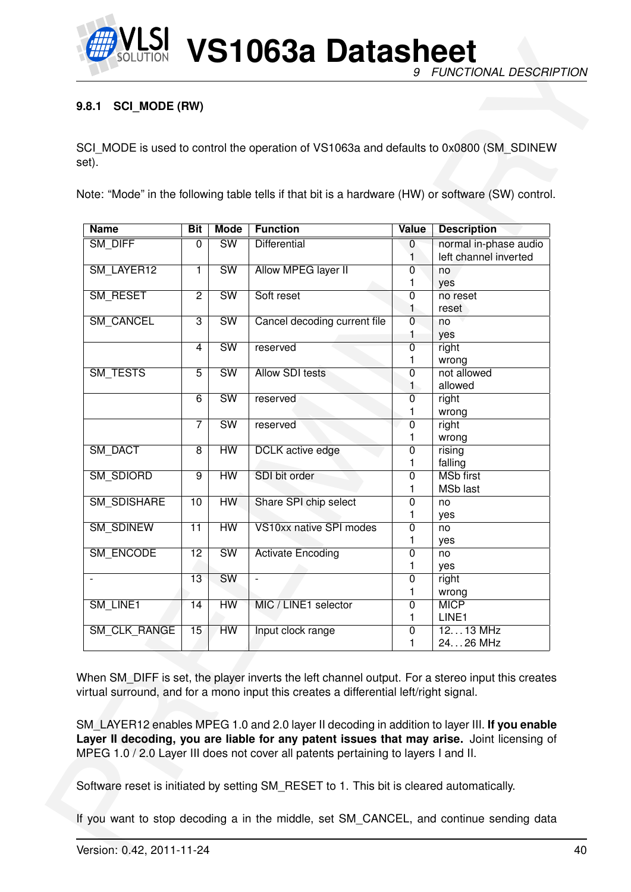

# <span id="page-39-0"></span>**9.8.1 SCI\_MODE (RW)**

| set).                    |                 |                        | SCI_MODE is used to control the operation of VS1063a and defaults to 0x0800 (SM_SDINEW                                                                                                                                                                                                                                                                                                                                                                                         |                     |                                                |
|--------------------------|-----------------|------------------------|--------------------------------------------------------------------------------------------------------------------------------------------------------------------------------------------------------------------------------------------------------------------------------------------------------------------------------------------------------------------------------------------------------------------------------------------------------------------------------|---------------------|------------------------------------------------|
|                          |                 |                        | Note: "Mode" in the following table tells if that bit is a hardware (HW) or software (SW) control.                                                                                                                                                                                                                                                                                                                                                                             |                     |                                                |
| <b>Name</b>              | Bit             | <b>Mode</b>            | <b>Function</b>                                                                                                                                                                                                                                                                                                                                                                                                                                                                | Value               | <b>Description</b>                             |
| <b>SM DIFF</b>           | $\overline{0}$  | SW                     | <b>Differential</b>                                                                                                                                                                                                                                                                                                                                                                                                                                                            | 0                   | normal in-phase audio<br>left channel inverted |
| SM_LAYER12               | 1               | $\overline{\text{SW}}$ | <b>Allow MPEG layer II</b>                                                                                                                                                                                                                                                                                                                                                                                                                                                     | 0                   | no                                             |
|                          |                 |                        |                                                                                                                                                                                                                                                                                                                                                                                                                                                                                | 1                   | yes                                            |
| <b>SM RESET</b>          | $\overline{2}$  | $\overline{\text{SW}}$ | Soft reset                                                                                                                                                                                                                                                                                                                                                                                                                                                                     | 0                   | no reset                                       |
|                          |                 |                        |                                                                                                                                                                                                                                                                                                                                                                                                                                                                                | 1                   | reset                                          |
| <b>SM CANCEL</b>         | $\overline{3}$  | $\overline{\text{SW}}$ | Cancel decoding current file                                                                                                                                                                                                                                                                                                                                                                                                                                                   | 0<br>1              | no<br>yes                                      |
|                          | 4               | $\overline{\text{SW}}$ | reserved                                                                                                                                                                                                                                                                                                                                                                                                                                                                       | $\mathbf 0$         | right                                          |
|                          |                 |                        |                                                                                                                                                                                                                                                                                                                                                                                                                                                                                | 1                   | wrong                                          |
| <b>SM TESTS</b>          | $\overline{5}$  | $\overline{\text{SW}}$ | <b>Allow SDI tests</b>                                                                                                                                                                                                                                                                                                                                                                                                                                                         | 0                   | not allowed                                    |
|                          |                 |                        |                                                                                                                                                                                                                                                                                                                                                                                                                                                                                | 1                   | allowed                                        |
|                          | $\overline{6}$  | SW                     | reserved                                                                                                                                                                                                                                                                                                                                                                                                                                                                       | 0<br>1              | right<br>wrong                                 |
|                          | $\overline{7}$  | $\overline{\text{SW}}$ | reserved                                                                                                                                                                                                                                                                                                                                                                                                                                                                       | 0                   | right                                          |
|                          |                 |                        |                                                                                                                                                                                                                                                                                                                                                                                                                                                                                | 1                   | wrong                                          |
| SM_DACT                  | $\overline{8}$  | HW                     | <b>DCLK</b> active edge                                                                                                                                                                                                                                                                                                                                                                                                                                                        | 0                   | rising                                         |
|                          |                 |                        |                                                                                                                                                                                                                                                                                                                                                                                                                                                                                | 1                   | falling                                        |
| SM_SDIORD                | $\overline{9}$  | <b>HW</b>              | SDI bit order                                                                                                                                                                                                                                                                                                                                                                                                                                                                  | 0<br>1              | <b>MSb first</b><br><b>MSb last</b>            |
| <b>SM SDISHARE</b>       | 10              | <b>HW</b>              | Share SPI chip select                                                                                                                                                                                                                                                                                                                                                                                                                                                          | 0                   | no                                             |
|                          |                 |                        |                                                                                                                                                                                                                                                                                                                                                                                                                                                                                | Ι.                  | yes                                            |
| <b>SM SDINEW</b>         | 11              | HW                     | VS10xx native SPI modes                                                                                                                                                                                                                                                                                                                                                                                                                                                        | 0                   | no                                             |
|                          |                 | SW                     |                                                                                                                                                                                                                                                                                                                                                                                                                                                                                | 1<br>$\overline{0}$ | yes                                            |
| SM_ENCODE                | $\overline{12}$ |                        | <b>Activate Encoding</b>                                                                                                                                                                                                                                                                                                                                                                                                                                                       | 1                   | no<br>yes                                      |
| $\overline{\phantom{a}}$ | 13              | <b>SW</b>              |                                                                                                                                                                                                                                                                                                                                                                                                                                                                                | $\overline{0}$      | right                                          |
|                          |                 |                        |                                                                                                                                                                                                                                                                                                                                                                                                                                                                                | 1                   | wrong                                          |
| SM LINE1                 | 14              | HW                     | MIC / LINE1 selector                                                                                                                                                                                                                                                                                                                                                                                                                                                           | $\overline{0}$      | <b>MICP</b>                                    |
| <b>SM CLK RANGE</b>      | 15              | <b>HW</b>              | Input clock range                                                                                                                                                                                                                                                                                                                                                                                                                                                              | 1<br>$\pmb{0}$      | LINE1<br>$1213$ MHz                            |
|                          |                 |                        |                                                                                                                                                                                                                                                                                                                                                                                                                                                                                | 1                   | 2426 MHz                                       |
|                          |                 |                        | When SM_DIFF is set, the player inverts the left channel output. For a stereo input this creates<br>virtual surround, and for a mono input this creates a differential left/right signal.<br>SM_LAYER12 enables MPEG 1.0 and 2.0 layer II decoding in addition to layer III. If you enable<br>Layer II decoding, you are liable for any patent issues that may arise. Joint licensing of<br>MPEG 1.0 / 2.0 Layer III does not cover all patents pertaining to layers I and II. |                     |                                                |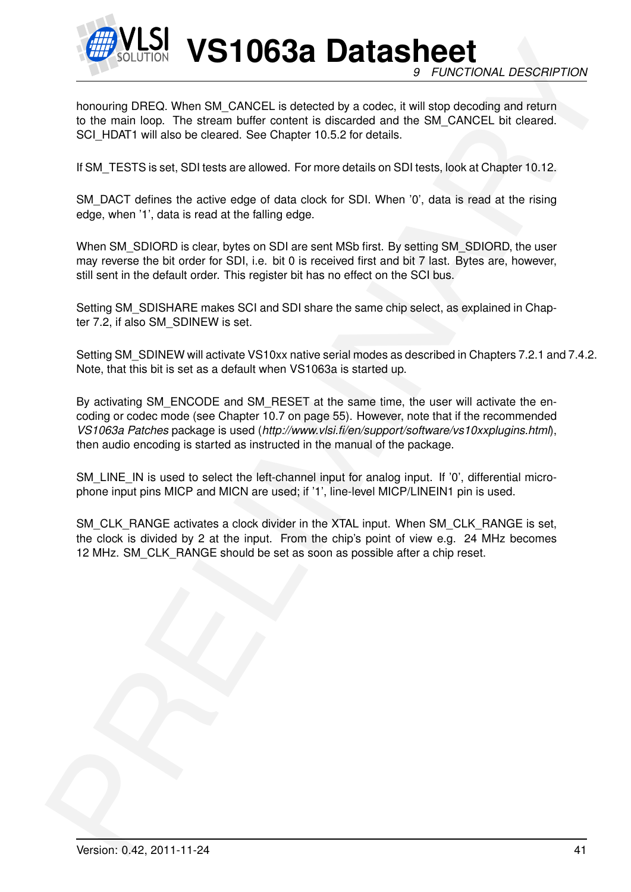

**VS1063a Datasheet** *9 FUNCTIONAL DESCRIPTION*

honouring DREQ. When SM\_CANCEL is detected by a codec, it will stop decoding and return to the main loop. The stream buffer content is discarded and the SM\_CANCEL bit cleared. SCI\_HDAT1 will also be cleared. See Chapter 10.5.2 for details.

If SM\_TESTS is set, SDI tests are allowed. For more details on SDI tests, look at Chapter 10.12.

SM\_DACT defines the active edge of data clock for SDI. When '0', data is read at the rising edge, when '1', data is read at the falling edge.

When SM\_SDIORD is clear, bytes on SDI are sent MSb first. By setting SM\_SDIORD, the user may reverse the bit order for SDI, i.e. bit 0 is received first and bit 7 last. Bytes are, however, still sent in the default order. This register bit has no effect on the SCI bus.

Setting SM\_SDISHARE makes SCI and SDI share the same chip select, as explained in Chapter 7.2, if also SM\_SDINEW is set.

Setting SM\_SDINEW will activate VS10xx native serial modes as described in Chapters 7.2.1 and 7.4.2. Note, that this bit is set as a default when VS1063a is started up.

**Example 10.12**<br>
The state of the state of the CRUCE is detected by a code it will encode online and water<br>
the formation DREQ When SM, CANCE is detected by a code it will encode<br>
to the main both the state of the state ha By activating SM\_ENCODE and SM\_RESET at the same time, the user will activate the encoding or codec mode (see Chapter 10.7 on page 55). However, note that if the recommended *VS1063a Patches* package is used (*http://www.vlsi.fi/en/support/software/vs10xxplugins.html*), then audio encoding is started as instructed in the manual of the package.

SM\_LINE\_IN is used to select the left-channel input for analog input. If '0', differential microphone input pins MICP and MICN are used; if '1', line-level MICP/LINEIN1 pin is used.

SM\_CLK\_RANGE activates a clock divider in the XTAL input. When SM\_CLK\_RANGE is set, the clock is divided by 2 at the input. From the chip's point of view e.g. 24 MHz becomes 12 MHz. SM\_CLK\_RANGE should be set as soon as possible after a chip reset.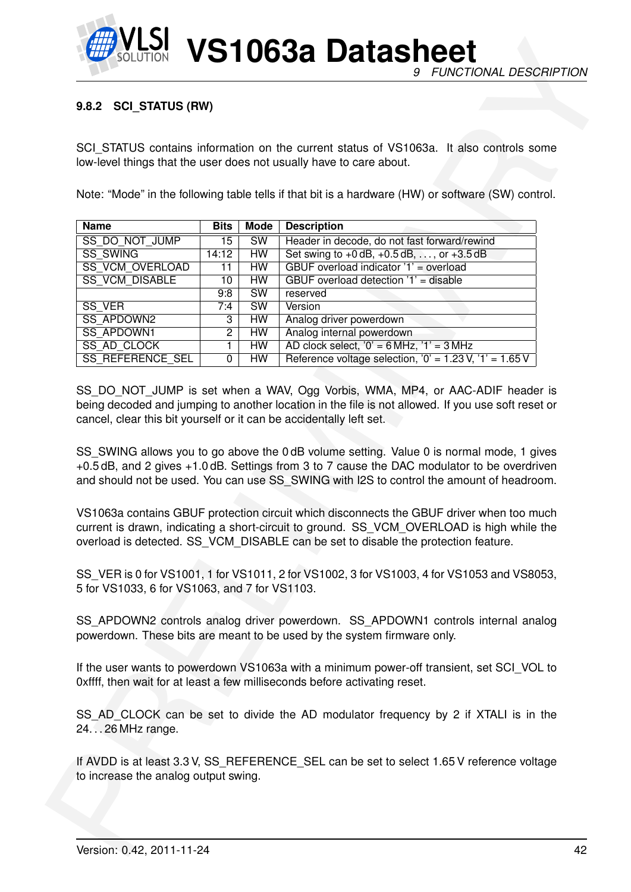

## **9.8.2 SCI\_STATUS (RW)**

|                                                                                                                      |                |                        | SCI STATUS contains information on the current status of VS1063a. It also controls some                                                                                                                                                                                                                                                                                                                                                                                    |  |
|----------------------------------------------------------------------------------------------------------------------|----------------|------------------------|----------------------------------------------------------------------------------------------------------------------------------------------------------------------------------------------------------------------------------------------------------------------------------------------------------------------------------------------------------------------------------------------------------------------------------------------------------------------------|--|
|                                                                                                                      |                |                        | low-level things that the user does not usually have to care about.                                                                                                                                                                                                                                                                                                                                                                                                        |  |
|                                                                                                                      |                |                        |                                                                                                                                                                                                                                                                                                                                                                                                                                                                            |  |
|                                                                                                                      |                |                        | Note: "Mode" in the following table tells if that bit is a hardware (HW) or software (SW) control.                                                                                                                                                                                                                                                                                                                                                                         |  |
|                                                                                                                      |                |                        |                                                                                                                                                                                                                                                                                                                                                                                                                                                                            |  |
| <b>Name</b>                                                                                                          | <b>Bits</b>    | <b>Mode</b>            | <b>Description</b>                                                                                                                                                                                                                                                                                                                                                                                                                                                         |  |
| SS DO NOT JUMP                                                                                                       | 15             | <b>SW</b>              | Header in decode, do not fast forward/rewind                                                                                                                                                                                                                                                                                                                                                                                                                               |  |
| <b>SS SWING</b>                                                                                                      | 14:12          | HW                     | Set swing to $+0$ dB, $+0.5$ dB, , or $+3.5$ dB                                                                                                                                                                                                                                                                                                                                                                                                                            |  |
| SS_VCM_OVERLOAD                                                                                                      | 11             | HW                     | GBUF overload indicator '1' = overload                                                                                                                                                                                                                                                                                                                                                                                                                                     |  |
| <b>SS_VCM_DISABLE</b>                                                                                                | 10             | HW                     | GBUF overload detection '1' = disable                                                                                                                                                                                                                                                                                                                                                                                                                                      |  |
|                                                                                                                      | 9:8            | $\overline{\text{SW}}$ | reserved                                                                                                                                                                                                                                                                                                                                                                                                                                                                   |  |
| <b>SS VER</b>                                                                                                        | 7:4            | SW                     | Version                                                                                                                                                                                                                                                                                                                                                                                                                                                                    |  |
| <b>SS APDOWN2</b>                                                                                                    | 3              | <b>HW</b>              | Analog driver powerdown                                                                                                                                                                                                                                                                                                                                                                                                                                                    |  |
| <b>SS APDOWN1</b>                                                                                                    | $\overline{2}$ | <b>HW</b>              | Analog internal powerdown                                                                                                                                                                                                                                                                                                                                                                                                                                                  |  |
| SS AD CLOCK                                                                                                          | 1              | HW                     | AD clock select, $0' = 6$ MHz, $1' = 3$ MHz                                                                                                                                                                                                                                                                                                                                                                                                                                |  |
| SS_REFERENCE_SEL                                                                                                     | 0              | <b>HW</b>              | Reference voltage selection, $'0' = 1.23 V$ , $'1' = 1.65 V$                                                                                                                                                                                                                                                                                                                                                                                                               |  |
|                                                                                                                      |                |                        | SS_DO_NOT_JUMP is set when a WAV, Ogg Vorbis, WMA, MP4, or AAC-ADIF header is<br>being decoded and jumping to another location in the file is not allowed. If you use soft reset or<br>SS SWING allows you to go above the 0 dB volume setting. Value 0 is normal mode, 1 gives<br>+0.5 dB, and 2 gives +1.0 dB. Settings from 3 to 7 cause the DAC modulator to be overdriven<br>and should not be used. You can use SS_SWING with I2S to control the amount of headroom. |  |
|                                                                                                                      |                |                        | VS1063a contains GBUF protection circuit which disconnects the GBUF driver when too much<br>current is drawn, indicating a short-circuit to ground. SS_VCM_OVERLOAD is high while the<br>overload is detected. SS_VCM_DISABLE can be set to disable the protection feature.                                                                                                                                                                                                |  |
| cancel, clear this bit yourself or it can be accidentally left set.<br>5 for VS1033, 6 for VS1063, and 7 for VS1103. |                |                        | SS_VER is 0 for VS1001, 1 for VS1011, 2 for VS1002, 3 for VS1003, 4 for VS1053 and VS8053,                                                                                                                                                                                                                                                                                                                                                                                 |  |
|                                                                                                                      |                |                        | SS_APDOWN2 controls analog driver powerdown. SS_APDOWN1 controls internal analog<br>powerdown. These bits are meant to be used by the system firmware only.                                                                                                                                                                                                                                                                                                                |  |
|                                                                                                                      |                |                        | If the user wants to powerdown VS1063a with a minimum power-off transient, set SCI_VOL to<br>Oxffff, then wait for at least a few milliseconds before activating reset.                                                                                                                                                                                                                                                                                                    |  |
| 2426 MHz range.                                                                                                      |                |                        | SS AD CLOCK can be set to divide the AD modulator frequency by 2 if XTALI is in the                                                                                                                                                                                                                                                                                                                                                                                        |  |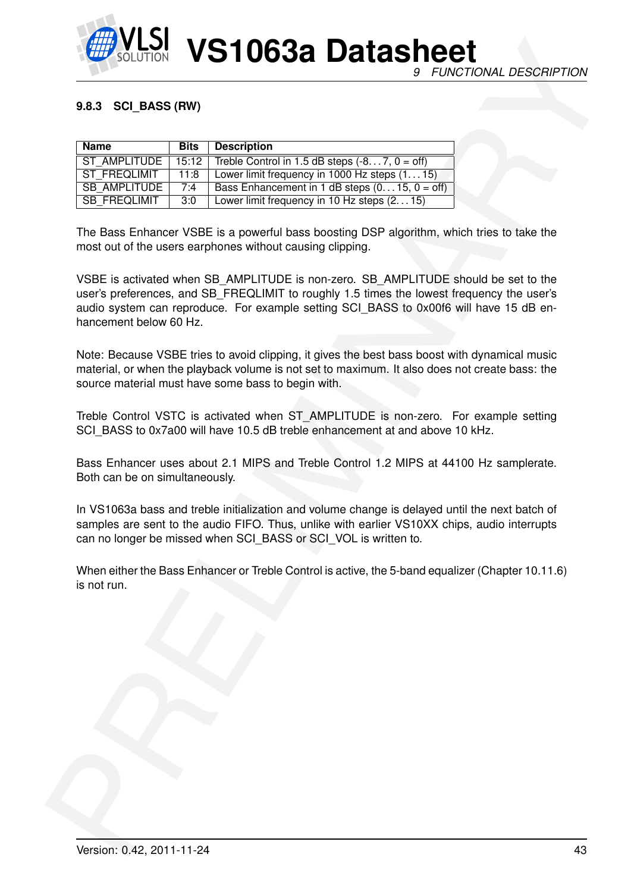

## **9.8.3 SCI\_BASS (RW)**

| Name                | <b>Bits</b> | <b>Description</b>                                      |
|---------------------|-------------|---------------------------------------------------------|
| ST AMPLITUDE        |             | $15:12$ Treble Control in 1.5 dB steps $(-87, 0 = off)$ |
| ST FREQLIMIT        | 11:8        | Lower limit frequency in $1000$ Hz steps $(115)$        |
| <b>SB AMPLITUDE</b> | 7:4         | Bass Enhancement in 1 dB steps $(015, 0 = off)$         |
| SB FREQLIMIT        | 3:0         | Lower limit frequency in 10 Hz steps (215)              |

The Bass Enhancer VSBE is a powerful bass boosting DSP algorithm, which tries to take the most out of the users earphones without causing clipping.

**EXAMPLE 10 CONTRACT CONTRACT CONTRACT CONTRACT CONTRACT CONTRACT CONTRACT CONTRACT CONTRACT CONTRACT CONTRACT CONTRACT CONTRACT CONTRACT CONTRACT CONTRACT CONTRACT CONTRACT CONTRACT CONTRACT CONTRACT CONTRACT CONTRACT CO** VSBE is activated when SB\_AMPLITUDE is non-zero. SB\_AMPLITUDE should be set to the user's preferences, and SB\_FREQLIMIT to roughly 1.5 times the lowest frequency the user's audio system can reproduce. For example setting SCI\_BASS to 0x00f6 will have 15 dB enhancement below 60 Hz.

Note: Because VSBE tries to avoid clipping, it gives the best bass boost with dynamical music material, or when the playback volume is not set to maximum. It also does not create bass: the source material must have some bass to begin with.

Treble Control VSTC is activated when ST\_AMPLITUDE is non-zero. For example setting SCI\_BASS to 0x7a00 will have 10.5 dB treble enhancement at and above 10 kHz.

Bass Enhancer uses about 2.1 MIPS and Treble Control 1.2 MIPS at 44100 Hz samplerate. Both can be on simultaneously.

In VS1063a bass and treble initialization and volume change is delayed until the next batch of samples are sent to the audio FIFO. Thus, unlike with earlier VS10XX chips, audio interrupts can no longer be missed when SCI\_BASS or SCI\_VOL is written to.

When either the Bass Enhancer or Treble Control is active, the 5-band equalizer (Chapter 10.11.6) is not run.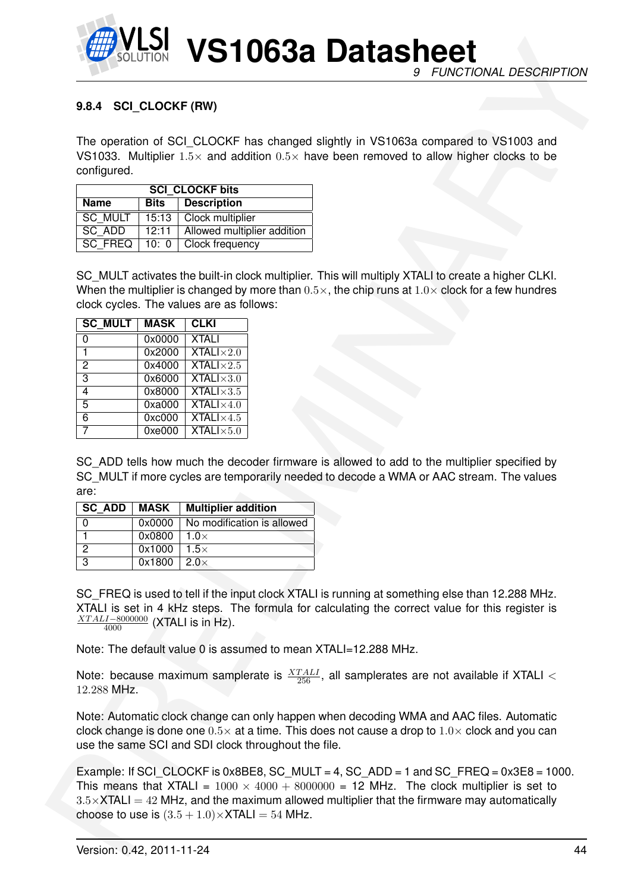

# <span id="page-43-0"></span>**9.8.4 SCI\_CLOCKF (RW)**

The operation of SCI CLOCKF has changed slightly in VS1063a compared to VS1003 and VS1033. Multiplier  $1.5\times$  and addition  $0.5\times$  have been removed to allow higher clocks to be configured.

|         |       | <b>SCI CLOCKF bits</b>       |
|---------|-------|------------------------------|
| Name    | Bits  | Description                  |
| SC MULT | 15:13 | Clock multiplier             |
| SC ADD  | 12:11 | Allowed multiplier addition  |
| SC FREQ |       | 10: $0 \mid$ Clock frequency |

SC MULT activates the built-in clock multiplier. This will multiply XTALI to create a higher CLKI. When the multiplier is changed by more than  $0.5 \times$ , the chip runs at  $1.0 \times$  clock for a few hundres clock cycles. The values are as follows:

| <b>SC MULT</b> | <b>MASK</b> | <b>CLKI</b>               |
|----------------|-------------|---------------------------|
| 0              | 0x0000      | <b>XTALI</b>              |
|                | 0x2000      | $XTALI \times 2.0$        |
| 2              | 0x4000      | <b>XTALI</b> $\times$ 2.5 |
| 3              | 0x6000      | $XTALI \times 3.0$        |
| $\overline{4}$ | 0x8000      | <b>XTALI</b> $\times$ 3.5 |
| 5              | 0xa000      | $XTALI \times 4.0$        |
| 6              | 0xc000      | <b>XTALI</b> $\times$ 4.5 |
|                | 0xe000      | $XTALI \times 5.0$        |

SC\_ADD tells how much the decoder firmware is allowed to add to the multiplier specified by SC MULT if more cycles are temporarily needed to decode a WMA or AAC stream. The values are:

| SC ADD | MASK   | <b>Multiplier addition</b> |
|--------|--------|----------------------------|
|        | 0x0000 | No modification is allowed |
|        | 0x0800 | 1.0 $\times$               |
| 2      | 0x1000 | $1.5\times$                |
| 3      | 0x1800 | $2.0\times$                |

SC\_FREQ is used to tell if the input clock XTALI is running at something else than 12.288 MHz. XTALI is set in 4 kHz steps. The formula for calculating the correct value for this register is  $\frac{XTALI-8000000}{4000}$  (XTALI is in Hz).

Note: The default value 0 is assumed to mean XTALI=12.288 MHz.

Note: because maximum samplerate is  $\frac{XTALI}{256}$ , all samplerates are not available if XTALI  $<$ 12.288 MHz.

Note: Automatic clock change can only happen when decoding WMA and AAC files. Automatic clock change is done one  $0.5\times$  at a time. This does not cause a drop to  $1.0\times$  clock and you can use the same SCI and SDI clock throughout the file.

**EXAMPLE SECTION VS110638 Datasheet**<br>
The operation of SCI CICOCK has changed eigenly in VS1063 compares to VS1003 and<br>
VS103 Multipler 15- and addition to V- have been removed to slow higher colors and<br>
VS103 Multipler 1 Example: If SCI\_CLOCKF is  $0x8BE8$ , SC\_MULT = 4, SC\_ADD = 1 and SC\_FREQ =  $0x3E8 = 1000$ . This means that XTALI =  $1000 \times 4000 + 8000000 = 12$  MHz. The clock multiplier is set to  $3.5\times$ XTALI = 42 MHz, and the maximum allowed multiplier that the firmware may automatically choose to use is  $(3.5 + 1.0) \times$ XTALI = 54 MHz.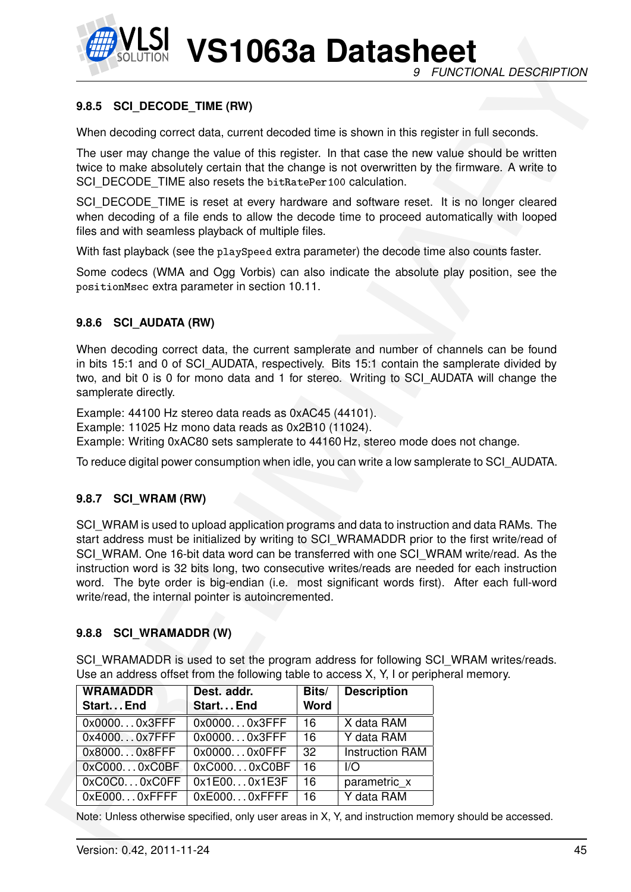

### **9.8.5 SCI\_DECODE\_TIME (RW)**

#### **9.8.6 SCI\_AUDATA (RW)**

#### **9.8.7 SCI\_WRAM (RW)**

#### **9.8.8 SCI\_WRAMADDR (W)**

| 9.8.5 SCI_DECODE_TIME (RW)                                                                                                                                                                          |                           |                   |                        |                                                                                                                                                                                                                                                                                                                                                                                                                                                                                                                                                                                 |
|-----------------------------------------------------------------------------------------------------------------------------------------------------------------------------------------------------|---------------------------|-------------------|------------------------|---------------------------------------------------------------------------------------------------------------------------------------------------------------------------------------------------------------------------------------------------------------------------------------------------------------------------------------------------------------------------------------------------------------------------------------------------------------------------------------------------------------------------------------------------------------------------------|
| When decoding correct data, current decoded time is shown in this register in full seconds.                                                                                                         |                           |                   |                        |                                                                                                                                                                                                                                                                                                                                                                                                                                                                                                                                                                                 |
| SCI DECODE TIME also resets the bitRatePer100 calculation.                                                                                                                                          |                           |                   |                        | The user may change the value of this register. In that case the new value should be written<br>twice to make absolutely certain that the change is not overwritten by the firmware. A write to                                                                                                                                                                                                                                                                                                                                                                                 |
| files and with seamless playback of multiple files.                                                                                                                                                 |                           |                   |                        | SCI_DECODE_TIME is reset at every hardware and software reset. It is no longer cleared<br>when decoding of a file ends to allow the decode time to proceed automatically with looped                                                                                                                                                                                                                                                                                                                                                                                            |
| With fast playback (see the playSpeed extra parameter) the decode time also counts faster.                                                                                                          |                           |                   |                        |                                                                                                                                                                                                                                                                                                                                                                                                                                                                                                                                                                                 |
| positionMsec extra parameter in section 10.11.                                                                                                                                                      |                           |                   |                        | Some codecs (WMA and Ogg Vorbis) can also indicate the absolute play position, see the                                                                                                                                                                                                                                                                                                                                                                                                                                                                                          |
| 9.8.6 SCI AUDATA (RW)                                                                                                                                                                               |                           |                   |                        |                                                                                                                                                                                                                                                                                                                                                                                                                                                                                                                                                                                 |
| samplerate directly.                                                                                                                                                                                |                           |                   |                        | When decoding correct data, the current samplerate and number of channels can be found<br>in bits 15:1 and 0 of SCI_AUDATA, respectively. Bits 15:1 contain the samplerate divided by<br>two, and bit 0 is 0 for mono data and 1 for stereo. Writing to SCI_AUDATA will change the                                                                                                                                                                                                                                                                                              |
| Example: 44100 Hz stereo data reads as 0xAC45 (44101).<br>Example: 11025 Hz mono data reads as 0x2B10 (11024).<br>Example: Writing 0xAC80 sets samplerate to 44160 Hz, stereo mode does not change. |                           |                   |                        |                                                                                                                                                                                                                                                                                                                                                                                                                                                                                                                                                                                 |
|                                                                                                                                                                                                     |                           |                   |                        | To reduce digital power consumption when idle, you can write a low samplerate to SCI_AUDATA.                                                                                                                                                                                                                                                                                                                                                                                                                                                                                    |
| 9.8.7 SCI WRAM (RW)                                                                                                                                                                                 |                           |                   |                        |                                                                                                                                                                                                                                                                                                                                                                                                                                                                                                                                                                                 |
| write/read, the internal pointer is autoincremented.<br>9.8.8 SCI WRAMADDR (W)<br>Use an address offset from the following table to access X, Y, I or peripheral memory.<br><b>WRAMADDR</b>         | Dest. addr.               | Bits/             | <b>Description</b>     | SCI WRAM is used to upload application programs and data to instruction and data RAMs. The<br>start address must be initialized by writing to SCI_WRAMADDR prior to the first write/read of<br>SCI WRAM. One 16-bit data word can be transferred with one SCI WRAM write/read. As the<br>instruction word is 32 bits long, two consecutive writes/reads are needed for each instruction<br>word. The byte order is big-endian (i.e. most significant words first). After each full-word<br>SCI WRAMADDR is used to set the program address for following SCI WRAM writes/reads. |
| Start End<br>0x00000x3FFF                                                                                                                                                                           | Start End<br>0x00000x3FFF | <b>Word</b><br>16 | X data RAM             |                                                                                                                                                                                                                                                                                                                                                                                                                                                                                                                                                                                 |
| 0x40000x7FFF                                                                                                                                                                                        | 0x00000x3FFF              | 16                | Y data RAM             |                                                                                                                                                                                                                                                                                                                                                                                                                                                                                                                                                                                 |
| 0x80000x8FFF                                                                                                                                                                                        | 0x00000x0FFF              | 32                | <b>Instruction RAM</b> |                                                                                                                                                                                                                                                                                                                                                                                                                                                                                                                                                                                 |
|                                                                                                                                                                                                     | 0xC0000xC0BF              | $\overline{16}$   | $\overline{1/O}$       |                                                                                                                                                                                                                                                                                                                                                                                                                                                                                                                                                                                 |
| 0xC0000xC0BF                                                                                                                                                                                        |                           |                   |                        |                                                                                                                                                                                                                                                                                                                                                                                                                                                                                                                                                                                 |
| 0xC0C00xC0FF                                                                                                                                                                                        | 0x1E000x1E3F              | 16                | parametric_x           |                                                                                                                                                                                                                                                                                                                                                                                                                                                                                                                                                                                 |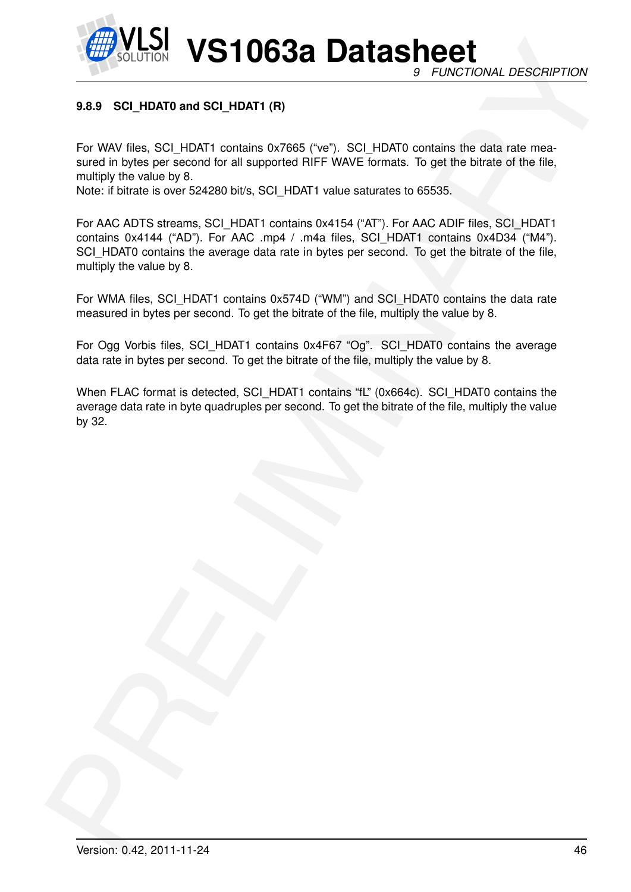

# **9.8.9 SCI\_HDAT0 and SCI\_HDAT1 (R)**

For WAV files, SCI\_HDAT1 contains 0x7665 ("ve"). SCI\_HDAT0 contains the data rate measured in bytes per second for all supported RIFF WAVE formats. To get the bitrate of the file, multiply the value by 8.

Note: if bitrate is over 524280 bit/s, SCI\_HDAT1 value saturates to 65535.

**EXAMPLE 100 CONTROL CONTROL CONTROL CONTROL**<br>
SAS SCI HDATV and SCI HDATT (R)<br>
For VMW likes, 6QL HDATT compare d-7005 PM<sup>H</sup>), 6QL HDATS compare like della rise most<br>
annual player per soond for all exposures thirf wover For AAC ADTS streams, SCI\_HDAT1 contains 0x4154 ("AT"). For AAC ADIF files, SCI\_HDAT1 contains 0x4144 ("AD"). For AAC .mp4 / .m4a files, SCI\_HDAT1 contains 0x4D34 ("M4"). SCI\_HDAT0 contains the average data rate in bytes per second. To get the bitrate of the file, multiply the value by 8.

For WMA files, SCI\_HDAT1 contains 0x574D ("WM") and SCI\_HDAT0 contains the data rate measured in bytes per second. To get the bitrate of the file, multiply the value by 8.

For Ogg Vorbis files, SCI\_HDAT1 contains 0x4F67 "Og". SCI\_HDAT0 contains the average data rate in bytes per second. To get the bitrate of the file, multiply the value by 8.

When FLAC format is detected, SCI\_HDAT1 contains "fL" (0x664c). SCI\_HDAT0 contains the average data rate in byte quadruples per second. To get the bitrate of the file, multiply the value by 32.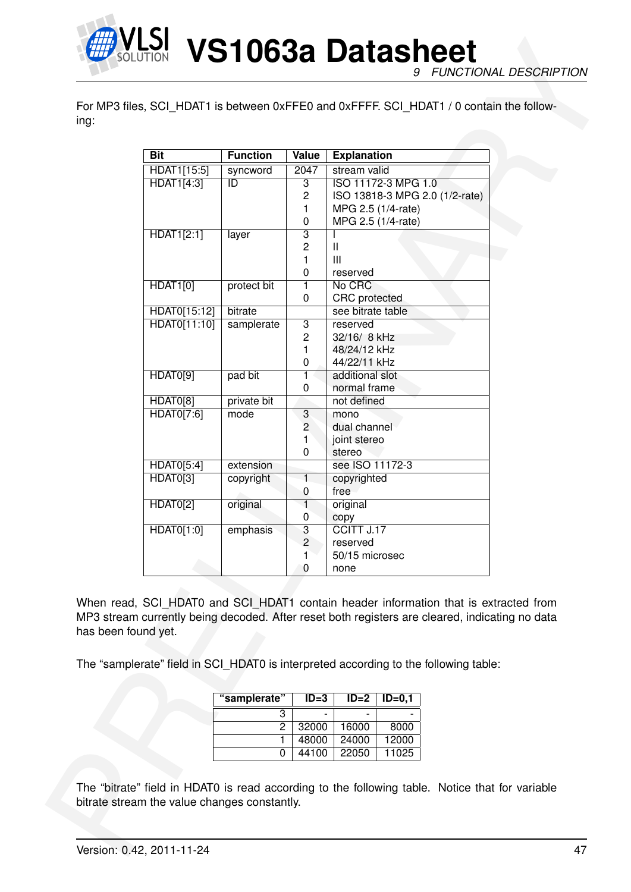

|                     |                                                                                      | <b>Function</b>     |                      |                                           |                     |                                                                                                                                                                                        |
|---------------------|--------------------------------------------------------------------------------------|---------------------|----------------------|-------------------------------------------|---------------------|----------------------------------------------------------------------------------------------------------------------------------------------------------------------------------------|
|                     | <b>Bit</b><br>HDAT1[15:5]                                                            | syncword            | <b>Value</b><br>2047 | <b>Explanation</b><br>stream valid        |                     |                                                                                                                                                                                        |
|                     | HDAT1[4:3]                                                                           | ID                  | $\overline{3}$       |                                           | ISO 11172-3 MPG 1.0 |                                                                                                                                                                                        |
|                     |                                                                                      |                     | 2<br>$\mathbf{1}$    |                                           | MPG 2.5 (1/4-rate)  | ISO 13818-3 MPG 2.0 (1/2-rate)                                                                                                                                                         |
|                     | HDAT1[2:1]                                                                           | layer               | 0<br>$\overline{3}$  |                                           | MPG 2.5 (1/4-rate)  |                                                                                                                                                                                        |
|                     |                                                                                      |                     | 2                    | Ш                                         |                     |                                                                                                                                                                                        |
|                     |                                                                                      |                     | 1                    | $\mathbf{III}$                            |                     |                                                                                                                                                                                        |
|                     |                                                                                      |                     | 0                    | reserved                                  |                     |                                                                                                                                                                                        |
|                     | <b>HDAT1[0]</b>                                                                      | protect bit         | 1                    | No CRC                                    |                     |                                                                                                                                                                                        |
|                     | HDAT0[15:12]                                                                         | bitrate             | 0                    | <b>CRC</b> protected<br>see bitrate table |                     |                                                                                                                                                                                        |
|                     | HDAT0[11:10]                                                                         | samplerate          | $\overline{3}$       | reserved                                  |                     |                                                                                                                                                                                        |
|                     |                                                                                      |                     | 2                    | 32/16/ 8 kHz                              |                     |                                                                                                                                                                                        |
|                     |                                                                                      |                     | 1                    | 48/24/12 kHz                              |                     |                                                                                                                                                                                        |
|                     |                                                                                      |                     | 0                    | 44/22/11 kHz                              |                     |                                                                                                                                                                                        |
|                     | HDAT0[9]                                                                             | pad bit             | 1.<br>0              | additional slot<br>normal frame           |                     |                                                                                                                                                                                        |
|                     | HDAT0[8]                                                                             | private bit         |                      | not defined                               |                     |                                                                                                                                                                                        |
|                     | HDAT0[7:6]                                                                           | mode                | 3                    | mono                                      |                     |                                                                                                                                                                                        |
|                     |                                                                                      |                     | 2                    | dual channel                              |                     |                                                                                                                                                                                        |
|                     |                                                                                      |                     | 1                    | joint stereo                              |                     |                                                                                                                                                                                        |
|                     | HDAT0[5:4]                                                                           | extension           | 0                    | stereo<br>see ISO 11172-3                 |                     |                                                                                                                                                                                        |
|                     | HDAT0[3]                                                                             | copyright           | 1.                   | copyrighted                               |                     |                                                                                                                                                                                        |
|                     |                                                                                      |                     | 0                    | free                                      |                     |                                                                                                                                                                                        |
|                     | <b>HDAT0[2]</b>                                                                      | original            | 1                    | original                                  |                     |                                                                                                                                                                                        |
|                     | HDAT0[1:0]                                                                           |                     | 0                    | copy<br>CCITT J.17                        |                     |                                                                                                                                                                                        |
|                     |                                                                                      | emphasis            | 3<br>2               | reserved                                  |                     |                                                                                                                                                                                        |
|                     |                                                                                      |                     | 1                    | 50/15 microsec                            |                     |                                                                                                                                                                                        |
|                     |                                                                                      |                     | 0                    | none                                      |                     |                                                                                                                                                                                        |
| has been found yet. | The "samplerate" field in SCI_HDAT0 is interpreted according to the following table: |                     |                      |                                           |                     | When read, SCI HDAT0 and SCI HDAT1 contain header information that is extracted from<br>MP3 stream currently being decoded. After reset both registers are cleared, indicating no data |
|                     |                                                                                      | "samplerate"        | $ID = 3$             | $ID=2$                                    | $ID = 0, 1$         |                                                                                                                                                                                        |
|                     |                                                                                      | $\overline{3}$      |                      |                                           |                     |                                                                                                                                                                                        |
|                     |                                                                                      | $\overline{2}$<br>1 | 32000<br>48000       | 16000<br>24000                            | 8000<br>12000       |                                                                                                                                                                                        |
|                     |                                                                                      | 0                   | 44100                | 22050                                     | 11025               |                                                                                                                                                                                        |
|                     |                                                                                      |                     |                      |                                           |                     |                                                                                                                                                                                        |

| "samplerate" | $ID=3$ | $ID=2$ | $ID=0.1$ |
|--------------|--------|--------|----------|
| З            |        |        |          |
|              | 32000  | 16000  | 8000     |
|              | 48000  | 24000  | 12000    |
|              | 44100  | 22050  | 11025    |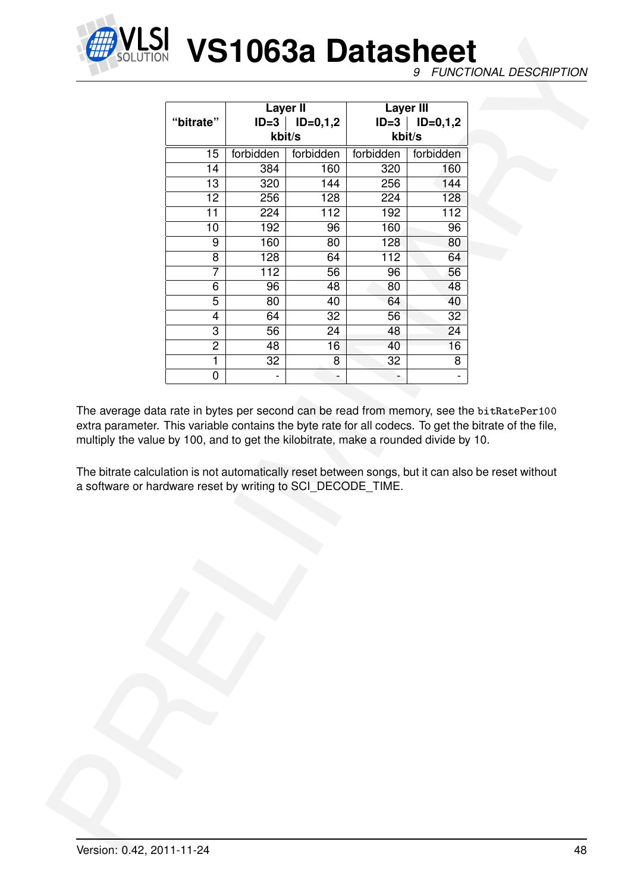

|                                                                                                                                                    |                |               | <b>Layer II</b>     |           | <b>Layer III</b>    |                                                                                                                                                                                                                                                                                                         |  |
|----------------------------------------------------------------------------------------------------------------------------------------------------|----------------|---------------|---------------------|-----------|---------------------|---------------------------------------------------------------------------------------------------------------------------------------------------------------------------------------------------------------------------------------------------------------------------------------------------------|--|
|                                                                                                                                                    | "bitrate"      |               | $ID=3$   $ID=0,1,2$ |           | $ID=3$   $ID=0,1,2$ |                                                                                                                                                                                                                                                                                                         |  |
|                                                                                                                                                    |                |               | kbit/s              |           | kbit/s              |                                                                                                                                                                                                                                                                                                         |  |
|                                                                                                                                                    | 15             | forbidden     | forbidden           | forbidden | forbidden           |                                                                                                                                                                                                                                                                                                         |  |
|                                                                                                                                                    | 14             | 384           | 160                 | 320       | 160                 |                                                                                                                                                                                                                                                                                                         |  |
|                                                                                                                                                    | 13             | 320           | 144                 | 256       | 144                 |                                                                                                                                                                                                                                                                                                         |  |
|                                                                                                                                                    | 12             | 256           | 128                 | 224       | 128                 |                                                                                                                                                                                                                                                                                                         |  |
|                                                                                                                                                    | 11             | 224           | 112                 | 192       | 112                 |                                                                                                                                                                                                                                                                                                         |  |
|                                                                                                                                                    | 10             | 192           | 96                  | 160       | 96                  |                                                                                                                                                                                                                                                                                                         |  |
|                                                                                                                                                    | 9              | 160           | 80                  | 128       | 80                  |                                                                                                                                                                                                                                                                                                         |  |
|                                                                                                                                                    | 8              | 128           | 64                  | 112       | 64                  |                                                                                                                                                                                                                                                                                                         |  |
|                                                                                                                                                    | 7              | 112           | $\overline{56}$     | 96        | 56                  |                                                                                                                                                                                                                                                                                                         |  |
|                                                                                                                                                    | 6              | 96            | 48                  | 80        | 48                  |                                                                                                                                                                                                                                                                                                         |  |
|                                                                                                                                                    | 5              | 80            | 40                  | 64        | 40                  |                                                                                                                                                                                                                                                                                                         |  |
|                                                                                                                                                    | 4              | 64            | 32                  | 56        | 32                  |                                                                                                                                                                                                                                                                                                         |  |
|                                                                                                                                                    | 3              | 56            | 24                  | 48        | 24                  |                                                                                                                                                                                                                                                                                                         |  |
|                                                                                                                                                    | $\overline{2}$ | 48            | 16                  | 40        | 16                  |                                                                                                                                                                                                                                                                                                         |  |
|                                                                                                                                                    | 1              | 32            | 8                   | 32        | 8                   |                                                                                                                                                                                                                                                                                                         |  |
|                                                                                                                                                    | 0              | $\frac{1}{2}$ | $\blacksquare$      | ÷         | $\blacksquare$      |                                                                                                                                                                                                                                                                                                         |  |
|                                                                                                                                                    |                |               |                     |           |                     | The average data rate in bytes per second can be read from memory, see the bitRatePer100<br>extra parameter. This variable contains the byte rate for all codecs. To get the bitrate of the file,<br>The bitrate calculation is not automatically reset between songs, but it can also be reset without |  |
|                                                                                                                                                    |                |               |                     |           |                     |                                                                                                                                                                                                                                                                                                         |  |
| multiply the value by 100, and to get the kilobitrate, make a rounded divide by 10.<br>a software or hardware reset by writing to SCI_DECODE_TIME. |                |               |                     |           |                     |                                                                                                                                                                                                                                                                                                         |  |
|                                                                                                                                                    |                |               |                     |           |                     |                                                                                                                                                                                                                                                                                                         |  |
|                                                                                                                                                    |                |               |                     |           |                     |                                                                                                                                                                                                                                                                                                         |  |
|                                                                                                                                                    |                |               |                     |           |                     |                                                                                                                                                                                                                                                                                                         |  |
|                                                                                                                                                    |                |               |                     |           |                     |                                                                                                                                                                                                                                                                                                         |  |
|                                                                                                                                                    |                |               |                     |           |                     |                                                                                                                                                                                                                                                                                                         |  |
|                                                                                                                                                    |                |               |                     |           |                     |                                                                                                                                                                                                                                                                                                         |  |
|                                                                                                                                                    |                |               |                     |           |                     |                                                                                                                                                                                                                                                                                                         |  |
|                                                                                                                                                    |                |               |                     |           |                     |                                                                                                                                                                                                                                                                                                         |  |
|                                                                                                                                                    |                |               |                     |           |                     |                                                                                                                                                                                                                                                                                                         |  |
|                                                                                                                                                    |                |               |                     |           |                     |                                                                                                                                                                                                                                                                                                         |  |
|                                                                                                                                                    |                |               |                     |           |                     |                                                                                                                                                                                                                                                                                                         |  |
|                                                                                                                                                    |                |               |                     |           |                     |                                                                                                                                                                                                                                                                                                         |  |
|                                                                                                                                                    |                |               |                     |           |                     |                                                                                                                                                                                                                                                                                                         |  |
|                                                                                                                                                    |                |               |                     |           |                     |                                                                                                                                                                                                                                                                                                         |  |
|                                                                                                                                                    |                |               |                     |           |                     |                                                                                                                                                                                                                                                                                                         |  |
|                                                                                                                                                    |                |               |                     |           |                     |                                                                                                                                                                                                                                                                                                         |  |
|                                                                                                                                                    |                |               |                     |           |                     |                                                                                                                                                                                                                                                                                                         |  |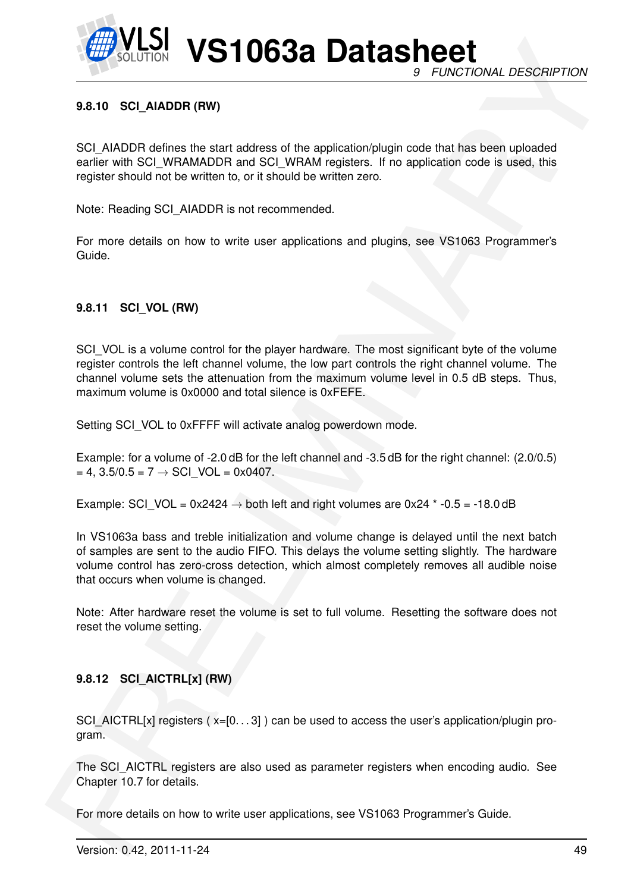

# **9.8.10 SCI\_AIADDR (RW)**

SCI\_AIADDR defines the start address of the application/plugin code that has been uploaded earlier with SCI\_WRAMADDR and SCI\_WRAM registers. If no application code is used, this register should not be written to, or it should be written zero.

Note: Reading SCI\_AIADDR is not recommended.

For more details on how to write user applications and plugins, see VS1063 Programmer's Guide.

### **9.8.11 SCI\_VOL (RW)**

**EXAMPLE 10638 Data Sheets** of the minimister of the minimisterial of *PUNCTIONAL DESCRIPTION*<br>
8.410 SCLAMADR defines the start address of the applicationship result into the tax later determined sensitive and the start SCI\_VOL is a volume control for the player hardware. The most significant byte of the volume register controls the left channel volume, the low part controls the right channel volume. The channel volume sets the attenuation from the maximum volume level in 0.5 dB steps. Thus, maximum volume is 0x0000 and total silence is 0xFEFE.

Setting SCI\_VOL to 0xFFFF will activate analog powerdown mode.

Example: for a volume of -2.0 dB for the left channel and -3.5 dB for the right channel: (2.0/0.5)  $= 4$ , 3.5/0.5 = 7  $\rightarrow$  SCI VOL = 0x0407.

Example: SCI\_VOL = 0x2424  $\rightarrow$  both left and right volumes are 0x24  $*$  -0.5 = -18.0 dB

In VS1063a bass and treble initialization and volume change is delayed until the next batch of samples are sent to the audio FIFO. This delays the volume setting slightly. The hardware volume control has zero-cross detection, which almost completely removes all audible noise that occurs when volume is changed.

Note: After hardware reset the volume is set to full volume. Resetting the software does not reset the volume setting.

## **9.8.12 SCI\_AICTRL[x] (RW)**

SCI\_AICTRL[x] registers  $(x=[0...3])$  can be used to access the user's application/plugin program.

The SCI AICTRL registers are also used as parameter registers when encoding audio. See Chapter 10.7 for details.

For more details on how to write user applications, see VS1063 Programmer's Guide.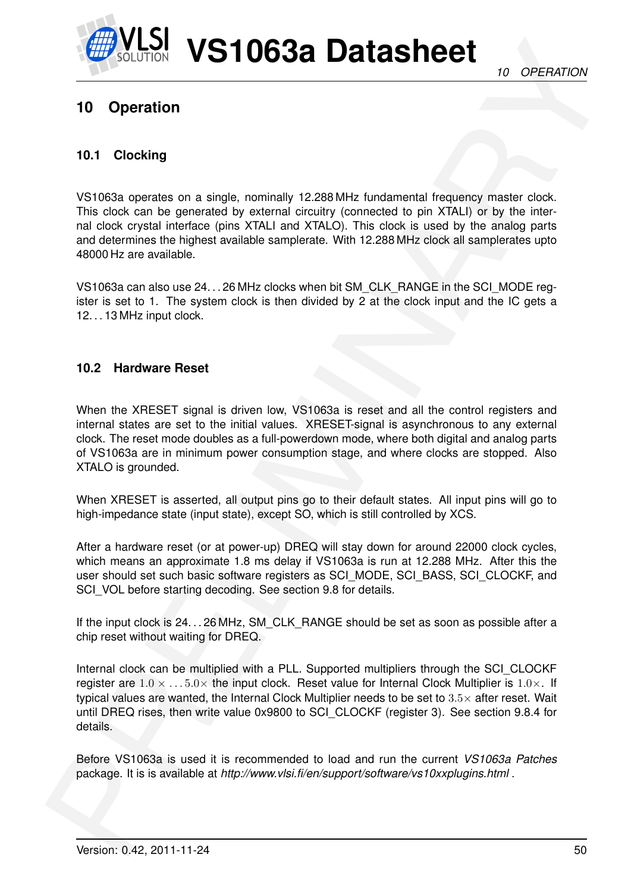# <span id="page-49-0"></span>**10 Operation**

# **10.1 Clocking**

VS1063a operates on a single, nominally 12.288 MHz fundamental frequency master clock. This clock can be generated by external circuitry (connected to pin XTALI) or by the internal clock crystal interface (pins XTALI and XTALO). This clock is used by the analog parts and determines the highest available samplerate. With 12.288 MHz clock all samplerates upto 48000 Hz are available.

VS1063a can also use 24. . . 26 MHz clocks when bit SM\_CLK\_RANGE in the SCI\_MODE register is set to 1. The system clock is then divided by 2 at the clock input and the IC gets a 12. . . 13 MHz input clock.

# **10.2 Hardware Reset**

When the XRESET signal is driven low, VS1063a is reset and all the control registers and internal states are set to the initial values. XRESET-signal is asynchronous to any external clock. The reset mode doubles as a full-powerdown mode, where both digital and analog parts of VS1063a are in minimum power consumption stage, and where clocks are stopped. Also XTALO is grounded.

When XRESET is asserted, all output pins go to their default states. All input pins will go to high-impedance state (input state), except SO, which is still controlled by XCS.

After a hardware reset (or at power-up) DREQ will stay down for around 22000 clock cycles, which means an approximate 1.8 ms delay if VS1063a is run at 12.288 MHz. After this the user should set such basic software registers as SCI\_MODE, SCI\_BASS, SCI\_CLOCKF, and SCI\_VOL before starting decoding. See section 9.8 for details.

If the input clock is 24. . . 26 MHz, SM\_CLK\_RANGE should be set as soon as possible after a chip reset without waiting for DREQ.

**Example 10 Operation**<br>
10 Operation<br>
10 Operation<br>
10 Operation<br>
10 Operation<br>
10 Operation<br>
10 Operation<br>
10 Operation<br>
10 Operation<br>
10 Operation<br>
10 Society and a single, conting 12.38.1M: Interaction (principle once,<br> Internal clock can be multiplied with a PLL. Supported multipliers through the SCI\_CLOCKF register are  $1.0 \times \ldots 5.0 \times$  the input clock. Reset value for Internal Clock Multiplier is  $1.0 \times$ . If typical values are wanted, the Internal Clock Multiplier needs to be set to 3.5× after reset. Wait until DREQ rises, then write value 0x9800 to SCI\_CLOCKF (register 3). See section 9.8.4 for details.

Before VS1063a is used it is recommended to load and run the current *VS1063a Patches* package. It is is available at *http://www.vlsi.fi/en/support/software/vs10xxplugins.html* .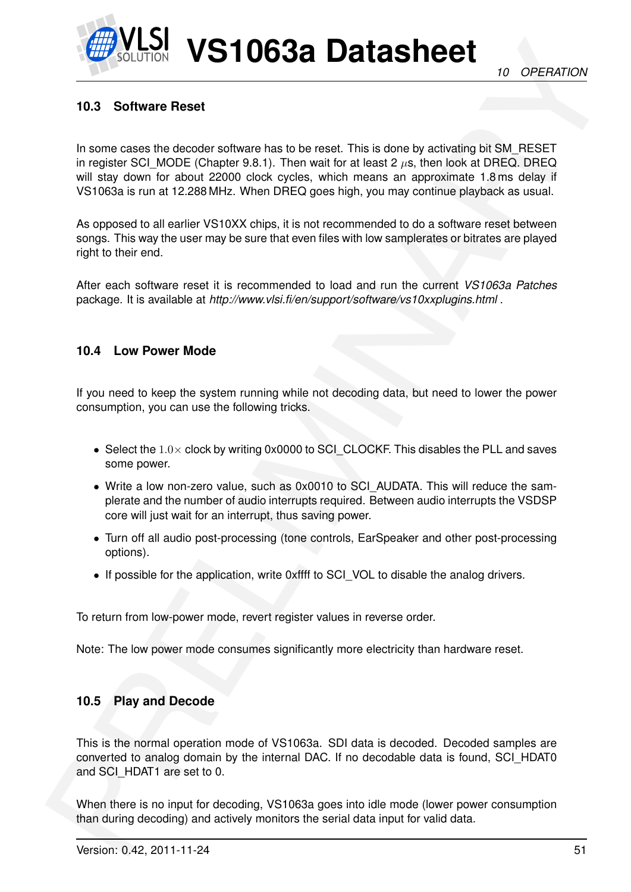# **10.3 Software Reset**

CONTROL VISIT 106338 Datasheet The language of the state of the state of the state of the state of the state of the state of the state of the state of the state of the state of the state of the state of the state of the st In some cases the decoder software has to be reset. This is done by activating bit SM\_RESET in register SCI\_MODE (Chapter 9.8.1). Then wait for at least 2  $\mu$ s, then look at DREQ. DREQ. will stay down for about 22000 clock cycles, which means an approximate 1.8 ms delay if VS1063a is run at 12.288 MHz. When DREQ goes high, you may continue playback as usual.

As opposed to all earlier VS10XX chips, it is not recommended to do a software reset between songs. This way the user may be sure that even files with low samplerates or bitrates are played right to their end.

After each software reset it is recommended to load and run the current *VS1063a Patches* package. It is available at *http://www.vlsi.fi/en/support/software/vs10xxplugins.html* .

# **10.4 Low Power Mode**

If you need to keep the system running while not decoding data, but need to lower the power consumption, you can use the following tricks.

- Select the  $1.0\times$  clock by writing 0x0000 to SCI CLOCKF. This disables the PLL and saves some power.
- Write a low non-zero value, such as 0x0010 to SCI\_AUDATA. This will reduce the samplerate and the number of audio interrupts required. Between audio interrupts the VSDSP core will just wait for an interrupt, thus saving power.
- Turn off all audio post-processing (tone controls, EarSpeaker and other post-processing options).
- If possible for the application, write 0xffff to SCI VOL to disable the analog drivers.

To return from low-power mode, revert register values in reverse order.

Note: The low power mode consumes significantly more electricity than hardware reset.

# **10.5 Play and Decode**

This is the normal operation mode of VS1063a. SDI data is decoded. Decoded samples are converted to analog domain by the internal DAC. If no decodable data is found, SCI\_HDAT0 and SCI\_HDAT1 are set to 0.

When there is no input for decoding, VS1063a goes into idle mode (lower power consumption than during decoding) and actively monitors the serial data input for valid data.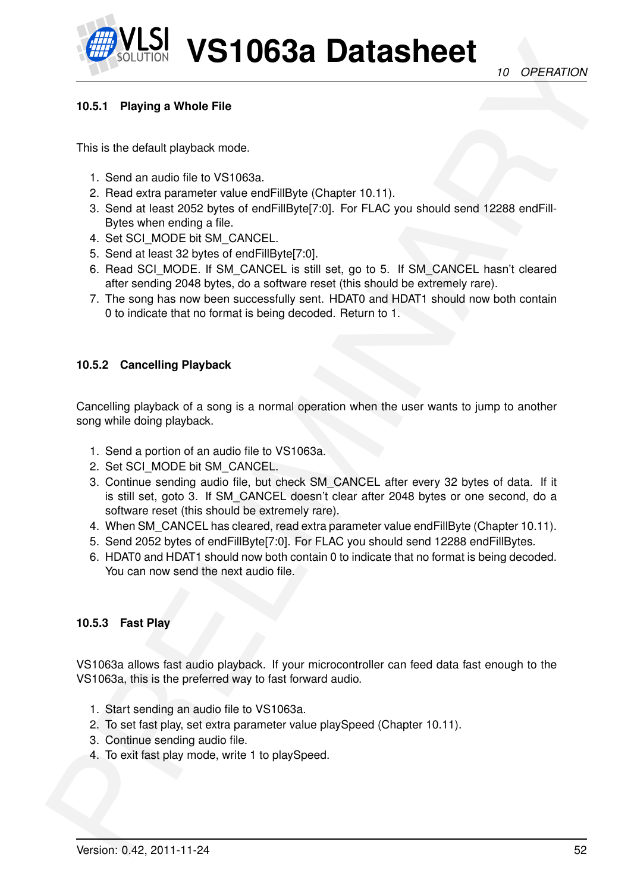# <span id="page-51-1"></span>**10.5.1 Playing a Whole File**

This is the default playback mode.

- 1. Send an audio file to VS1063a.
- 2. Read extra parameter value endFillByte (Chapter 10.11).
- 3. Send at least 2052 bytes of endFillByte[7:0]. For FLAC you should send 12288 endFill-Bytes when ending a file.
- 4. Set SCI\_MODE bit SM\_CANCEL.
- 5. Send at least 32 bytes of endFillByte[7:0].
- 6. Read SCI\_MODE. If SM\_CANCEL is still set, go to 5. If SM\_CANCEL hasn't cleared after sending 2048 bytes, do a software reset (this should be extremely rare).
- 7. The song has now been successfully sent. HDAT0 and HDAT1 should now both contain 0 to indicate that no format is being decoded. Return to 1.

### <span id="page-51-0"></span>**10.5.2 Cancelling Playback**

Cancelling playback of a song is a normal operation when the user wants to jump to another song while doing playback.

- 1. Send a portion of an audio file to VS1063a.
- 2. Set SCI\_MODE bit SM\_CANCEL.
- **Example 10 Constrained**<br>
10.4.1 Playing a Whole File<br>
10.4.1 Playing a Whole File<br>
15. Send an auto file to VS1003a<br>
2. Feed with adventure music file to VS1003a<br>
2. Feed an auto file to VS1003a<br>
2. Send at each 202 June 3. Continue sending audio file, but check SM\_CANCEL after every 32 bytes of data. If it is still set, goto 3. If SM\_CANCEL doesn't clear after 2048 bytes or one second, do a software reset (this should be extremely rare).
	- 4. When SM\_CANCEL has cleared, read extra parameter value endFillByte (Chapter 10.11).
	- 5. Send 2052 bytes of endFillByte[7:0]. For FLAC you should send 12288 endFillBytes.
	- 6. HDAT0 and HDAT1 should now both contain 0 to indicate that no format is being decoded. You can now send the next audio file.

#### **10.5.3 Fast Play**

VS1063a allows fast audio playback. If your microcontroller can feed data fast enough to the VS1063a, this is the preferred way to fast forward audio.

- 1. Start sending an audio file to VS1063a.
- 2. To set fast play, set extra parameter value playSpeed (Chapter 10.11).
- 3. Continue sending audio file.
- 4. To exit fast play mode, write 1 to playSpeed.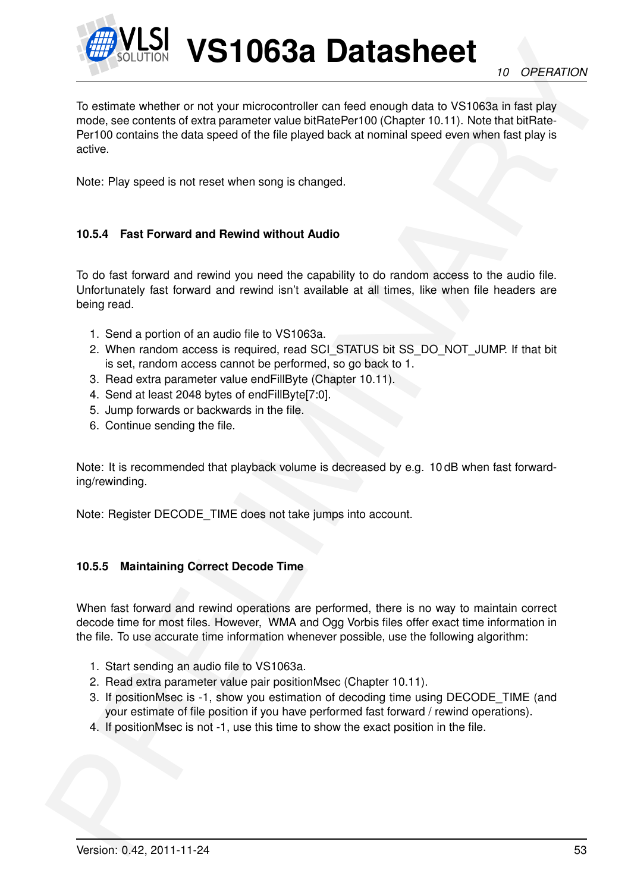

**Example 10 CONT[R](#page-63-0)OL USATIOG38 DOSTAGSTER**<br>To ostmass whether or not your microcontroller can fised enough data to VS1088s in fist slay<br>mode, so contents to data speed of the life payer back at including that to VS1088s in To estimate whether or not your microcontroller can feed enough data to VS1063a in fast play mode, see contents of extra parameter value bitRatePer100 (Chapter 10.11). Note that bitRate-Per100 contains the data speed of the file played back at nominal speed even when fast play is active.

Note: Play speed is not reset when song is changed.

# **10.5.4 Fast Forward and Rewind without Audio**

To do fast forward and rewind you need the capability to do random access to the audio file. Unfortunately fast forward and rewind isn't available at all times, like when file headers are being read.

- 1. Send a portion of an audio file to VS1063a.
- 2. When random access is required, read SCI STATUS bit SS\_DO\_NOT\_JUMP. If that bit is set, random access cannot be performed, so go back to 1.
- 3. Read extra parameter value endFillByte (Chapter 10.11).
- 4. Send at least 2048 bytes of endFillByte[7:0].
- 5. Jump forwards or backwards in the file.
- 6. Continue sending the file.

Note: It is recommended that playback volume is decreased by e.g. 10 dB when fast forwarding/rewinding.

Note: Register DECODE\_TIME does not take jumps into account.

#### **10.5.5 Maintaining Correct Decode Time**

When fast forward and rewind operations are performed, there is no way to maintain correct decode time for most files. However, WMA and Ogg Vorbis files offer exact time information in the file. To use accurate time information whenever possible, use the following algorithm:

- 1. Start sending an audio file to VS1063a.
- 2. Read extra parameter value pair positionMsec (Chapter 10.11).
- 3. If positionMsec is -1, show you estimation of decoding time using DECODE TIME (and your estimate of file position if you have performed fast forward / rewind operations).
- 4. If positionMsec is not -1, use this time to show the exact position in the file.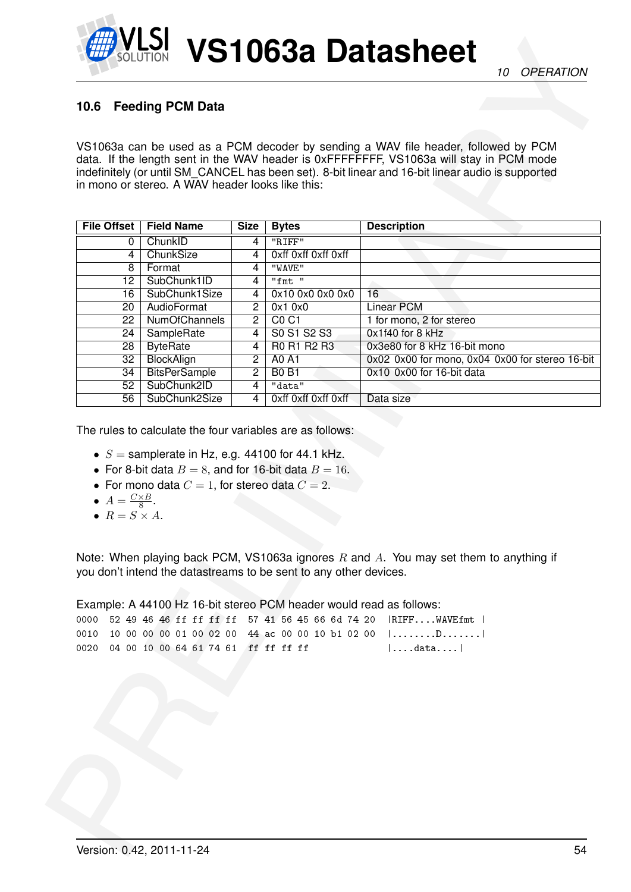# **10.6 Feeding PCM Data**

|                                                           |                                                                                                                 |                                  |                                                                     | VS1063a can be used as a PCM decoder by sending a WAV file header, followed by PCM<br>data. If the length sent in the WAV header is 0xFFFFFFFF, VS1063a will stay in PCM mode |
|-----------------------------------------------------------|-----------------------------------------------------------------------------------------------------------------|----------------------------------|---------------------------------------------------------------------|-------------------------------------------------------------------------------------------------------------------------------------------------------------------------------|
|                                                           |                                                                                                                 |                                  |                                                                     | indefinitely (or until SM_CANCEL has been set). 8-bit linear and 16-bit linear audio is supported                                                                             |
|                                                           | in mono or stereo. A WAV header looks like this:                                                                |                                  |                                                                     |                                                                                                                                                                               |
|                                                           |                                                                                                                 |                                  |                                                                     |                                                                                                                                                                               |
| <b>File Offset</b>                                        | <b>Field Name</b>                                                                                               | Size                             | <b>Bytes</b>                                                        | <b>Description</b>                                                                                                                                                            |
| 0                                                         | ChunkID                                                                                                         | 4                                | "RIFF"                                                              |                                                                                                                                                                               |
| 4                                                         | ChunkSize                                                                                                       | 4                                | Oxff Oxff Oxff Oxff                                                 |                                                                                                                                                                               |
| 8                                                         | Format                                                                                                          | 4                                | "WAVE"                                                              |                                                                                                                                                                               |
| 12                                                        | SubChunk1ID                                                                                                     | 4                                | "fmt"                                                               |                                                                                                                                                                               |
| 16                                                        | SubChunk1Size                                                                                                   | 4                                | 0x10 0x0 0x0 0x0                                                    | $\overline{16}$                                                                                                                                                               |
| 20                                                        | AudioFormat<br><b>NumOfChannels</b>                                                                             | $\overline{2}$                   | 0x10x0<br>CO <sub>CI</sub>                                          | <b>Linear PCM</b>                                                                                                                                                             |
| 22 <sub>2</sub><br>24                                     | SampleRate                                                                                                      | $\overline{2}$<br>$\overline{4}$ | S0 S1 S2 S3                                                         | 1 for mono, 2 for stereo<br>0x1f40 for 8 kHz                                                                                                                                  |
| 28                                                        | <b>ByteRate</b>                                                                                                 | $\overline{4}$                   | R0 R1 R2 R3                                                         | 0x3e80 for 8 kHz 16-bit mono                                                                                                                                                  |
| 32                                                        | <b>BlockAlign</b>                                                                                               | $\overline{2}$                   | <b>A0 A1</b>                                                        | 0x02 0x00 for mono, 0x04 0x00 for stereo 16-bit                                                                                                                               |
| 34                                                        | <b>BitsPerSample</b>                                                                                            | $\overline{2}$                   | <b>B0 B1</b>                                                        | 0x10 0x00 for 16-bit data                                                                                                                                                     |
| 52 <sub>2</sub>                                           | SubChunk2ID                                                                                                     | 4                                | "data"                                                              |                                                                                                                                                                               |
| 56                                                        | SubChunk2Size                                                                                                   | $\overline{4}$                   | Oxff Oxff Oxff Oxff                                                 | Data size                                                                                                                                                                     |
| The rules to calculate the four variables are as follows: | • $S =$ samplerate in Hz, e.g. 44100 for 44.1 kHz.<br>• For 8-bit data $B = 8$ , and for 16-bit data $B = 16$ . |                                  |                                                                     |                                                                                                                                                                               |
| • $A = \frac{C \times B}{8}$ .                            | • For mono data $C=1$ , for stereo data $C=2$ .                                                                 |                                  |                                                                     |                                                                                                                                                                               |
| $\bullet$ $R = S \times A$ .                              |                                                                                                                 |                                  |                                                                     |                                                                                                                                                                               |
|                                                           |                                                                                                                 |                                  |                                                                     |                                                                                                                                                                               |
|                                                           |                                                                                                                 |                                  |                                                                     | Note: When playing back PCM, VS1063a ignores $R$ and $A$ . You may set them to anything if                                                                                    |
|                                                           |                                                                                                                 |                                  | you don't intend the datastreams to be sent to any other devices.   |                                                                                                                                                                               |
|                                                           |                                                                                                                 |                                  |                                                                     |                                                                                                                                                                               |
|                                                           |                                                                                                                 |                                  |                                                                     |                                                                                                                                                                               |
| 0000                                                      |                                                                                                                 |                                  | Example: A 44100 Hz 16-bit stereo PCM header would read as follows: | 52 49 46 46 ff ff ff ff 57 41 56 45 66 6d 74 20   RIFF WAVEfmt                                                                                                                |
| 0010                                                      |                                                                                                                 |                                  |                                                                     |                                                                                                                                                                               |
|                                                           | 0020 04 00 10 00 64 61 74 61 ff ff ff ff                                                                        |                                  |                                                                     | 10 00 00 00 01 00 02 00 44 ac 00 00 10 b1 02 00  D <br>$  \ldots$ .data                                                                                                       |
|                                                           |                                                                                                                 |                                  |                                                                     |                                                                                                                                                                               |
|                                                           |                                                                                                                 |                                  |                                                                     |                                                                                                                                                                               |
|                                                           |                                                                                                                 |                                  |                                                                     |                                                                                                                                                                               |
|                                                           |                                                                                                                 |                                  |                                                                     |                                                                                                                                                                               |
|                                                           |                                                                                                                 |                                  |                                                                     |                                                                                                                                                                               |
|                                                           |                                                                                                                 |                                  |                                                                     |                                                                                                                                                                               |
|                                                           |                                                                                                                 |                                  |                                                                     |                                                                                                                                                                               |
|                                                           |                                                                                                                 |                                  |                                                                     |                                                                                                                                                                               |
|                                                           |                                                                                                                 |                                  |                                                                     |                                                                                                                                                                               |

- $S =$  samplerate in Hz, e.g. 44100 for 44.1 kHz.
- For 8-bit data  $B = 8$ , and for 16-bit data  $B = 16$ .
- For mono data  $C = 1$ , for stereo data  $C = 2$ .
- $A = \frac{C \times B}{8}$  $\frac{\times B}{8}$ .
- $R = S \times A$ .

|                                          |  |  |  |  |  |  |  |  | 0000 52 49 46 46 ff ff ff ff 57 41 56 45 66 6d 74 20   RIFFWAVEfmt                 |
|------------------------------------------|--|--|--|--|--|--|--|--|------------------------------------------------------------------------------------|
|                                          |  |  |  |  |  |  |  |  | 0010 10 00 00 00 01 00 02 00 44 ac 00 00 10 b1 02 00 $  \dots \dots \dots \dots  $ |
| 0020 04 00 10 00 64 61 74 61 ff ff ff ff |  |  |  |  |  |  |  |  | $\vert \ldots.$ data $\ldots \vert$                                                |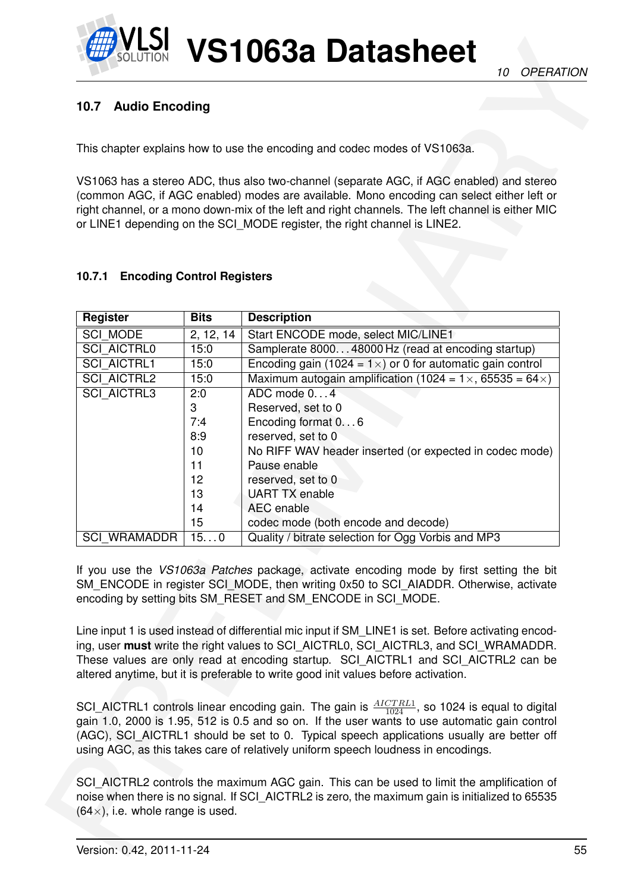

# <span id="page-54-0"></span>**10.7 Audio Encoding**

### <span id="page-54-1"></span>**10.7.1 Encoding Control Registers**

| 10.7<br><b>Audio Encoding</b>               |             |                                                                                                                                                                                                                                                                                                                                                                                                                                                                                                                                      |  |
|---------------------------------------------|-------------|--------------------------------------------------------------------------------------------------------------------------------------------------------------------------------------------------------------------------------------------------------------------------------------------------------------------------------------------------------------------------------------------------------------------------------------------------------------------------------------------------------------------------------------|--|
|                                             |             | This chapter explains how to use the encoding and codec modes of VS1063a.                                                                                                                                                                                                                                                                                                                                                                                                                                                            |  |
|                                             |             | VS1063 has a stereo ADC, thus also two-channel (separate AGC, if AGC enabled) and stereo<br>(common AGC, if AGC enabled) modes are available. Mono encoding can select either left or<br>right channel, or a mono down-mix of the left and right channels. The left channel is either MIC<br>or LINE1 depending on the SCI_MODE register, the right channel is LINE2.                                                                                                                                                                |  |
| <b>Encoding Control Registers</b><br>10.7.1 |             |                                                                                                                                                                                                                                                                                                                                                                                                                                                                                                                                      |  |
| <b>Register</b>                             | <b>Bits</b> | <b>Description</b>                                                                                                                                                                                                                                                                                                                                                                                                                                                                                                                   |  |
| <b>SCI MODE</b>                             | 2, 12, 14   | Start ENCODE mode, select MIC/LINE1                                                                                                                                                                                                                                                                                                                                                                                                                                                                                                  |  |
| <b>SCI_AICTRL0</b>                          | 15:0        | Samplerate 800048000 Hz (read at encoding startup)                                                                                                                                                                                                                                                                                                                                                                                                                                                                                   |  |
| <b>SCI AICTRL1</b>                          | 15:0        | Encoding gain (1024 = $1 \times$ ) or 0 for automatic gain control                                                                                                                                                                                                                                                                                                                                                                                                                                                                   |  |
| <b>SCI AICTRL2</b>                          | 15:0        | Maximum autogain amplification (1024 = $1 \times$ , 65535 = 64 $\times$ )                                                                                                                                                                                                                                                                                                                                                                                                                                                            |  |
| <b>SCI_AICTRL3</b>                          | 2:0         | ADC mode 04                                                                                                                                                                                                                                                                                                                                                                                                                                                                                                                          |  |
|                                             | 3           | Reserved, set to 0                                                                                                                                                                                                                                                                                                                                                                                                                                                                                                                   |  |
|                                             | 7:4         | Encoding format 06                                                                                                                                                                                                                                                                                                                                                                                                                                                                                                                   |  |
|                                             | 8:9         | reserved, set to 0                                                                                                                                                                                                                                                                                                                                                                                                                                                                                                                   |  |
|                                             | 10          | No RIFF WAV header inserted (or expected in codec mode)                                                                                                                                                                                                                                                                                                                                                                                                                                                                              |  |
|                                             | 11          | Pause enable                                                                                                                                                                                                                                                                                                                                                                                                                                                                                                                         |  |
|                                             | 12          | reserved, set to 0                                                                                                                                                                                                                                                                                                                                                                                                                                                                                                                   |  |
|                                             | 13          | <b>UART TX enable</b>                                                                                                                                                                                                                                                                                                                                                                                                                                                                                                                |  |
|                                             | 14          | AEC enable                                                                                                                                                                                                                                                                                                                                                                                                                                                                                                                           |  |
|                                             | 15          | codec mode (both encode and decode)                                                                                                                                                                                                                                                                                                                                                                                                                                                                                                  |  |
| <b>SCI WRAMADDR</b>                         | 150         | Quality / bitrate selection for Ogg Vorbis and MP3                                                                                                                                                                                                                                                                                                                                                                                                                                                                                   |  |
|                                             |             | If you use the VS1063a Patches package, activate encoding mode by first setting the bit<br>SM ENCODE in register SCI MODE, then writing 0x50 to SCI AIADDR. Otherwise, activate<br>encoding by setting bits SM RESET and SM ENCODE in SCI MODE.<br>Line input 1 is used instead of differential mic input if SM_LINE1 is set. Before activating encod-<br>ing, user must write the right values to SCI AICTRL0, SCI AICTRL3, and SCI WRAMADDR.<br>These values are only read at encoding startup. SCI_AICTRL1 and SCI_AICTRL2 can be |  |
|                                             |             | altered anytime, but it is preferable to write good init values before activation.<br>SCI_AICTRL1 controls linear encoding gain. The gain is $\frac{AICTRL1}{1024}$ , so 1024 is equal to digital<br>gain 1.0, 2000 is 1.95, 512 is 0.5 and so on. If the user wants to use automatic gain control<br>(AGC), SCI_AICTRL1 should be set to 0. Typical speech applications usually are better off                                                                                                                                      |  |
|                                             |             | using AGC, as this takes care of relatively uniform speech loudness in encodings.                                                                                                                                                                                                                                                                                                                                                                                                                                                    |  |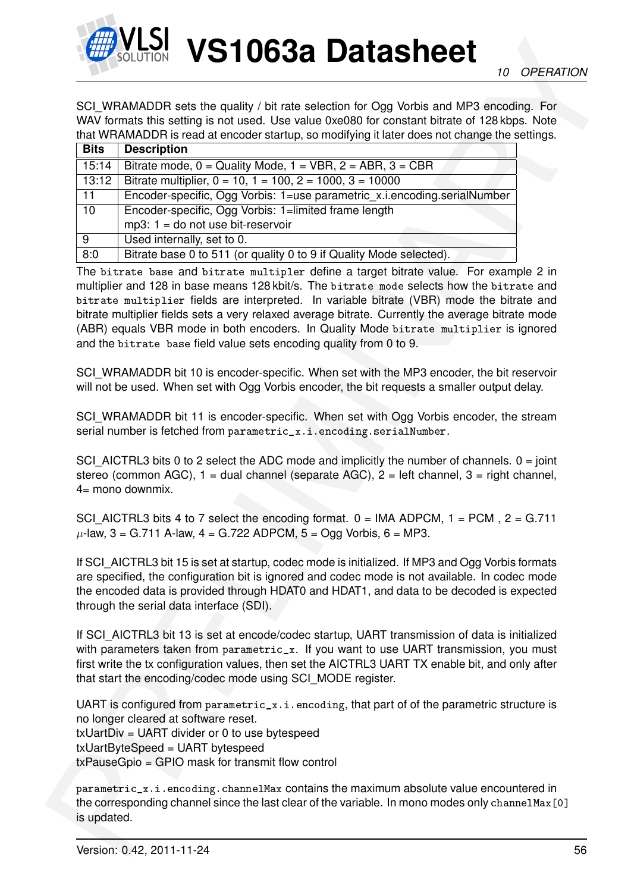

|             | SCI_WRAMADDR sets the quality / bit rate selection for Ogg Vorbis and MP3 encoding. For<br>WAV formats this setting is not used. Use value 0xe080 for constant bitrate of 128 kbps. Note                                                                                                                                                                                                                                                                    |
|-------------|-------------------------------------------------------------------------------------------------------------------------------------------------------------------------------------------------------------------------------------------------------------------------------------------------------------------------------------------------------------------------------------------------------------------------------------------------------------|
|             | that WRAMADDR is read at encoder startup, so modifying it later does not change the settings.                                                                                                                                                                                                                                                                                                                                                               |
| <b>Bits</b> | <b>Description</b>                                                                                                                                                                                                                                                                                                                                                                                                                                          |
| 15:14       | Bitrate mode, $0 =$ Quality Mode, $1 =$ VBR, $2 =$ ABR, $3 =$ CBR                                                                                                                                                                                                                                                                                                                                                                                           |
| 13:12       | Bitrate multiplier, $0 = 10$ , $1 = 100$ , $2 = 1000$ , $3 = 10000$                                                                                                                                                                                                                                                                                                                                                                                         |
| 11          | Encoder-specific, Ogg Vorbis: 1=use parametric_x.i.encoding.serialNumber                                                                                                                                                                                                                                                                                                                                                                                    |
| 10          | Encoder-specific, Ogg Vorbis: 1=limited frame length                                                                                                                                                                                                                                                                                                                                                                                                        |
|             | $mp3$ : 1 = do not use bit-reservoir                                                                                                                                                                                                                                                                                                                                                                                                                        |
| 9           | Used internally, set to 0.                                                                                                                                                                                                                                                                                                                                                                                                                                  |
| 8:0         | Bitrate base 0 to 511 (or quality 0 to 9 if Quality Mode selected).                                                                                                                                                                                                                                                                                                                                                                                         |
|             | multiplier and 128 in base means 128 kbit/s. The bitrate mode selects how the bitrate and<br>bitrate multiplier fields are interpreted. In variable bitrate (VBR) mode the bitrate and<br>bitrate multiplier fields sets a very relaxed average bitrate. Currently the average bitrate mode<br>(ABR) equals VBR mode in both encoders. In Quality Mode bitrate multiplier is ignored<br>and the bitrate base field value sets encoding quality from 0 to 9. |
|             | SCI_WRAMADDR bit 10 is encoder-specific. When set with the MP3 encoder, the bit reservoir<br>will not be used. When set with Ogg Vorbis encoder, the bit requests a smaller output delay.                                                                                                                                                                                                                                                                   |
|             | SCI WRAMADDR bit 11 is encoder-specific. When set with Ogg Vorbis encoder, the stream                                                                                                                                                                                                                                                                                                                                                                       |
|             | serial number is fetched from parametric_x.i.encoding.serialNumber.                                                                                                                                                                                                                                                                                                                                                                                         |
|             | SCI_AICTRL3 bits 0 to 2 select the ADC mode and implicitly the number of channels. $0 = joint$<br>stereo (common AGC), $1 =$ dual channel (separate AGC), $2 =$ left channel, $3 =$ right channel,<br>$4=$ mono downmix.                                                                                                                                                                                                                                    |
|             | SCI_AICTRL3 bits 4 to 7 select the encoding format. $0 = IMA ADPCM$ , $1 = PCM$ , $2 = G.711$<br>$\mu$ -law, 3 = G.711 A-law, 4 = G.722 ADPCM, 5 = Ogg Vorbis, 6 = MP3.                                                                                                                                                                                                                                                                                     |
|             | If SCI_AICTRL3 bit 15 is set at startup, codec mode is initialized. If MP3 and Ogg Vorbis formats<br>are specified, the configuration bit is ignored and codec mode is not available. In codec mode<br>the encoded data is provided through HDAT0 and HDAT1, and data to be decoded is expected<br>through the serial data interface (SDI).                                                                                                                 |
|             | If SCI_AICTRL3 bit 13 is set at encode/codec startup, UART transmission of data is initialized<br>with parameters taken from parametric_x. If you want to use UART transmission, you must<br>first write the tx configuration values, then set the AICTRL3 UART TX enable bit, and only after<br>that start the encoding/codec mode using SCI_MODE register.                                                                                                |
|             | UART is configured from parametric_x.i.encoding, that part of of the parametric structure is<br>no longer cleared at software reset.<br>$txUartDiv = UART$ divider or 0 to use bytespeed<br>txUartByteSpeed = UART bytespeed<br>$txPauseGpio = GPIO mask for transmit flow control$                                                                                                                                                                         |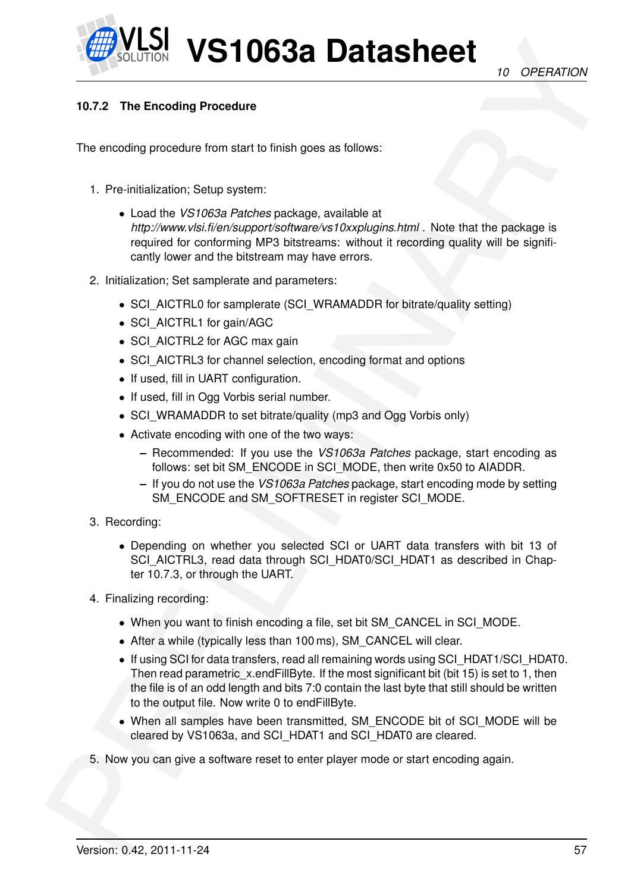

# **10.7.2 The Encoding Procedure**

The encoding procedure from start to finish goes as follows:

- 1. Pre-initialization; Setup system:
- WELFIND **VS110638 Datasheet** (a) OPERATION<br>
The crucising Procedure<br>
The crucising Procedure<br>
The crucising Procedure<br>
The crucising Procedure<br>
1. Ps in bigged particular to finish gross as follows:<br>
A Leadin W31053 ration • Load the *VS1063a Patches* package, available at *http://www.vlsi.fi/en/support/software/vs10xxplugins.html* . Note that the package is required for conforming MP3 bitstreams: without it recording quality will be significantly lower and the bitstream may have errors.
	- 2. Initialization; Set samplerate and parameters:
		- SCI\_AICTRL0 for samplerate (SCI\_WRAMADDR for bitrate/quality setting)
		- SCI\_AICTRL1 for gain/AGC
		- SCI\_AICTRL2 for AGC max gain
		- SCI\_AICTRL3 for channel selection, encoding format and options
		- If used, fill in UART configuration.
		- If used, fill in Ogg Vorbis serial number.
		- SCI WRAMADDR to set bitrate/quality (mp3 and Ogg Vorbis only)
		- Activate encoding with one of the two ways:
			- **–** Recommended: If you use the *VS1063a Patches* package, start encoding as follows: set bit SM\_ENCODE in SCI\_MODE, then write 0x50 to AIADDR.
			- **–** If you do not use the *VS1063a Patches* package, start encoding mode by setting SM\_ENCODE and SM\_SOFTRESET in register SCI\_MODE.
	- 3. Recording:
		- Depending on whether you selected SCI or UART data transfers with bit 13 of SCI\_AICTRL3, read data through SCI\_HDAT0/SCI\_HDAT1 as described in Chapter 10.7.3, or through the UART.
	- 4. Finalizing recording:
		- When you want to finish encoding a file, set bit SM\_CANCEL in SCI\_MODE.
		- After a while (typically less than 100 ms), SM\_CANCEL will clear.
		- If using SCI for data transfers, read all remaining words using SCI\_HDAT1/SCI\_HDAT0. Then read parametric x.endFillByte. If the most significant bit (bit 15) is set to 1, then the file is of an odd length and bits 7:0 contain the last byte that still should be written to the output file. Now write 0 to endFillByte.
		- When all samples have been transmitted, SM\_ENCODE bit of SCI\_MODE will be cleared by VS1063a, and SCI\_HDAT1 and SCI\_HDAT0 are cleared.
	- 5. Now you can give a software reset to enter player mode or start encoding again.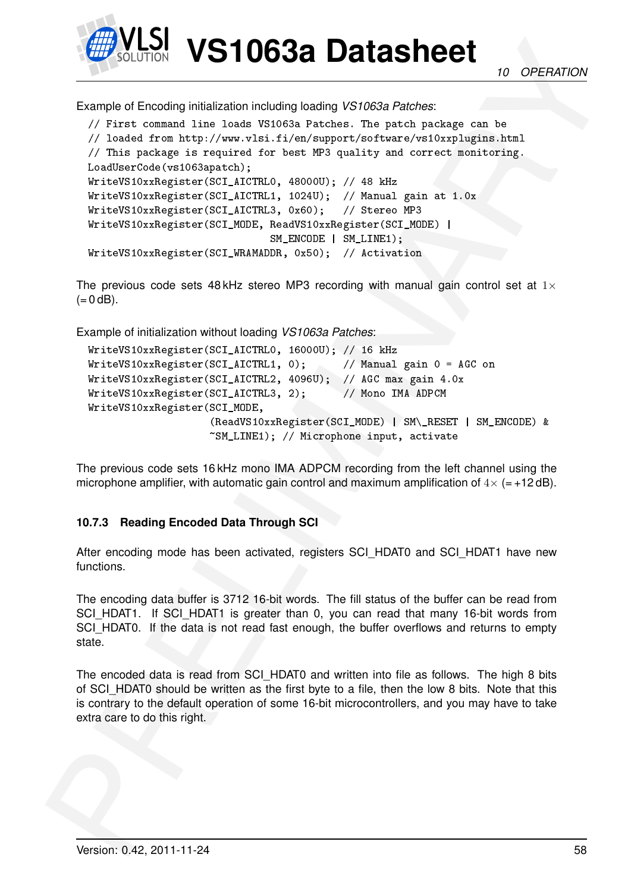

*10 OPERATION*

Example of Encoding initialization including loading *VS1063a Patches*:

```
EXAMPLE 10638 Datasheet<br>
Example of Encode principalization including basing 1951688 Panches<br>
Example of Encode principalization including basing 1951688 Panches<br>
27 Ibis 1 control 11in Links 1951684 Panches and the sta
        // First command line loads VS1063a Patches. The patch package can be
        // loaded from http://www.vlsi.fi/en/support/software/vs10xxplugins.html
        // This package is required for best MP3 quality and correct monitoring.
        LoadUserCode(vs1063apatch);
        WriteVS10xxRegister(SCI_AICTRL0, 48000U); // 48 kHz
        WriteVS10xxRegister(SCI_AICTRL1, 1024U); // Manual gain at 1.0x
        WriteVS10xxRegister(SCI_AICTRL3, 0x60); // Stereo MP3
        WriteVS10xxRegister(SCI_MODE, ReadVS10xxRegister(SCI_MODE) |
                                            SM_ENCODE | SM_LINE1);
        WriteVS10xxRegister(SCI_WRAMADDR, 0x50); // Activation
```
The previous code sets 48 kHz stereo MP3 recording with manual gain control set at  $1\times$  $(= 0$  dB).

Example of initialization without loading *VS1063a Patches*:

```
WriteVS10xxRegister(SCI_AICTRL0, 16000U); // 16 kHz
WriteVS10xxRegister(SCI_AICTRL1, 0); // Manual gain 0 = AGC on
WriteVS10xxRegister(SCI_AICTRL2, 4096U); // AGC max gain 4.0x
WriteVS10xxRegister(SCI_AICTRL3, 2); // Mono IMA ADPCM
WriteVS10xxRegister(SCI_MODE,
                   (ReadVS10xxRegister(SCI_MODE) | SM\_RESET | SM_ENCODE) &
                   ~SM_LINE1); // Microphone input, activate
```
The previous code sets 16 kHz mono IMA ADPCM recording from the left channel using the microphone amplifier, with automatic gain control and maximum amplification of  $4 \times$  (= +12 dB).

# <span id="page-57-0"></span>**10.7.3 Reading Encoded Data Through SCI**

After encoding mode has been activated, registers SCI\_HDAT0 and SCI\_HDAT1 have new functions.

The encoding data buffer is 3712 16-bit words. The fill status of the buffer can be read from SCI\_HDAT1. If SCI\_HDAT1 is greater than 0, you can read that many 16-bit words from SCI\_HDAT0. If the data is not read fast enough, the buffer overflows and returns to empty state.

The encoded data is read from SCI\_HDAT0 and written into file as follows. The high 8 bits of SCI\_HDAT0 should be written as the first byte to a file, then the low 8 bits. Note that this is contrary to the default operation of some 16-bit microcontrollers, and you may have to take extra care to do this right.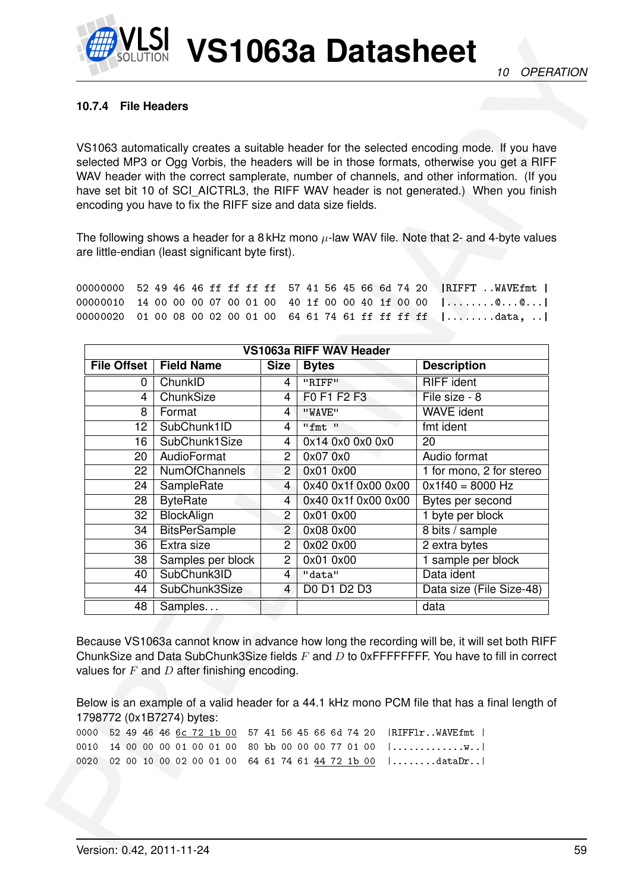# **10.7.4 File Headers**

|      |                    |                                                                                                         |                                  |                                                               | VS1063 automatically creates a suitable header for the selected encoding mode. If you have                                                                                           |
|------|--------------------|---------------------------------------------------------------------------------------------------------|----------------------------------|---------------------------------------------------------------|--------------------------------------------------------------------------------------------------------------------------------------------------------------------------------------|
|      |                    |                                                                                                         |                                  |                                                               | selected MP3 or Ogg Vorbis, the headers will be in those formats, otherwise you get a RIFF                                                                                           |
|      |                    |                                                                                                         |                                  |                                                               | WAV header with the correct samplerate, number of channels, and other information. (If you<br>have set bit 10 of SCI_AICTRL3, the RIFF WAV header is not generated.) When you finish |
|      |                    | encoding you have to fix the RIFF size and data size fields.                                            |                                  |                                                               |                                                                                                                                                                                      |
|      |                    |                                                                                                         |                                  |                                                               |                                                                                                                                                                                      |
|      |                    |                                                                                                         |                                  |                                                               | The following shows a header for a 8 kHz mono $\mu$ -law WAV file. Note that 2- and 4-byte values                                                                                    |
|      |                    | are little-endian (least significant byte first).                                                       |                                  |                                                               |                                                                                                                                                                                      |
|      |                    |                                                                                                         |                                  |                                                               |                                                                                                                                                                                      |
|      | 00000000           |                                                                                                         |                                  |                                                               | 52 49 46 46 ff ff ff ff 57 41 56 45 66 6d 74 20   RIFFT  WAVEfmt                                                                                                                     |
|      | 00000010           |                                                                                                         |                                  |                                                               | 14 00 00 00 07 00 01 00 40 1f 00 00 40 1f 00 00  @@                                                                                                                                  |
|      | 00000020           |                                                                                                         |                                  |                                                               | 01 00 08 00 02 00 01 00 64 61 74 61 ff ff ff ff   data,                                                                                                                              |
|      |                    |                                                                                                         |                                  |                                                               |                                                                                                                                                                                      |
|      |                    |                                                                                                         |                                  | VS1063a RIFF WAV Header                                       |                                                                                                                                                                                      |
|      | <b>File Offset</b> | <b>Field Name</b>                                                                                       | <b>Size</b>                      | <b>Bytes</b>                                                  | <b>Description</b>                                                                                                                                                                   |
|      | $\mathbf 0$        | ChunkID                                                                                                 | 4                                | "RIFF"                                                        | <b>RIFF</b> ident                                                                                                                                                                    |
|      | 4                  | ChunkSize                                                                                               | 4                                | F0 F1 F2 F3                                                   | File size - 8                                                                                                                                                                        |
|      | 8                  | Format                                                                                                  | $\mathbf{4}^{\circ}$             | "WAVE"                                                        | <b>WAVE ident</b>                                                                                                                                                                    |
|      | 12                 | SubChunk1ID                                                                                             | 4                                | "fmt "                                                        | fmt ident                                                                                                                                                                            |
|      | 16                 | SubChunk1Size                                                                                           | 4                                | 0x14 0x0 0x0 0x0                                              | 20                                                                                                                                                                                   |
|      | 20                 | AudioFormat                                                                                             | $\overline{2}$                   | 0x07 0x0                                                      | Audio format                                                                                                                                                                         |
|      | 22                 | <b>NumOfChannels</b>                                                                                    | $\overline{2}$                   | 0x01 0x00                                                     | 1 for mono, 2 for stereo                                                                                                                                                             |
|      | 24                 | SampleRate                                                                                              | $\overline{4}$                   | 0x40 0x1f 0x00 0x00                                           | $0x1f40 = 8000 Hz$                                                                                                                                                                   |
|      | 28                 | <b>ByteRate</b>                                                                                         | $\overline{4}$                   | 0x40 0x1f 0x00 0x00                                           | Bytes per second                                                                                                                                                                     |
|      | $\overline{32}$    | <b>BlockAlign</b>                                                                                       | 2                                | 0x01 0x00                                                     | 1 byte per block                                                                                                                                                                     |
|      | 34                 | <b>BitsPerSample</b>                                                                                    | $\overline{2}$                   | 0x08 0x00                                                     | 8 bits / sample                                                                                                                                                                      |
|      | 36                 | Extra size                                                                                              | $2^{-}$                          | 0x02 0x00                                                     | 2 extra bytes                                                                                                                                                                        |
|      | 38                 | Samples per block<br>SubChunk3ID                                                                        | $\overline{2}$                   | 0x01 0x00<br>"data"                                           | 1 sample per block<br>Data ident                                                                                                                                                     |
|      | 40<br>44           | SubChunk3Size                                                                                           | $\overline{4}$<br>$\overline{4}$ | DO D1 D2 D3                                                   | Data size (File Size-48)                                                                                                                                                             |
|      |                    |                                                                                                         |                                  |                                                               |                                                                                                                                                                                      |
|      | 48                 | Samples                                                                                                 |                                  |                                                               | data                                                                                                                                                                                 |
|      |                    |                                                                                                         |                                  |                                                               |                                                                                                                                                                                      |
|      |                    |                                                                                                         |                                  |                                                               | Because VS1063a cannot know in advance how long the recording will be, it will set both RIFF                                                                                         |
|      |                    |                                                                                                         |                                  |                                                               | ChunkSize and Data SubChunk3Size fields $F$ and $D$ to 0xFFFFFFFF. You have to fill in correct                                                                                       |
|      |                    | values for $F$ and $D$ after finishing encoding.                                                        |                                  |                                                               |                                                                                                                                                                                      |
|      |                    |                                                                                                         |                                  |                                                               |                                                                                                                                                                                      |
|      |                    |                                                                                                         |                                  |                                                               | Below is an example of a valid header for a 44.1 kHz mono PCM file that has a final length of                                                                                        |
|      |                    | 1798772 (0x1B7274) bytes:                                                                               |                                  |                                                               |                                                                                                                                                                                      |
| 0010 |                    | 0000 52 49 46 46 6c 72 1b 00 57 41 56 45 66 6d 74 20<br>14 00 00 00 01 00 01 00 80 bb 00 00 00 77 01 00 |                                  |                                                               | RIFF1rWAVEfmt  <br>                                                                                                                                                                  |
|      |                    |                                                                                                         |                                  | 0020 02 00 10 00 02 00 01 00 64 61 74 61 44 72 1b 00   dataDr |                                                                                                                                                                                      |
|      |                    |                                                                                                         |                                  |                                                               |                                                                                                                                                                                      |
|      |                    |                                                                                                         |                                  |                                                               |                                                                                                                                                                                      |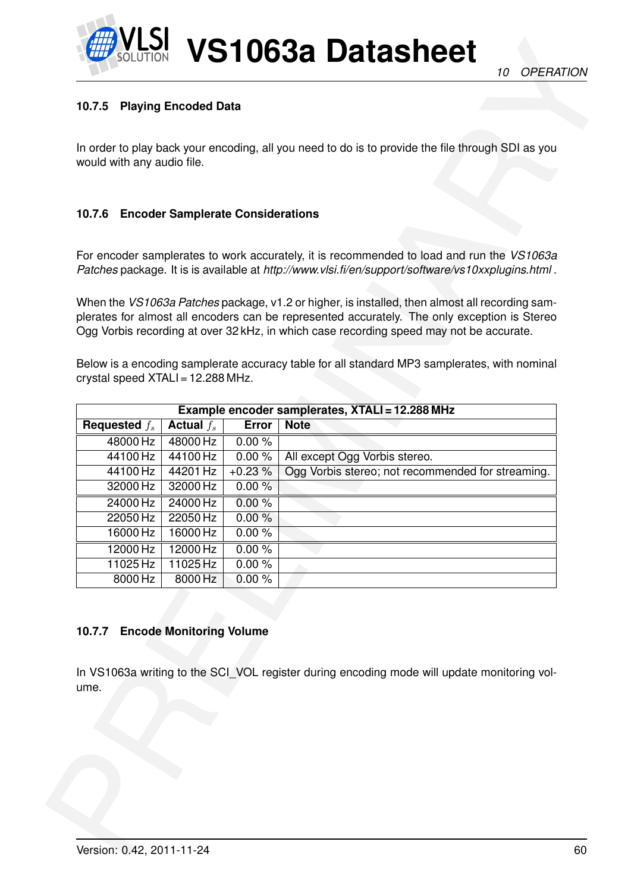

# **10.7.5 Playing Encoded Data**

# **10.7.6 Encoder Samplerate Considerations**

| 10.7.5                            | <b>Playing Encoded Data</b>              |                   |                                                                                                                                                                                                                                                                                                  |
|-----------------------------------|------------------------------------------|-------------------|--------------------------------------------------------------------------------------------------------------------------------------------------------------------------------------------------------------------------------------------------------------------------------------------------|
| would with any audio file.        |                                          |                   | In order to play back your encoding, all you need to do is to provide the file through SDI as you                                                                                                                                                                                                |
| 10.7.6                            | <b>Encoder Samplerate Considerations</b> |                   |                                                                                                                                                                                                                                                                                                  |
|                                   |                                          |                   | For encoder samplerates to work accurately, it is recommended to load and run the VS1063a<br>Patches package. It is is available at http://www.vlsi.fi/en/support/software/vs10xxplugins.html.                                                                                                   |
|                                   |                                          |                   | When the <i>VS1063a Patches</i> package, v1.2 or higher, is installed, then almost all recording sam-<br>plerates for almost all encoders can be represented accurately. The only exception is Stereo<br>Ogg Vorbis recording at over 32 kHz, in which case recording speed may not be accurate. |
| crystal speed XTALI = 12.288 MHz. |                                          |                   | Below is a encoding samplerate accuracy table for all standard MP3 samplerates, with nominal                                                                                                                                                                                                     |
|                                   |                                          |                   | Example encoder samplerates, XTALI = 12.288 MHz                                                                                                                                                                                                                                                  |
| Requested $f_s$                   | Actual $f_s$                             | <b>Error</b>      | <b>Note</b>                                                                                                                                                                                                                                                                                      |
| 48000 Hz                          | 48000 Hz                                 | 0.00%             |                                                                                                                                                                                                                                                                                                  |
| 44100 Hz                          | 44100 Hz                                 | 0.00%             | All except Ogg Vorbis stereo.                                                                                                                                                                                                                                                                    |
| 44100 Hz<br>32000 Hz              | 44201 Hz<br>32000 Hz                     | $+0.23%$<br>0.00% | Ogg Vorbis stereo; not recommended for streaming.                                                                                                                                                                                                                                                |
|                                   |                                          |                   |                                                                                                                                                                                                                                                                                                  |
| 24000 Hz<br>22050 Hz              | 24000 Hz<br>22050 Hz                     | 0.00%<br>0.00%    |                                                                                                                                                                                                                                                                                                  |
| 16000 Hz                          | 16000 Hz                                 | 0.00%             |                                                                                                                                                                                                                                                                                                  |
| 12000 Hz                          | 12000 Hz                                 | 0.00%             |                                                                                                                                                                                                                                                                                                  |
| 11025 Hz                          | 11025 Hz                                 | 0.00%             |                                                                                                                                                                                                                                                                                                  |
| 8000 Hz                           | 8000 Hz                                  | 0.00%             |                                                                                                                                                                                                                                                                                                  |
| 10.7.7<br>ume.                    | <b>Encode Monitoring Volume</b>          |                   | In VS1063a writing to the SCI_VOL register during encoding mode will update monitoring vol-                                                                                                                                                                                                      |
|                                   |                                          |                   |                                                                                                                                                                                                                                                                                                  |

#### **10.7.7 Encode Monitoring Volume**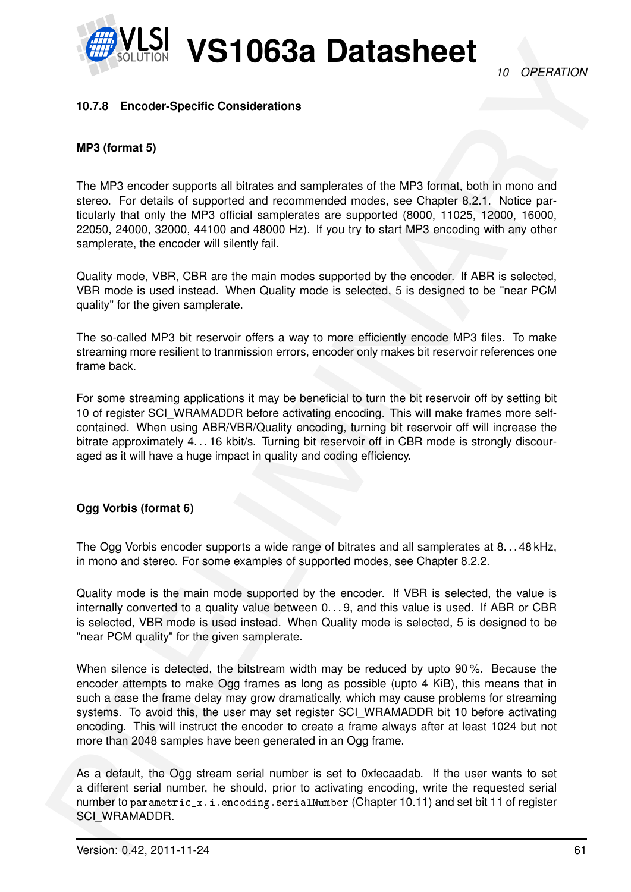

### **10.7.8 Encoder-Specific Considerations**

# **MP3 (format 5)**

The MP3 encoder supports all bitrates and samplerates of the MP3 format, both in mono and stereo. For details of supported and recommended modes, see Chapter 8.2.1. Notice particularly that only the MP3 official samplerates are supported (8000, 11025, 12000, 16000, 22050, 24000, 32000, 44100 and 48000 Hz). If you try to start MP3 encoding with any other samplerate, the encoder will silently fail.

Quality mode, VBR, CBR are the main modes supported by the encoder. If ABR is selected, VBR mode is used instead. When Quality mode is selected, 5 is designed to be "near PCM quality" for the given samplerate.

The so-called MP3 bit reservoir offers a way to more efficiently encode MP3 files. To make streaming more resilient to tranmission errors, encoder only makes bit reservoir references one frame back.

For some streaming applications it may be beneficial to turn the bit reservoir off by setting bit 10 of register SCI\_WRAMADDR before activating encoding. This will make frames more selfcontained. When using ABR/VBR/Quality encoding, turning bit reservoir off will increase the bitrate approximately 4...16 kbit/s. Turning bit reservoir off in CBR mode is strongly discouraged as it will have a huge impact in quality and coding efficiency.

#### **Ogg Vorbis (format 6)**

The Ogg Vorbis encoder supports a wide range of bitrates and all samplerates at 8...48 kHz. in mono and stereo. For some examples of supported modes, see Chapter 8.2.2.

Quality mode is the main mode supported by the encoder. If VBR is selected, the value is internally converted to a quality value between 0. . . 9, and this value is used. If ABR or CBR is selected, VBR mode is used instead. When Quality mode is selected, 5 is designed to be "near PCM quality" for the given samplerate.

CONTROL **VS110638 Datasheet** of considerations<br>
10.28 Encode Specific Considerations<br>
10.73 Encode Specific Considerations<br>
11973 (forms 5)<br>
11973 (forms 5)<br>
11973 (forms 5)<br>
11973 (forms 5)<br>
11974 (forms 5)<br>
11974 (forms When silence is detected, the bitstream width may be reduced by upto 90 %. Because the encoder attempts to make Ogg frames as long as possible (upto 4 KiB), this means that in such a case the frame delay may grow dramatically, which may cause problems for streaming systems. To avoid this, the user may set register SCI\_WRAMADDR bit 10 before activating encoding. This will instruct the encoder to create a frame always after at least 1024 but not more than 2048 samples have been generated in an Ogg frame.

As a default, the Ogg stream serial number is set to 0xfecaadab. If the user wants to set a different serial number, he should, prior to activating encoding, write the requested serial number to parametric\_x.i.encoding.serialNumber (Chapter 10.11) and set bit 11 of register SCI\_WRAMADDR.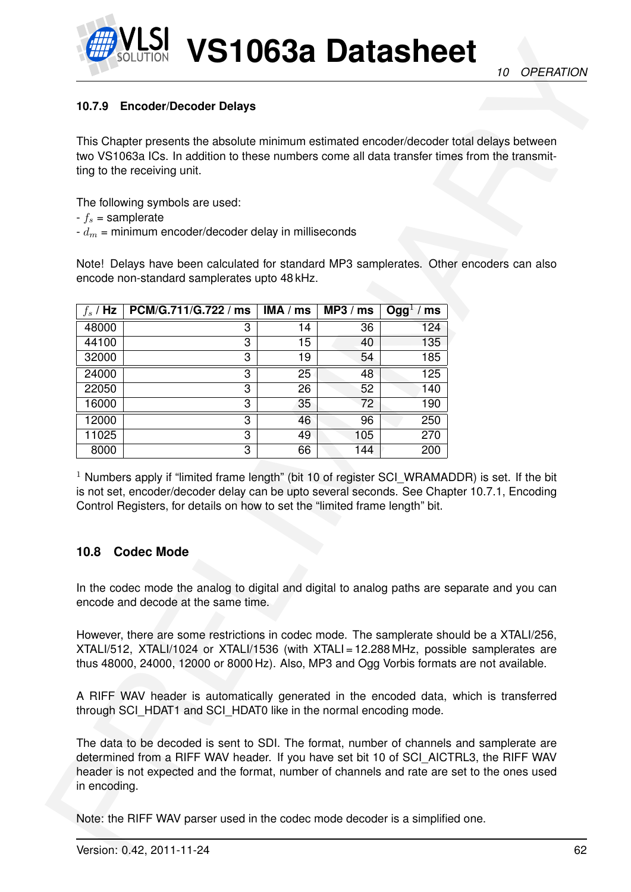

# **10.7.9 Encoder/Decoder Delays**

- $-f_s =$ samplerate
- $-d_m$  = minimum encoder/decoder delay in milliseconds

| 10.7.9         | <b>Encoder/Decoder Delays</b>                                                                                                                                                                                                                                                     |          |          |                       |  |
|----------------|-----------------------------------------------------------------------------------------------------------------------------------------------------------------------------------------------------------------------------------------------------------------------------------|----------|----------|-----------------------|--|
|                | This Chapter presents the absolute minimum estimated encoder/decoder total delays between                                                                                                                                                                                         |          |          |                       |  |
|                | two VS1063a ICs. In addition to these numbers come all data transfer times from the transmit-                                                                                                                                                                                     |          |          |                       |  |
|                | ting to the receiving unit.                                                                                                                                                                                                                                                       |          |          |                       |  |
|                |                                                                                                                                                                                                                                                                                   |          |          |                       |  |
|                | The following symbols are used:<br>$-f_s =$ samplerate                                                                                                                                                                                                                            |          |          |                       |  |
|                | $-d_m$ = minimum encoder/decoder delay in milliseconds                                                                                                                                                                                                                            |          |          |                       |  |
|                |                                                                                                                                                                                                                                                                                   |          |          |                       |  |
|                | Note! Delays have been calculated for standard MP3 samplerates. Other encoders can also                                                                                                                                                                                           |          |          |                       |  |
|                | encode non-standard samplerates upto 48 kHz.                                                                                                                                                                                                                                      |          |          |                       |  |
|                |                                                                                                                                                                                                                                                                                   |          |          |                       |  |
| $f_s$ / Hz     | PCM/G.711/G.722 / ms                                                                                                                                                                                                                                                              | IMA / ms | MP3 / ms | Ogg <sup>1</sup> / ms |  |
| 48000<br>44100 | 3<br>3                                                                                                                                                                                                                                                                            | 14<br>15 | 36<br>40 | 124<br>135            |  |
| 32000          | 3                                                                                                                                                                                                                                                                                 | 19       | 54       | 185                   |  |
| 24000          | $\overline{3}$                                                                                                                                                                                                                                                                    | 25       | 48       | 125                   |  |
| 22050          | 3                                                                                                                                                                                                                                                                                 | 26       | 52       | 140                   |  |
| 16000          | 3                                                                                                                                                                                                                                                                                 | 35       | 72       | 190                   |  |
| 12000          | 3                                                                                                                                                                                                                                                                                 | 46       | 96       | 250                   |  |
| 11025          | 3                                                                                                                                                                                                                                                                                 | 49       | 105      | 270                   |  |
| 8000           | 3                                                                                                                                                                                                                                                                                 | 66       | 144      | 200                   |  |
|                |                                                                                                                                                                                                                                                                                   |          |          |                       |  |
|                | $1$ Numbers apply if "limited frame length" (bit 10 of register SCI WRAMADDR) is set. If the bit<br>is not set, encoder/decoder delay can be upto several seconds. See Chapter 10.7.1, Encoding                                                                                   |          |          |                       |  |
|                | Control Registers, for details on how to set the "limited frame length" bit.                                                                                                                                                                                                      |          |          |                       |  |
|                |                                                                                                                                                                                                                                                                                   |          |          |                       |  |
|                | 10.8 Codec Mode                                                                                                                                                                                                                                                                   |          |          |                       |  |
|                |                                                                                                                                                                                                                                                                                   |          |          |                       |  |
|                | In the codec mode the analog to digital and digital to analog paths are separate and you can                                                                                                                                                                                      |          |          |                       |  |
|                | encode and decode at the same time.                                                                                                                                                                                                                                               |          |          |                       |  |
|                |                                                                                                                                                                                                                                                                                   |          |          |                       |  |
|                | However, there are some restrictions in codec mode. The samplerate should be a XTALI/256,                                                                                                                                                                                         |          |          |                       |  |
|                | XTALI/512, XTALI/1024 or XTALI/1536 (with XTALI = 12.288 MHz, possible samplerates are                                                                                                                                                                                            |          |          |                       |  |
|                | thus 48000, 24000, 12000 or 8000 Hz). Also, MP3 and Ogg Vorbis formats are not available.                                                                                                                                                                                         |          |          |                       |  |
|                |                                                                                                                                                                                                                                                                                   |          |          |                       |  |
|                | A RIFF WAV header is automatically generated in the encoded data, which is transferred<br>through SCI_HDAT1 and SCI_HDAT0 like in the normal encoding mode.                                                                                                                       |          |          |                       |  |
| in encoding.   | The data to be decoded is sent to SDI. The format, number of channels and samplerate are<br>determined from a RIFF WAV header. If you have set bit 10 of SCI_AICTRL3, the RIFF WAV<br>header is not expected and the format, number of channels and rate are set to the ones used |          |          |                       |  |

# **10.8 Codec Mode**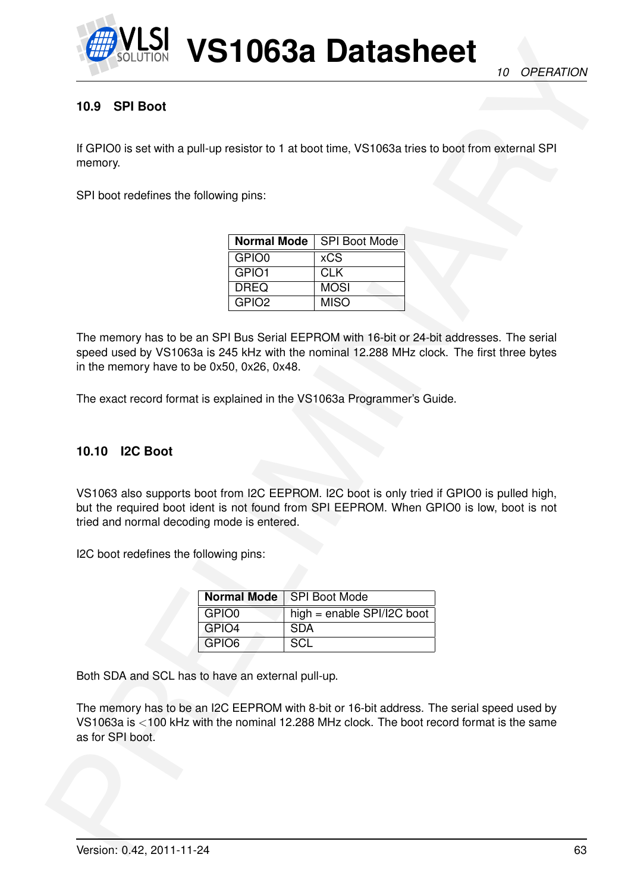

# **10.9 SPI Boot**

If GPIO0 is set with a pull-up resistor to 1 at boot time, VS1063a tries to boot from external SPI memory.

SPI boot redefines the following pins:

|                   | <b>Normal Mode</b>   SPI Boot Mode |
|-------------------|------------------------------------|
| GPIO0             | <b>xCS</b>                         |
| GPIO1             | <b>CLK</b>                         |
| <b>DREQ</b>       | <b>MOSI</b>                        |
| GPIO <sub>2</sub> | <b>MISO</b>                        |

EXAMPLE 10632 Datasheet<br>
10 SPI Boot<br>
10 SPI Boot<br>
10 SPI Boot<br>
10 SPI Boot<br>
10 SPI Boot<br>
10 SPI Boot<br>
10 SPI Boot<br>
10 Technolic Boot<br>
10 Technolic Boot<br>
10 Technolic Boot<br>
10 Technolic Boot<br>
10 SPI Boot<br>
10 SPI Boot<br>
10 S The memory has to be an SPI Bus Serial EEPROM with 16-bit or 24-bit addresses. The serial speed used by VS1063a is 245 kHz with the nominal 12.288 MHz clock. The first three bytes in the memory have to be 0x50, 0x26, 0x48.

The exact record format is explained in the VS1063a Programmer's Guide.

# **10.10 I2C Boot**

VS1063 also supports boot from I2C EEPROM. I2C boot is only tried if GPIO0 is pulled high, but the required boot ident is not found from SPI EEPROM. When GPIO0 is low, boot is not tried and normal decoding mode is entered.

I2C boot redefines the following pins:

|                   | Normal Mode   SPI Boot Mode  |
|-------------------|------------------------------|
| GPIO0             | high = enable $SPI/IZC$ boot |
| GPIO4             | <b>SDA</b>                   |
| GPIO <sub>6</sub> | SCL.                         |

Both SDA and SCL has to have an external pull-up.

The memory has to be an I2C EEPROM with 8-bit or 16-bit address. The serial speed used by VS1063a is <100 kHz with the nominal 12.288 MHz clock. The boot record format is the same as for SPI boot.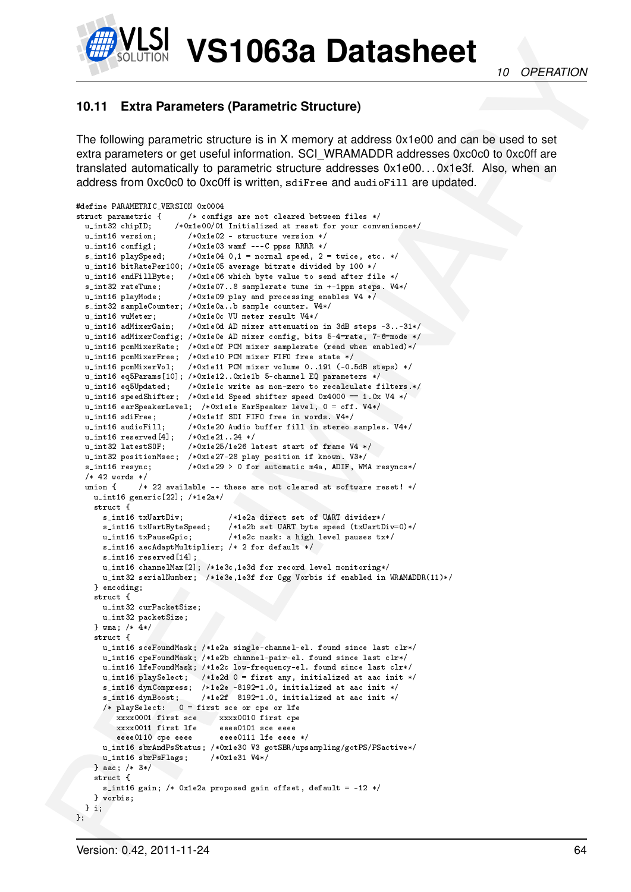

# <span id="page-63-0"></span>**10.11 Extra Parameters (Parametric Structure)**

The following parametric structure is in X memory at address 0x1e00 and can be used to set extra parameters or get useful information. SCI\_WRAMADDR addresses 0xc0c0 to 0xc0ff are translated automatically to parametric structure addresses 0x1e00. . . 0x1e3f. Also, when an address from 0xc0c0 to 0xc0ff is written, sdiFree and audioFill are updated.

```
EXAMPLE DE CONSUMERE DE CONSUMERE DE CONSUMERE DE CONSUMERE DE CONSUMERE DE CONSUMERE DE CONSUMERE DE CONSUMERE DE CONSUMERE DE CONSUMERE DE CONSUMERE DE CONSUMERE DE CONSUMERE DE CONSUMERE DE CONSUMERE DE CONSUMERE DE CON
      #define PARAMETRIC_VERSION 0x0004
      struct parametric { /* configs are not cleared between files */
                            /*0x1e00/01 Initialized at reset for your convenience*/
        u_int16 version; /*0x1e02 - structure version */
         u_int16 config1; /*0x1e03 wamf ---C ppss RRRR */
         s\_int16 playSpeed; /*0x1e04 0,1 = normal speed, 2 = twice, etc. */
        u_int16 bitRatePer100; /*0x1e05 average bitrate divided by 100 */
        u_int16 endFillByte; /*0x1e06 which byte value to send after file */
        s_int32 rateTune; /*0x1e07..8 samplerate tune in +-1ppm steps. V4*/<br>u_int16 playMode; /*0x1e09 play and processing enables V4 */
                               /*0x1e09 play and processing enables V4 */
        s_int32 sampleCounter; /*0x1e0a..b sample counter. V4*/
         u_int16 vuMeter; /*0x1e0c VU meter result V4*/
         u_int16 adMixerGain; /*0x1e0d AD mixer attenuation in 3dB steps -3..-31*/
        u_int16 adMixerConfig; /*0x1e0e AD mixer config, bits 5-4=rate, 7-6=mode */
         u_int16 pcmMixerRate; /*0x1e0f PCM mixer samplerate (read when enabled)*/
         u_int16 pcmMixerFree; /*0x1e10 PCM mixer FIFO free state */
         u_int16 pcmMixerVol; /*0x1e11 PCM mixer volume 0..191 (-0.5dB steps) */
        u_int16 eq5Params[10]; /*0x1e12..0x1e1b 5-channel EQ parameters */
         u_int16 eq5Updated; /*0x1e1c write as non-zero to recalculate filters.*/
         u_int16 speedShifter; /*0x1e1d Speed shifter speed 0x4000 == 1.0x V4 */
        u_int16 earSpeakerLevel; /*0x1e1e EarSpeaker level, 0 = off. V4*/
        u_int16 sdiFree; /*0x1e1f SDI FIFO free in words. V4*/
        u_int16 audioFill; /*0x1e20 Audio buffer fill in stereo samples. V4*/
        u_int16 reserved[4]; /*0x1e21..24 */
         u_int32 latestSOF; /*0x1e25/1e26 latest start of frame V4 */
         u_int32 positionMsec; /*0x1e27-28 play position if known. V3*/
        s_int16 resync; /*0x1e29 > 0 for automatic m4a, ADIF, WMA resyncs*/
        /* 42 words */union \{ /* 22 available -- these are not cleared at software reset! */
          u_int16 generic[22]; /*1e2a*/
          struct {<br>s_int16 txUartDiv;
                                         /*1e2a direct set of UART divider*/
            s_int16 txUartByteSpeed; /*1e2b set UART byte speed (txUartDiv=0)*/
            u_int16 txPauseGpio; /*1e2c mask: a high level pauses tx*/
            s_int16 aecAdaptMultiplier; /* 2 for default */
            s_int16 reserved[14];
            u_int16 channelMax[2]; /*1e3c,1e3d for record level monitoring*/
            u_int32 serialNumber; /*1e3e,1e3f for Ogg Vorbis if enabled in WRAMADDR(11)*/
          } encoding;
          struct {
            u_int32 curPacketSize;
            u_int32 packetSize;
          } wma; /* 4*/
          struct {
            u_int16 sceFoundMask; /*1e2a single-channel-el. found since last clr*/
            u_int16 cpeFoundMask; /*1e2b channel-pair-el. found since last clr*/
            u_int16 lfeFoundMask; /*1e2c low-frequency-el. found since last clr*/
            u_int16 playSelect; /*1e2d 0 = first any, initialized at aac init */
            s_int16 dynCompress; /*1e2e -8192=1.0, initialized at aac init */
             s_int16 dynBoost; /*1e2f 8192=1.0, initialized at aac init */
             /* playSelect: 0 = first sce or cpe or lfe
               xxxx0001 first sce xxxx0010 first cpe
               xxxx0011 first lfe eeee0101 sce eeee
                                      eeee0111 lfe eeee */u_int16 sbrAndPsStatus; /*0x1e30 V3 gotSBR/upsampling/gotPS/PSactive*/
            u_int16 sbrPsFlags; /*0x1e31 V4*/
          } aac; /* 3*/
           struct {
            s_int16 gain; /* 0x1e2a proposed gain offset, default = -12 */
          } vorbis;
        } i;
      };
```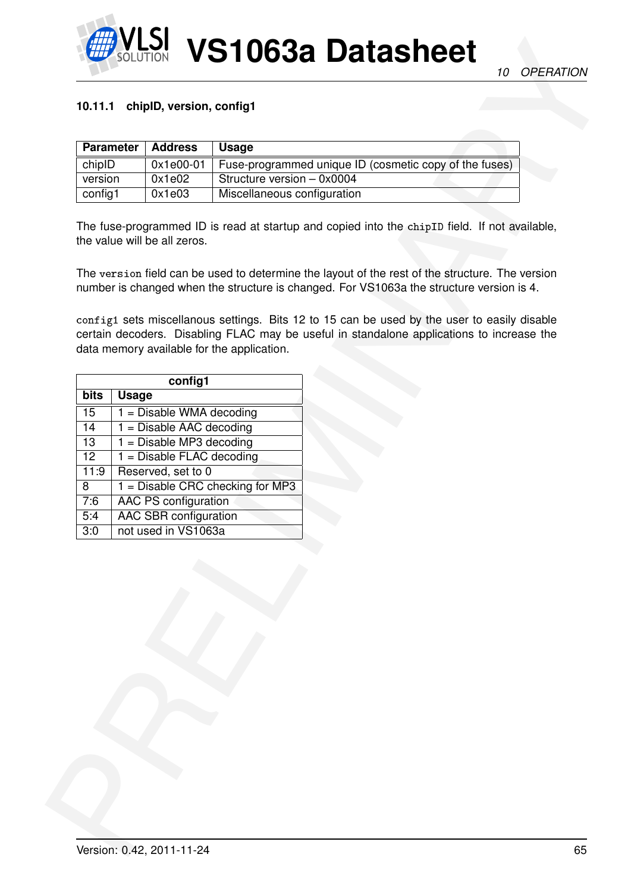

#### **10.11.1 chipID, version, config1**

| <b>Parameter</b> | Address   | <b>Usage</b>                                           |
|------------------|-----------|--------------------------------------------------------|
| chipID           | 0x1e00-01 | Fuse-programmed unique ID (cosmetic copy of the fuses) |
| version          | 0x1e02    | Structure version - 0x0004                             |
| config1          | 0x1e03    | Miscellaneous configuration                            |

| <b>Parameter</b>     | <b>Address</b>              | <b>Usage</b>                                                                                                                                                                                                                                                                               |
|----------------------|-----------------------------|--------------------------------------------------------------------------------------------------------------------------------------------------------------------------------------------------------------------------------------------------------------------------------------------|
| chipID               | $0x1e00-01$                 | Fuse-programmed unique ID (cosmetic copy of the fuses)                                                                                                                                                                                                                                     |
| version              | 0x1e02                      | Structure version - 0x0004                                                                                                                                                                                                                                                                 |
| config1              | 0x1e03                      | Miscellaneous configuration                                                                                                                                                                                                                                                                |
|                      |                             | The version field can be used to determine the layout of the rest of the structure. The version<br>number is changed when the structure is changed. For VS1063a the structure version is 4.<br>config1 sets miscellanous settings. Bits 12 to 15 can be used by the user to easily disable |
|                      | config1                     | certain decoders. Disabling FLAC may be useful in standalone applications to increase the<br>data memory available for the application.                                                                                                                                                    |
| bits<br><b>Usage</b> |                             |                                                                                                                                                                                                                                                                                            |
| 15                   | $1 =$ Disable WMA decoding  |                                                                                                                                                                                                                                                                                            |
| 14                   | $1 =$ Disable AAC decoding  |                                                                                                                                                                                                                                                                                            |
| 13                   | $1 =$ Disable MP3 decoding  |                                                                                                                                                                                                                                                                                            |
| 12                   | $1 =$ Disable FLAC decoding |                                                                                                                                                                                                                                                                                            |
| 11:9                 | Reserved, set to 0          |                                                                                                                                                                                                                                                                                            |
| 8                    |                             | $1 =$ Disable CRC checking for MP3                                                                                                                                                                                                                                                         |
| 7:6                  | <b>AAC PS configuration</b> |                                                                                                                                                                                                                                                                                            |
| 5:4                  | AAC SBR configuration       |                                                                                                                                                                                                                                                                                            |
| $\overline{3:0}$     | not used in VS1063a         |                                                                                                                                                                                                                                                                                            |
|                      |                             |                                                                                                                                                                                                                                                                                            |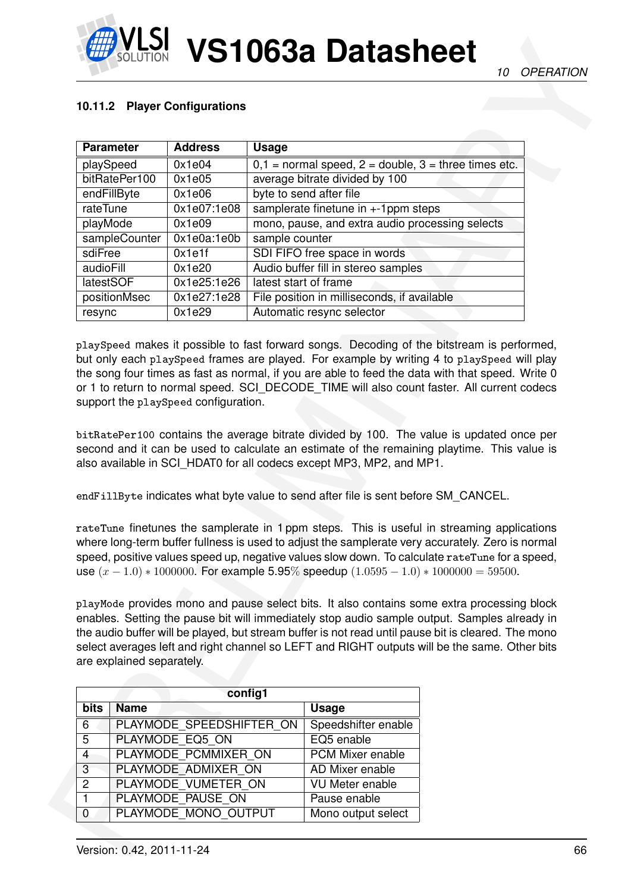# **10.11.2 Player Configurations**

|                  |                           | 10.11.2 Player Configurations             |                       |                                                                                                                                                                                                                                                                                                                                                                                                                                                                                                                                                                                               |  |  |
|------------------|---------------------------|-------------------------------------------|-----------------------|-----------------------------------------------------------------------------------------------------------------------------------------------------------------------------------------------------------------------------------------------------------------------------------------------------------------------------------------------------------------------------------------------------------------------------------------------------------------------------------------------------------------------------------------------------------------------------------------------|--|--|
|                  |                           |                                           |                       |                                                                                                                                                                                                                                                                                                                                                                                                                                                                                                                                                                                               |  |  |
|                  | <b>Parameter</b>          | <b>Address</b>                            | <b>Usage</b>          |                                                                                                                                                                                                                                                                                                                                                                                                                                                                                                                                                                                               |  |  |
|                  | playSpeed                 | 0x1e04                                    |                       | $0,1$ = normal speed, $2$ = double, $3$ = three times etc.                                                                                                                                                                                                                                                                                                                                                                                                                                                                                                                                    |  |  |
|                  | bitRatePer100             | 0x1e05                                    |                       | average bitrate divided by 100                                                                                                                                                                                                                                                                                                                                                                                                                                                                                                                                                                |  |  |
|                  | endFillByte               | 0x1e06                                    |                       | byte to send after file                                                                                                                                                                                                                                                                                                                                                                                                                                                                                                                                                                       |  |  |
| rateTune         |                           | 0x1e07:1e08                               |                       | samplerate finetune in $+1$ ppm steps                                                                                                                                                                                                                                                                                                                                                                                                                                                                                                                                                         |  |  |
| playMode         |                           | 0x1e09                                    |                       | mono, pause, and extra audio processing selects                                                                                                                                                                                                                                                                                                                                                                                                                                                                                                                                               |  |  |
|                  | sampleCounter             | 0x1e0a:1e0b                               | sample counter        |                                                                                                                                                                                                                                                                                                                                                                                                                                                                                                                                                                                               |  |  |
| sdiFree          |                           | 0x1e1f                                    |                       | SDI FIFO free space in words                                                                                                                                                                                                                                                                                                                                                                                                                                                                                                                                                                  |  |  |
| audioFill        |                           | 0x1e20                                    |                       | Audio buffer fill in stereo samples                                                                                                                                                                                                                                                                                                                                                                                                                                                                                                                                                           |  |  |
| latestSOF        |                           | 0x1e25:1e26                               | latest start of frame |                                                                                                                                                                                                                                                                                                                                                                                                                                                                                                                                                                                               |  |  |
|                  | positionMsec              | 0x1e27:1e28                               |                       | File position in milliseconds, if available                                                                                                                                                                                                                                                                                                                                                                                                                                                                                                                                                   |  |  |
| resync           |                           | 0x1e29                                    |                       | Automatic resync selector                                                                                                                                                                                                                                                                                                                                                                                                                                                                                                                                                                     |  |  |
|                  |                           |                                           |                       |                                                                                                                                                                                                                                                                                                                                                                                                                                                                                                                                                                                               |  |  |
|                  |                           | support the playSpeed configuration.      |                       | or 1 to return to normal speed. SCI_DECODE_TIME will also count faster. All current codecs<br>bitRatePer100 contains the average bitrate divided by 100. The value is updated once per<br>second and it can be used to calculate an estimate of the remaining playtime. This value is<br>also available in SCI HDAT0 for all codecs except MP3, MP2, and MP1.<br>endFillByte indicates what byte value to send after file is sent before SM_CANCEL.                                                                                                                                           |  |  |
|                  |                           |                                           |                       | rateTune finetunes the samplerate in 1 ppm steps. This is useful in streaming applications<br>where long-term buffer fullness is used to adjust the samplerate very accurately. Zero is normal<br>speed, positive values speed up, negative values slow down. To calculate rate Tune for a speed,<br>use $(x - 1.0) * 1000000$ . For example 5.95% speedup $(1.0595 - 1.0) * 1000000 = 59500$ .<br>playMode provides mono and pause select bits. It also contains some extra processing block<br>enables. Setting the pause bit will immediately stop audio sample output. Samples already in |  |  |
|                  | are explained separately. |                                           |                       | the audio buffer will be played, but stream buffer is not read until pause bit is cleared. The mono<br>select averages left and right channel so LEFT and RIGHT outputs will be the same. Other bits                                                                                                                                                                                                                                                                                                                                                                                          |  |  |
|                  |                           |                                           |                       |                                                                                                                                                                                                                                                                                                                                                                                                                                                                                                                                                                                               |  |  |
|                  |                           | config1                                   |                       |                                                                                                                                                                                                                                                                                                                                                                                                                                                                                                                                                                                               |  |  |
| <b>bits</b>      | <b>Name</b>               |                                           |                       | <b>Usage</b>                                                                                                                                                                                                                                                                                                                                                                                                                                                                                                                                                                                  |  |  |
|                  |                           | PLAYMODE_SPEEDSHIFTER_ON                  |                       | Speedshifter enable                                                                                                                                                                                                                                                                                                                                                                                                                                                                                                                                                                           |  |  |
| 5                |                           | PLAYMODE EQ5 ON                           |                       | EQ5 enable                                                                                                                                                                                                                                                                                                                                                                                                                                                                                                                                                                                    |  |  |
| $\overline{4}$   |                           | PLAYMODE PCMMIXER ON                      |                       | PCM Mixer enable                                                                                                                                                                                                                                                                                                                                                                                                                                                                                                                                                                              |  |  |
| 6<br>3           |                           | PLAYMODE ADMIXER ON                       |                       | AD Mixer enable                                                                                                                                                                                                                                                                                                                                                                                                                                                                                                                                                                               |  |  |
| $\overline{2}$   |                           | PLAYMODE VUMETER ON                       |                       | <b>VU Meter enable</b>                                                                                                                                                                                                                                                                                                                                                                                                                                                                                                                                                                        |  |  |
| 1<br>$\mathbf 0$ |                           | PLAYMODE PAUSE ON<br>PLAYMODE MONO OUTPUT |                       | Pause enable<br>Mono output select                                                                                                                                                                                                                                                                                                                                                                                                                                                                                                                                                            |  |  |

|                | config1                  |                        |  |  |  |  |  |  |
|----------------|--------------------------|------------------------|--|--|--|--|--|--|
| bits           | <b>Name</b>              | <b>Usage</b>           |  |  |  |  |  |  |
| 6              | PLAYMODE SPEEDSHIFTER ON | Speedshifter enable    |  |  |  |  |  |  |
| 5              | PLAYMODE EQ5 ON          | EQ5 enable             |  |  |  |  |  |  |
| 4              | PLAYMODE PCMMIXER ON     | PCM Mixer enable       |  |  |  |  |  |  |
| 3              | PLAYMODE ADMIXER ON      | AD Mixer enable        |  |  |  |  |  |  |
| $\overline{2}$ | PLAYMODE VUMETER ON      | <b>VU Meter enable</b> |  |  |  |  |  |  |
| 1              | PLAYMODE PAUSE ON        | Pause enable           |  |  |  |  |  |  |
| 0              | PLAYMODE MONO OUTPUT     | Mono output select     |  |  |  |  |  |  |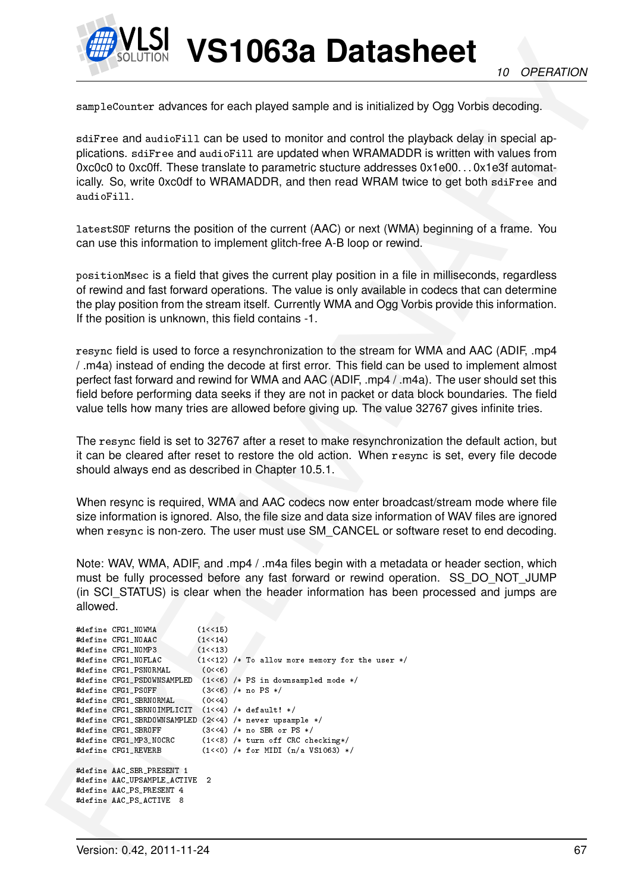

sampleCounter advances for each played sample and is initialized by Ogg Vorbis decoding.

sdiFree and audioFill can be used to monitor and control the playback delay in special applications. sdiFree and audioFill are updated when WRAMADDR is written with values from 0xc0c0 to 0xc0ff. These translate to parametric stucture addresses 0x1e00. . . 0x1e3f automatically. So, write 0xc0df to WRAMADDR, and then read WRAM twice to get both sdiFree and audioFill.

latestSOF returns the position of the current (AAC) or next (WMA) beginning of a frame. You can use this information to implement glitch-free A-B loop or rewind.

positionMsec is a field that gives the current play position in a file in milliseconds, regardless of rewind and fast forward operations. The value is only available in codecs that can determine the play position from the stream itself. Currently WMA and Ogg Vorbis provide this information. If the position is unknown, this field contains -1.

resync field is used to force a resynchronization to the stream for WMA and AAC (ADIF, .mp4 / .m4a) instead of ending the decode at first error. This field can be used to implement almost perfect fast forward and rewind for WMA and AAC (ADIF, .mp4 / .m4a). The user should set this field before performing data seeks if they are not in packet or data block boundaries. The field value tells how many tries are allowed before giving up. The value 32767 gives infinite tries.

The resync field is set to 32767 after a reset to make resynchronization the default action, but it can be cleared after reset to restore the old action. When resync is set, every file decode should always end as described in Chapter 10.5.1.

When resync is required, WMA and AAC codecs now enter broadcast/stream mode where file size information is ignored. Also, the file size and data size information of WAV files are ignored when  $resync$  is non-zero. The user must use SM\_CANCEL or software reset to end decoding.

Note: WAV, WMA, ADIF, and .mp4 / .m4a files begin with a metadata or header section, which must be fully processed before any fast forward or rewind operation. SS\_DO\_NOT\_JUMP (in SCI\_STATUS) is clear when the header information has been processed and jumps are allowed.

```
MPLE 10638 DOLLARS THE CONTRACT CONTRACT CONTRACT CONTRACT CONTRACT CONTRACT CONTRACT CONTRACT CONTRACT CONTRACT CONTRACT CONTRACT CONTRACT CONTRACT CONTRACT CONTRACT CONTRACT CONTRACT CONTRACT CONTRACT CONTRACT CONTR
       #define CFG1_NOWMA (1<<15)
       #define CFG1_NOAAC (1<<14)
       #define CFG1_NOMP3 (1<<13)
       #define CFG1_NOFLAC (1<<12) /* To allow more memory for the user */
       #define CFG1_PSNORMAL (0<<6)
       #define CFG1_PSDOWNSAMPLED (1<<6) /* PS in downsampled mode */<br>#define CFG1_PSOFF (3<<6) /* no PS */
       #define CFG1_PSOFF
       #define CFG1_SBRNORMAL (0<<4)
       #define CFG1_SBRNOIMPLICIT (1<<4) /* default! */
       #define CFG1_SBRDOWNSAMPLED (2<<4) /* never upsample */
       #define CFG1_SBROFF (3<<4) /* no SBR or PS */
       #define CFG1_MP3_NOCRC (1<<8) /* turn off CRC checking*/
                                     (1<0) /* for MIDI (n/a VS1063) */
       #define AAC_SBR_PRESENT 1
       #define AAC_UPSAMPLE_ACTIVE 2
       #define AAC_PS_PRESENT 4
       #define AAC_PS_ACTIVE 8
```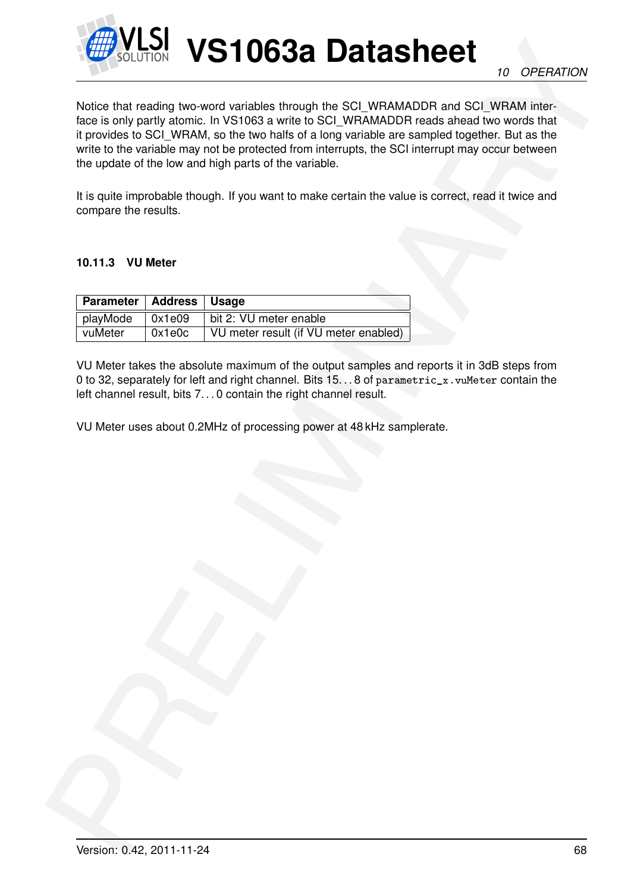

**Example 10 VS110638 Datasheet**<br>
Notice that reading two word variables through the SCI WRAMADR and SCI WRAMADR and SCI WRAMADR and SCI WRAMADR and SCI WRAMADR and two reading two particles to the VS1033 and the VS1033 and Notice that reading two-word variables through the SCI\_WRAMADDR and SCI\_WRAM interface is only partly atomic. In VS1063 a write to SCI\_WRAMADDR reads ahead two words that it provides to SCI\_WRAM, so the two halfs of a long variable are sampled together. But as the write to the variable may not be protected from interrupts, the SCI interrupt may occur between the update of the low and high parts of the variable.

It is quite improbable though. If you want to make certain the value is correct, read it twice and compare the results.

#### **10.11.3 VU Meter**

| Parameter   Address   Usage |                |                                       |
|-----------------------------|----------------|---------------------------------------|
| playMode                    | $\vert$ 0x1e09 | bit 2: VU meter enable                |
| vuMeter                     | 0x1e0c         | VU meter result (if VU meter enabled) |

VU Meter takes the absolute maximum of the output samples and reports it in 3dB steps from 0 to 32, separately for left and right channel. Bits 15. . . 8 of parametric\_x. vuMeter contain the left channel result, bits 7...0 contain the right channel result.

VU Meter uses about 0.2MHz of processing power at 48 kHz samplerate.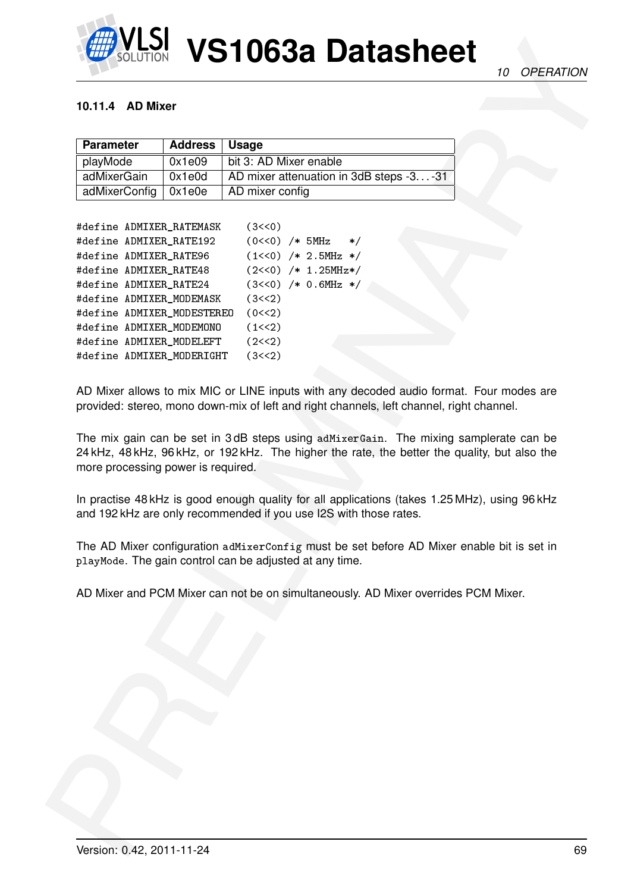

#### **10.11.4 AD Mixer**

| <b>Parameter</b>       | Address   Usage |                                          |
|------------------------|-----------------|------------------------------------------|
| playMode               | 0x1e09          | bit 3: AD Mixer enable                   |
| adMixerGain            | 0x1e0d          | AD mixer attenuation in 3dB steps -3 -31 |
| adMixerConfig   0x1e0e |                 | AD mixer config                          |

| <b>Parameter</b>                   | <b>Address</b> | <b>Usage</b>                                                                                                                                                                                                                                                                                                                                                                                                                                                                  |
|------------------------------------|----------------|-------------------------------------------------------------------------------------------------------------------------------------------------------------------------------------------------------------------------------------------------------------------------------------------------------------------------------------------------------------------------------------------------------------------------------------------------------------------------------|
| playMode                           | 0x1e09         | bit 3: AD Mixer enable                                                                                                                                                                                                                                                                                                                                                                                                                                                        |
| adMixerGain                        | 0x1e0d         | AD mixer attenuation in 3dB steps -3-31                                                                                                                                                                                                                                                                                                                                                                                                                                       |
| adMixerConfig                      | 0x1e0e         | AD mixer config                                                                                                                                                                                                                                                                                                                                                                                                                                                               |
| #define ADMIXER_RATEMASK           |                | (3<<0)                                                                                                                                                                                                                                                                                                                                                                                                                                                                        |
| #define ADMIXER_RATE192            |                | $(0<<0)$ /* 5MHz<br>$\ast/$                                                                                                                                                                                                                                                                                                                                                                                                                                                   |
| #define ADMIXER_RATE96             |                | $(1<<0)$ /* 2.5MHz */                                                                                                                                                                                                                                                                                                                                                                                                                                                         |
| #define ADMIXER_RATE48             |                | $(2<<0)$ /* 1.25MHz*/                                                                                                                                                                                                                                                                                                                                                                                                                                                         |
| #define ADMIXER_RATE24             |                | $(3<<0)$ /* 0.6MHz */                                                                                                                                                                                                                                                                                                                                                                                                                                                         |
| #define ADMIXER_MODEMASK           |                | (3<<2)                                                                                                                                                                                                                                                                                                                                                                                                                                                                        |
| #define ADMIXER_MODESTEREO         |                | (0 < 2)                                                                                                                                                                                                                                                                                                                                                                                                                                                                       |
| #define ADMIXER_MODEMONO           |                | (1<<2)                                                                                                                                                                                                                                                                                                                                                                                                                                                                        |
| #define ADMIXER_MODELEFT           |                | (2<<2)                                                                                                                                                                                                                                                                                                                                                                                                                                                                        |
| #define ADMIXER_MODERIGHT          |                | (3<<2)                                                                                                                                                                                                                                                                                                                                                                                                                                                                        |
|                                    |                | AD Mixer allows to mix MIC or LINE inputs with any decoded audio format. Four modes are<br>provided: stereo, mono down-mix of left and right channels, left channel, right channel.<br>The mix gain can be set in 3dB steps using adMixerGain. The mixing samplerate can be<br>24 kHz, 48 kHz, 96 kHz, or 192 kHz. The higher the rate, the better the quality, but also the<br>In practise 48 kHz is good enough quality for all applications (takes 1.25 MHz), using 96 kHz |
|                                    |                | and 192 kHz are only recommended if you use I2S with those rates.                                                                                                                                                                                                                                                                                                                                                                                                             |
| more processing power is required. |                | The AD Mixer configuration adMixerConfig must be set before AD Mixer enable bit is set in<br>playMode. The gain control can be adjusted at any time.                                                                                                                                                                                                                                                                                                                          |
|                                    |                | AD Mixer and PCM Mixer can not be on simultaneously. AD Mixer overrides PCM Mixer.                                                                                                                                                                                                                                                                                                                                                                                            |
|                                    |                |                                                                                                                                                                                                                                                                                                                                                                                                                                                                               |
|                                    |                |                                                                                                                                                                                                                                                                                                                                                                                                                                                                               |
|                                    |                |                                                                                                                                                                                                                                                                                                                                                                                                                                                                               |
|                                    |                |                                                                                                                                                                                                                                                                                                                                                                                                                                                                               |
|                                    |                |                                                                                                                                                                                                                                                                                                                                                                                                                                                                               |
|                                    |                |                                                                                                                                                                                                                                                                                                                                                                                                                                                                               |
|                                    |                |                                                                                                                                                                                                                                                                                                                                                                                                                                                                               |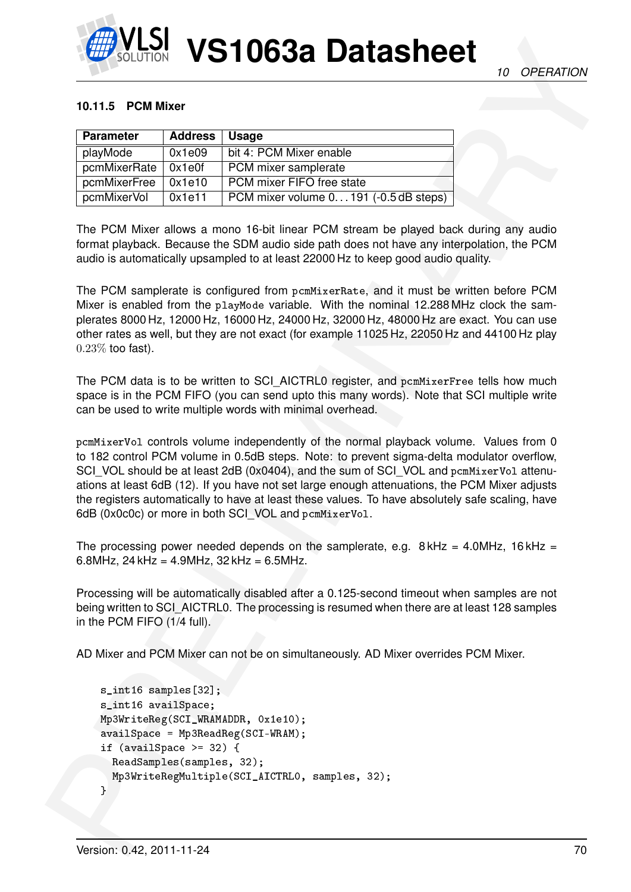

#### **10.11.5 PCM Mixer**

| <b>Parameter</b> | <b>Address</b> | <b>Usage</b>                           |
|------------------|----------------|----------------------------------------|
| playMode         | 0x1e09         | bit 4: PCM Mixer enable                |
| pcmMixerRate     | 0x1e0f         | PCM mixer samplerate                   |
| pcmMixerFree     | 0x1e10         | PCM mixer FIFO free state              |
| pcmMixerVol      | 0x1e11         | PCM mixer volume 0 191 (-0.5 dB steps) |

The PCM Mixer allows a mono 16-bit linear PCM stream be played back during any audio format playback. Because the SDM audio side path does not have any interpolation, the PCM audio is automatically upsampled to at least 22000 Hz to keep good audio quality.

The PCM samplerate is configured from pcmMixerRate, and it must be written before PCM Mixer is enabled from the playMode variable. With the nominal 12.288 MHz clock the samplerates 8000 Hz, 12000 Hz, 16000 Hz, 24000 Hz, 32000 Hz, 48000 Hz are exact. You can use other rates as well, but they are not exact (for example 11025 Hz, 22050 Hz and 44100 Hz play 0.23% too fast).

The PCM data is to be written to SCI\_AICTRL0 register, and pcmMixerFree tells how much space is in the PCM FIFO (you can send upto this many words). Note that SCI multiple write can be used to write multiple words with minimal overhead.

**EXAMPLE 10 CONTRACT CONSULTIVE CONTRACT CONSULTIVE CONTRACT CONSULTIVE CONTRACT CONSULTIVE CONSULTIVE CONTRACT CONSULTIVE CONTRACT CONSULTIVE CONSULTIVE CONSULTIVE CONSULTIVE CONSULTIVE CONSULTIVE CONSULTIVE CONSULTIVE C** pcmMixerVol controls volume independently of the normal playback volume. Values from 0 to 182 control PCM volume in 0.5dB steps. Note: to prevent sigma-delta modulator overflow, SCI\_VOL should be at least 2dB (0x0404), and the sum of SCI\_VOL and pcmMixerVol attenuations at least 6dB (12). If you have not set large enough attenuations, the PCM Mixer adjusts the registers automatically to have at least these values. To have absolutely safe scaling, have 6dB (0x0c0c) or more in both SCI\_VOL and pcmMixerVol.

The processing power needed depends on the samplerate, e.g.  $8$  kHz = 4.0MHz, 16 kHz = 6.8MHz,  $24$  kHz = 4.9MHz,  $32$  kHz = 6.5MHz.

Processing will be automatically disabled after a 0.125-second timeout when samples are not being written to SCI\_AICTRL0. The processing is resumed when there are at least 128 samples in the PCM FIFO (1/4 full).

AD Mixer and PCM Mixer can not be on simultaneously. AD Mixer overrides PCM Mixer.

```
s_int16 samples[32];
s_int16 availSpace;
Mp3WriteReg(SCI_WRAMADDR, 0x1e10);
availSpace = Mp3ReadReg(SCI-WRAM);
if (available >= 32) {
 ReadSamples(samples, 32);
  Mp3WriteRegMultiple(SCI_AICTRL0, samples, 32);
}
```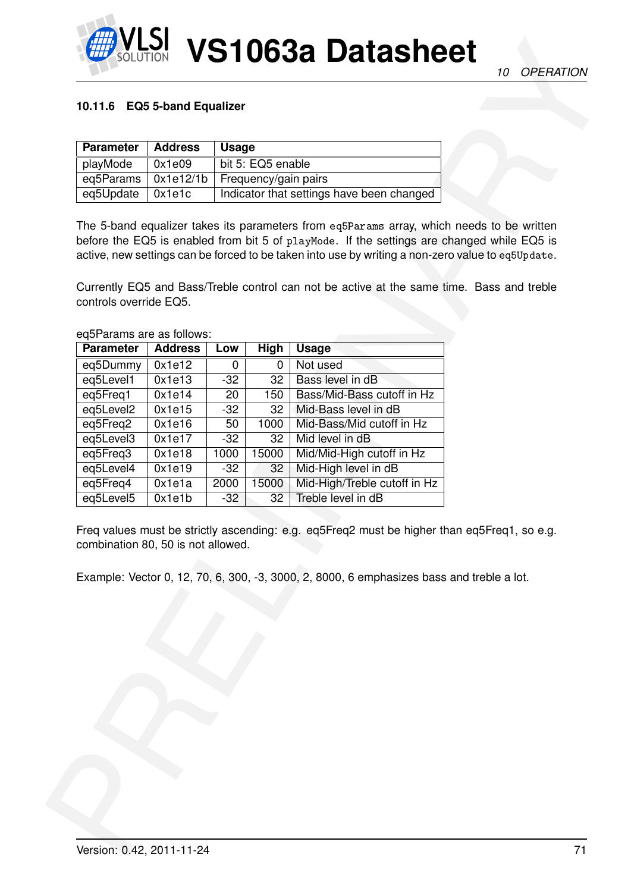

### <span id="page-70-0"></span>**10.11.6 EQ5 5-band Equalizer**

| <b>Parameter</b>            | <b>Address</b> | <b>Usage</b>                              |
|-----------------------------|----------------|-------------------------------------------|
| playMode                    | 0x1e09         | bit 5: EQ5 enable                         |
| eq5Params $\vert$ 0x1e12/1b |                | Frequency/gain pairs                      |
| eq5Update $\vert$ 0x1e1c    |                | Indicator that settings have been changed |

| <b>Parameter</b>                              | <b>Address</b> |       | <b>Usage</b>                              |                                                                                                                                                                                                                                                                                                                                                                                           |  |
|-----------------------------------------------|----------------|-------|-------------------------------------------|-------------------------------------------------------------------------------------------------------------------------------------------------------------------------------------------------------------------------------------------------------------------------------------------------------------------------------------------------------------------------------------------|--|
| playMode                                      | 0x1e09         |       | bit 5: EQ5 enable                         |                                                                                                                                                                                                                                                                                                                                                                                           |  |
| eq5Params                                     | 0x1e12/1b      |       | Frequency/gain pairs                      |                                                                                                                                                                                                                                                                                                                                                                                           |  |
| eq5Update                                     | 0x1e1c         |       | Indicator that settings have been changed |                                                                                                                                                                                                                                                                                                                                                                                           |  |
| controls override EQ5.                        |                |       |                                           | The 5-band equalizer takes its parameters from eq5Params array, which needs to be written<br>before the EQ5 is enabled from bit 5 of playMode. If the settings are changed while EQ5 is<br>active, new settings can be forced to be taken into use by writing a non-zero value to eq5Update.<br>Currently EQ5 and Bass/Treble control can not be active at the same time. Bass and treble |  |
| eq5Params are as follows:<br><b>Parameter</b> | <b>Address</b> | Low   | High                                      | <b>Usage</b>                                                                                                                                                                                                                                                                                                                                                                              |  |
| eq5Dummy                                      | 0x1e12         | 0     | $\mathbf{0}$                              | Not used                                                                                                                                                                                                                                                                                                                                                                                  |  |
| eq5Level1                                     | 0x1e13         | $-32$ | 32                                        | Bass level in dB                                                                                                                                                                                                                                                                                                                                                                          |  |
| eq5Freq1                                      | 0x1e14         | 20    | 150                                       | Bass/Mid-Bass cutoff in Hz                                                                                                                                                                                                                                                                                                                                                                |  |
| eq5Level2                                     | 0x1e15         | $-32$ | 32                                        | Mid-Bass level in dB                                                                                                                                                                                                                                                                                                                                                                      |  |
| eq5Freq2                                      | 0x1e16         | 50    | 1000                                      | Mid-Bass/Mid cutoff in Hz                                                                                                                                                                                                                                                                                                                                                                 |  |
| eq5Level3                                     | 0x1e17         | $-32$ | 32                                        | Mid level in dB                                                                                                                                                                                                                                                                                                                                                                           |  |
| eq5Freq3                                      | 0x1e18         | 1000  | 15000                                     | Mid/Mid-High cutoff in Hz                                                                                                                                                                                                                                                                                                                                                                 |  |
| eq5Level4                                     | 0x1e19         | $-32$ | 32                                        | Mid-High level in dB                                                                                                                                                                                                                                                                                                                                                                      |  |
| eq5Freq4                                      | 0x1e1a         | 2000  | 15000                                     | Mid-High/Treble cutoff in Hz                                                                                                                                                                                                                                                                                                                                                              |  |
| eq5Level5                                     | 0x1e1b         | $-32$ | 32                                        | Treble level in dB                                                                                                                                                                                                                                                                                                                                                                        |  |
| combination 80, 50 is not allowed.            |                |       |                                           | Freq values must be strictly ascending: e.g. eq5Freq2 must be higher than eq5Freq1, so e.g.<br>Example: Vector 0, 12, 70, 6, 300, -3, 3000, 2, 8000, 6 emphasizes bass and treble a lot.                                                                                                                                                                                                  |  |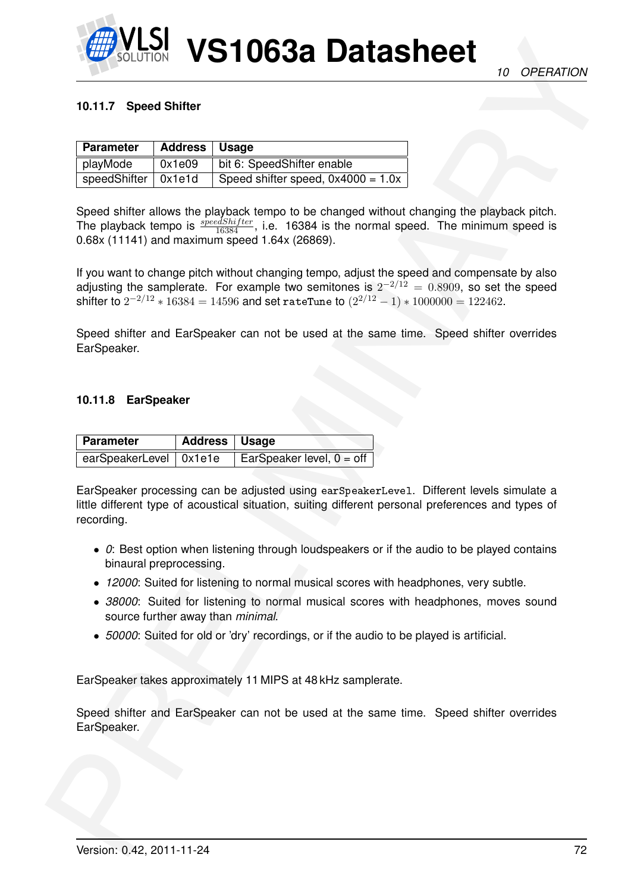

#### **10.11.7 Speed Shifter**

| <b>Parameter</b>      | Address   Usage |                                      |
|-----------------------|-----------------|--------------------------------------|
| playMode              | 0x1e09          | bit 6: SpeedShifter enable           |
| speedShifter   0x1e1d |                 | Speed shifter speed, $0x4000 = 1.0x$ |

**EXAMPLE 10 CONTRACT CONTRACT CONTRACT CONTRACT CONTRACT CONTRACT CONTRACT CONTRACT CONTRACT CONTRACT CONTRACT CONTRACT CONTRACT CONTRACT CONTRACT CONTRACT CONTRACT CONTRACT CONTRACT CONTRACT CONTRACT CONTRACT CONTRACT CO** Speed shifter allows the playback tempo to be changed without changing the playback pitch. The playback tempo is  $\frac{speedShifter}{16384}$ , i.e. 16384 is the normal speed. The minimum speed is 0.68x (11141) and maximum speed 1.64x (26869).

If you want to change pitch without changing tempo, adjust the speed and compensate by also adjusting the samplerate. For example two semitones is  $2^{-2/12} = 0.8909$ , so set the speed shifter to  $2^{-2/12}\ast 16384 = 14596$  and set <code>rateTune</code> to  $(2^{2/12}-1)\ast 1000000 = 122462.$ 

Speed shifter and EarSpeaker can not be used at the same time. Speed shifter overrides EarSpeaker.

#### **10.11.8 EarSpeaker**

| Parameter                | Address   Usage |                             |
|--------------------------|-----------------|-----------------------------|
| earSpeakerLevel   0x1e1e |                 | EarSpeaker level, $0 =$ off |

EarSpeaker processing can be adjusted using earSpeakerLevel. Different levels simulate a little different type of acoustical situation, suiting different personal preferences and types of recording.

- *0*: Best option when listening through loudspeakers or if the audio to be played contains binaural preprocessing.
- *12000*: Suited for listening to normal musical scores with headphones, very subtle.
- *38000*: Suited for listening to normal musical scores with headphones, moves sound source further away than *minimal*.
- *50000*: Suited for old or 'dry' recordings, or if the audio to be played is artificial.

EarSpeaker takes approximately 11 MIPS at 48 kHz samplerate.

Speed shifter and EarSpeaker can not be used at the same time. Speed shifter overrides EarSpeaker.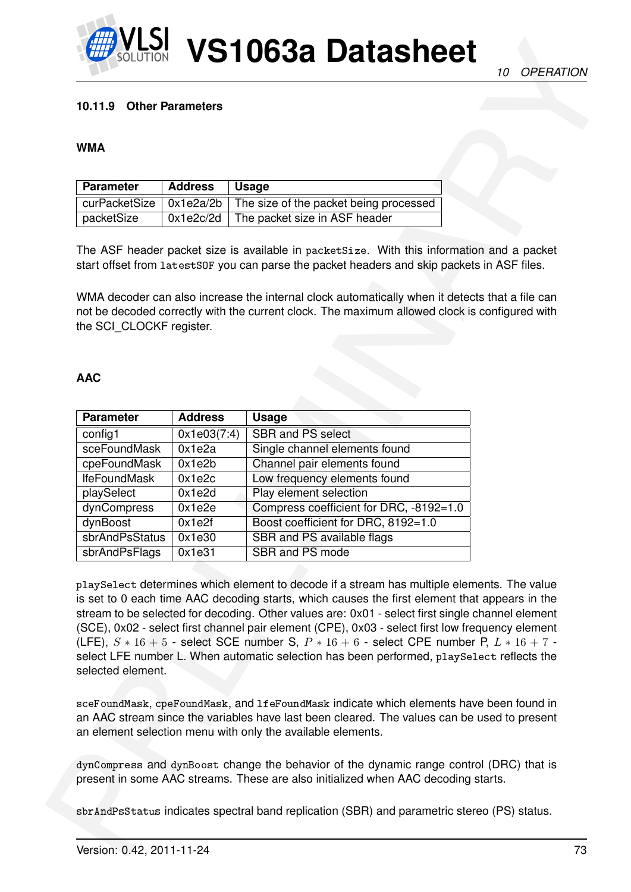

### **10.11.9 Other Parameters**

#### **WMA**

| <b>Parameter</b> | Address | ∣ Usage                                                                        |
|------------------|---------|--------------------------------------------------------------------------------|
|                  |         | curPacketSize $\vert$ 0x1e2a/2b $\vert$ The size of the packet being processed |
| packetSize       |         | $0x1e2c/2d$ The packet size in ASF header                                      |

### **AAC**

| 10.11.9 Other Parameters        |                  |                                                                                                                                                                                                                                                                                                                                                                                                                                                                                                                                                                                                   |  |
|---------------------------------|------------------|---------------------------------------------------------------------------------------------------------------------------------------------------------------------------------------------------------------------------------------------------------------------------------------------------------------------------------------------------------------------------------------------------------------------------------------------------------------------------------------------------------------------------------------------------------------------------------------------------|--|
| <b>WMA</b>                      |                  |                                                                                                                                                                                                                                                                                                                                                                                                                                                                                                                                                                                                   |  |
| <b>Parameter</b>                | <b>Address</b>   | <b>Usage</b>                                                                                                                                                                                                                                                                                                                                                                                                                                                                                                                                                                                      |  |
| curPacketSize                   | 0x1e2a/2b        | The size of the packet being processed                                                                                                                                                                                                                                                                                                                                                                                                                                                                                                                                                            |  |
| packetSize                      | 0x1e2c/2d        | The packet size in ASF header                                                                                                                                                                                                                                                                                                                                                                                                                                                                                                                                                                     |  |
| the SCI_CLOCKF register.        |                  | The ASF header packet size is available in packetSize. With this information and a packet<br>start offset from latestSOF you can parse the packet headers and skip packets in ASF files.<br>WMA decoder can also increase the internal clock automatically when it detects that a file can<br>not be decoded correctly with the current clock. The maximum allowed clock is configured with                                                                                                                                                                                                       |  |
| <b>AAC</b>                      |                  |                                                                                                                                                                                                                                                                                                                                                                                                                                                                                                                                                                                                   |  |
| <b>Parameter</b>                | <b>Address</b>   | <b>Usage</b>                                                                                                                                                                                                                                                                                                                                                                                                                                                                                                                                                                                      |  |
| config1                         | 0x1e03(7:4)      | SBR and PS select                                                                                                                                                                                                                                                                                                                                                                                                                                                                                                                                                                                 |  |
| sceFoundMask                    | 0x1e2a           | Single channel elements found                                                                                                                                                                                                                                                                                                                                                                                                                                                                                                                                                                     |  |
|                                 |                  |                                                                                                                                                                                                                                                                                                                                                                                                                                                                                                                                                                                                   |  |
| cpeFoundMask                    | 0x1e2b           | Channel pair elements found                                                                                                                                                                                                                                                                                                                                                                                                                                                                                                                                                                       |  |
| <b>IfeFoundMask</b>             | 0x1e2c           | Low frequency elements found                                                                                                                                                                                                                                                                                                                                                                                                                                                                                                                                                                      |  |
| playSelect                      | 0x1e2d           | Play element selection                                                                                                                                                                                                                                                                                                                                                                                                                                                                                                                                                                            |  |
| dynCompress                     | 0x1e2e           | Compress coefficient for DRC, -8192=1.0                                                                                                                                                                                                                                                                                                                                                                                                                                                                                                                                                           |  |
| dynBoost                        | 0x1e2f           | Boost coefficient for DRC, 8192=1.0                                                                                                                                                                                                                                                                                                                                                                                                                                                                                                                                                               |  |
| sbrAndPsStatus<br>sbrAndPsFlags | 0x1e30<br>0x1e31 | SBR and PS available flags<br>SBR and PS mode                                                                                                                                                                                                                                                                                                                                                                                                                                                                                                                                                     |  |
| selected element.               |                  | playSelect determines which element to decode if a stream has multiple elements. The value<br>is set to 0 each time AAC decoding starts, which causes the first element that appears in the<br>stream to be selected for decoding. Other values are: 0x01 - select first single channel element<br>(SCE), 0x02 - select first channel pair element (CPE), 0x03 - select first low frequency element<br>(LFE), $S * 16 + 5$ - select SCE number S, $P * 16 + 6$ - select CPE number P, $L * 16 + 7$ -<br>select LFE number L. When automatic selection has been performed, playSelect reflects the |  |
|                                 |                  | sceFoundMask, cpeFoundMask, and 1feFoundMask indicate which elements have been found in<br>an AAC stream since the variables have last been cleared. The values can be used to present<br>an element selection menu with only the available elements.<br>dynCompress and dynBoost change the behavior of the dynamic range control (DRC) that is                                                                                                                                                                                                                                                  |  |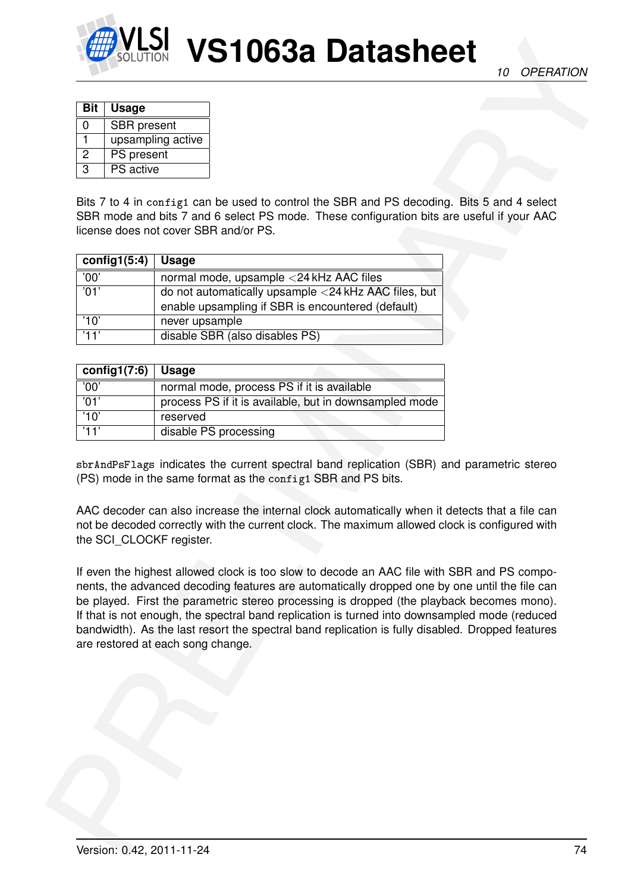

*10 OPERATION*

| Bit | <b>Usage</b>       |
|-----|--------------------|
| 0   | <b>SBR</b> present |
|     | upsampling active  |
| 2   | PS present         |
| З   | <b>PS</b> active   |

Bits 7 to 4 in config1 can be used to control the SBR and PS decoding. Bits 5 and 4 select SBR mode and bits 7 and 6 select PS mode. These configuration bits are useful if your AAC license does not cover SBR and/or PS.

| config1(5:4) | <b>Usage</b>                                                                                                 |
|--------------|--------------------------------------------------------------------------------------------------------------|
| '00'         | normal mode, upsample <24 kHz AAC files                                                                      |
| '01'         | do not automatically upsample $<$ 24 kHz AAC files, but<br>enable upsampling if SBR is encountered (default) |
| '10'         | never upsample                                                                                               |
| '11'         | disable SBR (also disables PS)                                                                               |

| config1(7:6) | Usage                                                  |
|--------------|--------------------------------------------------------|
| '00'         | normal mode, process PS if it is available             |
| '01'         | process PS if it is available, but in downsampled mode |
| '10'         | reserved                                               |
| '11'         | disable PS processing                                  |

sbrAndPsFlags indicates the current spectral band replication (SBR) and parametric stereo (PS) mode in the same format as the config1 SBR and PS bits.

AAC decoder can also increase the internal clock automatically when it detects that a file can not be decoded correctly with the current clock. The maximum allowed clock is configured with the SCI\_CLOCKF register.

EXAMPLE 10 CONTRACT IS a control of the control of the control of the control of the control of the control of the control of the control of the control of the control of the control of the control of the control of the co If even the highest allowed clock is too slow to decode an AAC file with SBR and PS components, the advanced decoding features are automatically dropped one by one until the file can be played. First the parametric stereo processing is dropped (the playback becomes mono). If that is not enough, the spectral band replication is turned into downsampled mode (reduced bandwidth). As the last resort the spectral band replication is fully disabled. Dropped features are restored at each song change.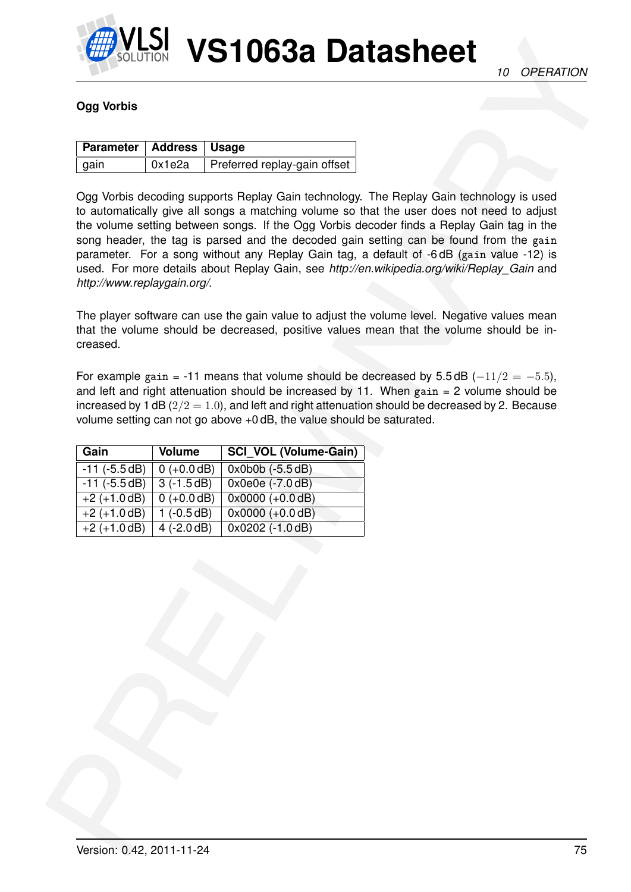

## **Ogg Vorbis**

| Parameter   Address   Usage |        |                              |
|-----------------------------|--------|------------------------------|
| $ $ gain                    | 0x1e2a | Preferred replay-gain offset |

CUTOR VISITO 632 Datasheet (a creation of the contract of the critical of the critical origins of the contract of the critical origins of the contract of the contract of the contract of the contract of the contract of the Ogg Vorbis decoding supports Replay Gain technology. The Replay Gain technology is used to automatically give all songs a matching volume so that the user does not need to adjust the volume setting between songs. If the Ogg Vorbis decoder finds a Replay Gain tag in the song header, the tag is parsed and the decoded gain setting can be found from the gain parameter. For a song without any Replay Gain tag, a default of -6 dB (gain value -12) is used. For more details about Replay Gain, see *http://en.wikipedia.org/wiki/Replay\_Gain* and *http://www.replaygain.org/*.

The player software can use the gain value to adjust the volume level. Negative values mean that the volume should be decreased, positive values mean that the volume should be increased.

For example gain = -11 means that volume should be decreased by  $5.5 \text{ dB } (-11/2 = -5.5)$ , and left and right attenuation should be increased by 11. When  $gain = 2$  volume should be increased by 1 dB  $(2/2 = 1.0)$ , and left and right attenuation should be decreased by 2. Because volume setting can not go above +0 dB, the value should be saturated.

| Gain               | Volume        | <b>SCI VOL (Volume-Gain)</b> |
|--------------------|---------------|------------------------------|
| $-11$ ( $-5.5dB$ ) | $0 (+0.0 dB)$ | $0x0b0b$ ( $-5.5dB$ )        |
| $-11$ ( $-5.5dB$ ) | $3(-1.5dB)$   | $0x0e0e (-7.0 dB)$           |
| $+2 (+1.0 dB)$     | $0 (+0.0 dB)$ | $0x0000 (+0.0 dB)$           |
| $+2 (+1.0 dB)$     | $1(-0.5dB)$   | $0x0000 (+0.0 dB)$           |
| $+2 (+1.0 dB)$     | $4 (-2.0 dB)$ | $0x0202$ (-1.0 dB)           |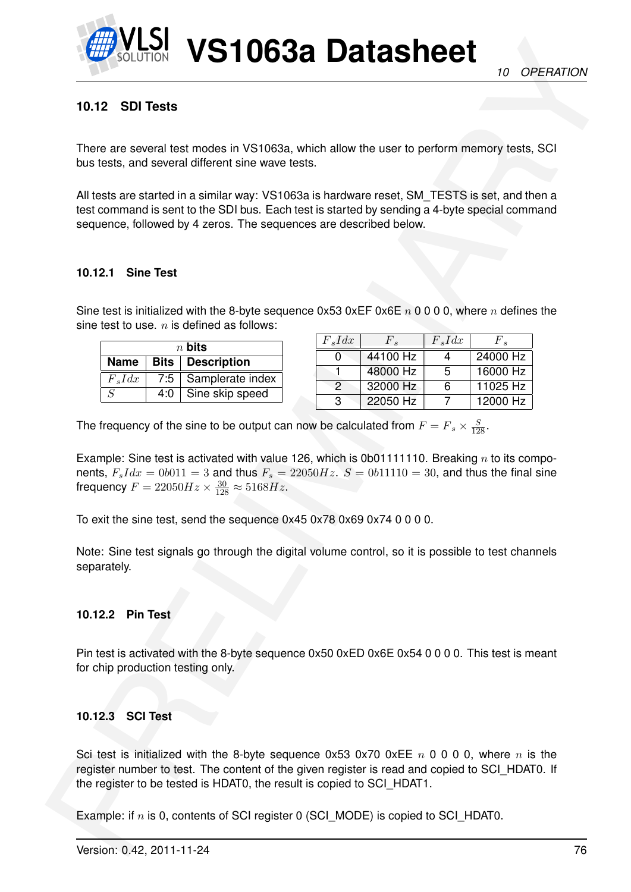

# **10.12 SDI Tests**

There are several test modes in VS1063a, which allow the user to perform memory tests, SCI bus tests, and several different sine wave tests.

All tests are started in a similar way: VS1063a is hardware reset, SM\_TESTS is set, and then a test command is sent to the SDI bus. Each test is started by sending a 4-byte special command sequence, followed by 4 zeros. The sequences are described below.

### **10.12.1 Sine Test**

Sine test is initialized with the 8-byte sequence 0x53 0xEF 0x6E  $n$  0 0 0 0, where  $n$  defines the sine test to use.  $n$  is defined as follows:

|                |     | $n$ bits                  |
|----------------|-----|---------------------------|
|                |     | Name   Bits   Description |
| $F_s I dx$     | 7:5 | Samplerate index          |
| $\overline{S}$ | 4:0 | Sine skip speed           |

| $F_s I dx$    | F <sub>s</sub> | $F_s I dx$ | $F_{\bullet}$ |
|---------------|----------------|------------|---------------|
|               | 44100 Hz       |            | 24000 Hz      |
|               | 48000 Hz       | -5         | 16000 Hz      |
| $\mathcal{P}$ | 32000 Hz       | 6          | 11025 Hz      |
| З             | 22050 Hz       |            | 12000 Hz      |

The frequency of the sine to be output can now be calculated from  $F = F_s \times \frac{S}{128}$ .

Example: Sine test is activated with value 126, which is 0b011111110. Breaking  $n$  to its components,  $F_s I dx = 0b011 = 3$  and thus  $F_s = 22050 Hz$ .  $S = 0b11110 = 30$ , and thus the final sine frequency  $F = 22050Hz \times \frac{30}{128} \approx 5168Hz$ .

To exit the sine test, send the sequence 0x45 0x78 0x69 0x74 0 0 0 0.

Note: Sine test signals go through the digital volume control, so it is possible to test channels separately.

### **10.12.2 Pin Test**

Pin test is activated with the 8-byte sequence 0x50 0xED 0x6E 0x54 0 0 0 0. This test is meant for chip production testing only.

### **10.12.3 SCI Test**

**PRESERVATION VISITO63a Datasheet**<br>
16 OPERATION<br>
16 12 SDITests<br>
Then are several test investigate in VS1053a, which allow the user to perform memory tests. SCI<br>
To restar as expectation a similar way: VS1053a, which all Sci test is initialized with the 8-byte sequence 0x53 0x70 0xEE  $n \times 0$  0 0 0, where  $n \times n$  is the register number to test. The content of the given register is read and copied to SCI\_HDAT0. If the register to be tested is HDAT0, the result is copied to SCI\_HDAT1.

Example: if  $n$  is 0, contents of SCI register 0 (SCI\_MODE) is copied to SCI\_HDAT0.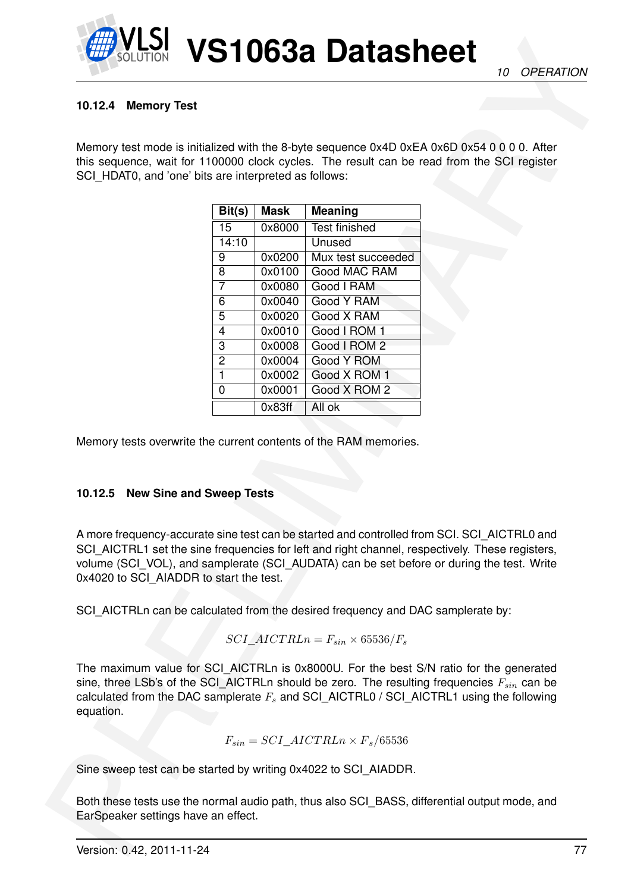

## **10.12.4 Memory Test**

|                                                                                          | <b>Memory Test</b> |                  |                                                                                                                                                                                                                                                                                             |  |
|------------------------------------------------------------------------------------------|--------------------|------------------|---------------------------------------------------------------------------------------------------------------------------------------------------------------------------------------------------------------------------------------------------------------------------------------------|--|
|                                                                                          |                    |                  | Memory test mode is initialized with the 8-byte sequence 0x4D 0xEA 0x6D 0x54 0 0 0 0. After                                                                                                                                                                                                 |  |
| SCI_HDAT0, and 'one' bits are interpreted as follows:                                    |                    |                  | this sequence, wait for 1100000 clock cycles. The result can be read from the SCI register                                                                                                                                                                                                  |  |
|                                                                                          |                    |                  |                                                                                                                                                                                                                                                                                             |  |
|                                                                                          | Bit(s)             | <b>Mask</b>      | <b>Meaning</b>                                                                                                                                                                                                                                                                              |  |
|                                                                                          | $\overline{15}$    | 0x8000           | <b>Test finished</b>                                                                                                                                                                                                                                                                        |  |
|                                                                                          | 14:10              |                  | Unused                                                                                                                                                                                                                                                                                      |  |
|                                                                                          | 9                  | 0x0200           | Mux test succeeded                                                                                                                                                                                                                                                                          |  |
|                                                                                          | 8                  | 0x0100           | Good MAC RAM                                                                                                                                                                                                                                                                                |  |
|                                                                                          | $\overline{7}$     | 0x0080           | Good I RAM                                                                                                                                                                                                                                                                                  |  |
|                                                                                          | 6<br>5             | 0x0040           | Good Y RAM                                                                                                                                                                                                                                                                                  |  |
|                                                                                          | $\overline{4}$     | 0x0020<br>0x0010 | Good X RAM<br>Good I ROM 1                                                                                                                                                                                                                                                                  |  |
|                                                                                          | 3                  | 0x0008           | Good I ROM 2                                                                                                                                                                                                                                                                                |  |
|                                                                                          | $\overline{2}$     | 0x0004           | <b>Good Y ROM</b>                                                                                                                                                                                                                                                                           |  |
|                                                                                          | $\mathbf{1}$       | 0x0002           | Good X ROM 1                                                                                                                                                                                                                                                                                |  |
|                                                                                          | $\mathbf 0$        | 0x0001           | Good X ROM 2                                                                                                                                                                                                                                                                                |  |
|                                                                                          |                    |                  |                                                                                                                                                                                                                                                                                             |  |
|                                                                                          |                    | 0x83ff           | All ok<br>Memory tests overwrite the current contents of the RAM memories.                                                                                                                                                                                                                  |  |
|                                                                                          |                    |                  |                                                                                                                                                                                                                                                                                             |  |
|                                                                                          |                    |                  | A more frequency-accurate sine test can be started and controlled from SCI. SCI_AICTRL0 and<br>SCI_AICTRL1 set the sine frequencies for left and right channel, respectively. These registers,<br>volume (SCI_VOL), and samplerate (SCI_AUDATA) can be set before or during the test. Write |  |
|                                                                                          |                    |                  | SCI_AICTRLn can be calculated from the desired frequency and DAC samplerate by:                                                                                                                                                                                                             |  |
|                                                                                          |                    |                  | SCI AICTRLn = $F_{sin} \times 65536/F_s$                                                                                                                                                                                                                                                    |  |
| 10.12.5 New Sine and Sweep Tests<br>0x4020 to SCI_AIADDR to start the test.<br>equation. |                    |                  | The maximum value for SCI_AICTRLn is 0x8000U. For the best S/N ratio for the generated<br>sine, three LSb's of the SCI_AICTRLn should be zero. The resulting frequencies $F_{sin}$ can be<br>calculated from the DAC samplerate $F_s$ and SCI_AICTRL0 / SCI_AICTRL1 using the following     |  |
|                                                                                          |                    |                  | $F_{sin} = SCI\_AICTRLn \times F_s/65536$                                                                                                                                                                                                                                                   |  |
|                                                                                          |                    |                  | Sine sweep test can be started by writing 0x4022 to SCI_AIADDR.                                                                                                                                                                                                                             |  |

### **10.12.5 New Sine and Sweep Tests**

$$
SCI\_AICTRLn = F_{sin} \times 65536/F_s
$$

$$
F_{sin} = SCI\_AICTRLn \times F_s/65536
$$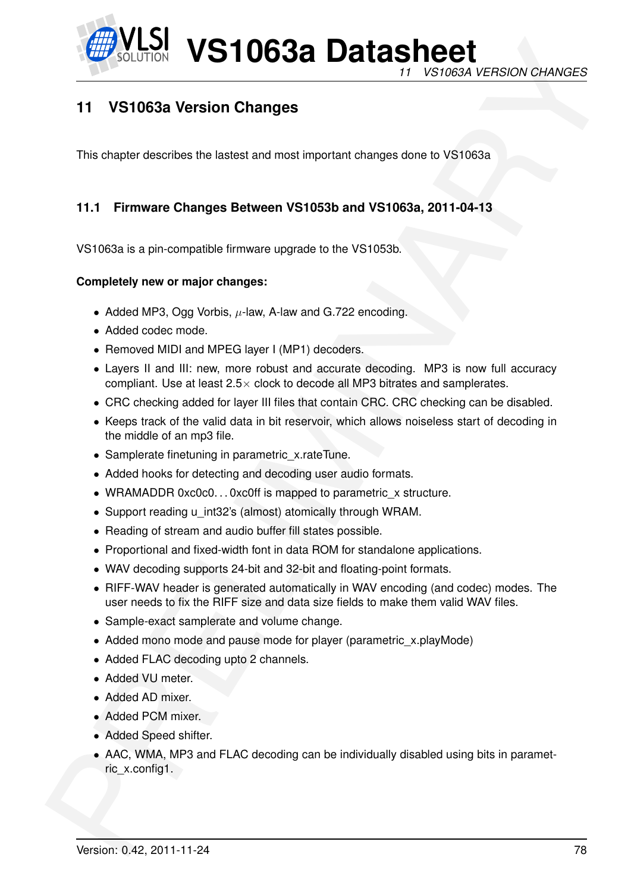

*11 VS1063A VERSION CHANGES*

# **11 VS1063a Version Changes**

This chapter describes the lastest and most important changes done to VS1063a

# **11.1 Firmware Changes Between VS1053b and VS1063a, 2011-04-13**

VS1063a is a pin-compatible firmware upgrade to the VS1053b.

## **Completely new or major changes:**

- Added MP3, Ogg Vorbis,  $\mu$ -law, A-law and G.722 encoding.
- Added codec mode.
- Removed MIDI and MPEG layer I (MP1) decoders.
- Layers II and III: new, more robust and accurate decoding. MP3 is now full accuracy compliant. Use at least  $2.5\times$  clock to decode all MP3 bitrates and samplerates.
- CRC checking added for layer III files that contain CRC. CRC checking can be disabled.
- Keeps track of the valid data in bit reservoir, which allows noiseless start of decoding in the middle of an mp3 file.
- Samplerate finetuning in parametric x.rateTune.
- Added hooks for detecting and decoding user audio formats.
- WRAMADDR 0xc0c0...0xc0ff is mapped to parametric x structure.
- Support reading u\_int32's (almost) atomically through WRAM.
- Reading of stream and audio buffer fill states possible.
- Proportional and fixed-width font in data ROM for standalone applications.
- WAV decoding supports 24-bit and 32-bit and floating-point formats.
- RIFF-WAV header is generated automatically in WAV encoding (and codec) modes. The user needs to fix the RIFF size and data size fields to make them valid WAV files.
- Sample-exact samplerate and volume change.
- Added mono mode and pause mode for player (parametric\_x.playMode)
- Added FLAC decoding upto 2 channels.
- Added VU meter.
- Added AD mixer.
- Added PCM mixer.
- Added Speed shifter.
- EXAMPLE 10632 **USE 10632** Data tas present in the VS10634 VERSION CHANGES<br>
11 VS10634 Version Changes<br>
The chapter describe the latest and most important changes does to VS10634<br>
11.1 Firmware Changes Between VS10535 and V • AAC, WMA, MP3 and FLAC decoding can be individually disabled using bits in parametric\_x.config1.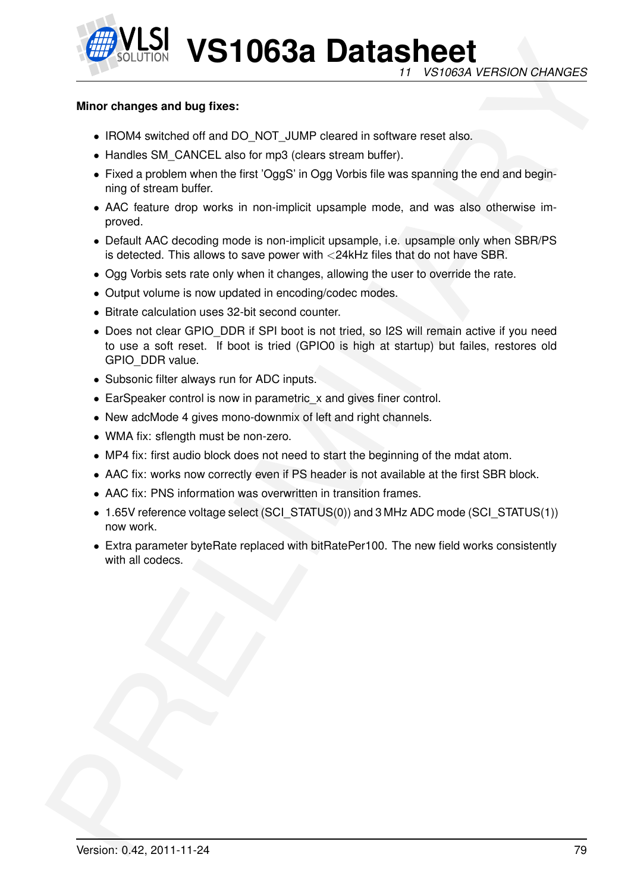

### **Minor changes and bug fixes:**

- IROM4 switched off and DO\_NOT\_JUMP cleared in software reset also.
- Handles SM\_CANCEL also for mp3 (clears stream buffer).
- Fixed a problem when the first 'OggS' in Ogg Vorbis file was spanning the end and beginning of stream buffer.
- AAC feature drop works in non-implicit upsample mode, and was also otherwise improved.
- Default AAC decoding mode is non-implicit upsample, i.e. upsample only when SBR/PS is detected. This allows to save power with <24kHz files that do not have SBR.
- Ogg Vorbis sets rate only when it changes, allowing the user to override the rate.
- Output volume is now updated in encoding/codec modes.
- Bitrate calculation uses 32-bit second counter.
- **EXAMPLE 10638 Datasheet**<br>
The VSCON sensitive and but fixers:<br>
Find the state and but fixers:<br>
Find the state and but fixers:<br>
Find the state and the state and DO NOT JUMP character metallities.<br>
Find a protein when the f • Does not clear GPIO DDR if SPI boot is not tried, so I2S will remain active if you need to use a soft reset. If boot is tried (GPIO0 is high at startup) but failes, restores old GPIO\_DDR value.
	- Subsonic filter always run for ADC inputs.
	- EarSpeaker control is now in parametric x and gives finer control.
	- New adcMode 4 gives mono-downmix of left and right channels.
	- WMA fix: sflength must be non-zero.
	- MP4 fix: first audio block does not need to start the beginning of the mdat atom.
	- AAC fix: works now correctly even if PS header is not available at the first SBR block.
	- AAC fix: PNS information was overwritten in transition frames.
	- 1.65V reference voltage select (SCI\_STATUS(0)) and 3 MHz ADC mode (SCI\_STATUS(1)) now work.
	- Extra parameter byteRate replaced with bitRatePer100. The new field works consistently with all codecs.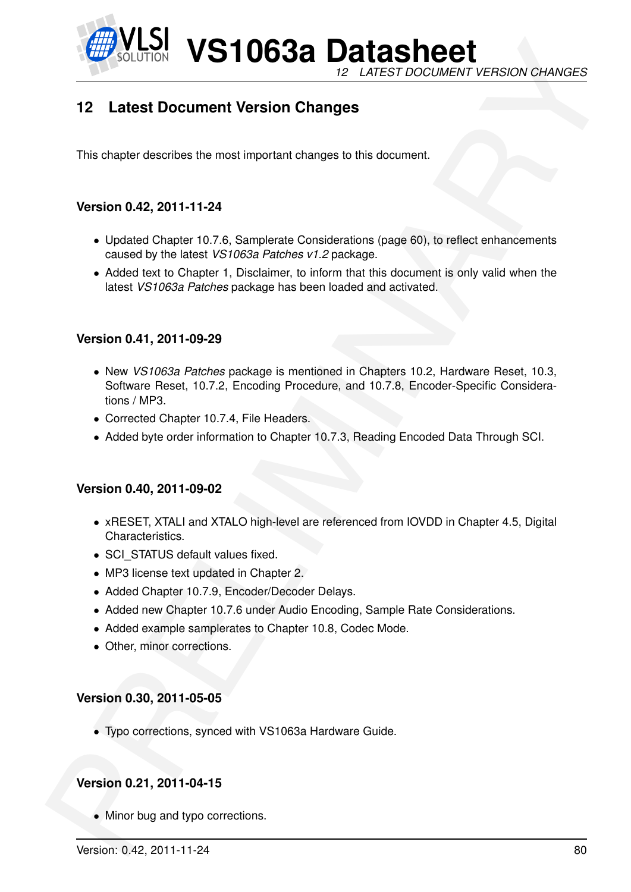

**VS1063a Datasheet** *12 LATEST DOCUMENT VERSION CHANGES*

# **12 Latest Document Version Changes**

This chapter describes the most important changes to this document.

# **Version 0.42, 2011-11-24**

- Updated Chapter 10.7.6, Samplerate Considerations (page 60), to reflect enhancements caused by the latest *VS1063a Patches v1.2* package.
- Added text to Chapter 1, Disclaimer, to inform that this document is only valid when the latest *VS1063a Patches* package has been loaded and activated.

## **Version 0.41, 2011-09-29**

- **Example 1997 VS110638 Data Sheets**<br>
12 Latest Document Version Changes<br>
12 Latest Document Version Changes<br>
12 Latest Document Version Changes<br>
12 Latest Document Wersion Changes<br>
12 Latest Document Persion Changes<br>
12 La • New *VS1063a Patches* package is mentioned in Chapters 10.2, Hardware Reset, 10.3, Software Reset, 10.7.2, Encoding Procedure, and 10.7.8, Encoder-Specific Considerations / MP3.
	- Corrected Chapter 10.7.4, File Headers.
	- Added byte order information to Chapter 10.7.3, Reading Encoded Data Through SCI.

# **Version 0.40, 2011-09-02**

- xRESET, XTALI and XTALO high-level are referenced from IOVDD in Chapter 4.5, Digital Characteristics.
- SCI\_STATUS default values fixed.
- MP3 license text updated in Chapter 2.
- Added Chapter 10.7.9, Encoder/Decoder Delays.
- Added new Chapter 10.7.6 under Audio Encoding, Sample Rate Considerations.
- Added example samplerates to Chapter 10.8, Codec Mode.
- Other, minor corrections.

### **Version 0.30, 2011-05-05**

• Typo corrections, synced with VS1063a Hardware Guide.

# **Version 0.21, 2011-04-15**

• Minor bug and typo corrections.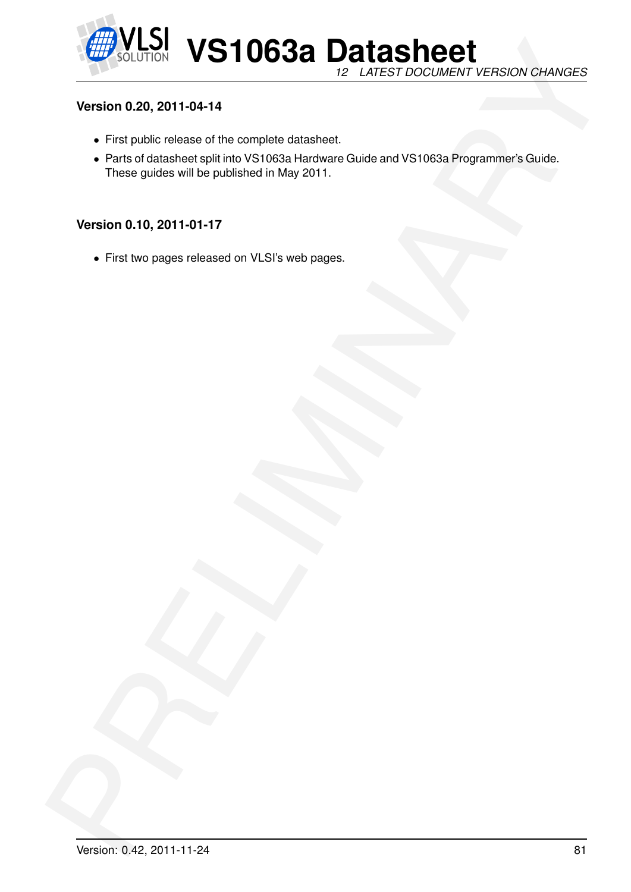

# **Version 0.20, 2011-04-14**

- First public release of the complete datasheet.
- Western 0.20, 2011-01-17<br>Western 0.20, 2011-04-14<br>
 First public relation of the complete distinction<br>
 First public relation of the complete distinction<br>
 Press pulse will be public relation (May 2011, and DVS1005a Pro • Parts of datasheet split into VS1063a Hardware Guide and VS1063a Programmer's Guide. These guides will be published in May 2011.

# **Version 0.10, 2011-01-17**

• First two pages released on VLSI's web pages.